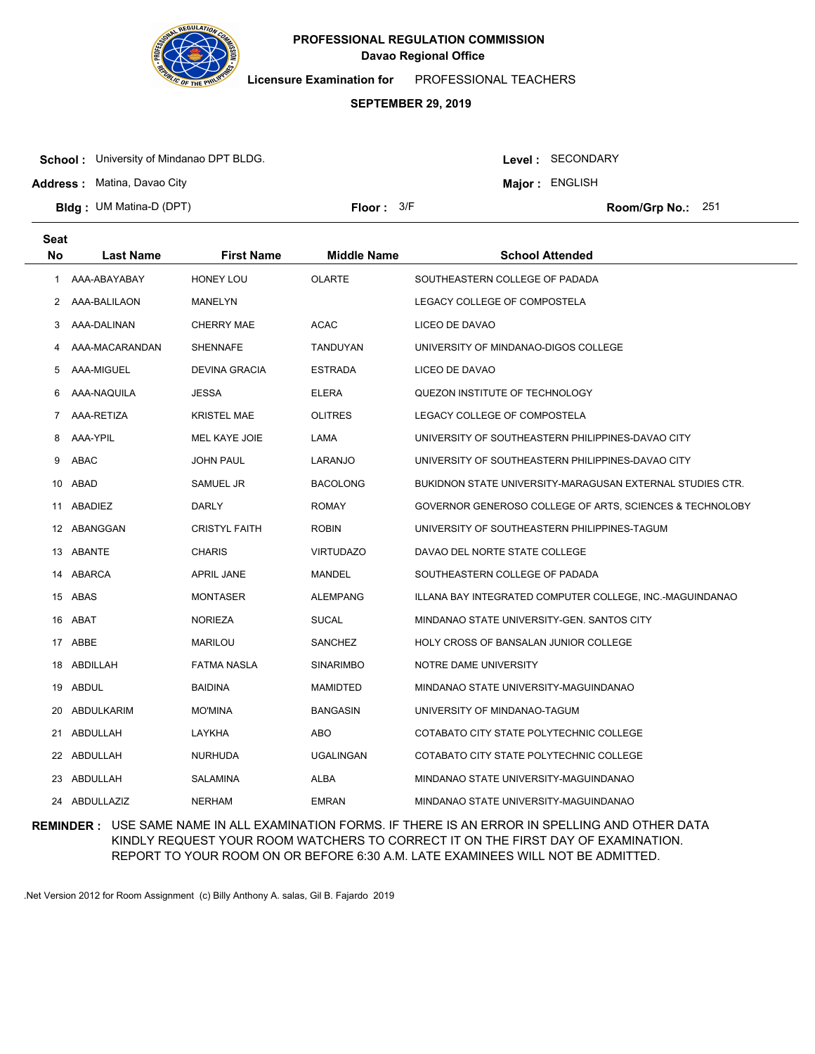

**Licensure Examination for**  PROFESSIONAL TEACHERS

# **SEPTEMBER 29, 2019**

**School :** University of Mindanao DPT BLDG.

**Address :** Matina, Davao City

Level : SECONDARY

**Major : ENGLISH** 

**Bldg : Floor : Room/Grp No.:** UM Matina-D (DPT)

Floor: 3/F Room/Grp No.: 251

| <b>Seat</b> |                  |                      |                    |                                                           |
|-------------|------------------|----------------------|--------------------|-----------------------------------------------------------|
| <b>No</b>   | <b>Last Name</b> | <b>First Name</b>    | <b>Middle Name</b> | <b>School Attended</b>                                    |
| 1           | AAA-ABAYABAY     | <b>HONEY LOU</b>     | <b>OLARTE</b>      | SOUTHEASTERN COLLEGE OF PADADA                            |
| $^{2}$      | AAA-BALILAON     | MANELYN              |                    | LEGACY COLLEGE OF COMPOSTELA                              |
| 3           | AAA-DALINAN      | <b>CHERRY MAE</b>    | <b>ACAC</b>        | LICEO DE DAVAO                                            |
| 4           | AAA-MACARANDAN   | <b>SHENNAFE</b>      | TANDUYAN           | UNIVERSITY OF MINDANAO-DIGOS COLLEGE                      |
| 5           | AAA-MIGUEL       | <b>DEVINA GRACIA</b> | <b>ESTRADA</b>     | LICEO DE DAVAO                                            |
| 6           | AAA-NAQUILA      | <b>JESSA</b>         | <b>ELERA</b>       | QUEZON INSTITUTE OF TECHNOLOGY                            |
| 7           | AAA-RETIZA       | <b>KRISTEL MAE</b>   | <b>OLITRES</b>     | LEGACY COLLEGE OF COMPOSTELA                              |
| 8           | AAA-YPIL         | MEL KAYE JOIE        | LAMA               | UNIVERSITY OF SOUTHEASTERN PHILIPPINES-DAVAO CITY         |
| 9           | ABAC             | <b>JOHN PAUL</b>     | LARANJO            | UNIVERSITY OF SOUTHEASTERN PHILIPPINES-DAVAO CITY         |
| 10          | ABAD             | SAMUEL JR            | <b>BACOLONG</b>    | BUKIDNON STATE UNIVERSITY-MARAGUSAN EXTERNAL STUDIES CTR. |
| 11          | ABADIEZ          | <b>DARLY</b>         | <b>ROMAY</b>       | GOVERNOR GENEROSO COLLEGE OF ARTS, SCIENCES & TECHNOLOBY  |
|             | 12 ABANGGAN      | <b>CRISTYL FAITH</b> | <b>ROBIN</b>       | UNIVERSITY OF SOUTHEASTERN PHILIPPINES-TAGUM              |
|             | 13 ABANTE        | <b>CHARIS</b>        | <b>VIRTUDAZO</b>   | DAVAO DEL NORTE STATE COLLEGE                             |
| 14          | ABARCA           | <b>APRIL JANE</b>    | MANDEL             | SOUTHEASTERN COLLEGE OF PADADA                            |
|             | 15 ABAS          | <b>MONTASER</b>      | <b>ALEMPANG</b>    | ILLANA BAY INTEGRATED COMPUTER COLLEGE, INC.-MAGUINDANAO  |
| 16          | ABAT             | <b>NORIEZA</b>       | <b>SUCAL</b>       | MINDANAO STATE UNIVERSITY-GEN. SANTOS CITY                |
|             | 17 ABBE          | MARILOU              | SANCHEZ            | HOLY CROSS OF BANSALAN JUNIOR COLLEGE                     |
| 18          | ABDILLAH         | <b>FATMA NASLA</b>   | <b>SINARIMBO</b>   | NOTRE DAME UNIVERSITY                                     |
| 19          | ABDUL            | <b>BAIDINA</b>       | MAMIDTED           | MINDANAO STATE UNIVERSITY-MAGUINDANAO                     |
| 20          | ABDULKARIM       | <b>MO'MINA</b>       | BANGASIN           | UNIVERSITY OF MINDANAO-TAGUM                              |
| 21          | ABDULLAH         | LAYKHA               | ABO                | COTABATO CITY STATE POLYTECHNIC COLLEGE                   |
| 22          | ABDULLAH         | <b>NURHUDA</b>       | <b>UGALINGAN</b>   | COTABATO CITY STATE POLYTECHNIC COLLEGE                   |
| 23          | ABDULLAH         | SALAMINA             | ALBA               | MINDANAO STATE UNIVERSITY-MAGUINDANAO                     |
| 24          | ABDULLAZIZ       | <b>NERHAM</b>        | <b>EMRAN</b>       | MINDANAO STATE UNIVERSITY-MAGUINDANAO                     |

**REMINDER :** USE SAME NAME IN ALL EXAMINATION FORMS. IF THERE IS AN ERROR IN SPELLING AND OTHER DATA KINDLY REQUEST YOUR ROOM WATCHERS TO CORRECT IT ON THE FIRST DAY OF EXAMINATION. REPORT TO YOUR ROOM ON OR BEFORE 6:30 A.M. LATE EXAMINEES WILL NOT BE ADMITTED.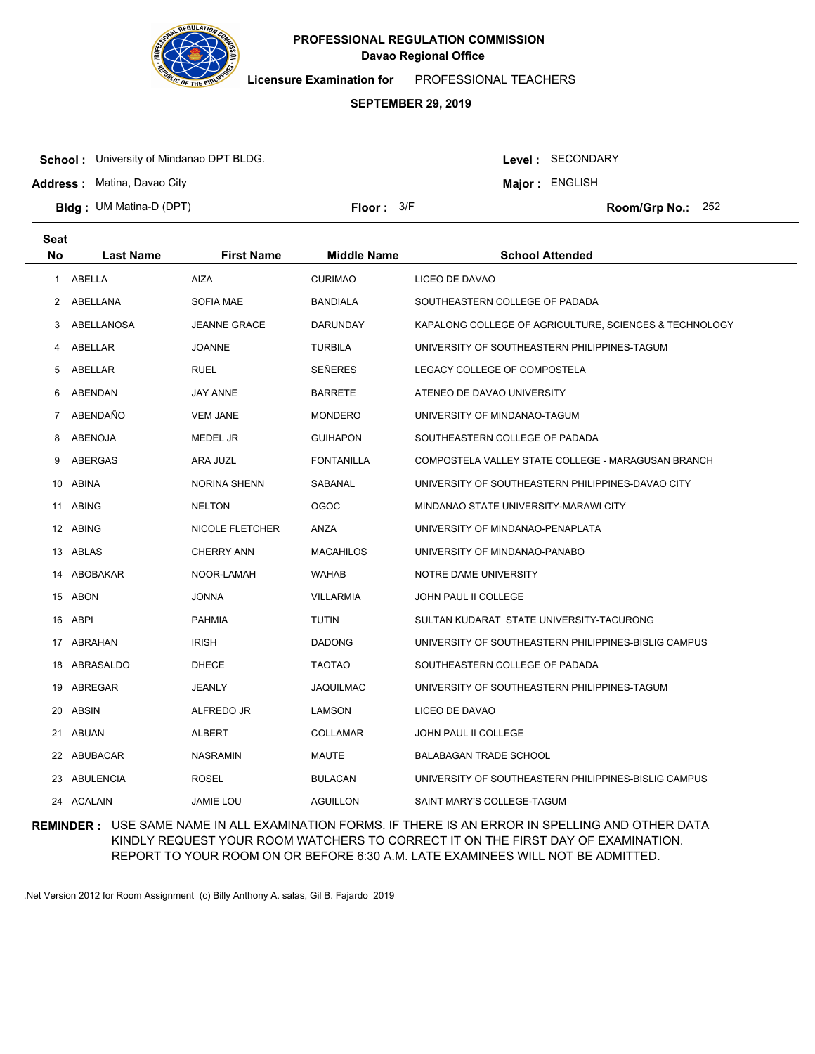

**Licensure Examination for**  PROFESSIONAL TEACHERS

# **SEPTEMBER 29, 2019**

**School :** University of Mindanao DPT BLDG.

**Address :** Matina, Davao City

Level : SECONDARY

**Major : ENGLISH** 

**Bldg : Floor : Room/Grp No.:** UM Matina-D (DPT)

Floor:  $3/F$  Room/Grp No.: 252

| <b>Seat</b>  |                  |                     |                    |                                                        |
|--------------|------------------|---------------------|--------------------|--------------------------------------------------------|
| <b>No</b>    | <b>Last Name</b> | <b>First Name</b>   | <b>Middle Name</b> | <b>School Attended</b>                                 |
| 1            | ABELLA           | <b>AIZA</b>         | <b>CURIMAO</b>     | LICEO DE DAVAO                                         |
| $\mathbf{2}$ | ABELLANA         | <b>SOFIA MAE</b>    | BANDIALA           | SOUTHEASTERN COLLEGE OF PADADA                         |
| 3            | ABELLANOSA       | <b>JEANNE GRACE</b> | DARUNDAY           | KAPALONG COLLEGE OF AGRICULTURE, SCIENCES & TECHNOLOGY |
| 4            | ABELLAR          | <b>JOANNE</b>       | <b>TURBILA</b>     | UNIVERSITY OF SOUTHEASTERN PHILIPPINES-TAGUM           |
| 5            | ABELLAR          | <b>RUEL</b>         | <b>SEÑERES</b>     | LEGACY COLLEGE OF COMPOSTELA                           |
| 6            | ABENDAN          | <b>JAY ANNE</b>     | <b>BARRETE</b>     | ATENEO DE DAVAO UNIVERSITY                             |
| 7            | ABENDAÑO         | <b>VEM JANE</b>     | <b>MONDERO</b>     | UNIVERSITY OF MINDANAO-TAGUM                           |
| 8            | ABENOJA          | <b>MEDEL JR</b>     | <b>GUIHAPON</b>    | SOUTHEASTERN COLLEGE OF PADADA                         |
| 9            | ABERGAS          | ARA JUZL            | <b>FONTANILLA</b>  | COMPOSTELA VALLEY STATE COLLEGE - MARAGUSAN BRANCH     |
|              | 10 ABINA         | <b>NORINA SHENN</b> | SABANAL            | UNIVERSITY OF SOUTHEASTERN PHILIPPINES-DAVAO CITY      |
| 11           | <b>ABING</b>     | <b>NELTON</b>       | <b>OGOC</b>        | MINDANAO STATE UNIVERSITY-MARAWI CITY                  |
|              | 12 ABING         | NICOLE FLETCHER     | ANZA               | UNIVERSITY OF MINDANAO-PENAPLATA                       |
|              | 13 ABLAS         | <b>CHERRY ANN</b>   | <b>MACAHILOS</b>   | UNIVERSITY OF MINDANAO-PANABO                          |
| 14           | ABOBAKAR         | NOOR-LAMAH          | WAHAB              | NOTRE DAME UNIVERSITY                                  |
|              | 15 ABON          | <b>JONNA</b>        | <b>VILLARMIA</b>   | JOHN PAUL II COLLEGE                                   |
|              | 16 ABPI          | <b>PAHMIA</b>       | <b>TUTIN</b>       | SULTAN KUDARAT STATE UNIVERSITY-TACURONG               |
|              | 17 ABRAHAN       | <b>IRISH</b>        | <b>DADONG</b>      | UNIVERSITY OF SOUTHEASTERN PHILIPPINES-BISLIG CAMPUS   |
| 18           | ABRASALDO        | <b>DHECE</b>        | <b>TAOTAO</b>      | SOUTHEASTERN COLLEGE OF PADADA                         |
|              | 19 ABREGAR       | JEANLY              | JAQUILMAC          | UNIVERSITY OF SOUTHEASTERN PHILIPPINES-TAGUM           |
| 20           | <b>ABSIN</b>     | ALFREDO JR          | <b>LAMSON</b>      | LICEO DE DAVAO                                         |
| 21           | ABUAN            | ALBERT              | <b>COLLAMAR</b>    | <b>JOHN PAUL II COLLEGE</b>                            |
| 22           | ABUBACAR         | <b>NASRAMIN</b>     | MAUTE              | <b>BALABAGAN TRADE SCHOOL</b>                          |
|              | 23 ABULENCIA     | <b>ROSEL</b>        | <b>BULACAN</b>     | UNIVERSITY OF SOUTHEASTERN PHILIPPINES-BISLIG CAMPUS   |
|              | 24 ACALAIN       | <b>JAMIE LOU</b>    | <b>AGUILLON</b>    | SAINT MARY'S COLLEGE-TAGUM                             |

**REMINDER :** USE SAME NAME IN ALL EXAMINATION FORMS. IF THERE IS AN ERROR IN SPELLING AND OTHER DATA KINDLY REQUEST YOUR ROOM WATCHERS TO CORRECT IT ON THE FIRST DAY OF EXAMINATION. REPORT TO YOUR ROOM ON OR BEFORE 6:30 A.M. LATE EXAMINEES WILL NOT BE ADMITTED.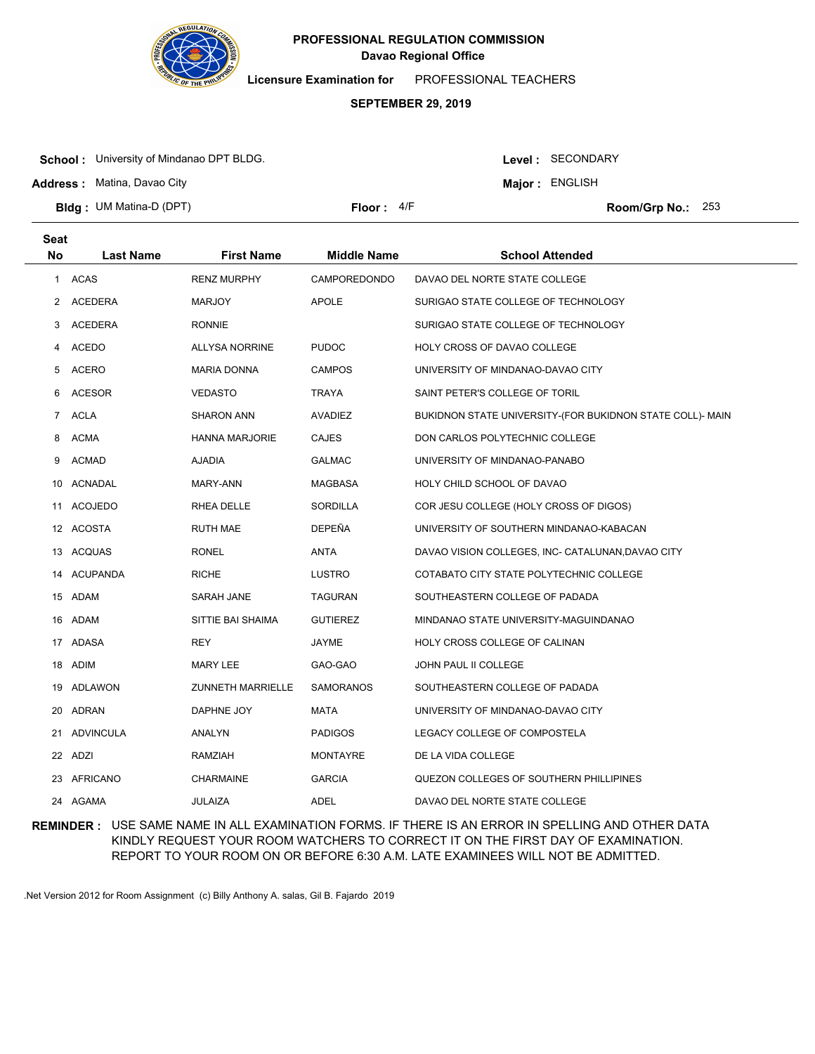

**Licensure Examination for**  PROFESSIONAL TEACHERS

### **SEPTEMBER 29, 2019**

**School :** University of Mindanao DPT BLDG.

**Address :** Matina, Davao City

Level : SECONDARY

**Major : ENGLISH** 

**Bldg : Floor : Room/Grp No.:** UM Matina-D (DPT)

Floor: 4/F Room/Grp No.: 253

| Seat        |                 |                          |                    |                                                           |
|-------------|-----------------|--------------------------|--------------------|-----------------------------------------------------------|
| <b>No</b>   | Last Name       | <b>First Name</b>        | <b>Middle Name</b> | <b>School Attended</b>                                    |
| 1           | <b>ACAS</b>     | <b>RENZ MURPHY</b>       | CAMPOREDONDO       | DAVAO DEL NORTE STATE COLLEGE                             |
| 2           | <b>ACEDERA</b>  | <b>MARJOY</b>            | <b>APOLE</b>       | SURIGAO STATE COLLEGE OF TECHNOLOGY                       |
| 3           | <b>ACEDERA</b>  | <b>RONNIE</b>            |                    | SURIGAO STATE COLLEGE OF TECHNOLOGY                       |
| 4           | ACEDO           | <b>ALLYSA NORRINE</b>    | <b>PUDOC</b>       | HOLY CROSS OF DAVAO COLLEGE                               |
| 5           | ACERO           | <b>MARIA DONNA</b>       | <b>CAMPOS</b>      | UNIVERSITY OF MINDANAO-DAVAO CITY                         |
| 6           | <b>ACESOR</b>   | <b>VEDASTO</b>           | <b>TRAYA</b>       | SAINT PETER'S COLLEGE OF TORIL                            |
| $7^{\circ}$ | <b>ACLA</b>     | <b>SHARON ANN</b>        | <b>AVADIEZ</b>     | BUKIDNON STATE UNIVERSITY-(FOR BUKIDNON STATE COLL)- MAIN |
| 8           | <b>ACMA</b>     | <b>HANNA MARJORIE</b>    | <b>CAJES</b>       | DON CARLOS POLYTECHNIC COLLEGE                            |
| 9           | <b>ACMAD</b>    | <b>AJADIA</b>            | <b>GALMAC</b>      | UNIVERSITY OF MINDANAO-PANABO                             |
| 10          | ACNADAL         | MARY-ANN                 | MAGBASA            | HOLY CHILD SCHOOL OF DAVAO                                |
| 11          | <b>ACOJEDO</b>  | RHEA DELLE               | SORDILLA           | COR JESU COLLEGE (HOLY CROSS OF DIGOS)                    |
|             | 12 ACOSTA       | <b>RUTH MAE</b>          | DEPEÑA             | UNIVERSITY OF SOUTHERN MINDANAO-KABACAN                   |
|             | 13 ACQUAS       | <b>RONEL</b>             | <b>ANTA</b>        | DAVAO VISION COLLEGES, INC- CATALUNAN, DAVAO CITY         |
| 14          | <b>ACUPANDA</b> | <b>RICHE</b>             | <b>LUSTRO</b>      | COTABATO CITY STATE POLYTECHNIC COLLEGE                   |
|             | 15 ADAM         | SARAH JANE               | <b>TAGURAN</b>     | SOUTHEASTERN COLLEGE OF PADADA                            |
|             | 16 ADAM         | SITTIE BAI SHAIMA        | <b>GUTIEREZ</b>    | MINDANAO STATE UNIVERSITY-MAGUINDANAO                     |
|             | 17 ADASA        | REY                      | JAYME              | HOLY CROSS COLLEGE OF CALINAN                             |
|             | 18 ADIM         | MARY LEE                 | GAO-GAO            | JOHN PAUL II COLLEGE                                      |
|             | 19 ADLAWON      | <b>ZUNNETH MARRIELLE</b> | <b>SAMORANOS</b>   | SOUTHEASTERN COLLEGE OF PADADA                            |
|             | 20 ADRAN        | DAPHNE JOY               | <b>MATA</b>        | UNIVERSITY OF MINDANAO-DAVAO CITY                         |
| 21          | ADVINCULA       | ANALYN                   | <b>PADIGOS</b>     | LEGACY COLLEGE OF COMPOSTELA                              |
|             | 22 ADZI         | RAMZIAH                  | <b>MONTAYRE</b>    | DE LA VIDA COLLEGE                                        |
| 23          | AFRICANO        | <b>CHARMAINE</b>         | <b>GARCIA</b>      | QUEZON COLLEGES OF SOUTHERN PHILLIPINES                   |
|             | 24 AGAMA        | <b>JULAIZA</b>           | ADEL               | DAVAO DEL NORTE STATE COLLEGE                             |
|             |                 |                          |                    |                                                           |

**REMINDER :** USE SAME NAME IN ALL EXAMINATION FORMS. IF THERE IS AN ERROR IN SPELLING AND OTHER DATA KINDLY REQUEST YOUR ROOM WATCHERS TO CORRECT IT ON THE FIRST DAY OF EXAMINATION. REPORT TO YOUR ROOM ON OR BEFORE 6:30 A.M. LATE EXAMINEES WILL NOT BE ADMITTED.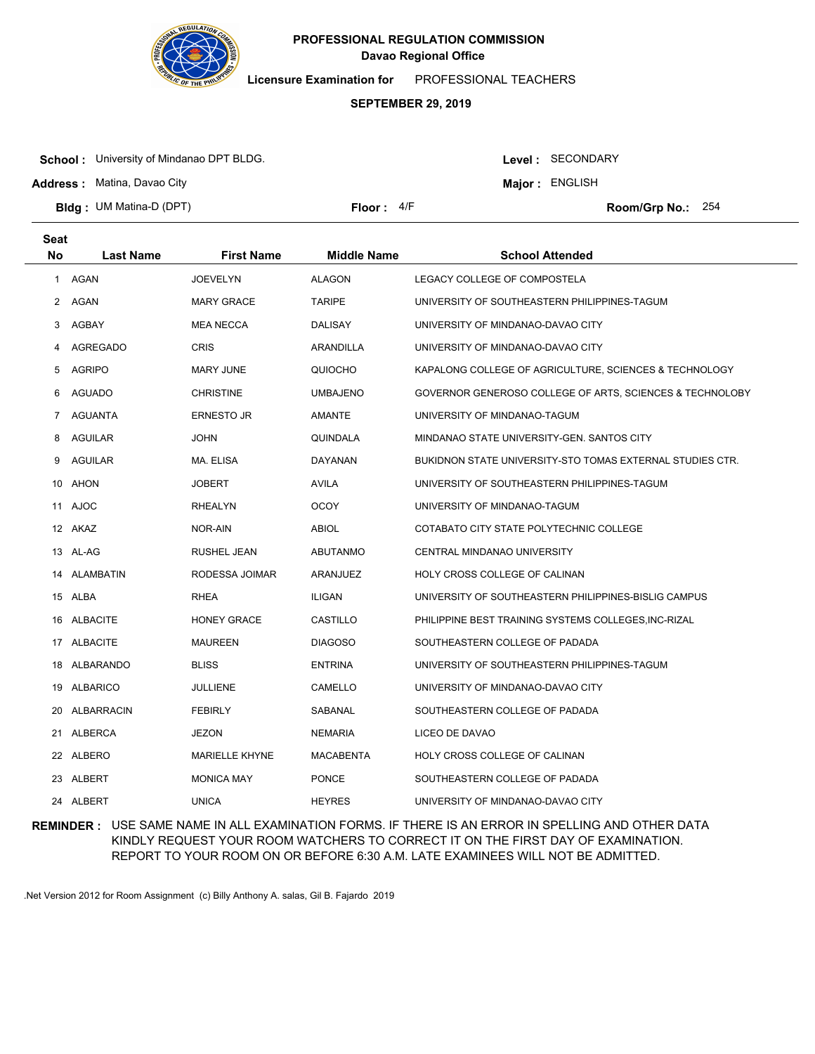

**Licensure Examination for**  PROFESSIONAL TEACHERS

# **SEPTEMBER 29, 2019**

**School :** University of Mindanao DPT BLDG.

Level : SECONDARY

**Major : ENGLISH** 

**Address :** Matina, Davao City

**Seat**

**Bldg : Floor : Room/Grp No.:** UM Matina-D (DPT)

Floor:  $4/F$  Room/Grp No.: 254

| υσαι           |                  |                       |                    |                                                           |
|----------------|------------------|-----------------------|--------------------|-----------------------------------------------------------|
| No             | <b>Last Name</b> | <b>First Name</b>     | <b>Middle Name</b> | <b>School Attended</b>                                    |
|                | 1 AGAN           | <b>JOEVELYN</b>       | <b>ALAGON</b>      | LEGACY COLLEGE OF COMPOSTELA                              |
| 2              | AGAN             | <b>MARY GRACE</b>     | <b>TARIPE</b>      | UNIVERSITY OF SOUTHEASTERN PHILIPPINES-TAGUM              |
| 3              | AGBAY            | <b>MEA NECCA</b>      | <b>DALISAY</b>     | UNIVERSITY OF MINDANAO-DAVAO CITY                         |
| 4              | AGREGADO         | <b>CRIS</b>           | ARANDILLA          | UNIVERSITY OF MINDANAO-DAVAO CITY                         |
| 5              | <b>AGRIPO</b>    | MARY JUNE             | QUIOCHO            | KAPALONG COLLEGE OF AGRICULTURE, SCIENCES & TECHNOLOGY    |
| 6              | <b>AGUADO</b>    | <b>CHRISTINE</b>      | <b>UMBAJENO</b>    | GOVERNOR GENEROSO COLLEGE OF ARTS, SCIENCES & TECHNOLOBY  |
| $\overline{7}$ | AGUANTA          | <b>ERNESTO JR</b>     | AMANTE             | UNIVERSITY OF MINDANAO-TAGUM                              |
| 8              | AGUILAR          | JOHN                  | QUINDALA           | MINDANAO STATE UNIVERSITY-GEN. SANTOS CITY                |
| 9              | AGUILAR          | MA. ELISA             | DAYANAN            | BUKIDNON STATE UNIVERSITY-STO TOMAS EXTERNAL STUDIES CTR. |
|                | 10 AHON          | <b>JOBERT</b>         | AVILA              | UNIVERSITY OF SOUTHEASTERN PHILIPPINES-TAGUM              |
|                | 11 AJOC          | RHEALYN               | <b>OCOY</b>        | UNIVERSITY OF MINDANAO-TAGUM                              |
|                | 12 AKAZ          | NOR-AIN               | <b>ABIOL</b>       | COTABATO CITY STATE POLYTECHNIC COLLEGE                   |
|                | 13 AL-AG         | RUSHEL JEAN           | ABUTANMO           | CENTRAL MINDANAO UNIVERSITY                               |
|                | 14 ALAMBATIN     | RODESSA JOIMAR        | ARANJUEZ           | HOLY CROSS COLLEGE OF CALINAN                             |
|                | 15 ALBA          | RHEA                  | ILIGAN             | UNIVERSITY OF SOUTHEASTERN PHILIPPINES-BISLIG CAMPUS      |
|                | 16 ALBACITE      | <b>HONEY GRACE</b>    | CASTILLO           | PHILIPPINE BEST TRAINING SYSTEMS COLLEGES, INC-RIZAL      |
|                | 17 ALBACITE      | <b>MAUREEN</b>        | <b>DIAGOSO</b>     | SOUTHEASTERN COLLEGE OF PADADA                            |
|                | 18 ALBARANDO     | <b>BLISS</b>          | <b>ENTRINA</b>     | UNIVERSITY OF SOUTHEASTERN PHILIPPINES-TAGUM              |
|                | 19 ALBARICO      | JULLIENE              | CAMELLO            | UNIVERSITY OF MINDANAO-DAVAO CITY                         |
|                | 20 ALBARRACIN    | <b>FEBIRLY</b>        | SABANAL            | SOUTHEASTERN COLLEGE OF PADADA                            |
|                | 21 ALBERCA       | JEZON                 | <b>NEMARIA</b>     | LICEO DE DAVAO                                            |
|                | 22 ALBERO        | <b>MARIELLE KHYNE</b> | <b>MACABENTA</b>   | HOLY CROSS COLLEGE OF CALINAN                             |
|                | 23 ALBERT        | <b>MONICA MAY</b>     | <b>PONCE</b>       | SOUTHEASTERN COLLEGE OF PADADA                            |
|                | 24 ALBERT        | <b>UNICA</b>          | <b>HEYRES</b>      | UNIVERSITY OF MINDANAO-DAVAO CITY                         |

**REMINDER :** USE SAME NAME IN ALL EXAMINATION FORMS. IF THERE IS AN ERROR IN SPELLING AND OTHER DATA KINDLY REQUEST YOUR ROOM WATCHERS TO CORRECT IT ON THE FIRST DAY OF EXAMINATION. REPORT TO YOUR ROOM ON OR BEFORE 6:30 A.M. LATE EXAMINEES WILL NOT BE ADMITTED.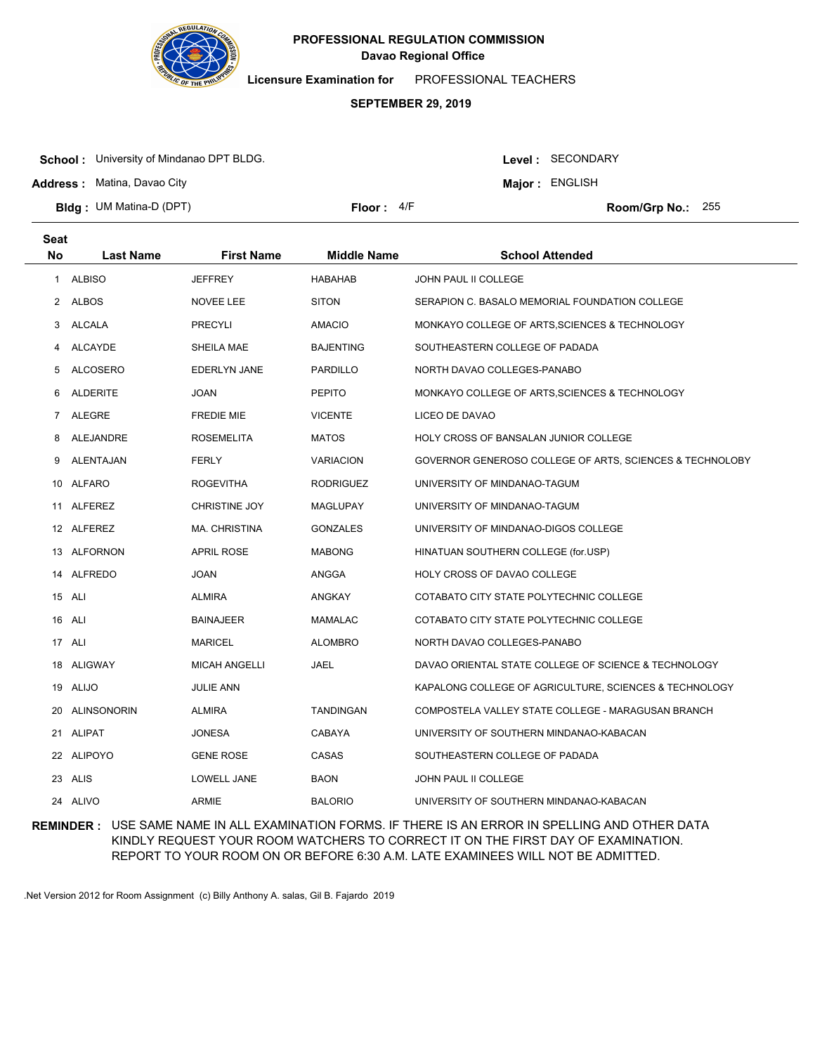

**Licensure Examination for**  PROFESSIONAL TEACHERS

# **SEPTEMBER 29, 2019**

**School :** University of Mindanao DPT BLDG.

Level : SECONDARY

**Major : ENGLISH** 

**Address :** Matina, Davao City

**Bldg : Floor : Room/Grp No.:** UM Matina-D (DPT)

Floor:  $4/F$  Room/Grp No.: 255

| <b>Seat</b>      |                      |                    |                                                          |
|------------------|----------------------|--------------------|----------------------------------------------------------|
| <b>Last Name</b> | <b>First Name</b>    | <b>Middle Name</b> | <b>School Attended</b>                                   |
| <b>ALBISO</b>    | <b>JEFFREY</b>       | HABAHAB            | JOHN PAUL II COLLEGE                                     |
| 2 ALBOS          | NOVEE LEE            | <b>SITON</b>       | SERAPION C. BASALO MEMORIAL FOUNDATION COLLEGE           |
| ALCALA           | <b>PRECYLI</b>       | <b>AMACIO</b>      | MONKAYO COLLEGE OF ARTS, SCIENCES & TECHNOLOGY           |
| ALCAYDE          | SHEILA MAE           | <b>BAJENTING</b>   | SOUTHEASTERN COLLEGE OF PADADA                           |
| <b>ALCOSERO</b>  | <b>EDERLYN JANE</b>  | PARDILLO           | NORTH DAVAO COLLEGES-PANABO                              |
| ALDERITE         | <b>JOAN</b>          | <b>PEPITO</b>      | MONKAYO COLLEGE OF ARTS, SCIENCES & TECHNOLOGY           |
| ALEGRE           | <b>FREDIE MIE</b>    | <b>VICENTE</b>     | LICEO DE DAVAO                                           |
| ALEJANDRE        | <b>ROSEMELITA</b>    | <b>MATOS</b>       | HOLY CROSS OF BANSALAN JUNIOR COLLEGE                    |
| ALENTAJAN        | <b>FERLY</b>         | <b>VARIACION</b>   | GOVERNOR GENEROSO COLLEGE OF ARTS, SCIENCES & TECHNOLOBY |
| 10 ALFARO        | <b>ROGEVITHA</b>     | RODRIGUEZ          | UNIVERSITY OF MINDANAO-TAGUM                             |
| 11 ALFEREZ       | <b>CHRISTINE JOY</b> | MAGLUPAY           | UNIVERSITY OF MINDANAO-TAGUM                             |
| 12 ALFEREZ       | MA. CHRISTINA        | <b>GONZALES</b>    | UNIVERSITY OF MINDANAO-DIGOS COLLEGE                     |
| 13 ALFORNON      | <b>APRIL ROSE</b>    | <b>MABONG</b>      | HINATUAN SOUTHERN COLLEGE (for.USP)                      |
| ALFREDO          | <b>JOAN</b>          | ANGGA              | HOLY CROSS OF DAVAO COLLEGE                              |
| 15 ALI           | ALMIRA               | ANGKAY             | COTABATO CITY STATE POLYTECHNIC COLLEGE                  |
| ALI              | <b>BAINAJEER</b>     | <b>MAMALAC</b>     | COTABATO CITY STATE POLYTECHNIC COLLEGE                  |
| 17 ALI           | <b>MARICEL</b>       | <b>ALOMBRO</b>     | NORTH DAVAO COLLEGES-PANABO                              |
| ALIGWAY          | <b>MICAH ANGELLI</b> | JAEL               | DAVAO ORIENTAL STATE COLLEGE OF SCIENCE & TECHNOLOGY     |
| ALIJO            | <b>JULIE ANN</b>     |                    | KAPALONG COLLEGE OF AGRICULTURE, SCIENCES & TECHNOLOGY   |
| ALINSONORIN      | <b>ALMIRA</b>        | <b>TANDINGAN</b>   | COMPOSTELA VALLEY STATE COLLEGE - MARAGUSAN BRANCH       |
| 21 ALIPAT        | <b>JONESA</b>        | CABAYA             | UNIVERSITY OF SOUTHERN MINDANAO-KABACAN                  |
| 22 ALIPOYO       | <b>GENE ROSE</b>     | CASAS              | SOUTHEASTERN COLLEGE OF PADADA                           |
| 23 ALIS          | LOWELL JANE          | BAON               | JOHN PAUL II COLLEGE                                     |
| 24 ALIVO         | <b>ARMIE</b>         | <b>BALORIO</b>     | UNIVERSITY OF SOUTHERN MINDANAO-KABACAN                  |
|                  |                      |                    |                                                          |

**REMINDER :** USE SAME NAME IN ALL EXAMINATION FORMS. IF THERE IS AN ERROR IN SPELLING AND OTHER DATA KINDLY REQUEST YOUR ROOM WATCHERS TO CORRECT IT ON THE FIRST DAY OF EXAMINATION. REPORT TO YOUR ROOM ON OR BEFORE 6:30 A.M. LATE EXAMINEES WILL NOT BE ADMITTED.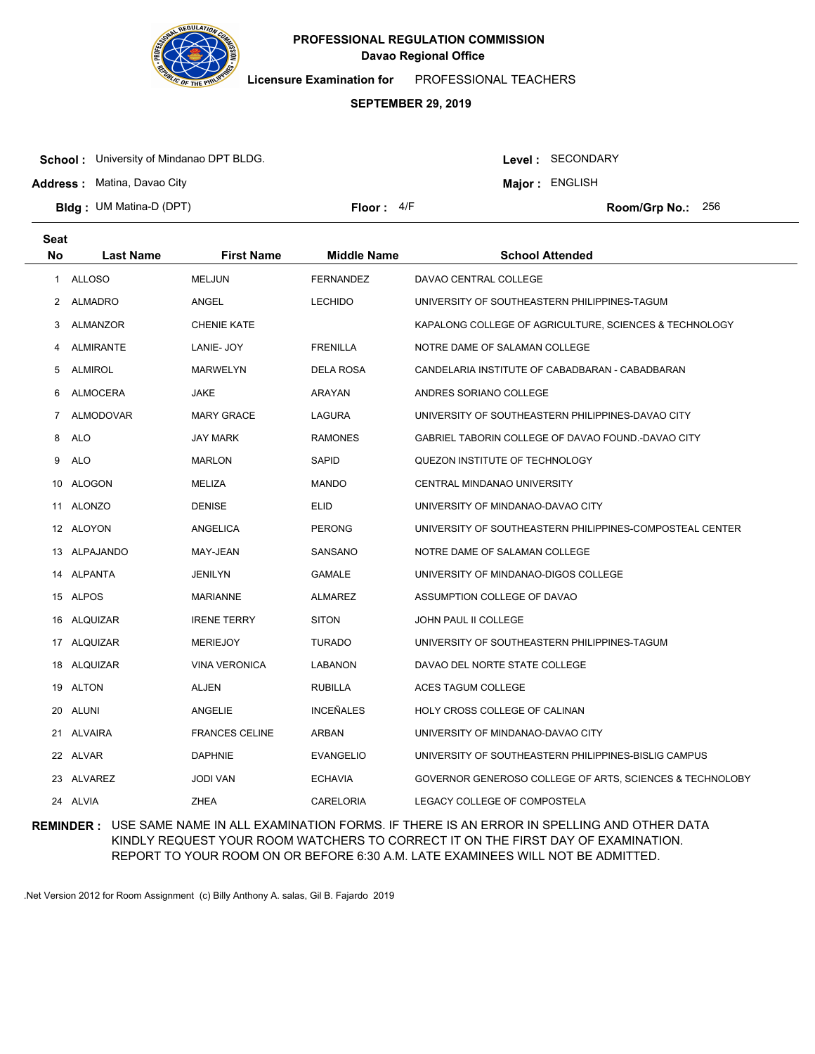

**Licensure Examination for**  PROFESSIONAL TEACHERS

### **SEPTEMBER 29, 2019**

**School :** University of Mindanao DPT BLDG.

**Address :** Matina, Davao City

Level : SECONDARY

**Major : ENGLISH** 

**Bldg : Floor : Room/Grp No.:** UM Matina-D (DPT)

Floor:  $4/F$  Room/Grp No.: 256

| <b>Seat</b>  |                  |                       |                    |                                                          |
|--------------|------------------|-----------------------|--------------------|----------------------------------------------------------|
| <b>No</b>    | <b>Last Name</b> | <b>First Name</b>     | <b>Middle Name</b> | <b>School Attended</b>                                   |
| $\mathbf{1}$ | <b>ALLOSO</b>    | <b>MELJUN</b>         | <b>FERNANDEZ</b>   | DAVAO CENTRAL COLLEGE                                    |
| 2            | ALMADRO          | ANGEL                 | <b>LECHIDO</b>     | UNIVERSITY OF SOUTHEASTERN PHILIPPINES-TAGUM             |
| 3            | ALMANZOR         | <b>CHENIE KATE</b>    |                    | KAPALONG COLLEGE OF AGRICULTURE, SCIENCES & TECHNOLOGY   |
| 4            | <b>ALMIRANTE</b> | LANIE- JOY            | <b>FRENILLA</b>    | NOTRE DAME OF SALAMAN COLLEGE                            |
| 5            | <b>ALMIROL</b>   | <b>MARWELYN</b>       | <b>DELA ROSA</b>   | CANDELARIA INSTITUTE OF CABADBARAN - CABADBARAN          |
| 6            | ALMOCERA         | <b>JAKE</b>           | ARAYAN             | ANDRES SORIANO COLLEGE                                   |
| $7^{\circ}$  | ALMODOVAR        | <b>MARY GRACE</b>     | LAGURA             | UNIVERSITY OF SOUTHEASTERN PHILIPPINES-DAVAO CITY        |
| 8            | <b>ALO</b>       | <b>JAY MARK</b>       | <b>RAMONES</b>     | GABRIEL TABORIN COLLEGE OF DAVAO FOUND.-DAVAO CITY       |
| 9            | <b>ALO</b>       | <b>MARLON</b>         | <b>SAPID</b>       | QUEZON INSTITUTE OF TECHNOLOGY                           |
|              | 10 ALOGON        | MELIZA                | <b>MANDO</b>       | CENTRAL MINDANAO UNIVERSITY                              |
|              | 11 ALONZO        | <b>DENISE</b>         | <b>ELID</b>        | UNIVERSITY OF MINDANAO-DAVAO CITY                        |
|              | 12 ALOYON        | ANGELICA              | <b>PERONG</b>      | UNIVERSITY OF SOUTHEASTERN PHILIPPINES-COMPOSTEAL CENTER |
|              | 13 ALPAJANDO     | MAY-JEAN              | SANSANO            | NOTRE DAME OF SALAMAN COLLEGE                            |
|              | 14 ALPANTA       | <b>JENILYN</b>        | GAMALE             | UNIVERSITY OF MINDANAO-DIGOS COLLEGE                     |
|              | 15 ALPOS         | MARIANNE              | <b>ALMAREZ</b>     | ASSUMPTION COLLEGE OF DAVAO                              |
|              | 16 ALQUIZAR      | <b>IRENE TERRY</b>    | <b>SITON</b>       | JOHN PAUL II COLLEGE                                     |
|              | 17 ALQUIZAR      | <b>MERIEJOY</b>       | <b>TURADO</b>      | UNIVERSITY OF SOUTHEASTERN PHILIPPINES-TAGUM             |
| 18           | ALQUIZAR         | <b>VINA VERONICA</b>  | <b>LABANON</b>     | DAVAO DEL NORTE STATE COLLEGE                            |
|              | 19 ALTON         | <b>ALJEN</b>          | <b>RUBILLA</b>     | ACES TAGUM COLLEGE                                       |
| 20           | ALUNI            | ANGELIE               | <b>INCEÑALES</b>   | HOLY CROSS COLLEGE OF CALINAN                            |
|              | 21 ALVAIRA       | <b>FRANCES CELINE</b> | <b>ARBAN</b>       | UNIVERSITY OF MINDANAO-DAVAO CITY                        |
|              | 22 ALVAR         | <b>DAPHNIE</b>        | <b>EVANGELIO</b>   | UNIVERSITY OF SOUTHEASTERN PHILIPPINES-BISLIG CAMPUS     |
|              | 23 ALVAREZ       | <b>JODI VAN</b>       | <b>ECHAVIA</b>     | GOVERNOR GENEROSO COLLEGE OF ARTS, SCIENCES & TECHNOLOBY |
|              | 24 ALVIA         | <b>ZHEA</b>           | CARELORIA          | LEGACY COLLEGE OF COMPOSTELA                             |
|              |                  |                       |                    |                                                          |

**REMINDER :** USE SAME NAME IN ALL EXAMINATION FORMS. IF THERE IS AN ERROR IN SPELLING AND OTHER DATA KINDLY REQUEST YOUR ROOM WATCHERS TO CORRECT IT ON THE FIRST DAY OF EXAMINATION. REPORT TO YOUR ROOM ON OR BEFORE 6:30 A.M. LATE EXAMINEES WILL NOT BE ADMITTED.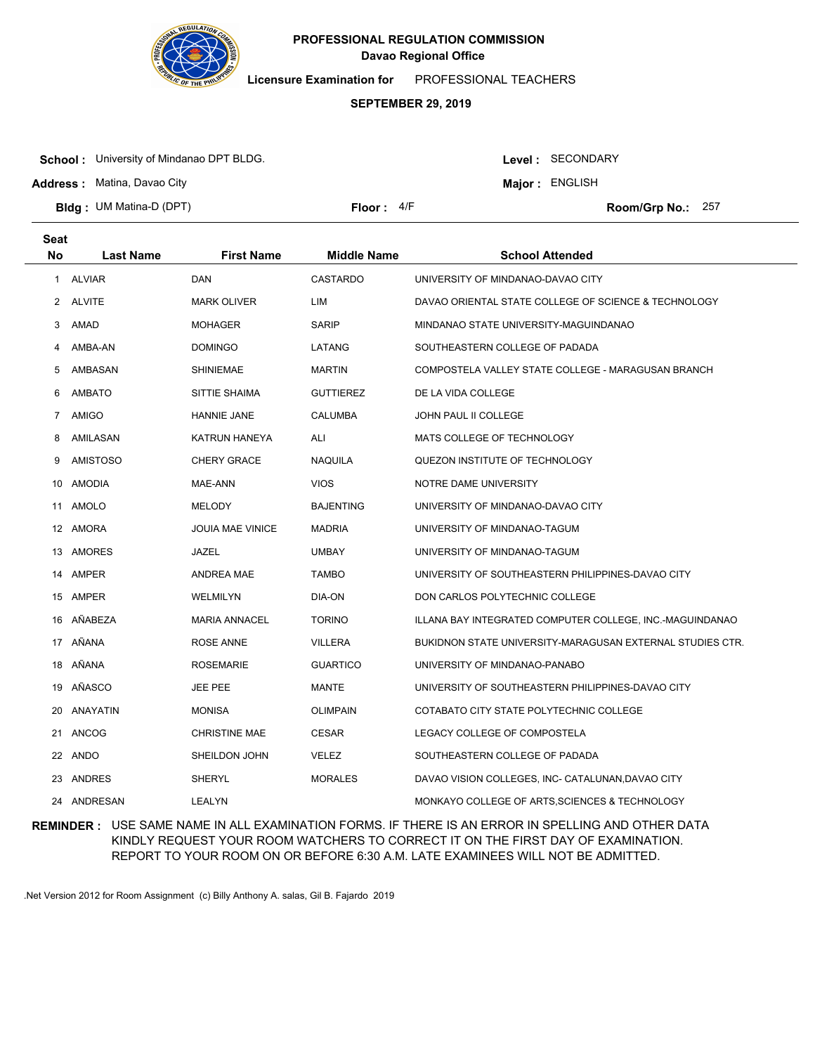

**Licensure Examination for**  PROFESSIONAL TEACHERS

# **SEPTEMBER 29, 2019**

**School :** University of Mindanao DPT BLDG.

Level : SECONDARY

**Major : ENGLISH** 

**Address :** Matina, Davao City

**Bldg : Floor : Room/Grp No.:** UM Matina-D (DPT)

Floor: 4/F Room/Grp No.: 257

| <b>Seat</b>  |                  |                         |                    |                                                           |
|--------------|------------------|-------------------------|--------------------|-----------------------------------------------------------|
| <b>No</b>    | <b>Last Name</b> | <b>First Name</b>       | <b>Middle Name</b> | <b>School Attended</b>                                    |
| $\mathbf{1}$ | <b>ALVIAR</b>    | DAN                     | <b>CASTARDO</b>    | UNIVERSITY OF MINDANAO-DAVAO CITY                         |
|              | 2 ALVITE         | <b>MARK OLIVER</b>      | LIM                | DAVAO ORIENTAL STATE COLLEGE OF SCIENCE & TECHNOLOGY      |
| 3            | AMAD             | <b>MOHAGER</b>          | SARIP              | MINDANAO STATE UNIVERSITY-MAGUINDANAO                     |
| 4            | AMBA-AN          | <b>DOMINGO</b>          | LATANG             | SOUTHEASTERN COLLEGE OF PADADA                            |
| 5            | AMBASAN          | <b>SHINIEMAE</b>        | <b>MARTIN</b>      | COMPOSTELA VALLEY STATE COLLEGE - MARAGUSAN BRANCH        |
| 6            | <b>AMBATO</b>    | SITTIE SHAIMA           | <b>GUTTIEREZ</b>   | DE LA VIDA COLLEGE                                        |
| 7            | AMIGO            | HANNIE JANE             | <b>CALUMBA</b>     | JOHN PAUL II COLLEGE                                      |
| 8            | AMILASAN         | KATRUN HANEYA           | ALI                | MATS COLLEGE OF TECHNOLOGY                                |
| 9            | <b>AMISTOSO</b>  | <b>CHERY GRACE</b>      | <b>NAQUILA</b>     | QUEZON INSTITUTE OF TECHNOLOGY                            |
|              | 10 AMODIA        | MAE-ANN                 | <b>VIOS</b>        | NOTRE DAME UNIVERSITY                                     |
|              | 11 AMOLO         | <b>MELODY</b>           | <b>BAJENTING</b>   | UNIVERSITY OF MINDANAO-DAVAO CITY                         |
|              | 12 AMORA         | <b>JOUIA MAE VINICE</b> | <b>MADRIA</b>      | UNIVERSITY OF MINDANAO-TAGUM                              |
|              | 13 AMORES        | JAZEL                   | <b>UMBAY</b>       | UNIVERSITY OF MINDANAO-TAGUM                              |
|              | 14 AMPER         | ANDREA MAE              | <b>TAMBO</b>       | UNIVERSITY OF SOUTHEASTERN PHILIPPINES-DAVAO CITY         |
|              | 15 AMPER         | WELMILYN                | DIA-ON             | DON CARLOS POLYTECHNIC COLLEGE                            |
|              | 16 AÑABEZA       | <b>MARIA ANNACEL</b>    | <b>TORINO</b>      | ILLANA BAY INTEGRATED COMPUTER COLLEGE, INC.-MAGUINDANAO  |
|              | 17 AÑANA         | ROSE ANNE               | <b>VILLERA</b>     | BUKIDNON STATE UNIVERSITY-MARAGUSAN EXTERNAL STUDIES CTR. |
|              | 18 AÑANA         | <b>ROSEMARIE</b>        | <b>GUARTICO</b>    | UNIVERSITY OF MINDANAO-PANABO                             |
|              | 19 AÑASCO        | JEE PEE                 | MANTE              | UNIVERSITY OF SOUTHEASTERN PHILIPPINES-DAVAO CITY         |
| 20           | ANAYATIN         | <b>MONISA</b>           | <b>OLIMPAIN</b>    | COTABATO CITY STATE POLYTECHNIC COLLEGE                   |
|              | 21 ANCOG         | <b>CHRISTINE MAE</b>    | <b>CESAR</b>       | LEGACY COLLEGE OF COMPOSTELA                              |
|              | 22 ANDO          | SHEILDON JOHN           | <b>VELEZ</b>       | SOUTHEASTERN COLLEGE OF PADADA                            |
|              | 23 ANDRES        | SHERYL                  | <b>MORALES</b>     | DAVAO VISION COLLEGES, INC- CATALUNAN, DAVAO CITY         |
|              | 24 ANDRESAN      | <b>LEALYN</b>           |                    | MONKAYO COLLEGE OF ARTS, SCIENCES & TECHNOLOGY            |

**REMINDER :** USE SAME NAME IN ALL EXAMINATION FORMS. IF THERE IS AN ERROR IN SPELLING AND OTHER DATA KINDLY REQUEST YOUR ROOM WATCHERS TO CORRECT IT ON THE FIRST DAY OF EXAMINATION. REPORT TO YOUR ROOM ON OR BEFORE 6:30 A.M. LATE EXAMINEES WILL NOT BE ADMITTED.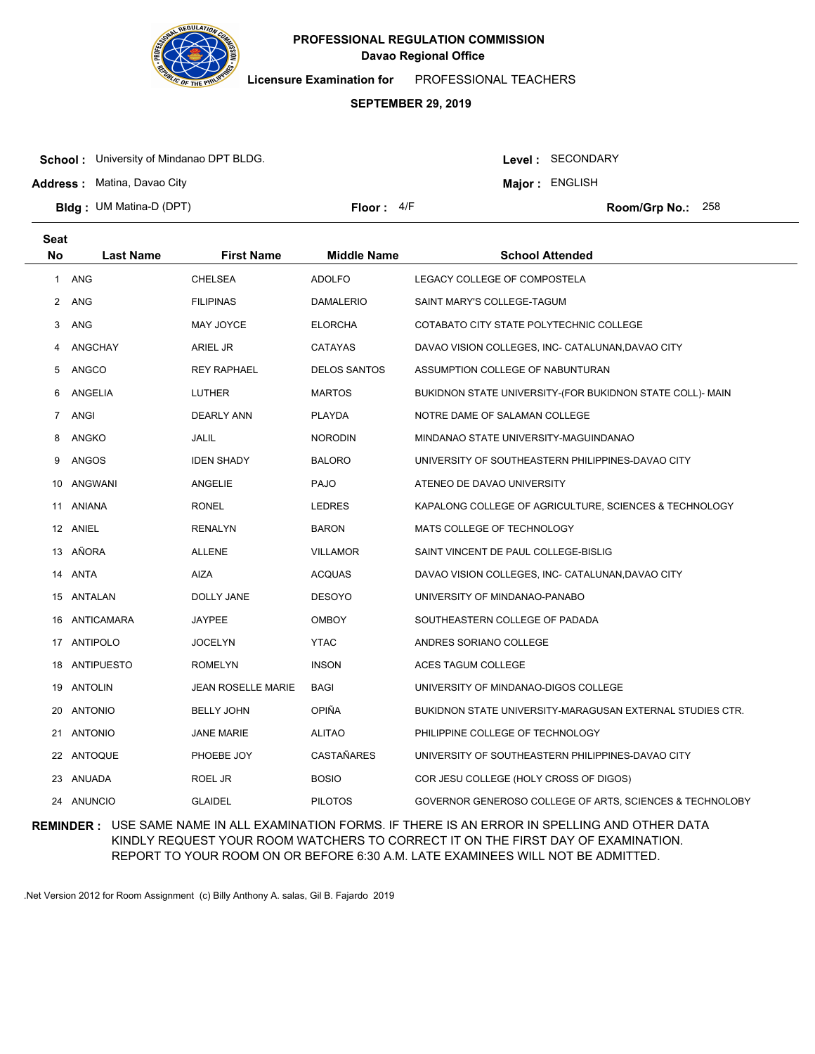

**Licensure Examination for**  PROFESSIONAL TEACHERS

# **SEPTEMBER 29, 2019**

**School :** University of Mindanao DPT BLDG.

Level : SECONDARY

**Major : ENGLISH** 

**Address :** Matina, Davao City

**Bldg : Floor : Room/Grp No.:** UM Matina-D (DPT)

Floor:  $4/F$  Room/Grp No.: 258

| <b>Seat</b>  |                  |                           |                     |                                                           |
|--------------|------------------|---------------------------|---------------------|-----------------------------------------------------------|
| <b>No</b>    | <b>Last Name</b> | <b>First Name</b>         | <b>Middle Name</b>  | <b>School Attended</b>                                    |
| $\mathbf{1}$ | <b>ANG</b>       | <b>CHELSEA</b>            | <b>ADOLFO</b>       | LEGACY COLLEGE OF COMPOSTELA                              |
| 2            | ANG              | <b>FILIPINAS</b>          | <b>DAMALERIO</b>    | SAINT MARY'S COLLEGE-TAGUM                                |
| 3            | <b>ANG</b>       | MAY JOYCE                 | <b>ELORCHA</b>      | COTABATO CITY STATE POLYTECHNIC COLLEGE                   |
| 4            | <b>ANGCHAY</b>   | ARIEL JR                  | <b>CATAYAS</b>      | DAVAO VISION COLLEGES, INC- CATALUNAN, DAVAO CITY         |
| 5            | ANGCO            | <b>REY RAPHAEL</b>        | <b>DELOS SANTOS</b> | ASSUMPTION COLLEGE OF NABUNTURAN                          |
| 6            | ANGELIA          | <b>LUTHER</b>             | <b>MARTOS</b>       | BUKIDNON STATE UNIVERSITY-(FOR BUKIDNON STATE COLL)- MAIN |
| 7            | <b>ANGI</b>      | <b>DEARLY ANN</b>         | PLAYDA              | NOTRE DAME OF SALAMAN COLLEGE                             |
| 8            | ANGKO            | JALIL                     | <b>NORODIN</b>      | MINDANAO STATE UNIVERSITY-MAGUINDANAO                     |
| 9            | ANGOS            | <b>IDEN SHADY</b>         | <b>BALORO</b>       | UNIVERSITY OF SOUTHEASTERN PHILIPPINES-DAVAO CITY         |
| 10           | <b>ANGWANI</b>   | ANGELIE                   | PAJO                | ATENEO DE DAVAO UNIVERSITY                                |
| 11           | ANIANA           | <b>RONEL</b>              | <b>LEDRES</b>       | KAPALONG COLLEGE OF AGRICULTURE, SCIENCES & TECHNOLOGY    |
|              | 12 ANIEL         | <b>RENALYN</b>            | <b>BARON</b>        | MATS COLLEGE OF TECHNOLOGY                                |
|              | 13 AÑORA         | <b>ALLENE</b>             | <b>VILLAMOR</b>     | SAINT VINCENT DE PAUL COLLEGE-BISLIG                      |
| 14           | ANTA             | <b>AIZA</b>               | <b>ACQUAS</b>       | DAVAO VISION COLLEGES, INC- CATALUNAN, DAVAO CITY         |
| 15           | ANTALAN          | DOLLY JANE                | <b>DESOYO</b>       | UNIVERSITY OF MINDANAO-PANABO                             |
| 16           | ANTICAMARA       | <b>JAYPEE</b>             | <b>OMBOY</b>        | SOUTHEASTERN COLLEGE OF PADADA                            |
| 17           | ANTIPOLO         | <b>JOCELYN</b>            | <b>YTAC</b>         | ANDRES SORIANO COLLEGE                                    |
| 18           | ANTIPUESTO       | <b>ROMELYN</b>            | <b>INSON</b>        | ACES TAGUM COLLEGE                                        |
| 19           | ANTOLIN          | <b>JEAN ROSELLE MARIE</b> | <b>BAGI</b>         | UNIVERSITY OF MINDANAO-DIGOS COLLEGE                      |
| 20           | <b>ANTONIO</b>   | <b>BELLY JOHN</b>         | <b>OPIÑA</b>        | BUKIDNON STATE UNIVERSITY-MARAGUSAN EXTERNAL STUDIES CTR. |
| 21           | <b>ANTONIO</b>   | <b>JANE MARIE</b>         | <b>ALITAO</b>       | PHILIPPINE COLLEGE OF TECHNOLOGY                          |
|              | 22 ANTOQUE       | PHOEBE JOY                | <b>CASTAÑARES</b>   | UNIVERSITY OF SOUTHEASTERN PHILIPPINES-DAVAO CITY         |
| 23           | ANUADA           | ROEL JR                   | <b>BOSIO</b>        | COR JESU COLLEGE (HOLY CROSS OF DIGOS)                    |
|              | 24 ANUNCIO       | <b>GLAIDEL</b>            | <b>PILOTOS</b>      | GOVERNOR GENEROSO COLLEGE OF ARTS, SCIENCES & TECHNOLOBY  |

**REMINDER :** USE SAME NAME IN ALL EXAMINATION FORMS. IF THERE IS AN ERROR IN SPELLING AND OTHER DATA KINDLY REQUEST YOUR ROOM WATCHERS TO CORRECT IT ON THE FIRST DAY OF EXAMINATION. REPORT TO YOUR ROOM ON OR BEFORE 6:30 A.M. LATE EXAMINEES WILL NOT BE ADMITTED.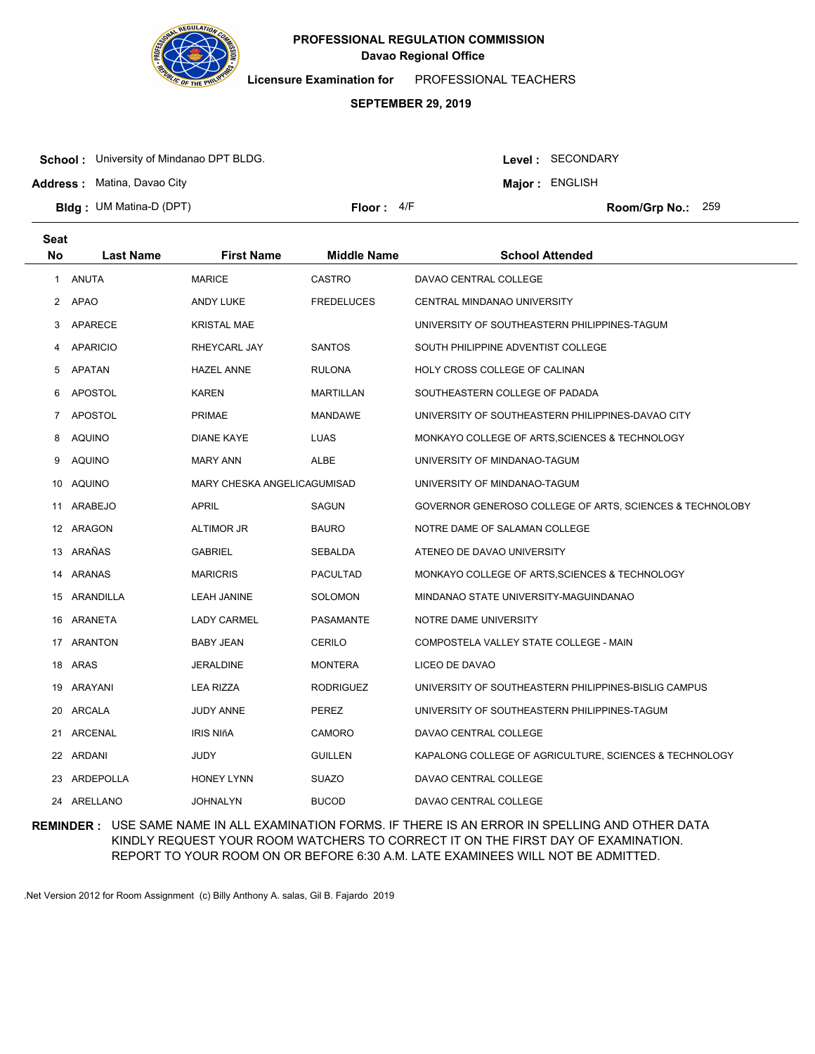

**Licensure Examination for**  PROFESSIONAL TEACHERS

### **SEPTEMBER 29, 2019**

**School :** University of Mindanao DPT BLDG.

**Address :** Matina, Davao City

Level : SECONDARY

**Major : ENGLISH** 

**Bldg : Floor : Room/Grp No.:** UM Matina-D (DPT)

Floor:  $4/F$  Room/Grp No.: 259

| <b>Seat</b> |                  |                             |                    |                                                          |
|-------------|------------------|-----------------------------|--------------------|----------------------------------------------------------|
| No          | <b>Last Name</b> | <b>First Name</b>           | <b>Middle Name</b> | <b>School Attended</b>                                   |
| 1           | ANUTA            | <b>MARICE</b>               | <b>CASTRO</b>      | DAVAO CENTRAL COLLEGE                                    |
| 2           | <b>APAO</b>      | ANDY LUKE                   | <b>FREDELUCES</b>  | CENTRAL MINDANAO UNIVERSITY                              |
| 3           | APARECE          | <b>KRISTAL MAE</b>          |                    | UNIVERSITY OF SOUTHEASTERN PHILIPPINES-TAGUM             |
| 4           | <b>APARICIO</b>  | RHEYCARL JAY                | <b>SANTOS</b>      | SOUTH PHILIPPINE ADVENTIST COLLEGE                       |
| 5           | <b>APATAN</b>    | <b>HAZEL ANNE</b>           | <b>RULONA</b>      | HOLY CROSS COLLEGE OF CALINAN                            |
| 6           | APOSTOL          | <b>KAREN</b>                | <b>MARTILLAN</b>   | SOUTHEASTERN COLLEGE OF PADADA                           |
| 7           | APOSTOL          | <b>PRIMAE</b>               | <b>MANDAWE</b>     | UNIVERSITY OF SOUTHEASTERN PHILIPPINES-DAVAO CITY        |
| 8           | AQUINO           | <b>DIANE KAYE</b>           | <b>LUAS</b>        | MONKAYO COLLEGE OF ARTS, SCIENCES & TECHNOLOGY           |
| 9           | <b>AQUINO</b>    | <b>MARY ANN</b>             | <b>ALBE</b>        | UNIVERSITY OF MINDANAO-TAGUM                             |
| 10          | AQUINO           | MARY CHESKA ANGELICAGUMISAD |                    | UNIVERSITY OF MINDANAO-TAGUM                             |
| 11          | ARABEJO          | APRIL                       | SAGUN              | GOVERNOR GENEROSO COLLEGE OF ARTS, SCIENCES & TECHNOLOBY |
|             | 12 ARAGON        | <b>ALTIMOR JR</b>           | <b>BAURO</b>       | NOTRE DAME OF SALAMAN COLLEGE                            |
|             | 13 ARAÑAS        | <b>GABRIEL</b>              | SEBALDA            | ATENEO DE DAVAO UNIVERSITY                               |
| 14          | ARANAS           | <b>MARICRIS</b>             | <b>PACULTAD</b>    | MONKAYO COLLEGE OF ARTS, SCIENCES & TECHNOLOGY           |
|             | 15 ARANDILLA     | LEAH JANINE                 | SOLOMON            | MINDANAO STATE UNIVERSITY-MAGUINDANAO                    |
|             | 16 ARANETA       | <b>LADY CARMEL</b>          | <b>PASAMANTE</b>   | NOTRE DAME UNIVERSITY                                    |
|             | 17 ARANTON       | <b>BABY JEAN</b>            | <b>CERILO</b>      | COMPOSTELA VALLEY STATE COLLEGE - MAIN                   |
| 18          | ARAS             | <b>JERALDINE</b>            | <b>MONTERA</b>     | LICEO DE DAVAO                                           |
| 19          | ARAYANI          | <b>LEA RIZZA</b>            | <b>RODRIGUEZ</b>   | UNIVERSITY OF SOUTHEASTERN PHILIPPINES-BISLIG CAMPUS     |
| 20          | ARCALA           | JUDY ANNE                   | PEREZ              | UNIVERSITY OF SOUTHEASTERN PHILIPPINES-TAGUM             |
| 21          | ARCENAL          | IRIS NIñA                   | <b>CAMORO</b>      | DAVAO CENTRAL COLLEGE                                    |
| 22          | ARDANI           | JUDY                        | <b>GUILLEN</b>     | KAPALONG COLLEGE OF AGRICULTURE, SCIENCES & TECHNOLOGY   |
| 23          | ARDEPOLLA        | <b>HONEY LYNN</b>           | <b>SUAZO</b>       | DAVAO CENTRAL COLLEGE                                    |
|             | 24 ARELLANO      | <b>JOHNALYN</b>             | <b>BUCOD</b>       | DAVAO CENTRAL COLLEGE                                    |

**REMINDER :** USE SAME NAME IN ALL EXAMINATION FORMS. IF THERE IS AN ERROR IN SPELLING AND OTHER DATA KINDLY REQUEST YOUR ROOM WATCHERS TO CORRECT IT ON THE FIRST DAY OF EXAMINATION. REPORT TO YOUR ROOM ON OR BEFORE 6:30 A.M. LATE EXAMINEES WILL NOT BE ADMITTED.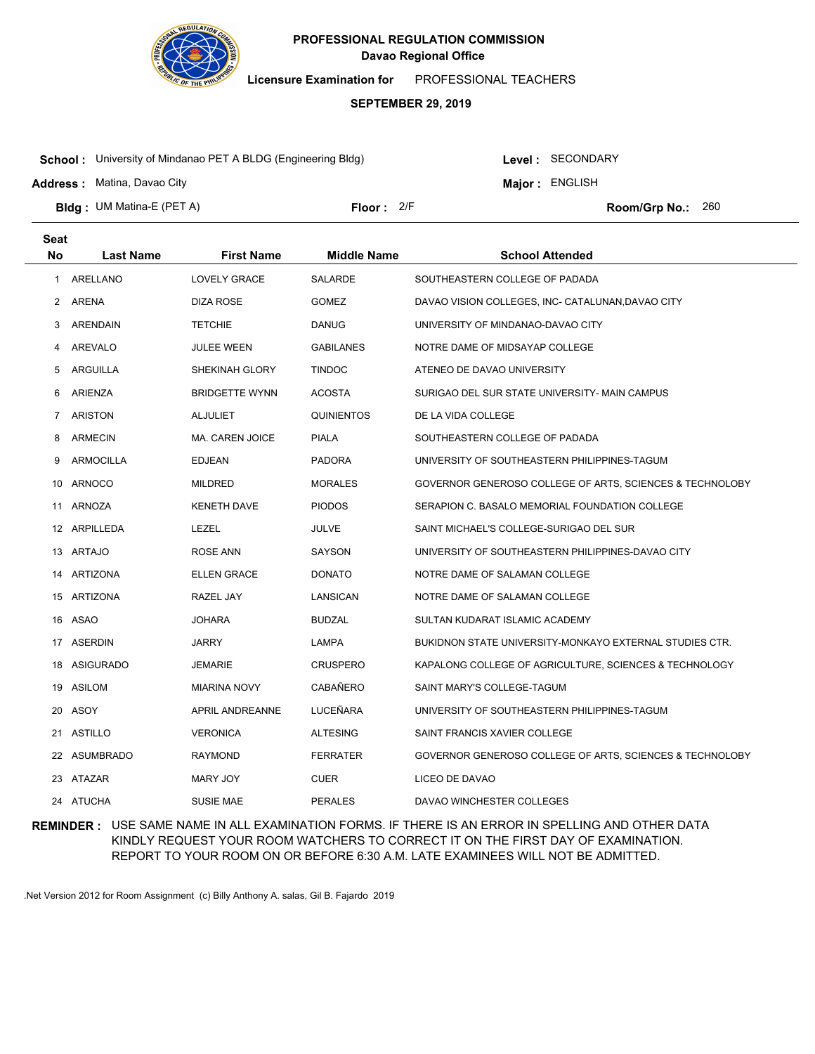

**Licensure Examination for**  PROFESSIONAL TEACHERS

### **SEPTEMBER 29, 2019**

**School :** University of Mindanao PET A BLDG (Engineering Bldg)

**Address :** Matina, Davao City

Level : SECONDARY

**Major : ENGLISH** 

**Bldg : Floor : Room/Grp No.:** UM Matina-E (PET A) Floor: 2/F Room/Grp No.: 260

| <b>Seat</b> |                  |                        |                    |                                                          |
|-------------|------------------|------------------------|--------------------|----------------------------------------------------------|
| <b>No</b>   | <b>Last Name</b> | <b>First Name</b>      | <b>Middle Name</b> | <b>School Attended</b>                                   |
| 1           | ARELLANO         | <b>LOVELY GRACE</b>    | <b>SALARDE</b>     | SOUTHEASTERN COLLEGE OF PADADA                           |
| 2           | ARENA            | DIZA ROSE              | <b>GOMEZ</b>       | DAVAO VISION COLLEGES, INC- CATALUNAN,DAVAO CITY         |
| 3           | <b>ARENDAIN</b>  | <b>TETCHIE</b>         | <b>DANUG</b>       | UNIVERSITY OF MINDANAO-DAVAO CITY                        |
| 4           | <b>AREVALO</b>   | JULEE WEEN             | <b>GABILANES</b>   | NOTRE DAME OF MIDSAYAP COLLEGE                           |
| 5           | ARGUILLA         | SHEKINAH GLORY         | <b>TINDOC</b>      | ATENEO DE DAVAO UNIVERSITY                               |
| 6           | ARIENZA          | <b>BRIDGETTE WYNN</b>  | <b>ACOSTA</b>      | SURIGAO DEL SUR STATE UNIVERSITY- MAIN CAMPUS            |
| 7           | <b>ARISTON</b>   | <b>ALJULIET</b>        | <b>QUINIENTOS</b>  | DE LA VIDA COLLEGE                                       |
| 8           | ARMECIN          | <b>MA. CAREN JOICE</b> | <b>PIALA</b>       | SOUTHEASTERN COLLEGE OF PADADA                           |
| 9           | <b>ARMOCILLA</b> | <b>EDJEAN</b>          | <b>PADORA</b>      | UNIVERSITY OF SOUTHEASTERN PHILIPPINES-TAGUM             |
| 10          | <b>ARNOCO</b>    | <b>MILDRED</b>         | <b>MORALES</b>     | GOVERNOR GENEROSO COLLEGE OF ARTS, SCIENCES & TECHNOLOBY |
|             | 11 ARNOZA        | KENETH DAVE            | <b>PIODOS</b>      | SERAPION C. BASALO MEMORIAL FOUNDATION COLLEGE           |
|             | 12 ARPILLEDA     | LEZEL                  | JULVE              | SAINT MICHAEL'S COLLEGE-SURIGAO DEL SUR                  |
|             | 13 ARTAJO        | ROSE ANN               | SAYSON             | UNIVERSITY OF SOUTHEASTERN PHILIPPINES-DAVAO CITY        |
| 14          | ARTIZONA         | <b>ELLEN GRACE</b>     | <b>DONATO</b>      | NOTRE DAME OF SALAMAN COLLEGE                            |
|             | 15 ARTIZONA      | RAZEL JAY              | LANSICAN           | NOTRE DAME OF SALAMAN COLLEGE                            |
| 16          | ASAO             | <b>JOHARA</b>          | <b>BUDZAL</b>      | SULTAN KUDARAT ISLAMIC ACADEMY                           |
| 17          | ASERDIN          | <b>JARRY</b>           | LAMPA              | BUKIDNON STATE UNIVERSITY-MONKAYO EXTERNAL STUDIES CTR.  |
| 18          | ASIGURADO        | JEMARIE                | <b>CRUSPERO</b>    | KAPALONG COLLEGE OF AGRICULTURE, SCIENCES & TECHNOLOGY   |
| 19          | ASILOM           | <b>MIARINA NOVY</b>    | CABAÑERO           | SAINT MARY'S COLLEGE-TAGUM                               |
| 20          | ASOY             | APRIL ANDREANNE        | LUCEÑARA           | UNIVERSITY OF SOUTHEASTERN PHILIPPINES-TAGUM             |
|             | 21 ASTILLO       | VERONICA               | <b>ALTESING</b>    | SAINT FRANCIS XAVIER COLLEGE                             |
|             | 22 ASUMBRADO     | <b>RAYMOND</b>         | <b>FERRATER</b>    | GOVERNOR GENEROSO COLLEGE OF ARTS, SCIENCES & TECHNOLOBY |
|             | 23 ATAZAR        | MARY JOY               | <b>CUER</b>        | LICEO DE DAVAO                                           |
|             | 24 ATUCHA        | <b>SUSIE MAE</b>       | <b>PERALES</b>     | DAVAO WINCHESTER COLLEGES                                |

**REMINDER :** USE SAME NAME IN ALL EXAMINATION FORMS. IF THERE IS AN ERROR IN SPELLING AND OTHER DATA KINDLY REQUEST YOUR ROOM WATCHERS TO CORRECT IT ON THE FIRST DAY OF EXAMINATION. REPORT TO YOUR ROOM ON OR BEFORE 6:30 A.M. LATE EXAMINEES WILL NOT BE ADMITTED.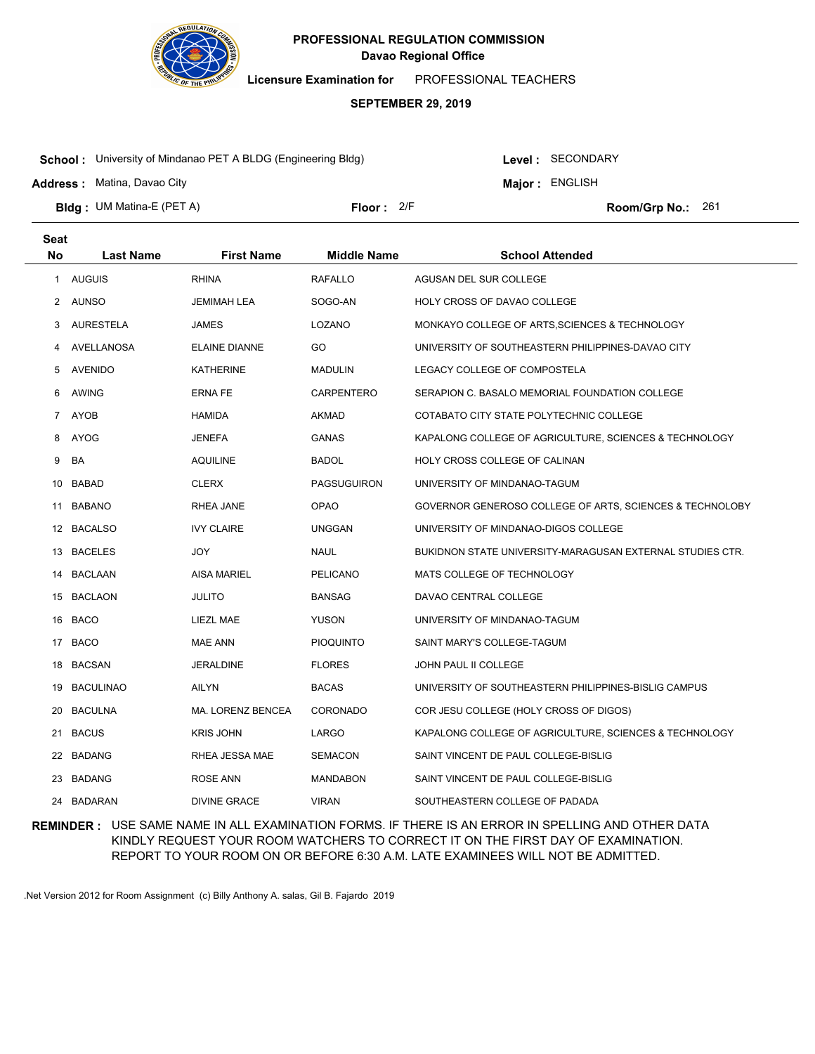

**Licensure Examination for**  PROFESSIONAL TEACHERS

### **SEPTEMBER 29, 2019**

**School :** University of Mindanao PET A BLDG (Engineering Bldg)

**Address :** Matina, Davao City

Level : SECONDARY

**Major : ENGLISH** 

**Bldg : Floor : Room/Grp No.:** UM Matina-E (PET A) Floor: 2/F Room/Grp No.: 261

| <b>Seat</b> |                  |                          |                    |                                                           |
|-------------|------------------|--------------------------|--------------------|-----------------------------------------------------------|
| <b>No</b>   | <b>Last Name</b> | <b>First Name</b>        | <b>Middle Name</b> | <b>School Attended</b>                                    |
| 1           | <b>AUGUIS</b>    | <b>RHINA</b>             | <b>RAFALLO</b>     | AGUSAN DEL SUR COLLEGE                                    |
|             | 2 AUNSO          | <b>JEMIMAH LEA</b>       | SOGO-AN            | HOLY CROSS OF DAVAO COLLEGE                               |
| 3           | AURESTELA        | <b>JAMES</b>             | LOZANO             | MONKAYO COLLEGE OF ARTS, SCIENCES & TECHNOLOGY            |
| 4           | AVELLANOSA       | <b>ELAINE DIANNE</b>     | GO                 | UNIVERSITY OF SOUTHEASTERN PHILIPPINES-DAVAO CITY         |
| 5           | <b>AVENIDO</b>   | <b>KATHERINE</b>         | <b>MADULIN</b>     | LEGACY COLLEGE OF COMPOSTELA                              |
| 6           | AWING            | <b>ERNA FE</b>           | <b>CARPENTERO</b>  | SERAPION C. BASALO MEMORIAL FOUNDATION COLLEGE            |
| 7           | <b>AYOB</b>      | <b>HAMIDA</b>            | <b>AKMAD</b>       | COTABATO CITY STATE POLYTECHNIC COLLEGE                   |
| 8           | AYOG             | <b>JENEFA</b>            | <b>GANAS</b>       | KAPALONG COLLEGE OF AGRICULTURE, SCIENCES & TECHNOLOGY    |
| 9           | BA               | <b>AQUILINE</b>          | <b>BADOL</b>       | HOLY CROSS COLLEGE OF CALINAN                             |
| 10          | BABAD            | <b>CLERX</b>             | <b>PAGSUGUIRON</b> | UNIVERSITY OF MINDANAO-TAGUM                              |
| 11          | <b>BABANO</b>    | RHEA JANE                | <b>OPAO</b>        | GOVERNOR GENEROSO COLLEGE OF ARTS, SCIENCES & TECHNOLOBY  |
| 12          | <b>BACALSO</b>   | <b>IVY CLAIRE</b>        | <b>UNGGAN</b>      | UNIVERSITY OF MINDANAO-DIGOS COLLEGE                      |
| 13          | <b>BACELES</b>   | <b>JOY</b>               | <b>NAUL</b>        | BUKIDNON STATE UNIVERSITY-MARAGUSAN EXTERNAL STUDIES CTR. |
| 14          | <b>BACLAAN</b>   | <b>AISA MARIEL</b>       | <b>PELICANO</b>    | MATS COLLEGE OF TECHNOLOGY                                |
| 15          | <b>BACLAON</b>   | <b>JULITO</b>            | <b>BANSAG</b>      | DAVAO CENTRAL COLLEGE                                     |
| 16          | BACO             | LIEZL MAE                | <b>YUSON</b>       | UNIVERSITY OF MINDANAO-TAGUM                              |
| 17          | <b>BACO</b>      | <b>MAE ANN</b>           | <b>PIOQUINTO</b>   | SAINT MARY'S COLLEGE-TAGUM                                |
| 18          | BACSAN           | <b>JERALDINE</b>         | <b>FLORES</b>      | JOHN PAUL II COLLEGE                                      |
| 19          | <b>BACULINAO</b> | <b>AILYN</b>             | <b>BACAS</b>       | UNIVERSITY OF SOUTHEASTERN PHILIPPINES-BISLIG CAMPUS      |
| 20          | <b>BACULNA</b>   | <b>MA. LORENZ BENCEA</b> | CORONADO           | COR JESU COLLEGE (HOLY CROSS OF DIGOS)                    |
| 21          | <b>BACUS</b>     | <b>KRIS JOHN</b>         | LARGO              | KAPALONG COLLEGE OF AGRICULTURE, SCIENCES & TECHNOLOGY    |
|             | 22 BADANG        | RHEA JESSA MAE           | <b>SEMACON</b>     | SAINT VINCENT DE PAUL COLLEGE-BISLIG                      |
| 23          | <b>BADANG</b>    | <b>ROSE ANN</b>          | <b>MANDABON</b>    | SAINT VINCENT DE PAUL COLLEGE-BISLIG                      |
|             | 24 BADARAN       | <b>DIVINE GRACE</b>      | <b>VIRAN</b>       | SOUTHEASTERN COLLEGE OF PADADA                            |
|             |                  |                          |                    |                                                           |

**REMINDER :** USE SAME NAME IN ALL EXAMINATION FORMS. IF THERE IS AN ERROR IN SPELLING AND OTHER DATA KINDLY REQUEST YOUR ROOM WATCHERS TO CORRECT IT ON THE FIRST DAY OF EXAMINATION. REPORT TO YOUR ROOM ON OR BEFORE 6:30 A.M. LATE EXAMINEES WILL NOT BE ADMITTED.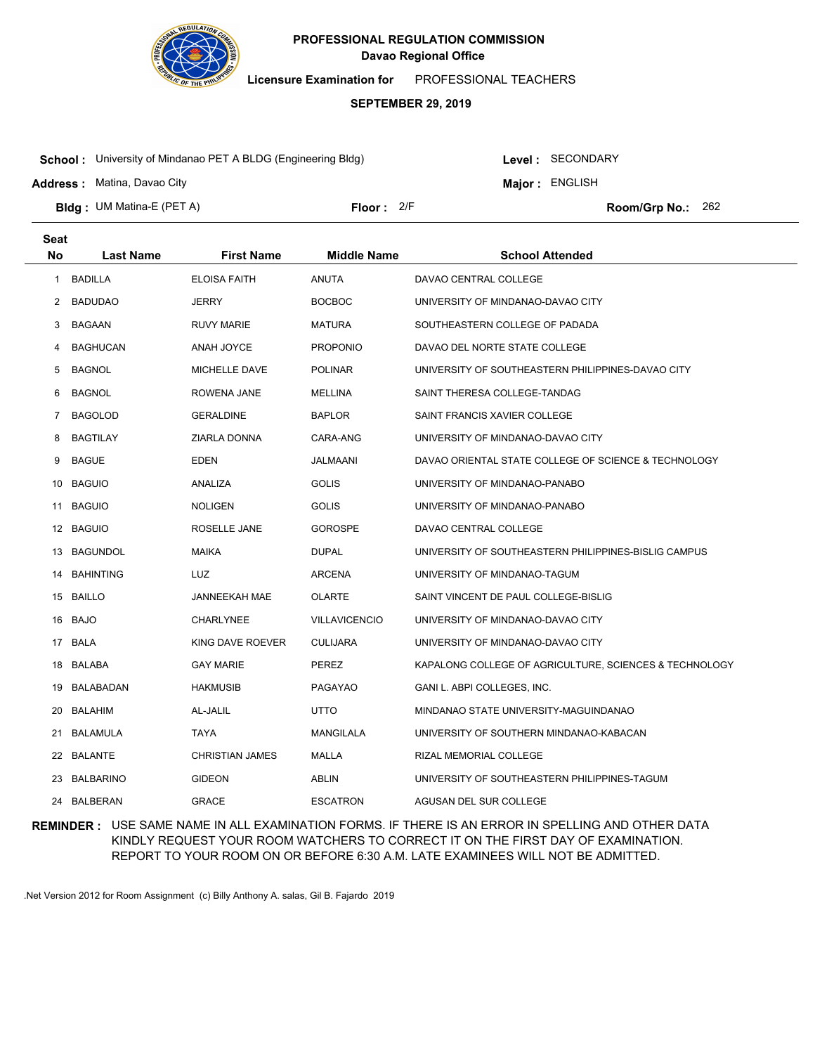

**Licensure Examination for**  PROFESSIONAL TEACHERS

### **SEPTEMBER 29, 2019**

**School :** University of Mindanao PET A BLDG (Engineering Bldg)

**Address :** Matina, Davao City

**Seat**

Level : SECONDARY

**Major : ENGLISH** 

**Bldg : Floor : Room/Grp No.:** UM Matina-E (PET A)

Floor: 2/F Room/Grp No.: 262

| υσαι |                  |                        |                      |                                                        |
|------|------------------|------------------------|----------------------|--------------------------------------------------------|
| No   | <b>Last Name</b> | <b>First Name</b>      | <b>Middle Name</b>   | <b>School Attended</b>                                 |
| 1    | <b>BADILLA</b>   | <b>ELOISA FAITH</b>    | <b>ANUTA</b>         | DAVAO CENTRAL COLLEGE                                  |
| 2    | <b>BADUDAO</b>   | JERRY                  | <b>BOCBOC</b>        | UNIVERSITY OF MINDANAO-DAVAO CITY                      |
| 3    | BAGAAN           | <b>RUVY MARIE</b>      | <b>MATURA</b>        | SOUTHEASTERN COLLEGE OF PADADA                         |
| 4    | BAGHUCAN         | <b>ANAH JOYCE</b>      | <b>PROPONIO</b>      | DAVAO DEL NORTE STATE COLLEGE                          |
| 5    | BAGNOL           | MICHELLE DAVE          | <b>POLINAR</b>       | UNIVERSITY OF SOUTHEASTERN PHILIPPINES-DAVAO CITY      |
| 6    | BAGNOL           | ROWENA JANE            | <b>MELLINA</b>       | SAINT THERESA COLLEGE-TANDAG                           |
| 7    | <b>BAGOLOD</b>   | <b>GERALDINE</b>       | <b>BAPLOR</b>        | SAINT FRANCIS XAVIER COLLEGE                           |
| 8    | BAGTILAY         | ZIARLA DONNA           | CARA-ANG             | UNIVERSITY OF MINDANAO-DAVAO CITY                      |
| 9    | <b>BAGUE</b>     | EDEN                   | JALMAANI             | DAVAO ORIENTAL STATE COLLEGE OF SCIENCE & TECHNOLOGY   |
| 10   | <b>BAGUIO</b>    | ANALIZA                | <b>GOLIS</b>         | UNIVERSITY OF MINDANAO-PANABO                          |
|      | 11 BAGUIO        | <b>NOLIGEN</b>         | <b>GOLIS</b>         | UNIVERSITY OF MINDANAO-PANABO                          |
|      | 12 BAGUIO        | ROSELLE JANE           | <b>GOROSPE</b>       | DAVAO CENTRAL COLLEGE                                  |
|      | 13 BAGUNDOL      | MAIKA                  | <b>DUPAL</b>         | UNIVERSITY OF SOUTHEASTERN PHILIPPINES-BISLIG CAMPUS   |
|      | 14 BAHINTING     | LUZ                    | <b>ARCENA</b>        | UNIVERSITY OF MINDANAO-TAGUM                           |
|      | 15 BAILLO        | JANNEEKAH MAE          | <b>OLARTE</b>        | SAINT VINCENT DE PAUL COLLEGE-BISLIG                   |
|      | 16 BAJO          | <b>CHARLYNEE</b>       | <b>VILLAVICENCIO</b> | UNIVERSITY OF MINDANAO-DAVAO CITY                      |
|      | 17 BALA          | KING DAVE ROEVER       | <b>CULIJARA</b>      | UNIVERSITY OF MINDANAO-DAVAO CITY                      |
|      | 18 BALABA        | <b>GAY MARIE</b>       | PEREZ                | KAPALONG COLLEGE OF AGRICULTURE, SCIENCES & TECHNOLOGY |
|      | 19 BALABADAN     | <b>HAKMUSIB</b>        | PAGAYAO              | GANI L. ABPI COLLEGES, INC.                            |
|      | 20 BALAHIM       | AL-JALIL               | UTTO                 | MINDANAO STATE UNIVERSITY-MAGUINDANAO                  |
| 21   | BALAMULA         | TAYA                   | MANGILALA            | UNIVERSITY OF SOUTHERN MINDANAO-KABACAN                |
|      | 22 BALANTE       | <b>CHRISTIAN JAMES</b> | MALLA                | RIZAL MEMORIAL COLLEGE                                 |
|      | 23 BALBARINO     | <b>GIDEON</b>          | <b>ABLIN</b>         | UNIVERSITY OF SOUTHEASTERN PHILIPPINES-TAGUM           |
|      | 24 BALBERAN      | <b>GRACE</b>           | <b>ESCATRON</b>      | AGUSAN DEL SUR COLLEGE                                 |
|      |                  |                        |                      |                                                        |

**REMINDER :** USE SAME NAME IN ALL EXAMINATION FORMS. IF THERE IS AN ERROR IN SPELLING AND OTHER DATA KINDLY REQUEST YOUR ROOM WATCHERS TO CORRECT IT ON THE FIRST DAY OF EXAMINATION. REPORT TO YOUR ROOM ON OR BEFORE 6:30 A.M. LATE EXAMINEES WILL NOT BE ADMITTED.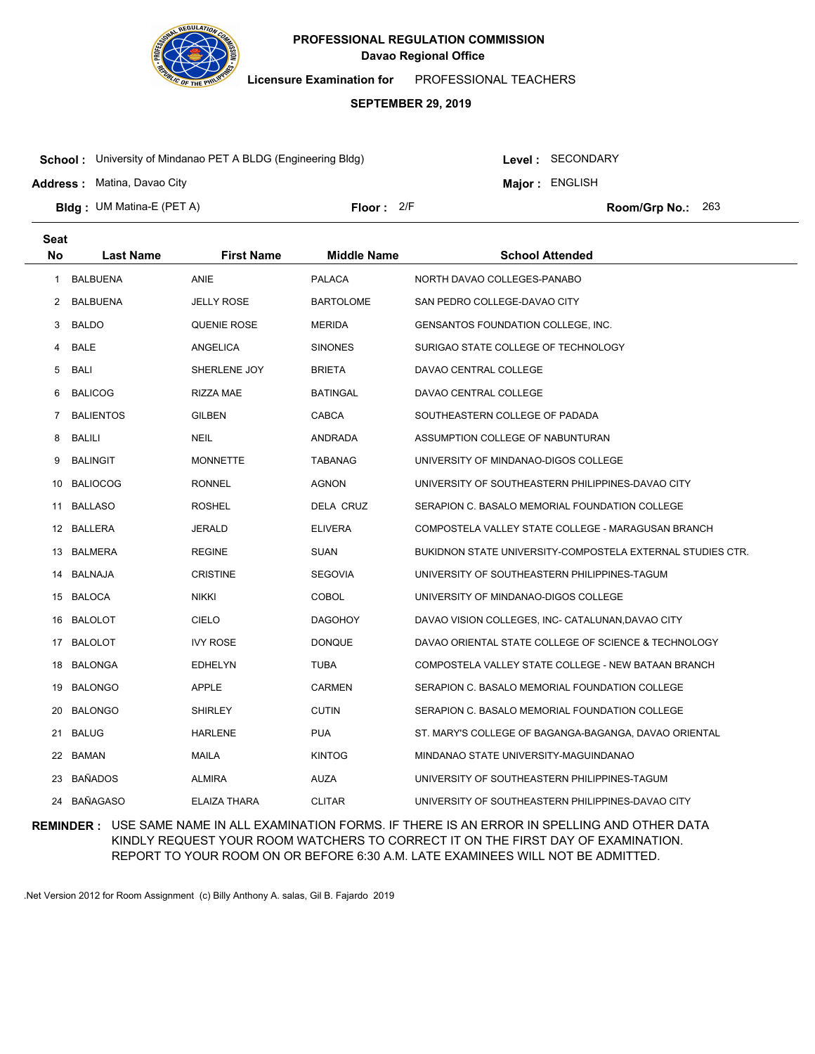

**Licensure Examination for**  PROFESSIONAL TEACHERS

### **SEPTEMBER 29, 2019**

**School :** University of Mindanao PET A BLDG (Engineering Bldg)

Level : SECONDARY

**Major : ENGLISH** 

**Address :** Matina, Davao City

**Bldg : Floor : Room/Grp No.:** UM Matina-E (PET A) Floor: 2/F Room/Grp No.: 263

| <b>Seat</b> |                  |                     |                    |                                                            |
|-------------|------------------|---------------------|--------------------|------------------------------------------------------------|
| <b>No</b>   | <b>Last Name</b> | <b>First Name</b>   | <b>Middle Name</b> | <b>School Attended</b>                                     |
| 1           | <b>BALBUENA</b>  | <b>ANIE</b>         | <b>PALACA</b>      | NORTH DAVAO COLLEGES-PANABO                                |
| 2           | <b>BALBUENA</b>  | <b>JELLY ROSE</b>   | BARTOLOME          | SAN PEDRO COLLEGE-DAVAO CITY                               |
| 3           | <b>BALDO</b>     | <b>QUENIE ROSE</b>  | <b>MERIDA</b>      | GENSANTOS FOUNDATION COLLEGE, INC.                         |
| 4           | <b>BALE</b>      | ANGELICA            | <b>SINONES</b>     | SURIGAO STATE COLLEGE OF TECHNOLOGY                        |
| 5           | BALI             | SHERLENE JOY        | <b>BRIETA</b>      | DAVAO CENTRAL COLLEGE                                      |
| 6           | <b>BALICOG</b>   | RIZZA MAE           | BATINGAL           | DAVAO CENTRAL COLLEGE                                      |
| 7           | <b>BALIENTOS</b> | <b>GILBEN</b>       | CABCA              | SOUTHEASTERN COLLEGE OF PADADA                             |
| 8           | <b>BALILI</b>    | <b>NEIL</b>         | ANDRADA            | ASSUMPTION COLLEGE OF NABUNTURAN                           |
| 9           | <b>BALINGIT</b>  | <b>MONNETTE</b>     | TABANAG            | UNIVERSITY OF MINDANAO-DIGOS COLLEGE                       |
| 10          | <b>BALIOCOG</b>  | <b>RONNEL</b>       | <b>AGNON</b>       | UNIVERSITY OF SOUTHEASTERN PHILIPPINES-DAVAO CITY          |
|             | 11 BALLASO       | <b>ROSHEL</b>       | DELA CRUZ          | SERAPION C. BASALO MEMORIAL FOUNDATION COLLEGE             |
|             | 12 BALLERA       | JERALD              | <b>ELIVERA</b>     | COMPOSTELA VALLEY STATE COLLEGE - MARAGUSAN BRANCH         |
|             | 13 BALMERA       | <b>REGINE</b>       | <b>SUAN</b>        | BUKIDNON STATE UNIVERSITY-COMPOSTELA EXTERNAL STUDIES CTR. |
|             | 14 BALNAJA       | <b>CRISTINE</b>     | <b>SEGOVIA</b>     | UNIVERSITY OF SOUTHEASTERN PHILIPPINES-TAGUM               |
|             | 15 BALOCA        | <b>NIKKI</b>        | <b>COBOL</b>       | UNIVERSITY OF MINDANAO-DIGOS COLLEGE                       |
|             | 16 BALOLOT       | CIELO               | <b>DAGOHOY</b>     | DAVAO VISION COLLEGES, INC- CATALUNAN, DAVAO CITY          |
| 17          | BALOLOT          | <b>IVY ROSE</b>     | <b>DONQUE</b>      | DAVAO ORIENTAL STATE COLLEGE OF SCIENCE & TECHNOLOGY       |
| 18          | BALONGA          | <b>EDHELYN</b>      | <b>TUBA</b>        | COMPOSTELA VALLEY STATE COLLEGE - NEW BATAAN BRANCH        |
|             | 19 BALONGO       | <b>APPLE</b>        | <b>CARMEN</b>      | SERAPION C. BASALO MEMORIAL FOUNDATION COLLEGE             |
| 20          | <b>BALONGO</b>   | <b>SHIRLEY</b>      | <b>CUTIN</b>       | SERAPION C. BASALO MEMORIAL FOUNDATION COLLEGE             |
| 21          | <b>BALUG</b>     | <b>HARLENE</b>      | <b>PUA</b>         | ST. MARY'S COLLEGE OF BAGANGA-BAGANGA, DAVAO ORIENTAL      |
|             | 22 BAMAN         | MAILA               | <b>KINTOG</b>      | MINDANAO STATE UNIVERSITY-MAGUINDANAO                      |
|             | 23 BAÑADOS       | <b>ALMIRA</b>       | <b>AUZA</b>        | UNIVERSITY OF SOUTHEASTERN PHILIPPINES-TAGUM               |
|             | 24 BAÑAGASO      | <b>ELAIZA THARA</b> | <b>CLITAR</b>      | UNIVERSITY OF SOUTHEASTERN PHILIPPINES-DAVAO CITY          |

**REMINDER :** USE SAME NAME IN ALL EXAMINATION FORMS. IF THERE IS AN ERROR IN SPELLING AND OTHER DATA KINDLY REQUEST YOUR ROOM WATCHERS TO CORRECT IT ON THE FIRST DAY OF EXAMINATION. REPORT TO YOUR ROOM ON OR BEFORE 6:30 A.M. LATE EXAMINEES WILL NOT BE ADMITTED.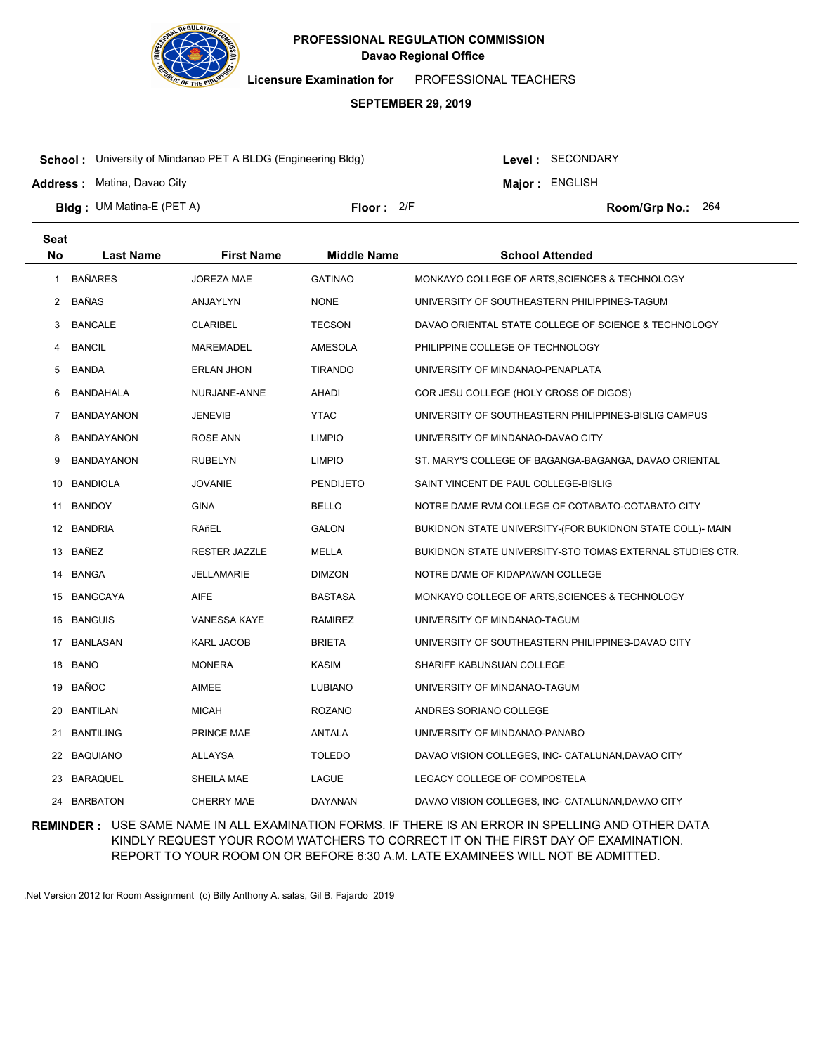

**Licensure Examination for**  PROFESSIONAL TEACHERS

#### **SEPTEMBER 29, 2019**

**School :** University of Mindanao PET A BLDG (Engineering Bldg)

Level : SECONDARY

**Major : ENGLISH** 

**Address :** Matina, Davao City

**Bldg : Floor : Room/Grp No.:** UM Matina-E (PET A) Floor: 2/F Room/Grp No.: 264

| <b>Seat</b> |                   |                      |                    |                                                           |
|-------------|-------------------|----------------------|--------------------|-----------------------------------------------------------|
| <b>No</b>   | <b>Last Name</b>  | <b>First Name</b>    | <b>Middle Name</b> | <b>School Attended</b>                                    |
| 1           | <b>BAÑARES</b>    | <b>JOREZA MAE</b>    | <b>GATINAO</b>     | MONKAYO COLLEGE OF ARTS, SCIENCES & TECHNOLOGY            |
| 2           | BAÑAS             | ANJAYLYN             | <b>NONE</b>        | UNIVERSITY OF SOUTHEASTERN PHILIPPINES-TAGUM              |
| 3           | <b>BANCALE</b>    | <b>CLARIBEL</b>      | <b>TECSON</b>      | DAVAO ORIENTAL STATE COLLEGE OF SCIENCE & TECHNOLOGY      |
| 4           | <b>BANCIL</b>     | MAREMADEL            | AMESOLA            | PHILIPPINE COLLEGE OF TECHNOLOGY                          |
| 5           | <b>BANDA</b>      | <b>ERLAN JHON</b>    | <b>TIRANDO</b>     | UNIVERSITY OF MINDANAO-PENAPLATA                          |
| 6           | BANDAHALA         | NURJANE-ANNE         | AHADI              | COR JESU COLLEGE (HOLY CROSS OF DIGOS)                    |
| 7           | <b>BANDAYANON</b> | <b>JENEVIB</b>       | <b>YTAC</b>        | UNIVERSITY OF SOUTHEASTERN PHILIPPINES-BISLIG CAMPUS      |
| 8           | <b>BANDAYANON</b> | <b>ROSE ANN</b>      | <b>LIMPIO</b>      | UNIVERSITY OF MINDANAO-DAVAO CITY                         |
| 9           | <b>BANDAYANON</b> | <b>RUBELYN</b>       | <b>LIMPIO</b>      | ST. MARY'S COLLEGE OF BAGANGA-BAGANGA, DAVAO ORIENTAL     |
| 10          | <b>BANDIOLA</b>   | <b>JOVANIE</b>       | PENDIJETO          | SAINT VINCENT DE PAUL COLLEGE-BISLIG                      |
| 11          | <b>BANDOY</b>     | <b>GINA</b>          | BELLO              | NOTRE DAME RVM COLLEGE OF COTABATO-COTABATO CITY          |
|             | 12 BANDRIA        | RAñEL                | <b>GALON</b>       | BUKIDNON STATE UNIVERSITY-(FOR BUKIDNON STATE COLL)- MAIN |
|             | 13 BAÑEZ          | <b>RESTER JAZZLE</b> | MELLA              | BUKIDNON STATE UNIVERSITY-STO TOMAS EXTERNAL STUDIES CTR. |
| 14          | BANGA             | <b>JELLAMARIE</b>    | <b>DIMZON</b>      | NOTRE DAME OF KIDAPAWAN COLLEGE                           |
|             | 15 BANGCAYA       | <b>AIFE</b>          | BASTASA            | MONKAYO COLLEGE OF ARTS, SCIENCES & TECHNOLOGY            |
| 16          | <b>BANGUIS</b>    | <b>VANESSA KAYE</b>  | <b>RAMIREZ</b>     | UNIVERSITY OF MINDANAO-TAGUM                              |
|             | 17 BANLASAN       | <b>KARL JACOB</b>    | BRIETA             | UNIVERSITY OF SOUTHEASTERN PHILIPPINES-DAVAO CITY         |
| 18          | <b>BANO</b>       | <b>MONERA</b>        | KASIM              | SHARIFF KABUNSUAN COLLEGE                                 |
| 19          | <b>BAÑOC</b>      | <b>AIMEE</b>         | LUBIANO            | UNIVERSITY OF MINDANAO-TAGUM                              |
| 20          | <b>BANTILAN</b>   | <b>MICAH</b>         | ROZANO             | ANDRES SORIANO COLLEGE                                    |
| 21          | <b>BANTILING</b>  | PRINCE MAE           | ANTALA             | UNIVERSITY OF MINDANAO-PANABO                             |
| 22          | BAQUIANO          | <b>ALLAYSA</b>       | <b>TOLEDO</b>      | DAVAO VISION COLLEGES, INC- CATALUNAN, DAVAO CITY         |
| 23          | BARAQUEL          | SHEILA MAE           | LAGUE              | LEGACY COLLEGE OF COMPOSTELA                              |
| 24          | <b>BARBATON</b>   | CHERRY MAE           | <b>DAYANAN</b>     | DAVAO VISION COLLEGES, INC- CATALUNAN, DAVAO CITY         |

**REMINDER :** USE SAME NAME IN ALL EXAMINATION FORMS. IF THERE IS AN ERROR IN SPELLING AND OTHER DATA KINDLY REQUEST YOUR ROOM WATCHERS TO CORRECT IT ON THE FIRST DAY OF EXAMINATION. REPORT TO YOUR ROOM ON OR BEFORE 6:30 A.M. LATE EXAMINEES WILL NOT BE ADMITTED.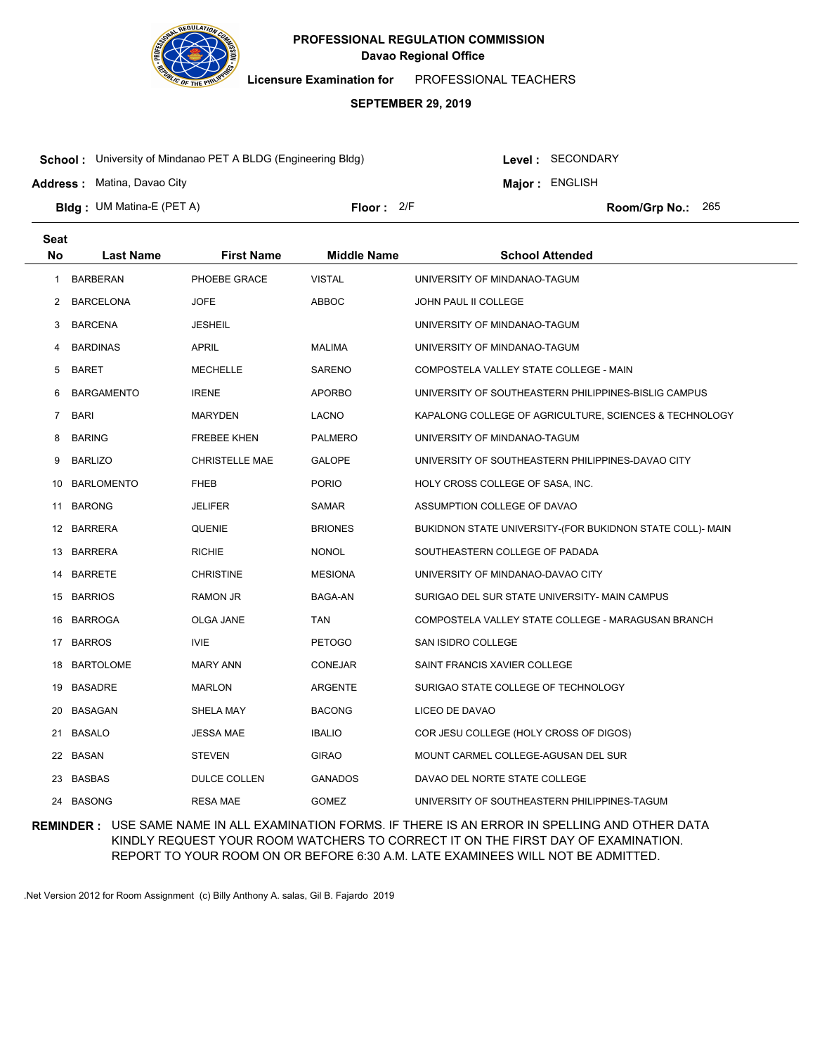

**Licensure Examination for**  PROFESSIONAL TEACHERS

### **SEPTEMBER 29, 2019**

**School :** University of Mindanao PET A BLDG (Engineering Bldg)

**Address :** Matina, Davao City

Level : SECONDARY

**Major : ENGLISH** 

**Bldg : Floor : Room/Grp No.:** UM Matina-E (PET A) Floor: 2/F Room/Grp No.: 265

| <b>Seat</b> |                   |                       |                    |                                                           |
|-------------|-------------------|-----------------------|--------------------|-----------------------------------------------------------|
| <b>No</b>   | <b>Last Name</b>  | <b>First Name</b>     | <b>Middle Name</b> | <b>School Attended</b>                                    |
| 1           | <b>BARBERAN</b>   | PHOEBE GRACE          | <b>VISTAL</b>      | UNIVERSITY OF MINDANAO-TAGUM                              |
| 2           | <b>BARCELONA</b>  | <b>JOFE</b>           | ABBOC              | JOHN PAUL II COLLEGE                                      |
| 3           | <b>BARCENA</b>    | <b>JESHEIL</b>        |                    | UNIVERSITY OF MINDANAO-TAGUM                              |
| 4           | <b>BARDINAS</b>   | <b>APRIL</b>          | <b>MALIMA</b>      | UNIVERSITY OF MINDANAO-TAGUM                              |
| 5           | <b>BARET</b>      | <b>MECHELLE</b>       | SARENO             | COMPOSTELA VALLEY STATE COLLEGE - MAIN                    |
| 6           | <b>BARGAMENTO</b> | <b>IRENE</b>          | <b>APORBO</b>      | UNIVERSITY OF SOUTHEASTERN PHILIPPINES-BISLIG CAMPUS      |
| 7           | <b>BARI</b>       | <b>MARYDEN</b>        | <b>LACNO</b>       | KAPALONG COLLEGE OF AGRICULTURE, SCIENCES & TECHNOLOGY    |
| 8           | <b>BARING</b>     | <b>FREBEE KHEN</b>    | <b>PALMERO</b>     | UNIVERSITY OF MINDANAO-TAGUM                              |
| 9           | <b>BARLIZO</b>    | <b>CHRISTELLE MAE</b> | <b>GALOPE</b>      | UNIVERSITY OF SOUTHEASTERN PHILIPPINES-DAVAO CITY         |
| 10          | <b>BARLOMENTO</b> | <b>FHEB</b>           | <b>PORIO</b>       | HOLY CROSS COLLEGE OF SASA, INC.                          |
| 11          | <b>BARONG</b>     | JELIFER               | <b>SAMAR</b>       | ASSUMPTION COLLEGE OF DAVAO                               |
|             | 12 BARRERA        | QUENIE                | <b>BRIONES</b>     | BUKIDNON STATE UNIVERSITY-(FOR BUKIDNON STATE COLL)- MAIN |
|             | 13 BARRERA        | <b>RICHIE</b>         | <b>NONOL</b>       | SOUTHEASTERN COLLEGE OF PADADA                            |
| 14          | <b>BARRETE</b>    | <b>CHRISTINE</b>      | <b>MESIONA</b>     | UNIVERSITY OF MINDANAO-DAVAO CITY                         |
| 15          | <b>BARRIOS</b>    | <b>RAMON JR</b>       | BAGA-AN            | SURIGAO DEL SUR STATE UNIVERSITY- MAIN CAMPUS             |
| 16          | <b>BARROGA</b>    | OLGA JANE             | TAN                | COMPOSTELA VALLEY STATE COLLEGE - MARAGUSAN BRANCH        |
| 17          | <b>BARROS</b>     | <b>IVIE</b>           | <b>PETOGO</b>      | SAN ISIDRO COLLEGE                                        |
| 18          | <b>BARTOLOME</b>  | <b>MARY ANN</b>       | <b>CONEJAR</b>     | SAINT FRANCIS XAVIER COLLEGE                              |
| 19          | <b>BASADRE</b>    | <b>MARLON</b>         | <b>ARGENTE</b>     | SURIGAO STATE COLLEGE OF TECHNOLOGY                       |
| 20          | <b>BASAGAN</b>    | SHELA MAY             | <b>BACONG</b>      | LICEO DE DAVAO                                            |
| 21          | <b>BASALO</b>     | <b>JESSA MAE</b>      | <b>IBALIO</b>      | COR JESU COLLEGE (HOLY CROSS OF DIGOS)                    |
| 22          | BASAN             | <b>STEVEN</b>         | <b>GIRAO</b>       | MOUNT CARMEL COLLEGE-AGUSAN DEL SUR                       |
| 23          | <b>BASBAS</b>     | <b>DULCE COLLEN</b>   | <b>GANADOS</b>     | DAVAO DEL NORTE STATE COLLEGE                             |
| 24          | <b>BASONG</b>     | <b>RESA MAE</b>       | <b>GOMEZ</b>       | UNIVERSITY OF SOUTHEASTERN PHILIPPINES-TAGUM              |

**REMINDER :** USE SAME NAME IN ALL EXAMINATION FORMS. IF THERE IS AN ERROR IN SPELLING AND OTHER DATA KINDLY REQUEST YOUR ROOM WATCHERS TO CORRECT IT ON THE FIRST DAY OF EXAMINATION. REPORT TO YOUR ROOM ON OR BEFORE 6:30 A.M. LATE EXAMINEES WILL NOT BE ADMITTED.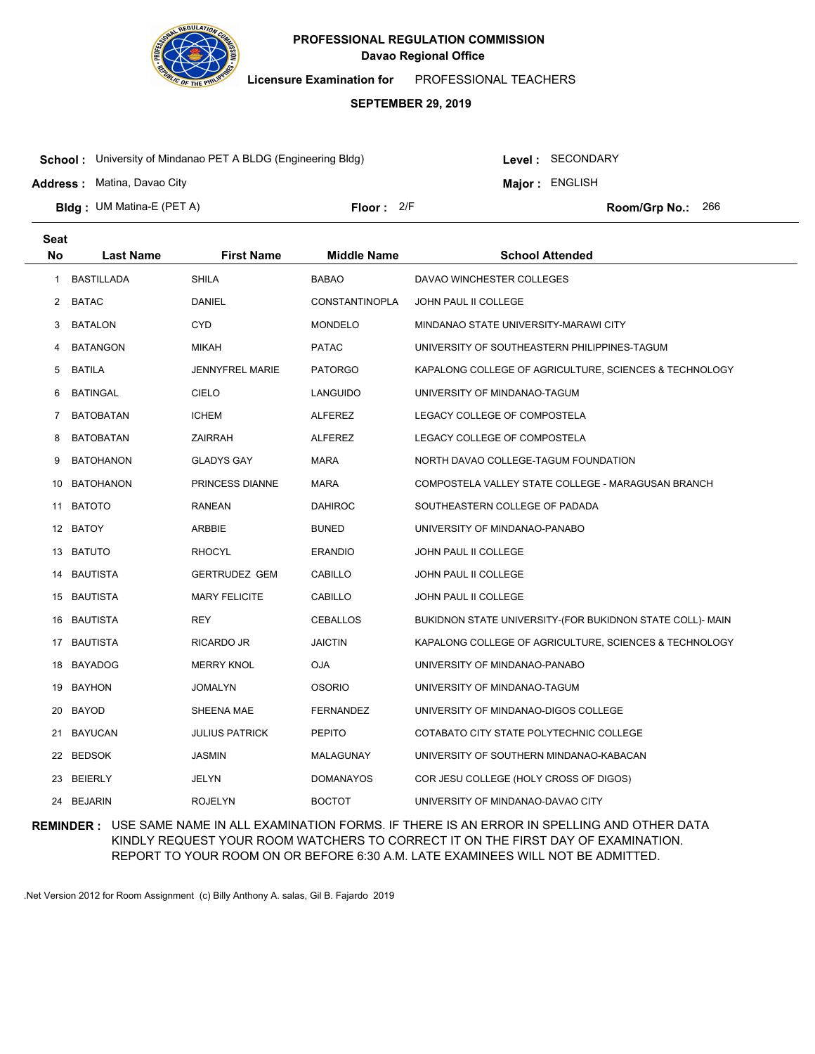

**Licensure Examination for**  PROFESSIONAL TEACHERS

### **SEPTEMBER 29, 2019**

**School :** University of Mindanao PET A BLDG (Engineering Bldg)

**Address :** Matina, Davao City

**Seat**

Level : SECONDARY

**Major : ENGLISH** 

**Bldg : Floor : Room/Grp No.:** UM Matina-E (PET A) Floor: 2/F Room/Grp No.: 266

| υσαι |                   |                        |                       |                                                           |
|------|-------------------|------------------------|-----------------------|-----------------------------------------------------------|
| No   | <b>Last Name</b>  | <b>First Name</b>      | <b>Middle Name</b>    | <b>School Attended</b>                                    |
| 1    | <b>BASTILLADA</b> | <b>SHILA</b>           | <b>BABAO</b>          | DAVAO WINCHESTER COLLEGES                                 |
| 2    | <b>BATAC</b>      | DANIEL                 | <b>CONSTANTINOPLA</b> | JOHN PAUL II COLLEGE                                      |
| 3    | <b>BATALON</b>    | CYD.                   | <b>MONDELO</b>        | MINDANAO STATE UNIVERSITY-MARAWI CITY                     |
| 4    | <b>BATANGON</b>   | MIKAH                  | <b>PATAC</b>          | UNIVERSITY OF SOUTHEASTERN PHILIPPINES-TAGUM              |
| 5    | <b>BATILA</b>     | <b>JENNYFREL MARIE</b> | <b>PATORGO</b>        | KAPALONG COLLEGE OF AGRICULTURE, SCIENCES & TECHNOLOGY    |
| 6    | BATINGAL          | <b>CIELO</b>           | LANGUIDO              | UNIVERSITY OF MINDANAO-TAGUM                              |
| 7    | <b>BATOBATAN</b>  | <b>ICHEM</b>           | <b>ALFEREZ</b>        | LEGACY COLLEGE OF COMPOSTELA                              |
| 8    | BATOBATAN         | ZAIRRAH                | <b>ALFEREZ</b>        | LEGACY COLLEGE OF COMPOSTELA                              |
| 9    | <b>BATOHANON</b>  | <b>GLADYS GAY</b>      | MARA                  | NORTH DAVAO COLLEGE-TAGUM FOUNDATION                      |
| 10   | <b>BATOHANON</b>  | PRINCESS DIANNE        | MARA                  | COMPOSTELA VALLEY STATE COLLEGE - MARAGUSAN BRANCH        |
| 11   | <b>BATOTO</b>     | <b>RANEAN</b>          | DAHIROC               | SOUTHEASTERN COLLEGE OF PADADA                            |
|      | 12 BATOY          | ARBBIE                 | <b>BUNED</b>          | UNIVERSITY OF MINDANAO-PANABO                             |
|      | 13 BATUTO         | RHOCYL                 | <b>ERANDIO</b>        | JOHN PAUL II COLLEGE                                      |
|      | 14 BAUTISTA       | <b>GERTRUDEZ GEM</b>   | CABILLO               | JOHN PAUL II COLLEGE                                      |
|      | 15 BAUTISTA       | <b>MARY FELICITE</b>   | CABILLO               | JOHN PAUL II COLLEGE                                      |
|      | 16 BAUTISTA       | REY                    | <b>CEBALLOS</b>       | BUKIDNON STATE UNIVERSITY-(FOR BUKIDNON STATE COLL)- MAIN |
|      | 17 BAUTISTA       | RICARDO JR             | <b>JAICTIN</b>        | KAPALONG COLLEGE OF AGRICULTURE, SCIENCES & TECHNOLOGY    |
|      | 18 BAYADOG        | <b>MERRY KNOL</b>      | <b>OJA</b>            | UNIVERSITY OF MINDANAO-PANABO                             |
|      | 19 BAYHON         | JOMALYN                | <b>OSORIO</b>         | UNIVERSITY OF MINDANAO-TAGUM                              |
|      | 20 BAYOD          | SHEENA MAE             | <b>FERNANDEZ</b>      | UNIVERSITY OF MINDANAO-DIGOS COLLEGE                      |
| 21   | <b>BAYUCAN</b>    | <b>JULIUS PATRICK</b>  | <b>PEPITO</b>         | COTABATO CITY STATE POLYTECHNIC COLLEGE                   |
|      | 22 BEDSOK         | <b>JASMIN</b>          | MALAGUNAY             | UNIVERSITY OF SOUTHERN MINDANAO-KABACAN                   |
|      | 23 BEIERLY        | <b>JELYN</b>           | <b>DOMANAYOS</b>      | COR JESU COLLEGE (HOLY CROSS OF DIGOS)                    |
|      | 24 BEJARIN        | <b>ROJELYN</b>         | <b>BOCTOT</b>         | UNIVERSITY OF MINDANAO-DAVAO CITY                         |
|      |                   |                        |                       |                                                           |

**REMINDER :** USE SAME NAME IN ALL EXAMINATION FORMS. IF THERE IS AN ERROR IN SPELLING AND OTHER DATA KINDLY REQUEST YOUR ROOM WATCHERS TO CORRECT IT ON THE FIRST DAY OF EXAMINATION. REPORT TO YOUR ROOM ON OR BEFORE 6:30 A.M. LATE EXAMINEES WILL NOT BE ADMITTED.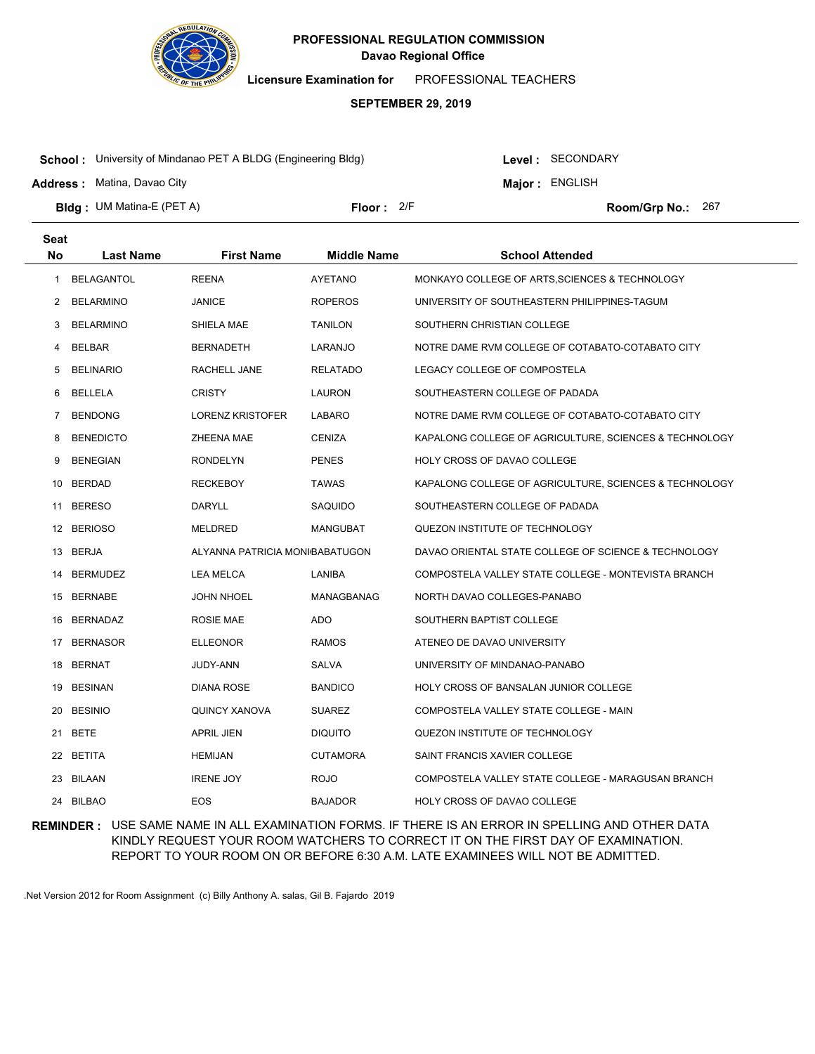

**Licensure Examination for**  PROFESSIONAL TEACHERS

### **SEPTEMBER 29, 2019**

**School :** University of Mindanao PET A BLDG (Engineering Bldg)

**Address :** Matina, Davao City

Level : SECONDARY

**Major : ENGLISH** 

**Bldg : Floor : Room/Grp No.:** UM Matina-E (PET A) Floor: 2/F Room/Grp No.: 267

| <b>Seat</b> |                   |                                |                    |                                                        |
|-------------|-------------------|--------------------------------|--------------------|--------------------------------------------------------|
| <b>No</b>   | <b>Last Name</b>  | <b>First Name</b>              | <b>Middle Name</b> | <b>School Attended</b>                                 |
| 1           | <b>BELAGANTOL</b> | <b>REENA</b>                   | AYETANO            | MONKAYO COLLEGE OF ARTS, SCIENCES & TECHNOLOGY         |
| 2           | <b>BELARMINO</b>  | JANICE                         | <b>ROPEROS</b>     | UNIVERSITY OF SOUTHEASTERN PHILIPPINES-TAGUM           |
| 3           | <b>BELARMINO</b>  | SHIELA MAE                     | <b>TANILON</b>     | SOUTHERN CHRISTIAN COLLEGE                             |
| 4           | <b>BELBAR</b>     | <b>BERNADETH</b>               | LARANJO            | NOTRE DAME RVM COLLEGE OF COTABATO-COTABATO CITY       |
| 5           | <b>BELINARIO</b>  | RACHELL JANE                   | <b>RELATADO</b>    | LEGACY COLLEGE OF COMPOSTELA                           |
| 6           | BELLELA           | <b>CRISTY</b>                  | LAURON             | SOUTHEASTERN COLLEGE OF PADADA                         |
| 7           | <b>BENDONG</b>    | <b>LORENZ KRISTOFER</b>        | <b>LABARO</b>      | NOTRE DAME RVM COLLEGE OF COTABATO-COTABATO CITY       |
| 8           | <b>BENEDICTO</b>  | ZHEENA MAE                     | <b>CENIZA</b>      | KAPALONG COLLEGE OF AGRICULTURE, SCIENCES & TECHNOLOGY |
| 9           | <b>BENEGIAN</b>   | <b>RONDELYN</b>                | <b>PENES</b>       | HOLY CROSS OF DAVAO COLLEGE                            |
| 10          | BERDAD            | <b>RECKEBOY</b>                | <b>TAWAS</b>       | KAPALONG COLLEGE OF AGRICULTURE, SCIENCES & TECHNOLOGY |
|             | 11 BERESO         | DARYLL                         | SAQUIDO            | SOUTHEASTERN COLLEGE OF PADADA                         |
|             | 12 BERIOSO        | <b>MELDRED</b>                 | <b>MANGUBAT</b>    | QUEZON INSTITUTE OF TECHNOLOGY                         |
|             | 13 BERJA          | ALYANNA PATRICIA MONIBABATUGON |                    | DAVAO ORIENTAL STATE COLLEGE OF SCIENCE & TECHNOLOGY   |
| 14          | <b>BERMUDEZ</b>   | LEA MELCA                      | LANIBA             | COMPOSTELA VALLEY STATE COLLEGE - MONTEVISTA BRANCH    |
| 15          | <b>BERNABE</b>    | <b>JOHN NHOEL</b>              | MANAGBANAG         | NORTH DAVAO COLLEGES-PANABO                            |
| 16          | <b>BERNADAZ</b>   | ROSIE MAE                      | ADO                | SOUTHERN BAPTIST COLLEGE                               |
| 17          | <b>BERNASOR</b>   | <b>ELLEONOR</b>                | <b>RAMOS</b>       | ATENEO DE DAVAO UNIVERSITY                             |
| 18          | <b>BERNAT</b>     | JUDY-ANN                       | <b>SALVA</b>       | UNIVERSITY OF MINDANAO-PANABO                          |
| 19          | <b>BESINAN</b>    | <b>DIANA ROSE</b>              | <b>BANDICO</b>     | HOLY CROSS OF BANSALAN JUNIOR COLLEGE                  |
| 20          | <b>BESINIO</b>    | QUINCY XANOVA                  | <b>SUAREZ</b>      | COMPOSTELA VALLEY STATE COLLEGE - MAIN                 |
|             | 21 BETE           | <b>APRIL JIEN</b>              | <b>DIQUITO</b>     | QUEZON INSTITUTE OF TECHNOLOGY                         |
|             | 22 BETITA         | <b>HEMIJAN</b>                 | <b>CUTAMORA</b>    | SAINT FRANCIS XAVIER COLLEGE                           |
|             | 23 BILAAN         | <b>IRENE JOY</b>               | <b>ROJO</b>        | COMPOSTELA VALLEY STATE COLLEGE - MARAGUSAN BRANCH     |
|             | 24 BILBAO         | <b>EOS</b>                     | <b>BAJADOR</b>     | HOLY CROSS OF DAVAO COLLEGE                            |

**REMINDER :** USE SAME NAME IN ALL EXAMINATION FORMS. IF THERE IS AN ERROR IN SPELLING AND OTHER DATA KINDLY REQUEST YOUR ROOM WATCHERS TO CORRECT IT ON THE FIRST DAY OF EXAMINATION. REPORT TO YOUR ROOM ON OR BEFORE 6:30 A.M. LATE EXAMINEES WILL NOT BE ADMITTED.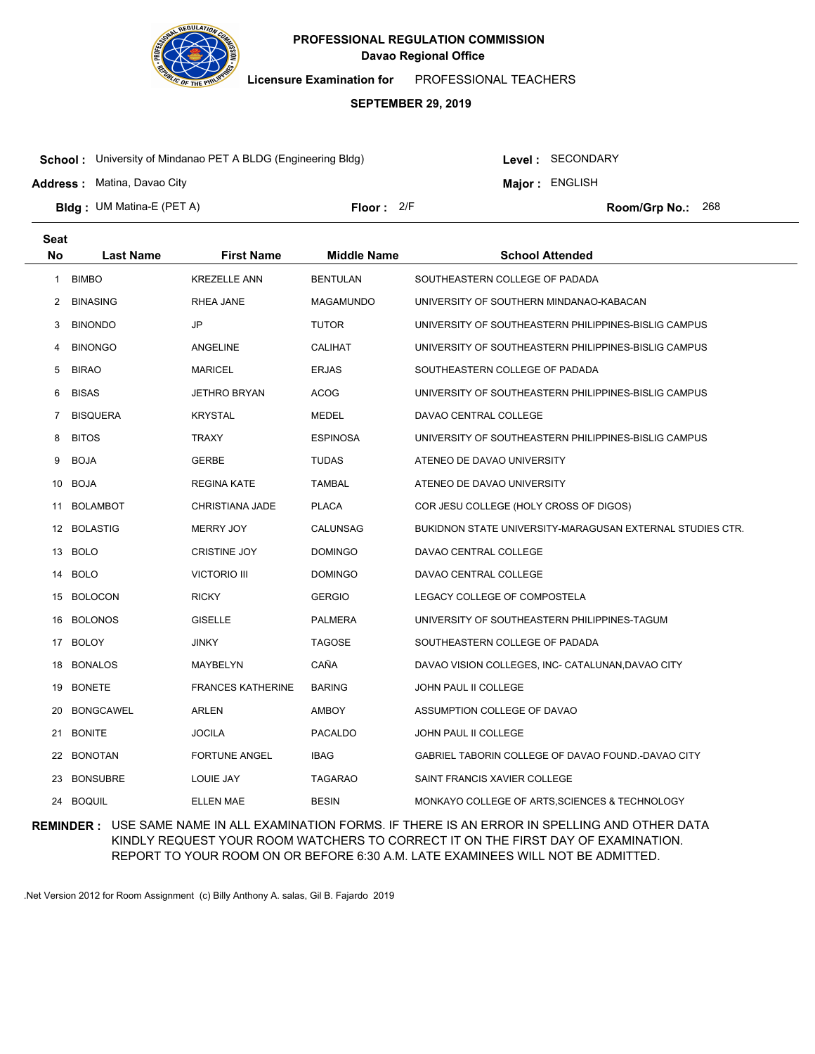

**Licensure Examination for**  PROFESSIONAL TEACHERS

### **SEPTEMBER 29, 2019**

**School :** University of Mindanao PET A BLDG (Engineering Bldg)

**Address :** Matina, Davao City

Level : SECONDARY

**Major : ENGLISH** 

**Bldg : Floor : Room/Grp No.:** UM Matina-E (PET A) Floor: 2/F Room/Grp No.: 268

| <b>Seat</b> |                  |                          |                    |                                                           |
|-------------|------------------|--------------------------|--------------------|-----------------------------------------------------------|
| <b>No</b>   | <b>Last Name</b> | <b>First Name</b>        | <b>Middle Name</b> | <b>School Attended</b>                                    |
| 1           | <b>BIMBO</b>     | <b>KREZELLE ANN</b>      | <b>BENTULAN</b>    | SOUTHEASTERN COLLEGE OF PADADA                            |
| 2           | <b>BINASING</b>  | RHEA JANE                | MAGAMUNDO          | UNIVERSITY OF SOUTHERN MINDANAO-KABACAN                   |
| 3           | <b>BINONDO</b>   | JP                       | <b>TUTOR</b>       | UNIVERSITY OF SOUTHEASTERN PHILIPPINES-BISLIG CAMPUS      |
| 4           | <b>BINONGO</b>   | ANGELINE                 | <b>CALIHAT</b>     | UNIVERSITY OF SOUTHEASTERN PHILIPPINES-BISLIG CAMPUS      |
| 5           | <b>BIRAO</b>     | <b>MARICEL</b>           | <b>ERJAS</b>       | SOUTHEASTERN COLLEGE OF PADADA                            |
| 6           | <b>BISAS</b>     | <b>JETHRO BRYAN</b>      | <b>ACOG</b>        | UNIVERSITY OF SOUTHEASTERN PHILIPPINES-BISLIG CAMPUS      |
| 7           | <b>BISQUERA</b>  | <b>KRYSTAL</b>           | MEDEL              | DAVAO CENTRAL COLLEGE                                     |
| 8           | <b>BITOS</b>     | TRAXY                    | <b>ESPINOSA</b>    | UNIVERSITY OF SOUTHEASTERN PHILIPPINES-BISLIG CAMPUS      |
| 9           | <b>BOJA</b>      | <b>GERBE</b>             | <b>TUDAS</b>       | ATENEO DE DAVAO UNIVERSITY                                |
| 10          | <b>BOJA</b>      | <b>REGINA KATE</b>       | <b>TAMBAL</b>      | ATENEO DE DAVAO UNIVERSITY                                |
| 11          | <b>BOLAMBOT</b>  | CHRISTIANA JADE          | <b>PLACA</b>       | COR JESU COLLEGE (HOLY CROSS OF DIGOS)                    |
|             | 12 BOLASTIG      | <b>MERRY JOY</b>         | CALUNSAG           | BUKIDNON STATE UNIVERSITY-MARAGUSAN EXTERNAL STUDIES CTR. |
|             | 13 BOLO          | <b>CRISTINE JOY</b>      | <b>DOMINGO</b>     | DAVAO CENTRAL COLLEGE                                     |
| 14          | <b>BOLO</b>      | <b>VICTORIO III</b>      | <b>DOMINGO</b>     | DAVAO CENTRAL COLLEGE                                     |
| 15          | <b>BOLOCON</b>   | <b>RICKY</b>             | <b>GERGIO</b>      | LEGACY COLLEGE OF COMPOSTELA                              |
| 16          | <b>BOLONOS</b>   | <b>GISELLE</b>           | <b>PALMERA</b>     | UNIVERSITY OF SOUTHEASTERN PHILIPPINES-TAGUM              |
| 17          | BOLOY            | JINKY                    | <b>TAGOSE</b>      | SOUTHEASTERN COLLEGE OF PADADA                            |
| 18          | <b>BONALOS</b>   | MAYBELYN                 | CAÑA               | DAVAO VISION COLLEGES, INC- CATALUNAN, DAVAO CITY         |
| 19          | <b>BONETE</b>    | <b>FRANCES KATHERINE</b> | <b>BARING</b>      | JOHN PAUL II COLLEGE                                      |
| 20          | <b>BONGCAWEL</b> | ARLEN                    | AMBOY              | ASSUMPTION COLLEGE OF DAVAO                               |
| 21          | <b>BONITE</b>    | <b>JOCILA</b>            | <b>PACALDO</b>     | JOHN PAUL II COLLEGE                                      |
| 22          | <b>BONOTAN</b>   | <b>FORTUNE ANGEL</b>     | <b>IBAG</b>        | GABRIEL TABORIN COLLEGE OF DAVAO FOUND.-DAVAO CITY        |
| 23          | <b>BONSUBRE</b>  | LOUIE JAY                | <b>TAGARAO</b>     | SAINT FRANCIS XAVIER COLLEGE                              |
|             | 24 BOQUIL        | <b>ELLEN MAE</b>         | <b>BESIN</b>       | MONKAYO COLLEGE OF ARTS, SCIENCES & TECHNOLOGY            |

**REMINDER :** USE SAME NAME IN ALL EXAMINATION FORMS. IF THERE IS AN ERROR IN SPELLING AND OTHER DATA KINDLY REQUEST YOUR ROOM WATCHERS TO CORRECT IT ON THE FIRST DAY OF EXAMINATION. REPORT TO YOUR ROOM ON OR BEFORE 6:30 A.M. LATE EXAMINEES WILL NOT BE ADMITTED.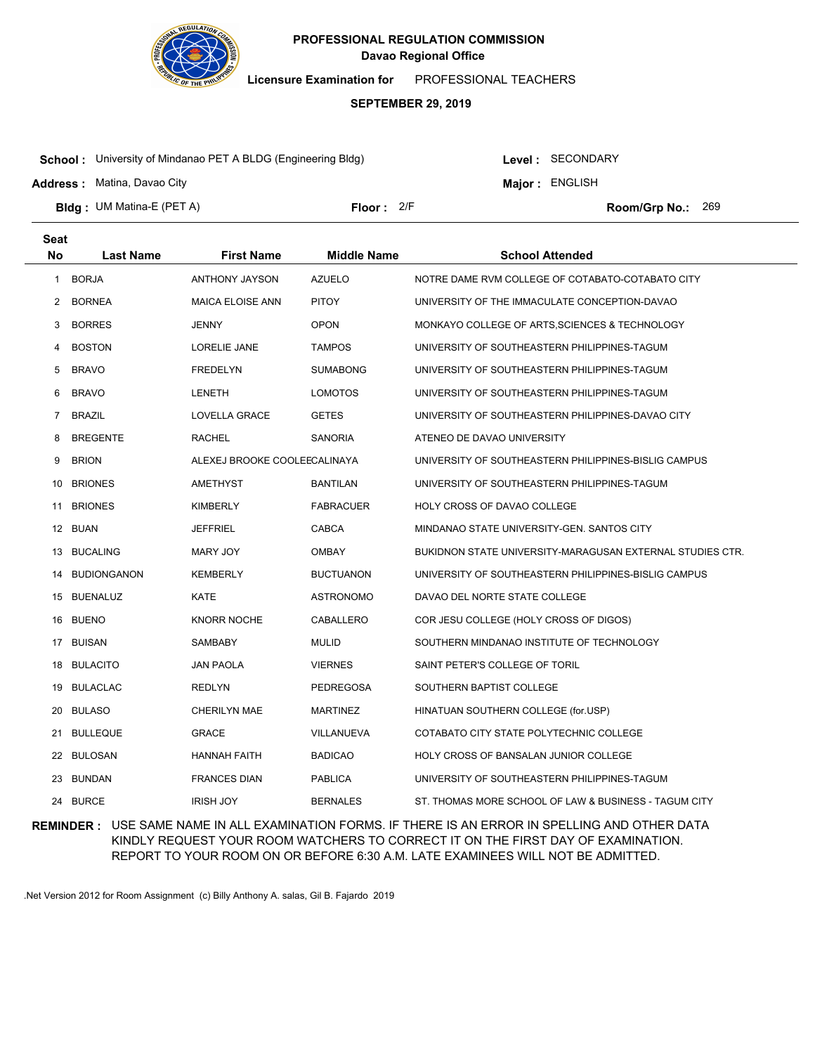

**Licensure Examination for**  PROFESSIONAL TEACHERS

### **SEPTEMBER 29, 2019**

**School :** University of Mindanao PET A BLDG (Engineering Bldg)

**Address :** Matina, Davao City

**Seat**

Level : SECONDARY

**Major : ENGLISH** 

**Bldg : Floor : Room/Grp No.:** UM Matina-E (PET A)

Floor: 2/F Room/Grp No.: 269

| υσαι         |                    |                              |                    |                                                           |
|--------------|--------------------|------------------------------|--------------------|-----------------------------------------------------------|
| No           | <b>Last Name</b>   | <b>First Name</b>            | <b>Middle Name</b> | <b>School Attended</b>                                    |
| $\mathbf{1}$ | <b>BORJA</b>       | ANTHONY JAYSON               | <b>AZUELO</b>      | NOTRE DAME RVM COLLEGE OF COTABATO-COTABATO CITY          |
| 2            | <b>BORNEA</b>      | <b>MAICA ELOISE ANN</b>      | <b>PITOY</b>       | UNIVERSITY OF THE IMMACULATE CONCEPTION-DAVAO             |
| 3            | <b>BORRES</b>      | JENNY                        | <b>OPON</b>        | MONKAYO COLLEGE OF ARTS, SCIENCES & TECHNOLOGY            |
| 4            | <b>BOSTON</b>      | LORELIE JANE                 | <b>TAMPOS</b>      | UNIVERSITY OF SOUTHEASTERN PHILIPPINES-TAGUM              |
| 5            | <b>BRAVO</b>       | <b>FREDELYN</b>              | <b>SUMABONG</b>    | UNIVERSITY OF SOUTHEASTERN PHILIPPINES-TAGUM              |
| 6            | <b>BRAVO</b>       | LENETH                       | LOMOTOS            | UNIVERSITY OF SOUTHEASTERN PHILIPPINES-TAGUM              |
| 7            | <b>BRAZIL</b>      | LOVELLA GRACE                | <b>GETES</b>       | UNIVERSITY OF SOUTHEASTERN PHILIPPINES-DAVAO CITY         |
| 8            | <b>BREGENTE</b>    | RACHEL                       | <b>SANORIA</b>     | ATENEO DE DAVAO UNIVERSITY                                |
| 9            | <b>BRION</b>       | ALEXEJ BROOKE COOLEECALINAYA |                    | UNIVERSITY OF SOUTHEASTERN PHILIPPINES-BISLIG CAMPUS      |
| 10           | <b>BRIONES</b>     | AMETHYST                     | <b>BANTILAN</b>    | UNIVERSITY OF SOUTHEASTERN PHILIPPINES-TAGUM              |
| 11           | <b>BRIONES</b>     | KIMBERLY                     | <b>FABRACUER</b>   | HOLY CROSS OF DAVAO COLLEGE                               |
|              | 12 BUAN            | JEFFRIEL                     | CABCA              | MINDANAO STATE UNIVERSITY-GEN. SANTOS CITY                |
|              | 13 BUCALING        | MARY JOY                     | <b>OMBAY</b>       | BUKIDNON STATE UNIVERSITY-MARAGUSAN EXTERNAL STUDIES CTR. |
| 14           | <b>BUDIONGANON</b> | KEMBERLY                     | <b>BUCTUANON</b>   | UNIVERSITY OF SOUTHEASTERN PHILIPPINES-BISLIG CAMPUS      |
| 15           | <b>BUENALUZ</b>    | KATE                         | <b>ASTRONOMO</b>   | DAVAO DEL NORTE STATE COLLEGE                             |
| 16           | <b>BUENO</b>       | <b>KNORR NOCHE</b>           | CABALLERO          | COR JESU COLLEGE (HOLY CROSS OF DIGOS)                    |
| 17           | <b>BUISAN</b>      | SAMBABY                      | <b>MULID</b>       | SOUTHERN MINDANAO INSTITUTE OF TECHNOLOGY                 |
| 18           | <b>BULACITO</b>    | <b>JAN PAOLA</b>             | <b>VIERNES</b>     | SAINT PETER'S COLLEGE OF TORIL                            |
| 19           | <b>BULACLAC</b>    | <b>REDLYN</b>                | <b>PEDREGOSA</b>   | SOUTHERN BAPTIST COLLEGE                                  |
| 20           | <b>BULASO</b>      | <b>CHERILYN MAE</b>          | <b>MARTINEZ</b>    | HINATUAN SOUTHERN COLLEGE (for.USP)                       |
| 21           | <b>BULLEQUE</b>    | GRACE                        | VILLANUEVA         | COTABATO CITY STATE POLYTECHNIC COLLEGE                   |
|              | 22 BULOSAN         | <b>HANNAH FAITH</b>          | <b>BADICAO</b>     | HOLY CROSS OF BANSALAN JUNIOR COLLEGE                     |
|              | 23 BUNDAN          | <b>FRANCES DIAN</b>          | <b>PABLICA</b>     | UNIVERSITY OF SOUTHEASTERN PHILIPPINES-TAGUM              |
|              | 24 BURCE           | <b>IRISH JOY</b>             | <b>BERNALES</b>    | ST. THOMAS MORE SCHOOL OF LAW & BUSINESS - TAGUM CITY     |

**REMINDER :** USE SAME NAME IN ALL EXAMINATION FORMS. IF THERE IS AN ERROR IN SPELLING AND OTHER DATA KINDLY REQUEST YOUR ROOM WATCHERS TO CORRECT IT ON THE FIRST DAY OF EXAMINATION. REPORT TO YOUR ROOM ON OR BEFORE 6:30 A.M. LATE EXAMINEES WILL NOT BE ADMITTED.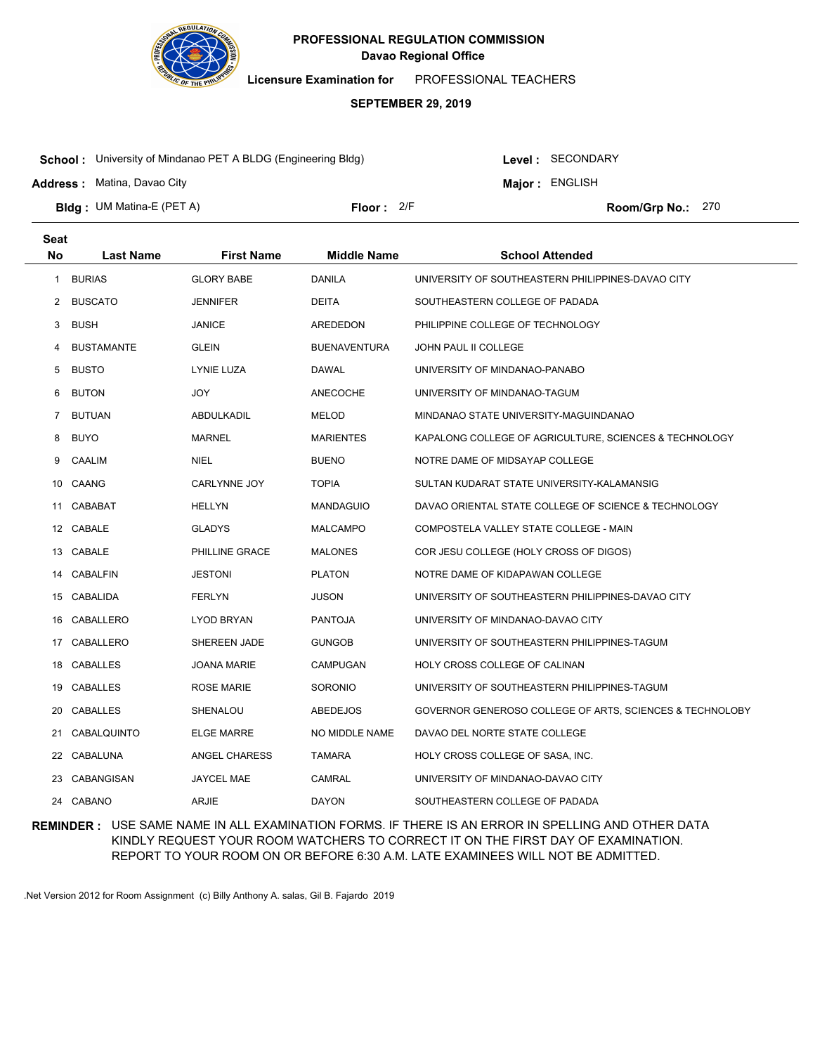

**Licensure Examination for**  PROFESSIONAL TEACHERS

### **SEPTEMBER 29, 2019**

**School :** University of Mindanao PET A BLDG (Engineering Bldg)

**Address :** Matina, Davao City

Level : SECONDARY

**Major : ENGLISH** 

Floor: 2/F Room/Grp No.: 270

**Bldg : Floor : Room/Grp No.:** UM Matina-E (PET A)

| <b>Seat</b> |                   |                    |                     |                                                          |
|-------------|-------------------|--------------------|---------------------|----------------------------------------------------------|
| <b>No</b>   | <b>Last Name</b>  | <b>First Name</b>  | <b>Middle Name</b>  | <b>School Attended</b>                                   |
| 1.          | <b>BURIAS</b>     | <b>GLORY BABE</b>  | <b>DANILA</b>       | UNIVERSITY OF SOUTHEASTERN PHILIPPINES-DAVAO CITY        |
| 2           | <b>BUSCATO</b>    | <b>JENNIFER</b>    | <b>DEITA</b>        | SOUTHEASTERN COLLEGE OF PADADA                           |
| 3           | <b>BUSH</b>       | JANICE             | AREDEDON            | PHILIPPINE COLLEGE OF TECHNOLOGY                         |
| 4           | <b>BUSTAMANTE</b> | <b>GLEIN</b>       | <b>BUENAVENTURA</b> | <b>JOHN PAUL II COLLEGE</b>                              |
| 5           | <b>BUSTO</b>      | LYNIE LUZA         | DAWAL               | UNIVERSITY OF MINDANAO-PANABO                            |
| 6           | <b>BUTON</b>      | <b>JOY</b>         | ANECOCHE            | UNIVERSITY OF MINDANAO-TAGUM                             |
| 7           | <b>BUTUAN</b>     | ABDULKADIL         | <b>MELOD</b>        | MINDANAO STATE UNIVERSITY-MAGUINDANAO                    |
| 8           | <b>BUYO</b>       | <b>MARNEL</b>      | <b>MARIENTES</b>    | KAPALONG COLLEGE OF AGRICULTURE, SCIENCES & TECHNOLOGY   |
| 9           | CAALIM            | <b>NIEL</b>        | <b>BUENO</b>        | NOTRE DAME OF MIDSAYAP COLLEGE                           |
| 10          | CAANG             | CARLYNNE JOY       | <b>TOPIA</b>        | SULTAN KUDARAT STATE UNIVERSITY-KALAMANSIG               |
| 11          | CABABAT           | <b>HELLYN</b>      | <b>MANDAGUIO</b>    | DAVAO ORIENTAL STATE COLLEGE OF SCIENCE & TECHNOLOGY     |
|             | 12 CABALE         | <b>GLADYS</b>      | <b>MALCAMPO</b>     | COMPOSTELA VALLEY STATE COLLEGE - MAIN                   |
|             | 13 CABALE         | PHILLINE GRACE     | <b>MALONES</b>      | COR JESU COLLEGE (HOLY CROSS OF DIGOS)                   |
|             | 14 CABALFIN       | <b>JESTONI</b>     | <b>PLATON</b>       | NOTRE DAME OF KIDAPAWAN COLLEGE                          |
| 15          | CABALIDA          | <b>FERLYN</b>      | <b>JUSON</b>        | UNIVERSITY OF SOUTHEASTERN PHILIPPINES-DAVAO CITY        |
| 16          | CABALLERO         | LYOD BRYAN         | <b>PANTOJA</b>      | UNIVERSITY OF MINDANAO-DAVAO CITY                        |
|             | 17 CABALLERO      | SHEREEN JADE       | <b>GUNGOB</b>       | UNIVERSITY OF SOUTHEASTERN PHILIPPINES-TAGUM             |
| 18          | CABALLES          | <b>JOANA MARIE</b> | CAMPUGAN            | HOLY CROSS COLLEGE OF CALINAN                            |
| 19          | CABALLES          | ROSE MARIE         | SORONIO             | UNIVERSITY OF SOUTHEASTERN PHILIPPINES-TAGUM             |
| 20          | CABALLES          | SHENALOU           | ABEDEJOS            | GOVERNOR GENEROSO COLLEGE OF ARTS, SCIENCES & TECHNOLOBY |
| 21          | CABALQUINTO       | <b>ELGE MARRE</b>  | NO MIDDLE NAME      | DAVAO DEL NORTE STATE COLLEGE                            |
| 22          | CABALUNA          | ANGEL CHARESS      | TAMARA              | HOLY CROSS COLLEGE OF SASA, INC.                         |
| 23          | CABANGISAN        | <b>JAYCEL MAE</b>  | <b>CAMRAL</b>       | UNIVERSITY OF MINDANAO-DAVAO CITY                        |
|             | 24 CABANO         | <b>ARJIE</b>       | <b>DAYON</b>        | SOUTHEASTERN COLLEGE OF PADADA                           |

**REMINDER :** USE SAME NAME IN ALL EXAMINATION FORMS. IF THERE IS AN ERROR IN SPELLING AND OTHER DATA KINDLY REQUEST YOUR ROOM WATCHERS TO CORRECT IT ON THE FIRST DAY OF EXAMINATION. REPORT TO YOUR ROOM ON OR BEFORE 6:30 A.M. LATE EXAMINEES WILL NOT BE ADMITTED.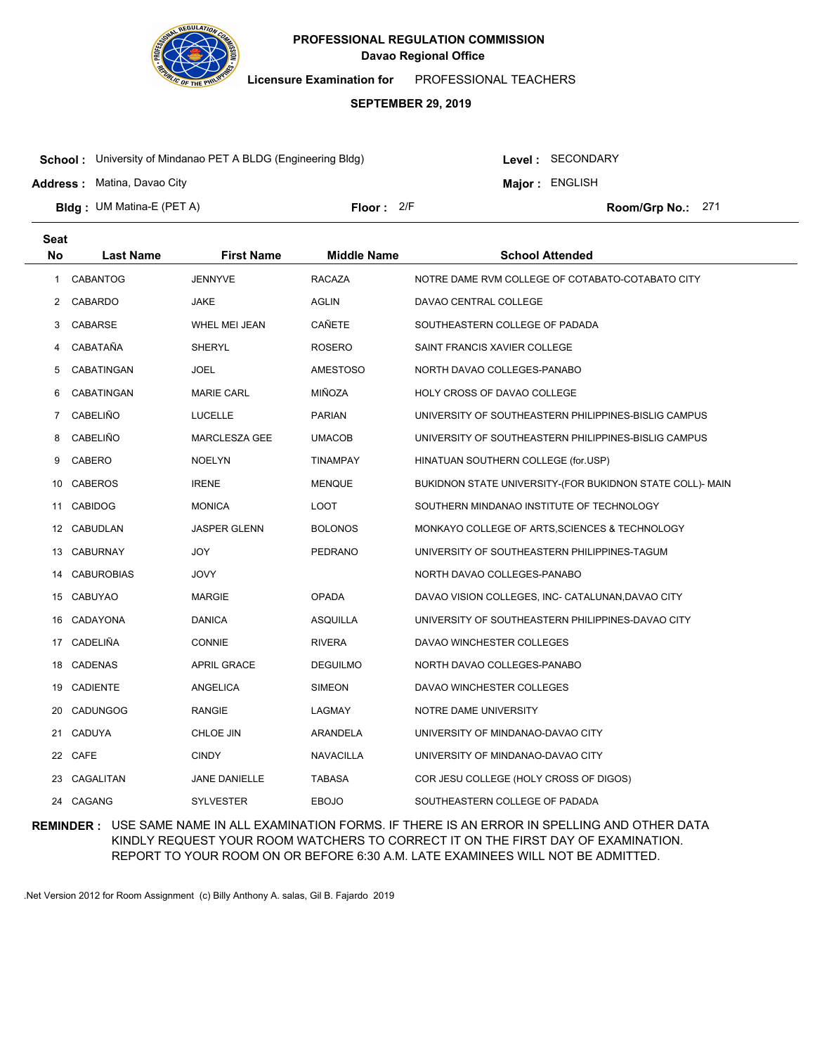

**Licensure Examination for**  PROFESSIONAL TEACHERS

### **SEPTEMBER 29, 2019**

**School :** University of Mindanao PET A BLDG (Engineering Bldg)

**Address :** Matina, Davao City

**Seat**

Level : SECONDARY

**Major : ENGLISH** 

**Bldg : Floor : Room/Grp No.:** UM Matina-E (PET A)

Floor: 2/F Room/Grp No.: 271

| No | <b>Last Name</b> | <b>First Name</b>   | <b>Middle Name</b> | <b>School Attended</b>                                    |
|----|------------------|---------------------|--------------------|-----------------------------------------------------------|
| 1  | <b>CABANTOG</b>  | <b>JENNYVE</b>      | <b>RACAZA</b>      | NOTRE DAME RVM COLLEGE OF COTABATO-COTABATO CITY          |
|    | 2 CABARDO        | JAKE                | AGLIN              | DAVAO CENTRAL COLLEGE                                     |
| 3  | CABARSE          | WHEL MEI JEAN       | CAÑETE             | SOUTHEASTERN COLLEGE OF PADADA                            |
| 4  | CABATAÑA         | SHERYL              | ROSERO             | SAINT FRANCIS XAVIER COLLEGE                              |
| 5  | CABATINGAN       | JOEL                | <b>AMESTOSO</b>    | NORTH DAVAO COLLEGES-PANABO                               |
| 6  | CABATINGAN       | <b>MARIE CARL</b>   | MIÑOZA             | HOLY CROSS OF DAVAO COLLEGE                               |
| 7  | <b>CABELIÑO</b>  | <b>LUCELLE</b>      | <b>PARIAN</b>      | UNIVERSITY OF SOUTHEASTERN PHILIPPINES-BISLIG CAMPUS      |
| 8  | <b>CABELIÑO</b>  | MARCLESZA GEE       | <b>UMACOB</b>      | UNIVERSITY OF SOUTHEASTERN PHILIPPINES-BISLIG CAMPUS      |
| 9  | CABERO           | <b>NOELYN</b>       | <b>TINAMPAY</b>    | HINATUAN SOUTHERN COLLEGE (for.USP)                       |
|    | 10 CABEROS       | <b>IRENE</b>        | <b>MENQUE</b>      | BUKIDNON STATE UNIVERSITY-(FOR BUKIDNON STATE COLL)- MAIN |
| 11 | <b>CABIDOG</b>   | <b>MONICA</b>       | LOOT               | SOUTHERN MINDANAO INSTITUTE OF TECHNOLOGY                 |
|    | 12 CABUDLAN      | <b>JASPER GLENN</b> | <b>BOLONOS</b>     | MONKAYO COLLEGE OF ARTS, SCIENCES & TECHNOLOGY            |
|    | 13 CABURNAY      | JOY                 | PEDRANO            | UNIVERSITY OF SOUTHEASTERN PHILIPPINES-TAGUM              |
|    | 14 CABUROBIAS    | JOVY                |                    | NORTH DAVAO COLLEGES-PANABO                               |
|    | 15 CABUYAO       | <b>MARGIE</b>       | <b>OPADA</b>       | DAVAO VISION COLLEGES, INC- CATALUNAN, DAVAO CITY         |
|    | 16 CADAYONA      | DANICA              | ASQUILLA           | UNIVERSITY OF SOUTHEASTERN PHILIPPINES-DAVAO CITY         |
|    | 17 CADELIÑA      | <b>CONNIE</b>       | <b>RIVERA</b>      | DAVAO WINCHESTER COLLEGES                                 |
|    | 18 CADENAS       | <b>APRIL GRACE</b>  | <b>DEGUILMO</b>    | NORTH DAVAO COLLEGES-PANABO                               |
|    | 19 CADIENTE      | ANGELICA            | <b>SIMEON</b>      | DAVAO WINCHESTER COLLEGES                                 |
|    | 20 CADUNGOG      | RANGIE              | LAGMAY             | NOTRE DAME UNIVERSITY                                     |
|    | 21 CADUYA        | CHLOE JIN           | ARANDELA           | UNIVERSITY OF MINDANAO-DAVAO CITY                         |
|    | 22 CAFE          | <b>CINDY</b>        | <b>NAVACILLA</b>   | UNIVERSITY OF MINDANAO-DAVAO CITY                         |
|    | 23 CAGALITAN     | JANE DANIELLE       | <b>TABASA</b>      | COR JESU COLLEGE (HOLY CROSS OF DIGOS)                    |
|    | 24 CAGANG        | <b>SYLVESTER</b>    | <b>EBOJO</b>       | SOUTHEASTERN COLLEGE OF PADADA                            |

**REMINDER :** USE SAME NAME IN ALL EXAMINATION FORMS. IF THERE IS AN ERROR IN SPELLING AND OTHER DATA KINDLY REQUEST YOUR ROOM WATCHERS TO CORRECT IT ON THE FIRST DAY OF EXAMINATION. REPORT TO YOUR ROOM ON OR BEFORE 6:30 A.M. LATE EXAMINEES WILL NOT BE ADMITTED.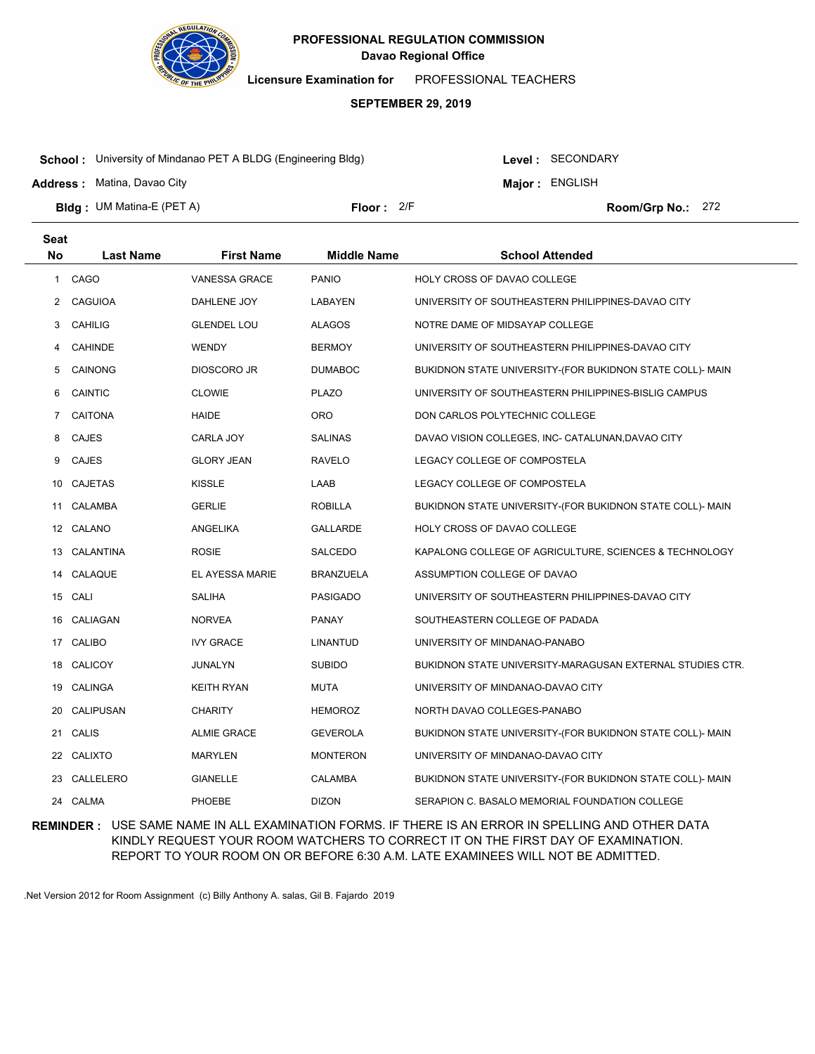

**Licensure Examination for**  PROFESSIONAL TEACHERS

### **SEPTEMBER 29, 2019**

**School :** University of Mindanao PET A BLDG (Engineering Bldg)

Level : SECONDARY

**Major : ENGLISH** 

**Address :** Matina, Davao City

**Bldg : Floor : Room/Grp No.:** UM Matina-E (PET A) Floor: 2/F Room/Grp No.: 272

| <b>Seat</b>  |                  |                    |                    |                                                           |
|--------------|------------------|--------------------|--------------------|-----------------------------------------------------------|
| <b>No</b>    | <b>Last Name</b> | <b>First Name</b>  | <b>Middle Name</b> | <b>School Attended</b>                                    |
| $\mathbf{1}$ | CAGO             | VANESSA GRACE      | <b>PANIO</b>       | HOLY CROSS OF DAVAO COLLEGE                               |
| 2            | <b>CAGUIOA</b>   | DAHLENE JOY        | LABAYEN            | UNIVERSITY OF SOUTHEASTERN PHILIPPINES-DAVAO CITY         |
| 3            | <b>CAHILIG</b>   | <b>GLENDEL LOU</b> | <b>ALAGOS</b>      | NOTRE DAME OF MIDSAYAP COLLEGE                            |
| 4            | <b>CAHINDE</b>   | <b>WENDY</b>       | BERMOY             | UNIVERSITY OF SOUTHEASTERN PHILIPPINES-DAVAO CITY         |
| 5            | <b>CAINONG</b>   | DIOSCORO JR        | <b>DUMABOC</b>     | BUKIDNON STATE UNIVERSITY-(FOR BUKIDNON STATE COLL)- MAIN |
| 6            | <b>CAINTIC</b>   | <b>CLOWIE</b>      | <b>PLAZO</b>       | UNIVERSITY OF SOUTHEASTERN PHILIPPINES-BISLIG CAMPUS      |
| 7            | <b>CAITONA</b>   | <b>HAIDE</b>       | <b>ORO</b>         | DON CARLOS POLYTECHNIC COLLEGE                            |
| 8            | <b>CAJES</b>     | CARLA JOY          | <b>SALINAS</b>     | DAVAO VISION COLLEGES, INC- CATALUNAN, DAVAO CITY         |
| 9            | <b>CAJES</b>     | <b>GLORY JEAN</b>  | <b>RAVELO</b>      | LEGACY COLLEGE OF COMPOSTELA                              |
| 10           | CAJETAS          | <b>KISSLE</b>      | LAAB               | LEGACY COLLEGE OF COMPOSTELA                              |
| 11           | CALAMBA          | GERLIE             | ROBILLA            | BUKIDNON STATE UNIVERSITY-(FOR BUKIDNON STATE COLL)- MAIN |
|              | 12 CALANO        | ANGELIKA           | GALLARDE           | <b>HOLY CROSS OF DAVAO COLLEGE</b>                        |
|              | 13 CALANTINA     | <b>ROSIE</b>       | SALCEDO            | KAPALONG COLLEGE OF AGRICULTURE, SCIENCES & TECHNOLOGY    |
| 14           | CALAQUE          | EL AYESSA MARIE    | BRANZUELA          | ASSUMPTION COLLEGE OF DAVAO                               |
|              | 15 CALI          | <b>SALIHA</b>      | <b>PASIGADO</b>    | UNIVERSITY OF SOUTHEASTERN PHILIPPINES-DAVAO CITY         |
| 16           | CALIAGAN         | <b>NORVEA</b>      | <b>PANAY</b>       | SOUTHEASTERN COLLEGE OF PADADA                            |
|              | 17 CALIBO        | <b>IVY GRACE</b>   | <b>LINANTUD</b>    | UNIVERSITY OF MINDANAO-PANABO                             |
| 18           | <b>CALICOY</b>   | JUNALYN            | <b>SUBIDO</b>      | BUKIDNON STATE UNIVERSITY-MARAGUSAN EXTERNAL STUDIES CTR. |
|              | 19 CALINGA       | <b>KEITH RYAN</b>  | <b>MUTA</b>        | UNIVERSITY OF MINDANAO-DAVAO CITY                         |
| 20           | CALIPUSAN        | <b>CHARITY</b>     | <b>HEMOROZ</b>     | NORTH DAVAO COLLEGES-PANABO                               |
| 21           | <b>CALIS</b>     | <b>ALMIE GRACE</b> | GEVEROLA           | BUKIDNON STATE UNIVERSITY-(FOR BUKIDNON STATE COLL)- MAIN |
|              | 22 CALIXTO       | <b>MARYLEN</b>     | <b>MONTERON</b>    | UNIVERSITY OF MINDANAO-DAVAO CITY                         |
| 23           | CALLELERO        | <b>GIANELLE</b>    | <b>CALAMBA</b>     | BUKIDNON STATE UNIVERSITY-(FOR BUKIDNON STATE COLL)- MAIN |
|              | 24 CALMA         | PHOEBE             | <b>DIZON</b>       | SERAPION C. BASALO MEMORIAL FOUNDATION COLLEGE            |

**REMINDER :** USE SAME NAME IN ALL EXAMINATION FORMS. IF THERE IS AN ERROR IN SPELLING AND OTHER DATA KINDLY REQUEST YOUR ROOM WATCHERS TO CORRECT IT ON THE FIRST DAY OF EXAMINATION. REPORT TO YOUR ROOM ON OR BEFORE 6:30 A.M. LATE EXAMINEES WILL NOT BE ADMITTED.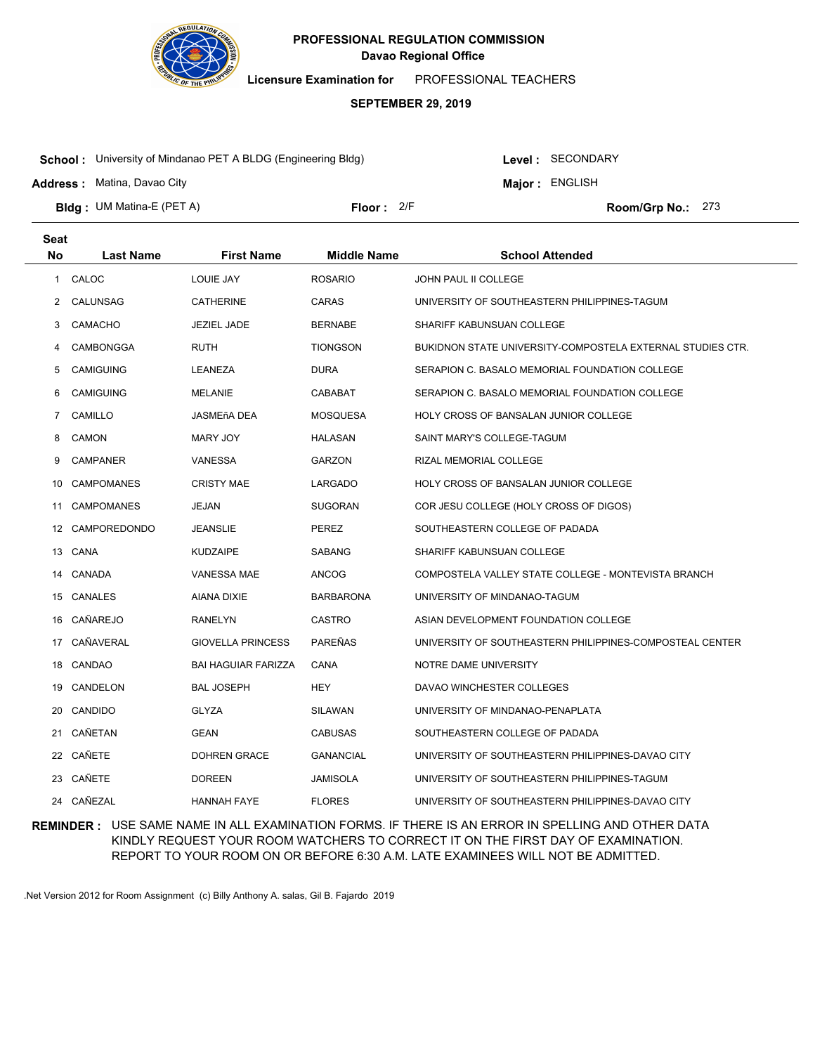

**Licensure Examination for**  PROFESSIONAL TEACHERS

### **SEPTEMBER 29, 2019**

**School :** University of Mindanao PET A BLDG (Engineering Bldg)

**Address :** Matina, Davao City

Level : SECONDARY

**Major : ENGLISH** 

**Bldg : Floor : Room/Grp No.:** UM Matina-E (PET A)

Floor: 2/F Room/Grp No.: 273

| <b>Seat</b> |                   |                            |                    |                                                            |
|-------------|-------------------|----------------------------|--------------------|------------------------------------------------------------|
| <b>No</b>   | <b>Last Name</b>  | <b>First Name</b>          | <b>Middle Name</b> | <b>School Attended</b>                                     |
| 1           | CALOC             | <b>LOUIE JAY</b>           | <b>ROSARIO</b>     | JOHN PAUL II COLLEGE                                       |
| 2           | CALUNSAG          | CATHERINE                  | CARAS              | UNIVERSITY OF SOUTHEASTERN PHILIPPINES-TAGUM               |
| 3           | <b>CAMACHO</b>    | <b>JEZIEL JADE</b>         | <b>BERNABE</b>     | SHARIFF KABUNSUAN COLLEGE                                  |
| 4           | CAMBONGGA         | RUTH                       | <b>TIONGSON</b>    | BUKIDNON STATE UNIVERSITY-COMPOSTELA EXTERNAL STUDIES CTR. |
| 5           | <b>CAMIGUING</b>  | LEANEZA                    | DURA               | SERAPION C. BASALO MEMORIAL FOUNDATION COLLEGE             |
| 6           | <b>CAMIGUING</b>  | <b>MELANIE</b>             | CABABAT            | SERAPION C. BASALO MEMORIAL FOUNDATION COLLEGE             |
| 7           | CAMILLO           | JASMEñA DEA                | <b>MOSQUESA</b>    | HOLY CROSS OF BANSALAN JUNIOR COLLEGE                      |
| 8           | CAMON             | MARY JOY                   | HALASAN            | SAINT MARY'S COLLEGE-TAGUM                                 |
| 9           | <b>CAMPANER</b>   | <b>VANESSA</b>             | <b>GARZON</b>      | RIZAL MEMORIAL COLLEGE                                     |
| 10          | <b>CAMPOMANES</b> | <b>CRISTY MAE</b>          | LARGADO            | HOLY CROSS OF BANSALAN JUNIOR COLLEGE                      |
| 11          | <b>CAMPOMANES</b> | JEJAN                      | <b>SUGORAN</b>     | COR JESU COLLEGE (HOLY CROSS OF DIGOS)                     |
| 12          | CAMPOREDONDO      | JEANSLIE                   | PEREZ              | SOUTHEASTERN COLLEGE OF PADADA                             |
| 13          | CANA              | <b>KUDZAIPE</b>            | <b>SABANG</b>      | SHARIFF KABUNSUAN COLLEGE                                  |
| 14          | CANADA            | <b>VANESSA MAE</b>         | <b>ANCOG</b>       | COMPOSTELA VALLEY STATE COLLEGE - MONTEVISTA BRANCH        |
| 15          | <b>CANALES</b>    | AIANA DIXIE                | <b>BARBARONA</b>   | UNIVERSITY OF MINDANAO-TAGUM                               |
| 16          | CAÑAREJO          | <b>RANELYN</b>             | <b>CASTRO</b>      | ASIAN DEVELOPMENT FOUNDATION COLLEGE                       |
| 17          | CAÑAVERAL         | <b>GIOVELLA PRINCESS</b>   | <b>PAREÑAS</b>     | UNIVERSITY OF SOUTHEASTERN PHILIPPINES-COMPOSTEAL CENTER   |
| 18          | CANDAO            | <b>BAI HAGUIAR FARIZZA</b> | CANA               | NOTRE DAME UNIVERSITY                                      |
| 19          | CANDELON          | <b>BAL JOSEPH</b>          | <b>HEY</b>         | DAVAO WINCHESTER COLLEGES                                  |
| 20          | <b>CANDIDO</b>    | GLYZA                      | SILAWAN            | UNIVERSITY OF MINDANAO-PENAPLATA                           |
| 21          | CAÑETAN           | <b>GEAN</b>                | <b>CABUSAS</b>     | SOUTHEASTERN COLLEGE OF PADADA                             |
| 22          | CAÑETE            | <b>DOHREN GRACE</b>        | <b>GANANCIAL</b>   | UNIVERSITY OF SOUTHEASTERN PHILIPPINES-DAVAO CITY          |
| 23          | CAÑETE            | <b>DOREEN</b>              | JAMISOLA           | UNIVERSITY OF SOUTHEASTERN PHILIPPINES-TAGUM               |
|             | 24 CAÑEZAL        | <b>HANNAH FAYE</b>         | <b>FLORES</b>      | UNIVERSITY OF SOUTHEASTERN PHILIPPINES-DAVAO CITY          |

**REMINDER :** USE SAME NAME IN ALL EXAMINATION FORMS. IF THERE IS AN ERROR IN SPELLING AND OTHER DATA KINDLY REQUEST YOUR ROOM WATCHERS TO CORRECT IT ON THE FIRST DAY OF EXAMINATION. REPORT TO YOUR ROOM ON OR BEFORE 6:30 A.M. LATE EXAMINEES WILL NOT BE ADMITTED.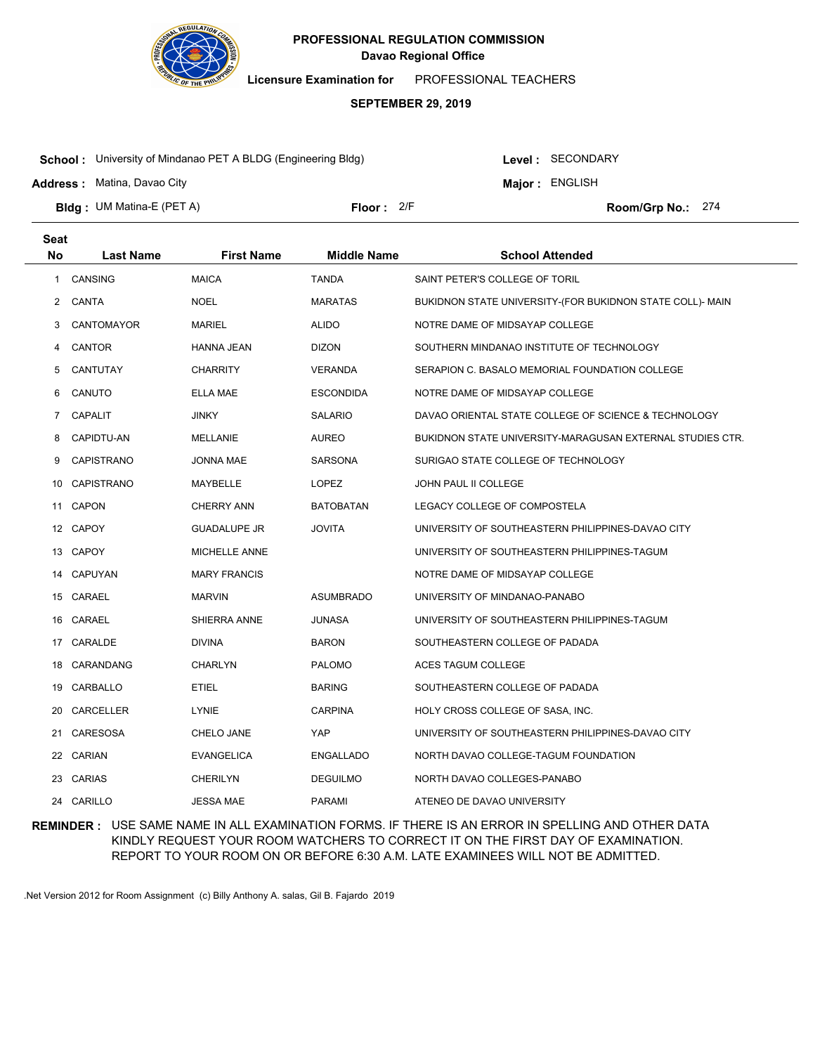

**Licensure Examination for**  PROFESSIONAL TEACHERS

### **SEPTEMBER 29, 2019**

**School :** University of Mindanao PET A BLDG (Engineering Bldg)

Level : SECONDARY

**Major : ENGLISH** 

**Address :** Matina, Davao City

**Bldg : Floor : Room/Grp No.:** UM Matina-E (PET A) Floor: 2/F Room/Grp No.: 274

| <b>Seat</b> |                   |                     |                    |                                                           |
|-------------|-------------------|---------------------|--------------------|-----------------------------------------------------------|
| <b>No</b>   | <b>Last Name</b>  | <b>First Name</b>   | <b>Middle Name</b> | <b>School Attended</b>                                    |
| 1           | <b>CANSING</b>    | <b>MAICA</b>        | <b>TANDA</b>       | SAINT PETER'S COLLEGE OF TORIL                            |
| 2           | CANTA             | <b>NOEL</b>         | <b>MARATAS</b>     | BUKIDNON STATE UNIVERSITY-(FOR BUKIDNON STATE COLL)- MAIN |
| 3           | CANTOMAYOR        | <b>MARIEL</b>       | <b>ALIDO</b>       | NOTRE DAME OF MIDSAYAP COLLEGE                            |
| 4           | <b>CANTOR</b>     | HANNA JEAN          | <b>DIZON</b>       | SOUTHERN MINDANAO INSTITUTE OF TECHNOLOGY                 |
| 5           | CANTUTAY          | <b>CHARRITY</b>     | <b>VERANDA</b>     | SERAPION C. BASALO MEMORIAL FOUNDATION COLLEGE            |
| 6           | CANUTO            | ELLA MAE            | <b>ESCONDIDA</b>   | NOTRE DAME OF MIDSAYAP COLLEGE                            |
| 7           | <b>CAPALIT</b>    | <b>JINKY</b>        | <b>SALARIO</b>     | DAVAO ORIENTAL STATE COLLEGE OF SCIENCE & TECHNOLOGY      |
| 8           | CAPIDTU-AN        | <b>MELLANIE</b>     | <b>AUREO</b>       | BUKIDNON STATE UNIVERSITY-MARAGUSAN EXTERNAL STUDIES CTR. |
| 9           | <b>CAPISTRANO</b> | <b>JONNA MAE</b>    | <b>SARSONA</b>     | SURIGAO STATE COLLEGE OF TECHNOLOGY                       |
| 10          | <b>CAPISTRANO</b> | <b>MAYBELLE</b>     | <b>LOPEZ</b>       | JOHN PAUL II COLLEGE                                      |
|             | 11 CAPON          | <b>CHERRY ANN</b>   | <b>BATOBATAN</b>   | LEGACY COLLEGE OF COMPOSTELA                              |
|             | 12 CAPOY          | <b>GUADALUPE JR</b> | <b>JOVITA</b>      | UNIVERSITY OF SOUTHEASTERN PHILIPPINES-DAVAO CITY         |
|             | 13 CAPOY          | MICHELLE ANNE       |                    | UNIVERSITY OF SOUTHEASTERN PHILIPPINES-TAGUM              |
|             | 14 CAPUYAN        | <b>MARY FRANCIS</b> |                    | NOTRE DAME OF MIDSAYAP COLLEGE                            |
|             | 15 CARAEL         | MARVIN              | <b>ASUMBRADO</b>   | UNIVERSITY OF MINDANAO-PANABO                             |
| 16          | CARAEL            | SHIERRA ANNE        | <b>JUNASA</b>      | UNIVERSITY OF SOUTHEASTERN PHILIPPINES-TAGUM              |
|             | 17 CARALDE        | <b>DIVINA</b>       | <b>BARON</b>       | SOUTHEASTERN COLLEGE OF PADADA                            |
| 18          | CARANDANG         | <b>CHARLYN</b>      | <b>PALOMO</b>      | ACES TAGUM COLLEGE                                        |
| 19          | CARBALLO          | <b>ETIEL</b>        | <b>BARING</b>      | SOUTHEASTERN COLLEGE OF PADADA                            |
| 20          | CARCELLER         | LYNIE               | <b>CARPINA</b>     | HOLY CROSS COLLEGE OF SASA, INC.                          |
| 21          | <b>CARESOSA</b>   | CHELO JANE          | YAP                | UNIVERSITY OF SOUTHEASTERN PHILIPPINES-DAVAO CITY         |
|             | 22 CARIAN         | <b>EVANGELICA</b>   | <b>ENGALLADO</b>   | NORTH DAVAO COLLEGE-TAGUM FOUNDATION                      |
| 23          | <b>CARIAS</b>     | CHERILYN            | <b>DEGUILMO</b>    | NORTH DAVAO COLLEGES-PANABO                               |
|             | 24 CARILLO        | <b>JESSA MAE</b>    | <b>PARAMI</b>      | ATENEO DE DAVAO UNIVERSITY                                |

**REMINDER :** USE SAME NAME IN ALL EXAMINATION FORMS. IF THERE IS AN ERROR IN SPELLING AND OTHER DATA KINDLY REQUEST YOUR ROOM WATCHERS TO CORRECT IT ON THE FIRST DAY OF EXAMINATION. REPORT TO YOUR ROOM ON OR BEFORE 6:30 A.M. LATE EXAMINEES WILL NOT BE ADMITTED.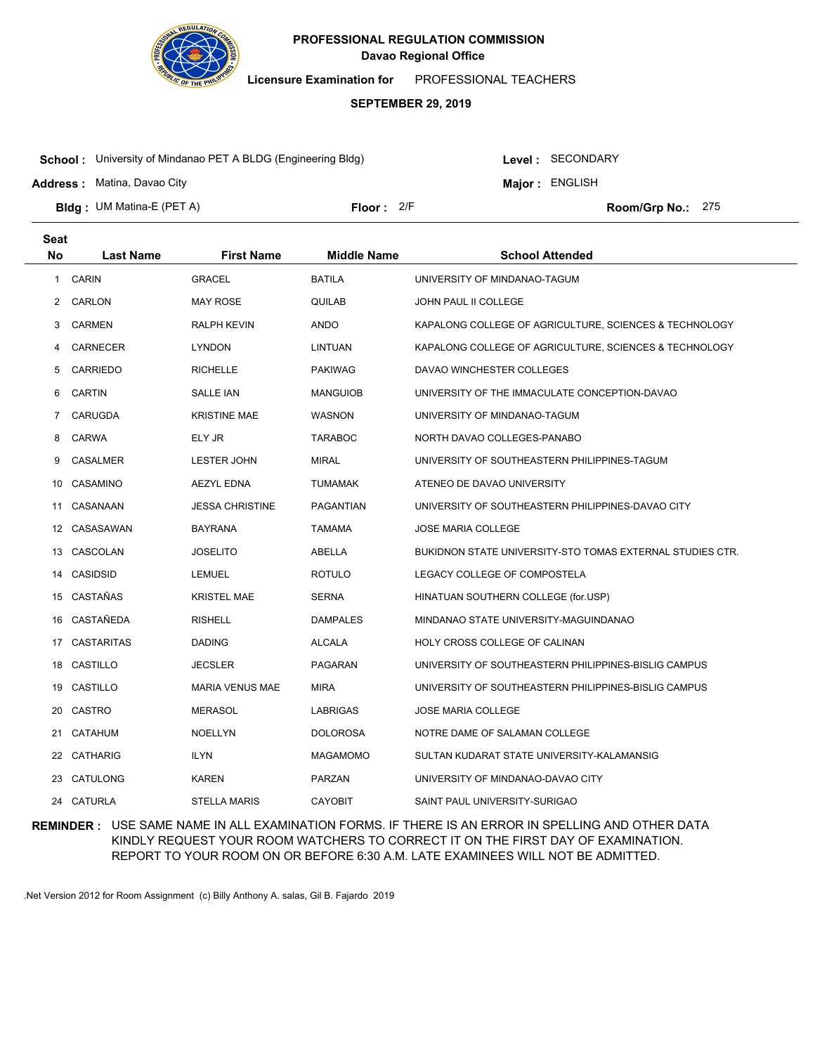

**Licensure Examination for**  PROFESSIONAL TEACHERS

### **SEPTEMBER 29, 2019**

**School :** University of Mindanao PET A BLDG (Engineering Bldg)

**Address :** Matina, Davao City

Level : SECONDARY

**Major : ENGLISH** 

**Bldg : Floor : Room/Grp No.:** UM Matina-E (PET A)

Floor: 2/F Room/Grp No.: 275

| <b>Seat</b>  |                  |                        |                    |                                                           |
|--------------|------------------|------------------------|--------------------|-----------------------------------------------------------|
| <b>No</b>    | <b>Last Name</b> | <b>First Name</b>      | <b>Middle Name</b> | <b>School Attended</b>                                    |
| $\mathbf{1}$ | <b>CARIN</b>     | <b>GRACEL</b>          | <b>BATILA</b>      | UNIVERSITY OF MINDANAO-TAGUM                              |
| 2            | CARLON           | <b>MAY ROSE</b>        | QUILAB             | JOHN PAUL II COLLEGE                                      |
| 3            | <b>CARMEN</b>    | <b>RALPH KEVIN</b>     | ANDO               | KAPALONG COLLEGE OF AGRICULTURE, SCIENCES & TECHNOLOGY    |
| 4            | <b>CARNECER</b>  | <b>LYNDON</b>          | LINTUAN            | KAPALONG COLLEGE OF AGRICULTURE, SCIENCES & TECHNOLOGY    |
| 5            | <b>CARRIEDO</b>  | <b>RICHELLE</b>        | <b>PAKIWAG</b>     | DAVAO WINCHESTER COLLEGES                                 |
| 6            | CARTIN           | SALLE IAN              | MANGUIOB           | UNIVERSITY OF THE IMMACULATE CONCEPTION-DAVAO             |
| 7            | CARUGDA          | <b>KRISTINE MAE</b>    | WASNON             | UNIVERSITY OF MINDANAO-TAGUM                              |
| 8            | CARWA            | ELY JR                 | <b>TARABOC</b>     | NORTH DAVAO COLLEGES-PANABO                               |
| 9            | <b>CASALMER</b>  | <b>LESTER JOHN</b>     | <b>MIRAL</b>       | UNIVERSITY OF SOUTHEASTERN PHILIPPINES-TAGUM              |
| 10           | CASAMINO         | <b>AEZYL EDNA</b>      | TUMAMAK            | ATENEO DE DAVAO UNIVERSITY                                |
| 11           | CASANAAN         | <b>JESSA CHRISTINE</b> | PAGANTIAN          | UNIVERSITY OF SOUTHEASTERN PHILIPPINES-DAVAO CITY         |
|              | 12 CASASAWAN     | <b>BAYRANA</b>         | TAMAMA             | <b>JOSE MARIA COLLEGE</b>                                 |
| 13           | CASCOLAN         | <b>JOSELITO</b>        | ABELLA             | BUKIDNON STATE UNIVERSITY-STO TOMAS EXTERNAL STUDIES CTR. |
| 14           | <b>CASIDSID</b>  | <b>LEMUEL</b>          | <b>ROTULO</b>      | LEGACY COLLEGE OF COMPOSTELA                              |
| 15           | CASTAÑAS         | <b>KRISTEL MAE</b>     | <b>SERNA</b>       | HINATUAN SOUTHERN COLLEGE (for.USP)                       |
| 16           | <b>CASTAÑEDA</b> | <b>RISHELL</b>         | <b>DAMPALES</b>    | MINDANAO STATE UNIVERSITY-MAGUINDANAO                     |
| 17           | CASTARITAS       | <b>DADING</b>          | ALCALA             | HOLY CROSS COLLEGE OF CALINAN                             |
| 18           | CASTILLO         | <b>JECSLER</b>         | PAGARAN            | UNIVERSITY OF SOUTHEASTERN PHILIPPINES-BISLIG CAMPUS      |
| 19           | CASTILLO         | <b>MARIA VENUS MAE</b> | <b>MIRA</b>        | UNIVERSITY OF SOUTHEASTERN PHILIPPINES-BISLIG CAMPUS      |
| 20           | CASTRO           | <b>MERASOL</b>         | LABRIGAS           | <b>JOSE MARIA COLLEGE</b>                                 |
| 21           | CATAHUM          | <b>NOELLYN</b>         | DOLOROSA           | NOTRE DAME OF SALAMAN COLLEGE                             |
| 22           | CATHARIG         | <b>ILYN</b>            | MAGAMOMO           | SULTAN KUDARAT STATE UNIVERSITY-KALAMANSIG                |
| 23           | CATULONG         | <b>KAREN</b>           | <b>PARZAN</b>      | UNIVERSITY OF MINDANAO-DAVAO CITY                         |
|              | 24 CATURLA       | <b>STELLA MARIS</b>    | <b>CAYOBIT</b>     | SAINT PAUL UNIVERSITY-SURIGAO                             |

**REMINDER :** USE SAME NAME IN ALL EXAMINATION FORMS. IF THERE IS AN ERROR IN SPELLING AND OTHER DATA KINDLY REQUEST YOUR ROOM WATCHERS TO CORRECT IT ON THE FIRST DAY OF EXAMINATION. REPORT TO YOUR ROOM ON OR BEFORE 6:30 A.M. LATE EXAMINEES WILL NOT BE ADMITTED.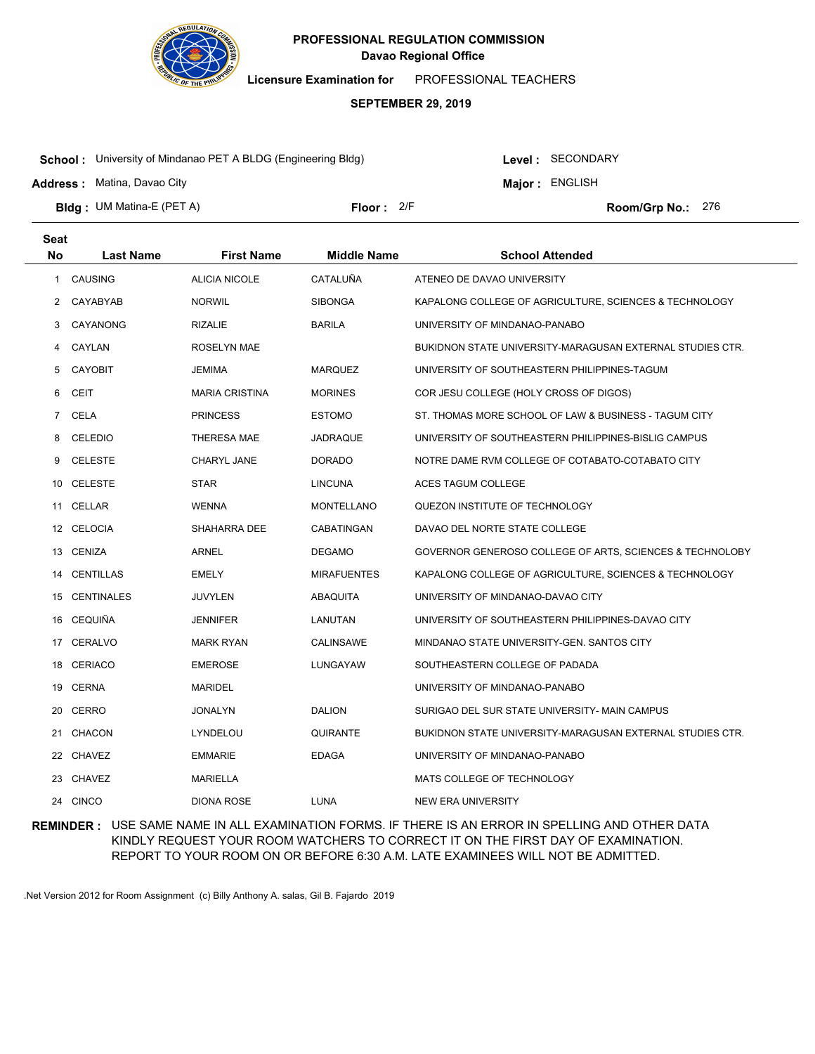

**Licensure Examination for**  PROFESSIONAL TEACHERS

### **SEPTEMBER 29, 2019**

**School :** University of Mindanao PET A BLDG (Engineering Bldg)

**Address :** Matina, Davao City

**Seat**

Level : SECONDARY

**Major : ENGLISH** 

**Bldg : Floor : Room/Grp No.:** UM Matina-E (PET A) Floor: 2/F Room/Grp No.: 276

| υσαι           |                  |                       |                    |                                                           |
|----------------|------------------|-----------------------|--------------------|-----------------------------------------------------------|
| No             | <b>Last Name</b> | <b>First Name</b>     | <b>Middle Name</b> | <b>School Attended</b>                                    |
| $\mathbf{1}$   | CAUSING          | ALICIA NICOLE         | CATALUÑA           | ATENEO DE DAVAO UNIVERSITY                                |
|                | 2 CAYABYAB       | <b>NORWIL</b>         | <b>SIBONGA</b>     | KAPALONG COLLEGE OF AGRICULTURE, SCIENCES & TECHNOLOGY    |
| 3              | CAYANONG         | <b>RIZALIE</b>        | <b>BARILA</b>      | UNIVERSITY OF MINDANAO-PANABO                             |
| 4              | CAYLAN           | ROSELYN MAE           |                    | BUKIDNON STATE UNIVERSITY-MARAGUSAN EXTERNAL STUDIES CTR. |
| 5              | <b>CAYOBIT</b>   | JEMIMA                | <b>MARQUEZ</b>     | UNIVERSITY OF SOUTHEASTERN PHILIPPINES-TAGUM              |
| 6              | <b>CEIT</b>      | <b>MARIA CRISTINA</b> | <b>MORINES</b>     | COR JESU COLLEGE (HOLY CROSS OF DIGOS)                    |
| $7\phantom{.}$ | CELA             | <b>PRINCESS</b>       | <b>ESTOMO</b>      | ST. THOMAS MORE SCHOOL OF LAW & BUSINESS - TAGUM CITY     |
| 8              | CELEDIO          | THERESA MAE           | JADRAQUE           | UNIVERSITY OF SOUTHEASTERN PHILIPPINES-BISLIG CAMPUS      |
| 9              | <b>CELESTE</b>   | CHARYL JANE           | <b>DORADO</b>      | NOTRE DAME RVM COLLEGE OF COTABATO-COTABATO CITY          |
|                | 10 CELESTE       | STAR                  | <b>LINCUNA</b>     | ACES TAGUM COLLEGE                                        |
|                | 11 CELLAR        | <b>WENNA</b>          | <b>MONTELLANO</b>  | QUEZON INSTITUTE OF TECHNOLOGY                            |
|                | 12 CELOCIA       | SHAHARRA DEE          | CABATINGAN         | DAVAO DEL NORTE STATE COLLEGE                             |
|                | 13 CENIZA        | ARNEL                 | <b>DEGAMO</b>      | GOVERNOR GENEROSO COLLEGE OF ARTS, SCIENCES & TECHNOLOBY  |
| 14             | CENTILLAS        | <b>EMELY</b>          | <b>MIRAFUENTES</b> | KAPALONG COLLEGE OF AGRICULTURE, SCIENCES & TECHNOLOGY    |
| 15             | CENTINALES       | <b>JUVYLEN</b>        | ABAQUITA           | UNIVERSITY OF MINDANAO-DAVAO CITY                         |
|                | 16 CEQUIÑA       | JENNIFER              | LANUTAN            | UNIVERSITY OF SOUTHEASTERN PHILIPPINES-DAVAO CITY         |
|                | 17 CERALVO       | <b>MARK RYAN</b>      | CALINSAWE          | MINDANAO STATE UNIVERSITY-GEN. SANTOS CITY                |
|                | 18 CERIACO       | <b>EMEROSE</b>        | LUNGAYAW           | SOUTHEASTERN COLLEGE OF PADADA                            |
|                | 19 CERNA         | <b>MARIDEL</b>        |                    | UNIVERSITY OF MINDANAO-PANABO                             |
|                | 20 CERRO         | JONALYN               | <b>DALION</b>      | SURIGAO DEL SUR STATE UNIVERSITY- MAIN CAMPUS             |
|                | 21 CHACON        | LYNDELOU              | <b>QUIRANTE</b>    | BUKIDNON STATE UNIVERSITY-MARAGUSAN EXTERNAL STUDIES CTR. |
|                | 22 CHAVEZ        | <b>EMMARIE</b>        | <b>EDAGA</b>       | UNIVERSITY OF MINDANAO-PANABO                             |
|                | 23 CHAVEZ        | <b>MARIELLA</b>       |                    | MATS COLLEGE OF TECHNOLOGY                                |
|                | 24 CINCO         | <b>DIONA ROSE</b>     | LUNA               | NEW ERA UNIVERSITY                                        |
|                |                  |                       |                    |                                                           |

**REMINDER :** USE SAME NAME IN ALL EXAMINATION FORMS. IF THERE IS AN ERROR IN SPELLING AND OTHER DATA KINDLY REQUEST YOUR ROOM WATCHERS TO CORRECT IT ON THE FIRST DAY OF EXAMINATION. REPORT TO YOUR ROOM ON OR BEFORE 6:30 A.M. LATE EXAMINEES WILL NOT BE ADMITTED.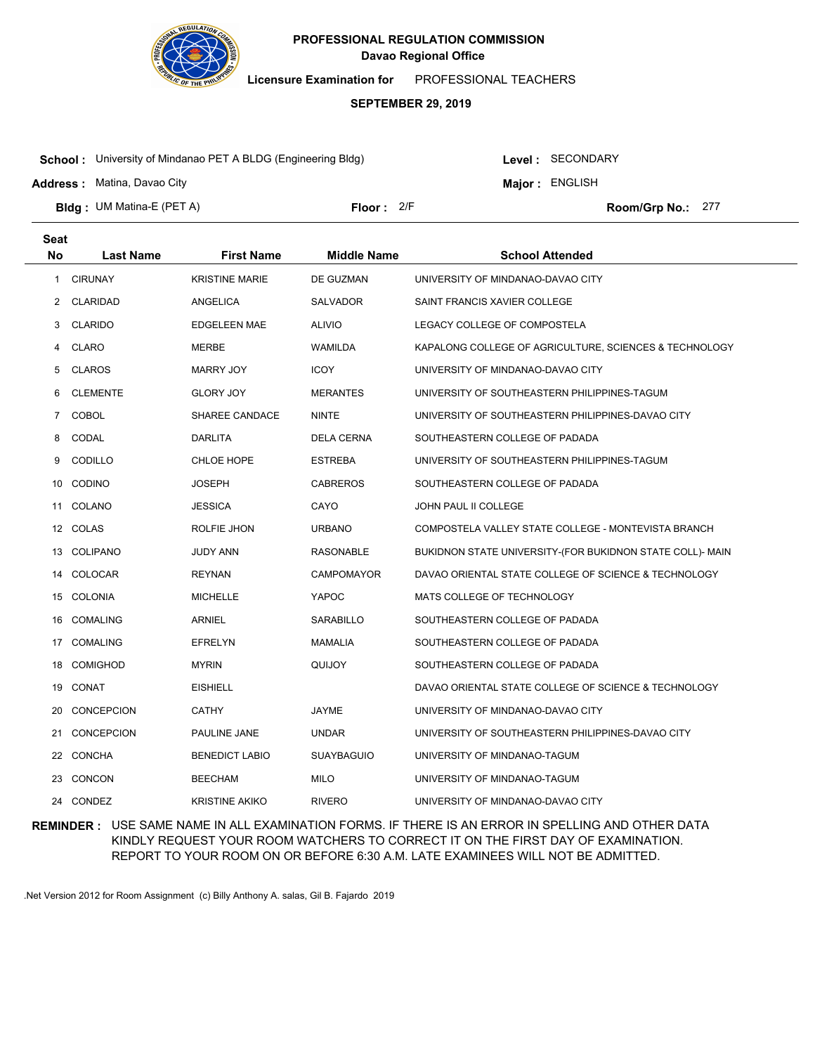

**Licensure Examination for**  PROFESSIONAL TEACHERS

### **SEPTEMBER 29, 2019**

**School :** University of Mindanao PET A BLDG (Engineering Bldg)

**Address :** Matina, Davao City

Level : SECONDARY

**Major : ENGLISH** 

**Bldg : Floor : Room/Grp No.:** UM Matina-E (PET A)

Floor: 2/F Room/Grp No.: 277

| <b>Seat</b> |                   |                       |                    |                                                           |
|-------------|-------------------|-----------------------|--------------------|-----------------------------------------------------------|
| <b>No</b>   | <b>Last Name</b>  | <b>First Name</b>     | <b>Middle Name</b> | <b>School Attended</b>                                    |
| 1           | <b>CIRUNAY</b>    | <b>KRISTINE MARIE</b> | DE GUZMAN          | UNIVERSITY OF MINDANAO-DAVAO CITY                         |
| 2           | <b>CLARIDAD</b>   | ANGELICA              | <b>SALVADOR</b>    | SAINT FRANCIS XAVIER COLLEGE                              |
| 3           | <b>CLARIDO</b>    | <b>EDGELEEN MAE</b>   | <b>ALIVIO</b>      | LEGACY COLLEGE OF COMPOSTELA                              |
| 4           | <b>CLARO</b>      | MERBE                 | WAMILDA            | KAPALONG COLLEGE OF AGRICULTURE, SCIENCES & TECHNOLOGY    |
| 5           | <b>CLAROS</b>     | <b>MARRY JOY</b>      | <b>ICOY</b>        | UNIVERSITY OF MINDANAO-DAVAO CITY                         |
| 6           | <b>CLEMENTE</b>   | GLORY JOY             | <b>MERANTES</b>    | UNIVERSITY OF SOUTHEASTERN PHILIPPINES-TAGUM              |
| $7^{\circ}$ | <b>COBOL</b>      | SHAREE CANDACE        | <b>NINTE</b>       | UNIVERSITY OF SOUTHEASTERN PHILIPPINES-DAVAO CITY         |
| 8           | CODAL             | <b>DARLITA</b>        | <b>DELA CERNA</b>  | SOUTHEASTERN COLLEGE OF PADADA                            |
| 9           | CODILLO           | CHLOE HOPE            | <b>ESTREBA</b>     | UNIVERSITY OF SOUTHEASTERN PHILIPPINES-TAGUM              |
| 10          | <b>CODINO</b>     | JOSEPH                | <b>CABREROS</b>    | SOUTHEASTERN COLLEGE OF PADADA                            |
|             | 11 COLANO         | <b>JESSICA</b>        | CAYO               | <b>JOHN PAUL II COLLEGE</b>                               |
|             | 12 COLAS          | ROLFIE JHON           | <b>URBANO</b>      | COMPOSTELA VALLEY STATE COLLEGE - MONTEVISTA BRANCH       |
| 13          | COLIPANO          | JUDY ANN              | RASONABLE          | BUKIDNON STATE UNIVERSITY-(FOR BUKIDNON STATE COLL)- MAIN |
| 14          | COLOCAR           | <b>REYNAN</b>         | <b>CAMPOMAYOR</b>  | DAVAO ORIENTAL STATE COLLEGE OF SCIENCE & TECHNOLOGY      |
| 15          | COLONIA           | <b>MICHELLE</b>       | YAPOC              | MATS COLLEGE OF TECHNOLOGY                                |
| 16          | <b>COMALING</b>   | <b>ARNIEL</b>         | <b>SARABILLO</b>   | SOUTHEASTERN COLLEGE OF PADADA                            |
| 17          | COMALING          | <b>EFRELYN</b>        | <b>MAMALIA</b>     | SOUTHEASTERN COLLEGE OF PADADA                            |
| 18          | <b>COMIGHOD</b>   | <b>MYRIN</b>          | QUIJOY             | SOUTHEASTERN COLLEGE OF PADADA                            |
| 19          | CONAT             | <b>EISHIELL</b>       |                    | DAVAO ORIENTAL STATE COLLEGE OF SCIENCE & TECHNOLOGY      |
| 20          | <b>CONCEPCION</b> | <b>CATHY</b>          | JAYME              | UNIVERSITY OF MINDANAO-DAVAO CITY                         |
| 21          | CONCEPCION        | PAULINE JANE          | <b>UNDAR</b>       | UNIVERSITY OF SOUTHEASTERN PHILIPPINES-DAVAO CITY         |
| 22          | CONCHA            | <b>BENEDICT LABIO</b> | <b>SUAYBAGUIO</b>  | UNIVERSITY OF MINDANAO-TAGUM                              |
| 23          | <b>CONCON</b>     | <b>BEECHAM</b>        | <b>MILO</b>        | UNIVERSITY OF MINDANAO-TAGUM                              |
|             | 24 CONDEZ         | <b>KRISTINE AKIKO</b> | <b>RIVERO</b>      | UNIVERSITY OF MINDANAO-DAVAO CITY                         |

**REMINDER :** USE SAME NAME IN ALL EXAMINATION FORMS. IF THERE IS AN ERROR IN SPELLING AND OTHER DATA KINDLY REQUEST YOUR ROOM WATCHERS TO CORRECT IT ON THE FIRST DAY OF EXAMINATION. REPORT TO YOUR ROOM ON OR BEFORE 6:30 A.M. LATE EXAMINEES WILL NOT BE ADMITTED.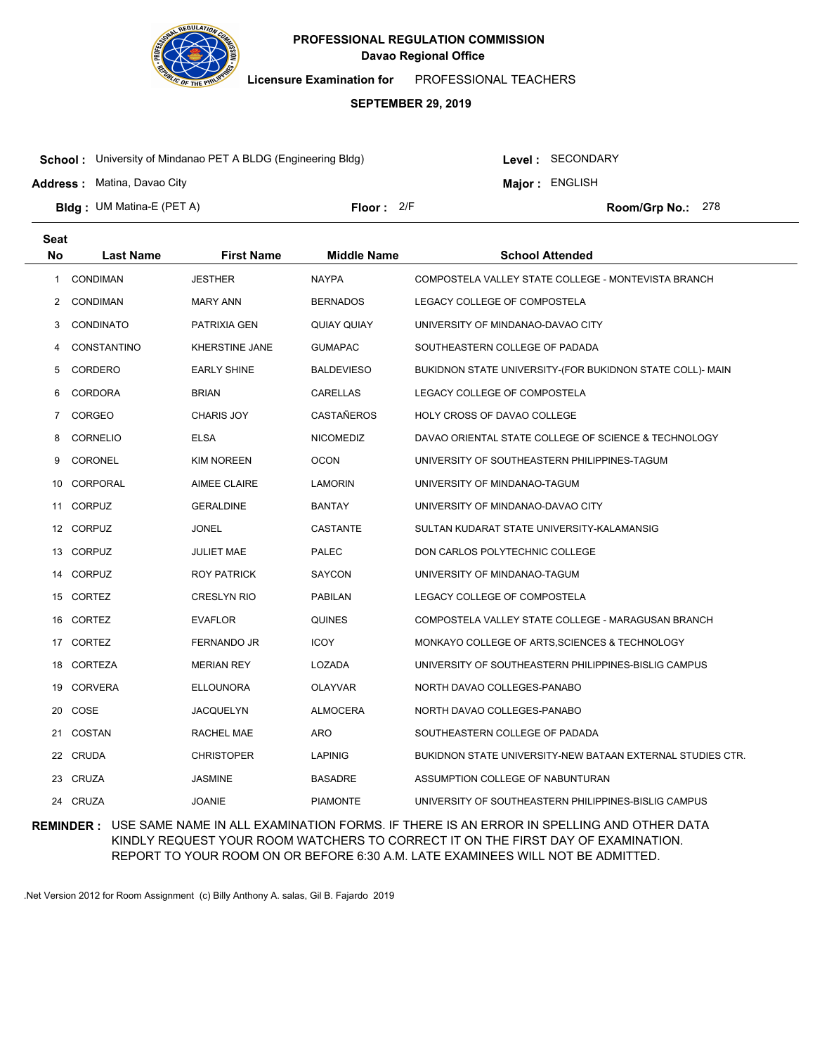

**Licensure Examination for**  PROFESSIONAL TEACHERS

### **SEPTEMBER 29, 2019**

**School :** University of Mindanao PET A BLDG (Engineering Bldg)

**Address :** Matina, Davao City

Level : SECONDARY

**Major : ENGLISH** 

**Bldg : Floor : Room/Grp No.:** UM Matina-E (PET A)

Floor: 2/F Room/Grp No.: 278

| <b>Seat</b>    |                  |                     |                    |                                                            |
|----------------|------------------|---------------------|--------------------|------------------------------------------------------------|
| <b>No</b>      | <b>Last Name</b> | <b>First Name</b>   | <b>Middle Name</b> | <b>School Attended</b>                                     |
| 1              | <b>CONDIMAN</b>  | <b>JESTHER</b>      | <b>NAYPA</b>       | COMPOSTELA VALLEY STATE COLLEGE - MONTEVISTA BRANCH        |
| 2              | <b>CONDIMAN</b>  | <b>MARY ANN</b>     | <b>BERNADOS</b>    | LEGACY COLLEGE OF COMPOSTELA                               |
| 3              | <b>CONDINATO</b> | PATRIXIA GEN        | QUIAY QUIAY        | UNIVERSITY OF MINDANAO-DAVAO CITY                          |
| 4              | CONSTANTINO      | KHERSTINE JANE      | <b>GUMAPAC</b>     | SOUTHEASTERN COLLEGE OF PADADA                             |
| 5              | CORDERO          | <b>EARLY SHINE</b>  | <b>BALDEVIESO</b>  | BUKIDNON STATE UNIVERSITY-(FOR BUKIDNON STATE COLL)- MAIN  |
| 6              | <b>CORDORA</b>   | <b>BRIAN</b>        | CARELLAS           | LEGACY COLLEGE OF COMPOSTELA                               |
| $\overline{7}$ | CORGEO           | <b>CHARIS JOY</b>   | <b>CASTAÑEROS</b>  | HOLY CROSS OF DAVAO COLLEGE                                |
| 8              | <b>CORNELIO</b>  | <b>ELSA</b>         | <b>NICOMEDIZ</b>   | DAVAO ORIENTAL STATE COLLEGE OF SCIENCE & TECHNOLOGY       |
| 9              | <b>CORONEL</b>   | <b>KIM NOREEN</b>   | <b>OCON</b>        | UNIVERSITY OF SOUTHEASTERN PHILIPPINES-TAGUM               |
| 10.            | CORPORAL         | <b>AIMEE CLAIRE</b> | LAMORIN            | UNIVERSITY OF MINDANAO-TAGUM                               |
|                | 11 CORPUZ        | <b>GERALDINE</b>    | <b>BANTAY</b>      | UNIVERSITY OF MINDANAO-DAVAO CITY                          |
|                | 12 CORPUZ        | <b>JONEL</b>        | <b>CASTANTE</b>    | SULTAN KUDARAT STATE UNIVERSITY-KALAMANSIG                 |
|                | 13 CORPUZ        | <b>JULIET MAE</b>   | <b>PALEC</b>       | DON CARLOS POLYTECHNIC COLLEGE                             |
| 14             | <b>CORPUZ</b>    | ROY PATRICK         | <b>SAYCON</b>      | UNIVERSITY OF MINDANAO-TAGUM                               |
| 15             | CORTEZ           | <b>CRESLYN RIO</b>  | <b>PABILAN</b>     | LEGACY COLLEGE OF COMPOSTELA                               |
| 16             | CORTEZ           | <b>EVAFLOR</b>      | <b>QUINES</b>      | COMPOSTELA VALLEY STATE COLLEGE - MARAGUSAN BRANCH         |
| 17             | CORTEZ           | FERNANDO JR         | <b>ICOY</b>        | MONKAYO COLLEGE OF ARTS, SCIENCES & TECHNOLOGY             |
| 18             | <b>CORTEZA</b>   | <b>MERIAN REY</b>   | LOZADA             | UNIVERSITY OF SOUTHEASTERN PHILIPPINES-BISLIG CAMPUS       |
| 19             | <b>CORVERA</b>   | <b>ELLOUNORA</b>    | <b>OLAYVAR</b>     | NORTH DAVAO COLLEGES-PANABO                                |
| 20             | COSE             | <b>JACQUELYN</b>    | <b>ALMOCERA</b>    | NORTH DAVAO COLLEGES-PANABO                                |
| 21             | <b>COSTAN</b>    | RACHEL MAE          | <b>ARO</b>         | SOUTHEASTERN COLLEGE OF PADADA                             |
| 22             | <b>CRUDA</b>     | <b>CHRISTOPER</b>   | <b>LAPINIG</b>     | BUKIDNON STATE UNIVERSITY-NEW BATAAN EXTERNAL STUDIES CTR. |
| 23             | <b>CRUZA</b>     | <b>JASMINE</b>      | <b>BASADRE</b>     | ASSUMPTION COLLEGE OF NABUNTURAN                           |
|                | 24 CRUZA         | <b>JOANIE</b>       | <b>PIAMONTE</b>    | UNIVERSITY OF SOUTHEASTERN PHILIPPINES-BISLIG CAMPUS       |

**REMINDER :** USE SAME NAME IN ALL EXAMINATION FORMS. IF THERE IS AN ERROR IN SPELLING AND OTHER DATA KINDLY REQUEST YOUR ROOM WATCHERS TO CORRECT IT ON THE FIRST DAY OF EXAMINATION. REPORT TO YOUR ROOM ON OR BEFORE 6:30 A.M. LATE EXAMINEES WILL NOT BE ADMITTED.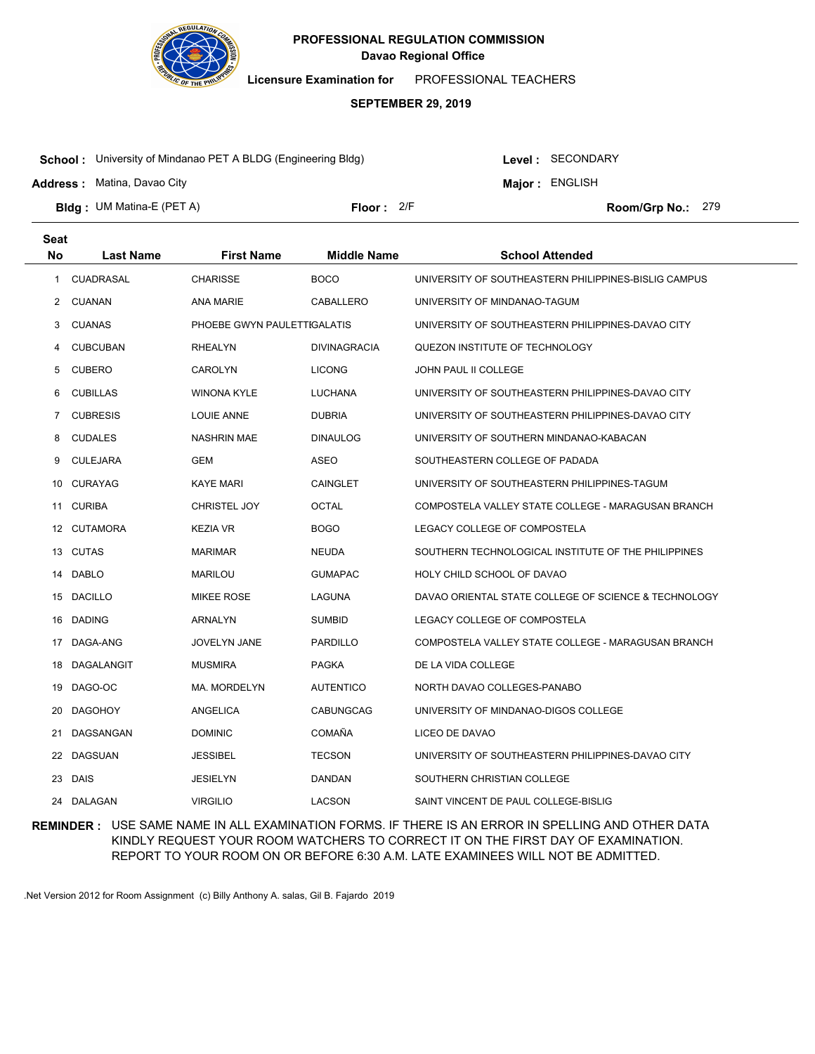

**Licensure Examination for**  PROFESSIONAL TEACHERS

### **SEPTEMBER 29, 2019**

**School :** University of Mindanao PET A BLDG (Engineering Bldg)

**Address :** Matina, Davao City

Level : SECONDARY

**Major : ENGLISH** 

**Bldg : Floor : Room/Grp No.:** UM Matina-E (PET A)

Floor: 2/F Room/Grp No.: 279

| Seat |                  |                             |                     |                                                      |
|------|------------------|-----------------------------|---------------------|------------------------------------------------------|
| No   | Last Name        | <b>First Name</b>           | <b>Middle Name</b>  | <b>School Attended</b>                               |
| 1    | <b>CUADRASAL</b> | <b>CHARISSE</b>             | <b>BOCO</b>         | UNIVERSITY OF SOUTHEASTERN PHILIPPINES-BISLIG CAMPUS |
| 2    | CUANAN           | ANA MARIE                   | CABALLERO           | UNIVERSITY OF MINDANAO-TAGUM                         |
| 3.   | <b>CUANAS</b>    | PHOEBE GWYN PAULETTIGALATIS |                     | UNIVERSITY OF SOUTHEASTERN PHILIPPINES-DAVAO CITY    |
| 4    | <b>CUBCUBAN</b>  | <b>RHEALYN</b>              | <b>DIVINAGRACIA</b> | QUEZON INSTITUTE OF TECHNOLOGY                       |
| 5    | <b>CUBERO</b>    | <b>CAROLYN</b>              | <b>LICONG</b>       | JOHN PAUL II COLLEGE                                 |
| 6    | <b>CUBILLAS</b>  | <b>WINONA KYLE</b>          | <b>LUCHANA</b>      | UNIVERSITY OF SOUTHEASTERN PHILIPPINES-DAVAO CITY    |
| 7    | <b>CUBRESIS</b>  | LOUIE ANNE                  | <b>DUBRIA</b>       | UNIVERSITY OF SOUTHEASTERN PHILIPPINES-DAVAO CITY    |
| 8    | <b>CUDALES</b>   | <b>NASHRIN MAE</b>          | <b>DINAULOG</b>     | UNIVERSITY OF SOUTHERN MINDANAO-KABACAN              |
| 9    | <b>CULEJARA</b>  | <b>GEM</b>                  | ASEO                | SOUTHEASTERN COLLEGE OF PADADA                       |
| 10   | <b>CURAYAG</b>   | <b>KAYE MARI</b>            | CAINGLET            | UNIVERSITY OF SOUTHEASTERN PHILIPPINES-TAGUM         |
| 11   | <b>CURIBA</b>    | CHRISTEL JOY                | <b>OCTAL</b>        | COMPOSTELA VALLEY STATE COLLEGE - MARAGUSAN BRANCH   |
|      | 12 CUTAMORA      | <b>KEZIA VR</b>             | <b>BOGO</b>         | LEGACY COLLEGE OF COMPOSTELA                         |
|      | 13 CUTAS         | <b>MARIMAR</b>              | <b>NEUDA</b>        | SOUTHERN TECHNOLOGICAL INSTITUTE OF THE PHILIPPINES  |
| 14   | <b>DABLO</b>     | <b>MARILOU</b>              | <b>GUMAPAC</b>      | HOLY CHILD SCHOOL OF DAVAO                           |
| 15   | <b>DACILLO</b>   | <b>MIKEE ROSE</b>           | LAGUNA              | DAVAO ORIENTAL STATE COLLEGE OF SCIENCE & TECHNOLOGY |
| 16   | <b>DADING</b>    | <b>ARNALYN</b>              | <b>SUMBID</b>       | LEGACY COLLEGE OF COMPOSTELA                         |
| 17   | DAGA-ANG         | <b>JOVELYN JANE</b>         | <b>PARDILLO</b>     | COMPOSTELA VALLEY STATE COLLEGE - MARAGUSAN BRANCH   |
| 18   | DAGALANGIT       | <b>MUSMIRA</b>              | <b>PAGKA</b>        | DE LA VIDA COLLEGE                                   |
| 19   | DAGO-OC          | MA. MORDELYN                | <b>AUTENTICO</b>    | NORTH DAVAO COLLEGES-PANABO                          |
| 20   | <b>DAGOHOY</b>   | ANGELICA                    | <b>CABUNGCAG</b>    | UNIVERSITY OF MINDANAO-DIGOS COLLEGE                 |
| 21   | DAGSANGAN        | <b>DOMINIC</b>              | COMAÑA              | LICEO DE DAVAO                                       |
| 22   | <b>DAGSUAN</b>   | <b>JESSIBEL</b>             | <b>TECSON</b>       | UNIVERSITY OF SOUTHEASTERN PHILIPPINES-DAVAO CITY    |
| 23   | <b>DAIS</b>      | <b>JESIELYN</b>             | DANDAN              | SOUTHERN CHRISTIAN COLLEGE                           |
| 24   | <b>DALAGAN</b>   | <b>VIRGILIO</b>             | <b>LACSON</b>       | SAINT VINCENT DE PAUL COLLEGE-BISLIG                 |

**REMINDER :** USE SAME NAME IN ALL EXAMINATION FORMS. IF THERE IS AN ERROR IN SPELLING AND OTHER DATA KINDLY REQUEST YOUR ROOM WATCHERS TO CORRECT IT ON THE FIRST DAY OF EXAMINATION. REPORT TO YOUR ROOM ON OR BEFORE 6:30 A.M. LATE EXAMINEES WILL NOT BE ADMITTED.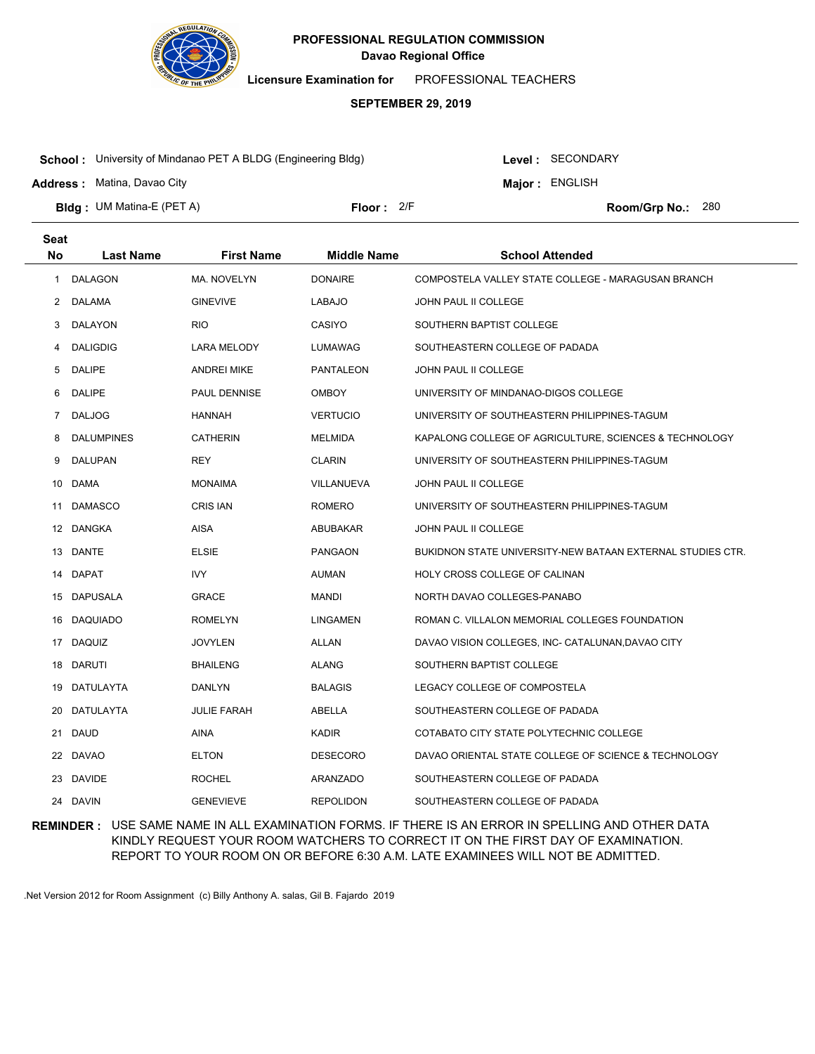

**Licensure Examination for**  PROFESSIONAL TEACHERS

### **SEPTEMBER 29, 2019**

**School :** University of Mindanao PET A BLDG (Engineering Bldg)

**Address :** Matina, Davao City

**Seat**

Level : SECONDARY

**Major : ENGLISH** 

**Bldg : Floor : Room/Grp No.:** UM Matina-E (PET A)

Floor: 2/F Room/Grp No.: 280

| υσαι        |                   |                    |                    |                                                            |
|-------------|-------------------|--------------------|--------------------|------------------------------------------------------------|
| No          | <b>Last Name</b>  | <b>First Name</b>  | <b>Middle Name</b> | <b>School Attended</b>                                     |
| 1           | <b>DALAGON</b>    | MA. NOVELYN        | <b>DONAIRE</b>     | COMPOSTELA VALLEY STATE COLLEGE - MARAGUSAN BRANCH         |
| 2           | DALAMA            | <b>GINEVIVE</b>    | LABAJO             | <b>JOHN PAUL II COLLEGE</b>                                |
| 3           | DALAYON           | <b>RIO</b>         | CASIYO             | SOUTHERN BAPTIST COLLEGE                                   |
| 4           | <b>DALIGDIG</b>   | LARA MELODY        | LUMAWAG            | SOUTHEASTERN COLLEGE OF PADADA                             |
| 5           | <b>DALIPE</b>     | ANDREI MIKE        | PANTALEON          | <b>JOHN PAUL II COLLEGE</b>                                |
| 6           | <b>DALIPE</b>     | PAUL DENNISE       | <b>OMBOY</b>       | UNIVERSITY OF MINDANAO-DIGOS COLLEGE                       |
| $7^{\circ}$ | <b>DALJOG</b>     | <b>HANNAH</b>      | <b>VERTUCIO</b>    | UNIVERSITY OF SOUTHEASTERN PHILIPPINES-TAGUM               |
| 8           | <b>DALUMPINES</b> | <b>CATHERIN</b>    | MELMIDA            | KAPALONG COLLEGE OF AGRICULTURE, SCIENCES & TECHNOLOGY     |
| 9           | <b>DALUPAN</b>    | REY                | <b>CLARIN</b>      | UNIVERSITY OF SOUTHEASTERN PHILIPPINES-TAGUM               |
| 10          | <b>DAMA</b>       | MONAIMA            | VILLANUEVA         | <b>JOHN PAUL II COLLEGE</b>                                |
| 11          | <b>DAMASCO</b>    | <b>CRIS IAN</b>    | <b>ROMERO</b>      | UNIVERSITY OF SOUTHEASTERN PHILIPPINES-TAGUM               |
|             | 12 DANGKA         | AISA               | ABUBAKAR           | JOHN PAUL II COLLEGE                                       |
|             | 13 DANTE          | <b>ELSIE</b>       | <b>PANGAON</b>     | BUKIDNON STATE UNIVERSITY-NEW BATAAN EXTERNAL STUDIES CTR. |
|             | 14 DAPAT          | IVY                | AUMAN              | HOLY CROSS COLLEGE OF CALINAN                              |
|             | 15 DAPUSALA       | GRACE              | MANDI              | NORTH DAVAO COLLEGES-PANABO                                |
|             | 16 DAQUIADO       | <b>ROMELYN</b>     | <b>LINGAMEN</b>    | ROMAN C. VILLALON MEMORIAL COLLEGES FOUNDATION             |
|             | 17 DAQUIZ         | <b>JOVYLEN</b>     | <b>ALLAN</b>       | DAVAO VISION COLLEGES, INC- CATALUNAN, DAVAO CITY          |
|             | 18 DARUTI         | <b>BHAILENG</b>    | <b>ALANG</b>       | SOUTHERN BAPTIST COLLEGE                                   |
| 19          | DATULAYTA         | DANLYN             | <b>BALAGIS</b>     | LEGACY COLLEGE OF COMPOSTELA                               |
| 20          | DATULAYTA         | <b>JULIE FARAH</b> | ABELLA             | SOUTHEASTERN COLLEGE OF PADADA                             |
| 21          | <b>DAUD</b>       | AINA               | <b>KADIR</b>       | COTABATO CITY STATE POLYTECHNIC COLLEGE                    |
|             | 22 DAVAO          | <b>ELTON</b>       | <b>DESECORO</b>    | DAVAO ORIENTAL STATE COLLEGE OF SCIENCE & TECHNOLOGY       |
|             | 23 DAVIDE         | <b>ROCHEL</b>      | ARANZADO           | SOUTHEASTERN COLLEGE OF PADADA                             |
|             | 24 DAVIN          | <b>GENEVIEVE</b>   | <b>REPOLIDON</b>   | SOUTHEASTERN COLLEGE OF PADADA                             |
|             |                   |                    |                    |                                                            |

**REMINDER :** USE SAME NAME IN ALL EXAMINATION FORMS. IF THERE IS AN ERROR IN SPELLING AND OTHER DATA KINDLY REQUEST YOUR ROOM WATCHERS TO CORRECT IT ON THE FIRST DAY OF EXAMINATION. REPORT TO YOUR ROOM ON OR BEFORE 6:30 A.M. LATE EXAMINEES WILL NOT BE ADMITTED.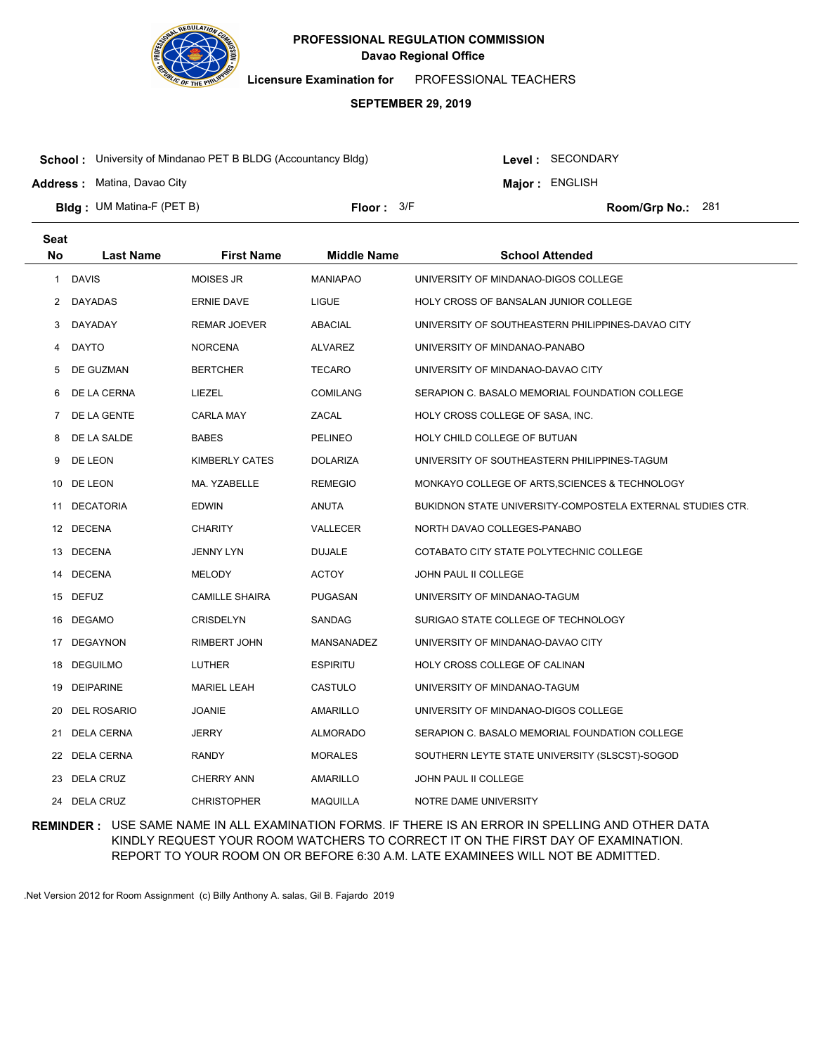

**Licensure Examination for**  PROFESSIONAL TEACHERS

### **SEPTEMBER 29, 2019**

**School :** University of Mindanao PET B BLDG (Accountancy Bldg)

**Address :** Matina, Davao City

Level : SECONDARY

**Major : ENGLISH** 

**Bldg : Floor : Room/Grp No.:** UM Matina-F (PET B)

Floor: 3/F Room/Grp No.: 281

| <b>Seat</b>  |                    |                       |                    |                                                            |
|--------------|--------------------|-----------------------|--------------------|------------------------------------------------------------|
| No           | <b>Last Name</b>   | <b>First Name</b>     | <b>Middle Name</b> | <b>School Attended</b>                                     |
| $\mathbf{1}$ | <b>DAVIS</b>       | <b>MOISES JR</b>      | <b>MANIAPAO</b>    | UNIVERSITY OF MINDANAO-DIGOS COLLEGE                       |
| 2            | DAYADAS            | <b>ERNIE DAVE</b>     | LIGUE              | HOLY CROSS OF BANSALAN JUNIOR COLLEGE                      |
| 3            | DAYADAY            | REMAR JOEVER          | ABACIAL            | UNIVERSITY OF SOUTHEASTERN PHILIPPINES-DAVAO CITY          |
| 4            | <b>DAYTO</b>       | <b>NORCENA</b>        | <b>ALVAREZ</b>     | UNIVERSITY OF MINDANAO-PANABO                              |
| 5            | DE GUZMAN          | <b>BERTCHER</b>       | <b>TECARO</b>      | UNIVERSITY OF MINDANAO-DAVAO CITY                          |
| 6            | DE LA CERNA        | LIEZEL                | <b>COMILANG</b>    | SERAPION C. BASALO MEMORIAL FOUNDATION COLLEGE             |
| 7            | DE LA GENTE        | <b>CARLA MAY</b>      | ZACAL              | HOLY CROSS COLLEGE OF SASA, INC.                           |
| 8            | DE LA SALDE        | <b>BABES</b>          | <b>PELINEO</b>     | HOLY CHILD COLLEGE OF BUTUAN                               |
| 9            | DE LEON            | KIMBERLY CATES        | <b>DOLARIZA</b>    | UNIVERSITY OF SOUTHEASTERN PHILIPPINES-TAGUM               |
|              | 10 DE LEON         | MA. YZABELLE          | <b>REMEGIO</b>     | MONKAYO COLLEGE OF ARTS, SCIENCES & TECHNOLOGY             |
|              | 11 DECATORIA       | <b>EDWIN</b>          | ANUTA              | BUKIDNON STATE UNIVERSITY-COMPOSTELA EXTERNAL STUDIES CTR. |
|              | 12 DECENA          | <b>CHARITY</b>        | VALLECER           | NORTH DAVAO COLLEGES-PANABO                                |
|              | 13 DECENA          | JENNY LYN             | <b>DUJALE</b>      | COTABATO CITY STATE POLYTECHNIC COLLEGE                    |
|              | 14 DECENA          | <b>MELODY</b>         | <b>ACTOY</b>       | <b>JOHN PAUL II COLLEGE</b>                                |
|              | 15 DEFUZ           | <b>CAMILLE SHAIRA</b> | PUGASAN            | UNIVERSITY OF MINDANAO-TAGUM                               |
| 16           | <b>DEGAMO</b>      | <b>CRISDELYN</b>      | SANDAG             | SURIGAO STATE COLLEGE OF TECHNOLOGY                        |
| 17           | DEGAYNON           | <b>RIMBERT JOHN</b>   | MANSANADEZ         | UNIVERSITY OF MINDANAO-DAVAO CITY                          |
| 18           | DEGUILMO           | LUTHER                | <b>ESPIRITU</b>    | HOLY CROSS COLLEGE OF CALINAN                              |
| 19           | DEIPARINE          | <b>MARIEL LEAH</b>    | CASTULO            | UNIVERSITY OF MINDANAO-TAGUM                               |
| 20           | <b>DEL ROSARIO</b> | <b>JOANIE</b>         | AMARILLO           | UNIVERSITY OF MINDANAO-DIGOS COLLEGE                       |
| 21           | <b>DELA CERNA</b>  | <b>JERRY</b>          | <b>ALMORADO</b>    | SERAPION C. BASALO MEMORIAL FOUNDATION COLLEGE             |
| 22           | DELA CERNA         | <b>RANDY</b>          | <b>MORALES</b>     | SOUTHERN LEYTE STATE UNIVERSITY (SLSCST)-SOGOD             |
| 23           | DELA CRUZ          | <b>CHERRY ANN</b>     | AMARILLO           | <b>JOHN PAUL II COLLEGE</b>                                |
|              | 24 DELA CRUZ       | <b>CHRISTOPHER</b>    | <b>MAQUILLA</b>    | NOTRE DAME UNIVERSITY                                      |

**REMINDER :** USE SAME NAME IN ALL EXAMINATION FORMS. IF THERE IS AN ERROR IN SPELLING AND OTHER DATA KINDLY REQUEST YOUR ROOM WATCHERS TO CORRECT IT ON THE FIRST DAY OF EXAMINATION. REPORT TO YOUR ROOM ON OR BEFORE 6:30 A.M. LATE EXAMINEES WILL NOT BE ADMITTED.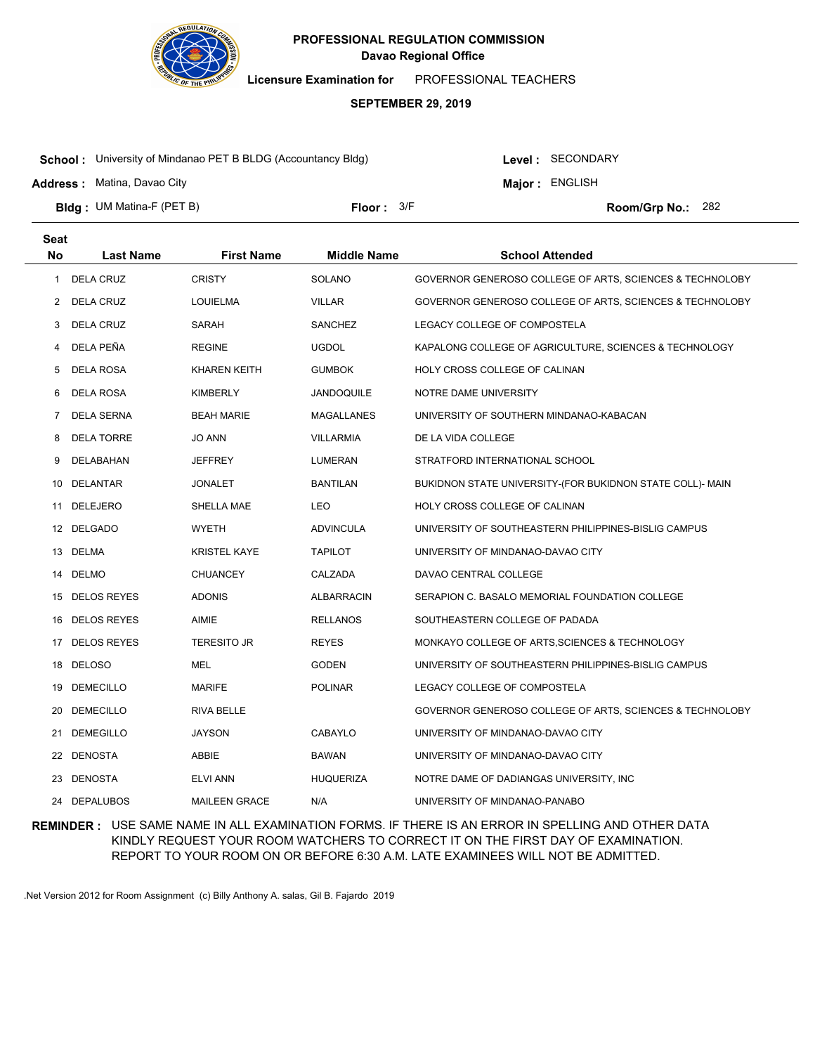

**Licensure Examination for**  PROFESSIONAL TEACHERS

### **SEPTEMBER 29, 2019**

**School :** University of Mindanao PET B BLDG (Accountancy Bldg)

**Address :** Matina, Davao City

Level : SECONDARY

**Major : ENGLISH** 

**Bldg : Floor : Room/Grp No.:** UM Matina-F (PET B)

Floor:  $3/F$  Room/Grp No.: 282

| <b>Seat</b> |                    |                      |                    |                                                           |
|-------------|--------------------|----------------------|--------------------|-----------------------------------------------------------|
| <b>No</b>   | <b>Last Name</b>   | <b>First Name</b>    | <b>Middle Name</b> | <b>School Attended</b>                                    |
| 1           | <b>DELA CRUZ</b>   | <b>CRISTY</b>        | SOLANO             | GOVERNOR GENEROSO COLLEGE OF ARTS, SCIENCES & TECHNOLOBY  |
| 2           | DELA CRUZ          | <b>LOUIELMA</b>      | <b>VILLAR</b>      | GOVERNOR GENEROSO COLLEGE OF ARTS, SCIENCES & TECHNOLOBY  |
| 3           | <b>DELA CRUZ</b>   | SARAH                | <b>SANCHEZ</b>     | LEGACY COLLEGE OF COMPOSTELA                              |
| 4           | DELA PEÑA          | <b>REGINE</b>        | <b>UGDOL</b>       | KAPALONG COLLEGE OF AGRICULTURE, SCIENCES & TECHNOLOGY    |
| 5           | <b>DELA ROSA</b>   | <b>KHAREN KEITH</b>  | <b>GUMBOK</b>      | HOLY CROSS COLLEGE OF CALINAN                             |
| 6           | DELA ROSA          | <b>KIMBERLY</b>      | JANDOQUILE         | NOTRE DAME UNIVERSITY                                     |
| 7           | <b>DELA SERNA</b>  | <b>BEAH MARIE</b>    | <b>MAGALLANES</b>  | UNIVERSITY OF SOUTHERN MINDANAO-KABACAN                   |
| 8           | <b>DELA TORRE</b>  | <b>JO ANN</b>        | <b>VILLARMIA</b>   | DE LA VIDA COLLEGE                                        |
| 9           | DELABAHAN          | JEFFREY              | <b>LUMERAN</b>     | STRATFORD INTERNATIONAL SCHOOL                            |
| 10          | <b>DELANTAR</b>    | <b>JONALET</b>       | BANTILAN           | BUKIDNON STATE UNIVERSITY-(FOR BUKIDNON STATE COLL)- MAIN |
| 11          | <b>DELEJERO</b>    | SHELLA MAE           | LEO                | HOLY CROSS COLLEGE OF CALINAN                             |
|             | 12 DELGADO         | <b>WYETH</b>         | <b>ADVINCULA</b>   | UNIVERSITY OF SOUTHEASTERN PHILIPPINES-BISLIG CAMPUS      |
|             | 13 DELMA           | <b>KRISTEL KAYE</b>  | <b>TAPILOT</b>     | UNIVERSITY OF MINDANAO-DAVAO CITY                         |
|             | 14 DELMO           | <b>CHUANCEY</b>      | CALZADA            | DAVAO CENTRAL COLLEGE                                     |
|             | 15 DELOS REYES     | <b>ADONIS</b>        | ALBARRACIN         | SERAPION C. BASALO MEMORIAL FOUNDATION COLLEGE            |
| 16          | <b>DELOS REYES</b> | AIMIE                | <b>RELLANOS</b>    | SOUTHEASTERN COLLEGE OF PADADA                            |
|             | 17 DELOS REYES     | <b>TERESITO JR</b>   | <b>REYES</b>       | MONKAYO COLLEGE OF ARTS, SCIENCES & TECHNOLOGY            |
| 18          | <b>DELOSO</b>      | MEL                  | <b>GODEN</b>       | UNIVERSITY OF SOUTHEASTERN PHILIPPINES-BISLIG CAMPUS      |
| 19          | <b>DEMECILLO</b>   | <b>MARIFE</b>        | POLINAR            | LEGACY COLLEGE OF COMPOSTELA                              |
| 20          | <b>DEMECILLO</b>   | <b>RIVA BELLE</b>    |                    | GOVERNOR GENEROSO COLLEGE OF ARTS, SCIENCES & TECHNOLOBY  |
| 21          | <b>DEMEGILLO</b>   | <b>JAYSON</b>        | CABAYLO            | UNIVERSITY OF MINDANAO-DAVAO CITY                         |
|             | 22 DENOSTA         | ABBIE                | BAWAN              | UNIVERSITY OF MINDANAO-DAVAO CITY                         |
| 23          | <b>DENOSTA</b>     | <b>ELVI ANN</b>      | <b>HUQUERIZA</b>   | NOTRE DAME OF DADIANGAS UNIVERSITY, INC.                  |
|             | 24 DEPALUBOS       | <b>MAILEEN GRACE</b> | N/A                | UNIVERSITY OF MINDANAO-PANABO                             |

**REMINDER :** USE SAME NAME IN ALL EXAMINATION FORMS. IF THERE IS AN ERROR IN SPELLING AND OTHER DATA KINDLY REQUEST YOUR ROOM WATCHERS TO CORRECT IT ON THE FIRST DAY OF EXAMINATION. REPORT TO YOUR ROOM ON OR BEFORE 6:30 A.M. LATE EXAMINEES WILL NOT BE ADMITTED.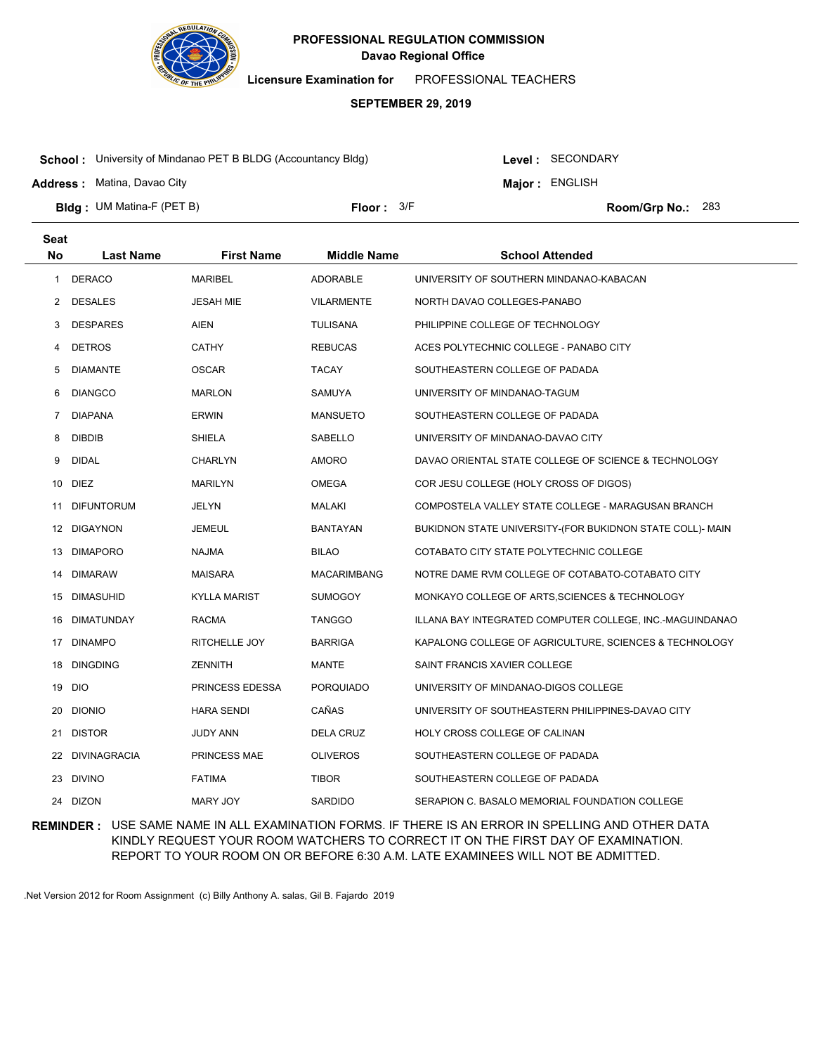

**Licensure Examination for**  PROFESSIONAL TEACHERS

### **SEPTEMBER 29, 2019**

**School :** University of Mindanao PET B BLDG (Accountancy Bldg)

Level : SECONDARY

**Major : ENGLISH** 

**Address :** Matina, Davao City

**Bldg : Floor : Room/Grp No.:** UM Matina-F (PET B) Floor:  $3/F$  Room/Grp No.: 283

| <b>Seat</b>  |                     |                     |                    |                                                           |
|--------------|---------------------|---------------------|--------------------|-----------------------------------------------------------|
| No           | <b>Last Name</b>    | <b>First Name</b>   | <b>Middle Name</b> | <b>School Attended</b>                                    |
| $\mathbf{1}$ | <b>DERACO</b>       | <b>MARIBEL</b>      | <b>ADORABLE</b>    | UNIVERSITY OF SOUTHERN MINDANAO-KABACAN                   |
| 2            | <b>DESALES</b>      | JESAH MIE           | <b>VILARMENTE</b>  | NORTH DAVAO COLLEGES-PANABO                               |
| 3            | <b>DESPARES</b>     | AIEN                | <b>TULISANA</b>    | PHILIPPINE COLLEGE OF TECHNOLOGY                          |
| 4            | <b>DETROS</b>       | <b>CATHY</b>        | <b>REBUCAS</b>     | ACES POLYTECHNIC COLLEGE - PANABO CITY                    |
| 5            | <b>DIAMANTE</b>     | <b>OSCAR</b>        | <b>TACAY</b>       | SOUTHEASTERN COLLEGE OF PADADA                            |
| 6            | <b>DIANGCO</b>      | MARLON              | SAMUYA             | UNIVERSITY OF MINDANAO-TAGUM                              |
| 7            | <b>DIAPANA</b>      | <b>ERWIN</b>        | <b>MANSUETO</b>    | SOUTHEASTERN COLLEGE OF PADADA                            |
| 8            | <b>DIBDIB</b>       | SHIELA              | SABELLO            | UNIVERSITY OF MINDANAO-DAVAO CITY                         |
| 9            | <b>DIDAL</b>        | <b>CHARLYN</b>      | <b>AMORO</b>       | DAVAO ORIENTAL STATE COLLEGE OF SCIENCE & TECHNOLOGY      |
| 10           | DIEZ                | <b>MARILYN</b>      | <b>OMEGA</b>       | COR JESU COLLEGE (HOLY CROSS OF DIGOS)                    |
| 11           | <b>DIFUNTORUM</b>   | JELYN               | MALAKI             | COMPOSTELA VALLEY STATE COLLEGE - MARAGUSAN BRANCH        |
| 12           | <b>DIGAYNON</b>     | JEMEUL              | <b>BANTAYAN</b>    | BUKIDNON STATE UNIVERSITY-(FOR BUKIDNON STATE COLL)- MAIN |
| 13           | <b>DIMAPORO</b>     | <b>NAJMA</b>        | <b>BILAO</b>       | COTABATO CITY STATE POLYTECHNIC COLLEGE                   |
| 14           | <b>DIMARAW</b>      | MAISARA             | <b>MACARIMBANG</b> | NOTRE DAME RVM COLLEGE OF COTABATO-COTABATO CITY          |
| 15           | <b>DIMASUHID</b>    | <b>KYLLA MARIST</b> | <b>SUMOGOY</b>     | MONKAYO COLLEGE OF ARTS, SCIENCES & TECHNOLOGY            |
| 16           | <b>DIMATUNDAY</b>   | <b>RACMA</b>        | <b>TANGGO</b>      | ILLANA BAY INTEGRATED COMPUTER COLLEGE, INC.-MAGUINDANAO  |
| 17           | <b>DINAMPO</b>      | RITCHELLE JOY       | <b>BARRIGA</b>     | KAPALONG COLLEGE OF AGRICULTURE, SCIENCES & TECHNOLOGY    |
| 18           | <b>DINGDING</b>     | ZENNITH             | MANTE              | SAINT FRANCIS XAVIER COLLEGE                              |
| 19           | <b>DIO</b>          | PRINCESS EDESSA     | <b>PORQUIADO</b>   | UNIVERSITY OF MINDANAO-DIGOS COLLEGE                      |
| 20           | <b>DIONIO</b>       | <b>HARA SENDI</b>   | CAÑAS              | UNIVERSITY OF SOUTHEASTERN PHILIPPINES-DAVAO CITY         |
| 21           | <b>DISTOR</b>       | JUDY ANN            | DELA CRUZ          | HOLY CROSS COLLEGE OF CALINAN                             |
| 22           | <b>DIVINAGRACIA</b> | PRINCESS MAE        | <b>OLIVEROS</b>    | SOUTHEASTERN COLLEGE OF PADADA                            |
| 23           | <b>DIVINO</b>       | <b>FATIMA</b>       | <b>TIBOR</b>       | SOUTHEASTERN COLLEGE OF PADADA                            |
|              | 24 DIZON            | MARY JOY            | <b>SARDIDO</b>     | SERAPION C. BASALO MEMORIAL FOUNDATION COLLEGE            |

**REMINDER :** USE SAME NAME IN ALL EXAMINATION FORMS. IF THERE IS AN ERROR IN SPELLING AND OTHER DATA KINDLY REQUEST YOUR ROOM WATCHERS TO CORRECT IT ON THE FIRST DAY OF EXAMINATION. REPORT TO YOUR ROOM ON OR BEFORE 6:30 A.M. LATE EXAMINEES WILL NOT BE ADMITTED.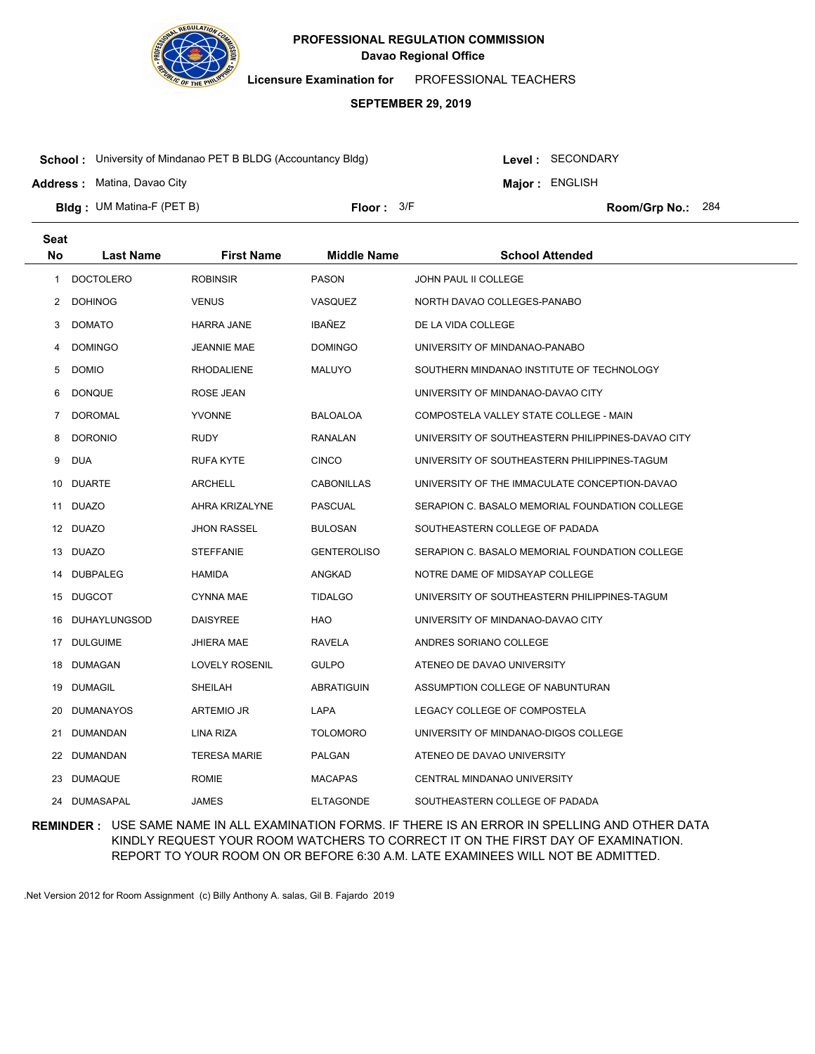

**Licensure Examination for**  PROFESSIONAL TEACHERS

### **SEPTEMBER 29, 2019**

**School :** University of Mindanao PET B BLDG (Accountancy Bldg)

Level : SECONDARY **Major : ENGLISH** 

**Address :** Matina, Davao City

**Bldg : Floor : Room/Grp No.:** UM Matina-F (PET B) Floor: 3/F Room/Grp No.: 284

| <b>Seat</b>  |                  |                       |                    |                                                   |
|--------------|------------------|-----------------------|--------------------|---------------------------------------------------|
| <b>No</b>    | <b>Last Name</b> | <b>First Name</b>     | <b>Middle Name</b> | <b>School Attended</b>                            |
| $\mathbf{1}$ | <b>DOCTOLERO</b> | <b>ROBINSIR</b>       | <b>PASON</b>       | JOHN PAUL II COLLEGE                              |
| 2            | <b>DOHINOG</b>   | <b>VENUS</b>          | VASQUEZ            | NORTH DAVAO COLLEGES-PANABO                       |
| 3            | <b>DOMATO</b>    | <b>HARRA JANE</b>     | IBAÑEZ             | DE LA VIDA COLLEGE                                |
| 4            | <b>DOMINGO</b>   | <b>JEANNIE MAE</b>    | DOMINGO            | UNIVERSITY OF MINDANAO-PANABO                     |
| 5            | <b>DOMIO</b>     | <b>RHODALIENE</b>     | MALUYO             | SOUTHERN MINDANAO INSTITUTE OF TECHNOLOGY         |
| 6            | <b>DONQUE</b>    | ROSE JEAN             |                    | UNIVERSITY OF MINDANAO-DAVAO CITY                 |
| 7            | <b>DOROMAL</b>   | <b>YVONNE</b>         | <b>BALOALOA</b>    | COMPOSTELA VALLEY STATE COLLEGE - MAIN            |
| 8            | <b>DORONIO</b>   | <b>RUDY</b>           | RANALAN            | UNIVERSITY OF SOUTHEASTERN PHILIPPINES-DAVAO CITY |
| 9            | <b>DUA</b>       | <b>RUFA KYTE</b>      | <b>CINCO</b>       | UNIVERSITY OF SOUTHEASTERN PHILIPPINES-TAGUM      |
| 10           | <b>DUARTE</b>    | <b>ARCHELL</b>        | <b>CABONILLAS</b>  | UNIVERSITY OF THE IMMACULATE CONCEPTION-DAVAO     |
| 11           | <b>DUAZO</b>     | AHRA KRIZALYNE        | <b>PASCUAL</b>     | SERAPION C. BASALO MEMORIAL FOUNDATION COLLEGE    |
|              | 12 DUAZO         | <b>JHON RASSEL</b>    | BULOSAN            | SOUTHEASTERN COLLEGE OF PADADA                    |
|              | 13 DUAZO         | <b>STEFFANIE</b>      | <b>GENTEROLISO</b> | SERAPION C. BASALO MEMORIAL FOUNDATION COLLEGE    |
|              | 14 DUBPALEG      | <b>HAMIDA</b>         | ANGKAD             | NOTRE DAME OF MIDSAYAP COLLEGE                    |
|              | 15 DUGCOT        | <b>CYNNA MAE</b>      | <b>TIDALGO</b>     | UNIVERSITY OF SOUTHEASTERN PHILIPPINES-TAGUM      |
|              | 16 DUHAYLUNGSOD  | <b>DAISYREE</b>       | HAO                | UNIVERSITY OF MINDANAO-DAVAO CITY                 |
|              | 17 DULGUIME      | <b>JHIERA MAE</b>     | RAVELA             | ANDRES SORIANO COLLEGE                            |
| 18           | DUMAGAN          | <b>LOVELY ROSENIL</b> | <b>GULPO</b>       | ATENEO DE DAVAO UNIVERSITY                        |
| 19           | DUMAGIL          | SHEILAH               | ABRATIGUIN         | ASSUMPTION COLLEGE OF NABUNTURAN                  |
| 20           | <b>DUMANAYOS</b> | ARTEMIO JR            | LAPA               | LEGACY COLLEGE OF COMPOSTELA                      |
| 21           | DUMANDAN         | LINA RIZA             | <b>TOLOMORO</b>    | UNIVERSITY OF MINDANAO-DIGOS COLLEGE              |
| 22           | DUMANDAN         | <b>TERESA MARIE</b>   | PALGAN             | ATENEO DE DAVAO UNIVERSITY                        |
| 23           | DUMAQUE          | <b>ROMIE</b>          | <b>MACAPAS</b>     | CENTRAL MINDANAO UNIVERSITY                       |
|              | 24 DUMASAPAL     | <b>JAMES</b>          | <b>ELTAGONDE</b>   | SOUTHEASTERN COLLEGE OF PADADA                    |

**REMINDER :** USE SAME NAME IN ALL EXAMINATION FORMS. IF THERE IS AN ERROR IN SPELLING AND OTHER DATA KINDLY REQUEST YOUR ROOM WATCHERS TO CORRECT IT ON THE FIRST DAY OF EXAMINATION. REPORT TO YOUR ROOM ON OR BEFORE 6:30 A.M. LATE EXAMINEES WILL NOT BE ADMITTED.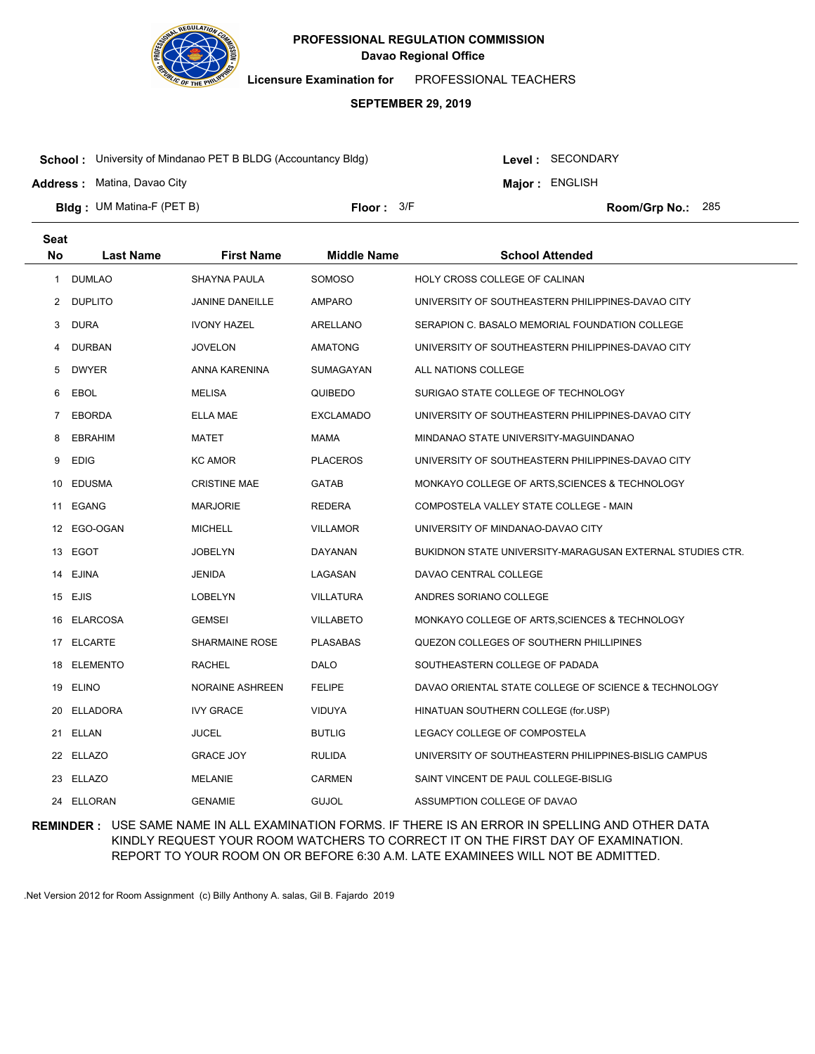

**Licensure Examination for**  PROFESSIONAL TEACHERS

### **SEPTEMBER 29, 2019**

**School :** University of Mindanao PET B BLDG (Accountancy Bldg)

Level : SECONDARY

**Major : ENGLISH** 

**Address :** Matina, Davao City

**Bldg : Floor : Room/Grp No.:** UM Matina-F (PET B) Floor:  $3/F$  Room/Grp No.: 285

| <b>Seat</b> |                  |                        |                    |                                                           |
|-------------|------------------|------------------------|--------------------|-----------------------------------------------------------|
| <b>No</b>   | <b>Last Name</b> | <b>First Name</b>      | <b>Middle Name</b> | <b>School Attended</b>                                    |
| 1           | DUMLAO           | <b>SHAYNA PAULA</b>    | SOMOSO             | <b>HOLY CROSS COLLEGE OF CALINAN</b>                      |
| 2           | <b>DUPLITO</b>   | <b>JANINE DANEILLE</b> | <b>AMPARO</b>      | UNIVERSITY OF SOUTHEASTERN PHILIPPINES-DAVAO CITY         |
| 3           | <b>DURA</b>      | <b>IVONY HAZEL</b>     | ARELLANO           | SERAPION C. BASALO MEMORIAL FOUNDATION COLLEGE            |
| 4           | DURBAN           | <b>JOVELON</b>         | <b>AMATONG</b>     | UNIVERSITY OF SOUTHEASTERN PHILIPPINES-DAVAO CITY         |
| 5           | <b>DWYER</b>     | ANNA KARENINA          | SUMAGAYAN          | ALL NATIONS COLLEGE                                       |
| 6           | EBOL             | <b>MELISA</b>          | QUIBEDO            | SURIGAO STATE COLLEGE OF TECHNOLOGY                       |
| 7           | EBORDA           | ELLA MAE               | <b>EXCLAMADO</b>   | UNIVERSITY OF SOUTHEASTERN PHILIPPINES-DAVAO CITY         |
| 8           | <b>EBRAHIM</b>   | MATET                  | MAMA               | MINDANAO STATE UNIVERSITY-MAGUINDANAO                     |
| 9           | <b>EDIG</b>      | <b>KC AMOR</b>         | <b>PLACEROS</b>    | UNIVERSITY OF SOUTHEASTERN PHILIPPINES-DAVAO CITY         |
| 10          | <b>EDUSMA</b>    | <b>CRISTINE MAE</b>    | <b>GATAB</b>       | MONKAYO COLLEGE OF ARTS, SCIENCES & TECHNOLOGY            |
|             | 11 EGANG         | <b>MARJORIE</b>        | REDERA             | COMPOSTELA VALLEY STATE COLLEGE - MAIN                    |
|             | 12 EGO-OGAN      | <b>MICHELL</b>         | <b>VILLAMOR</b>    | UNIVERSITY OF MINDANAO-DAVAO CITY                         |
|             | 13 EGOT          | <b>JOBELYN</b>         | DAYANAN            | BUKIDNON STATE UNIVERSITY-MARAGUSAN EXTERNAL STUDIES CTR. |
|             | 14 EJINA         | JENIDA                 | LAGASAN            | DAVAO CENTRAL COLLEGE                                     |
|             | 15 EJIS          | LOBELYN                | VILLATURA          | ANDRES SORIANO COLLEGE                                    |
| 16          | <b>ELARCOSA</b>  | <b>GEMSEI</b>          | <b>VILLABETO</b>   | MONKAYO COLLEGE OF ARTS, SCIENCES & TECHNOLOGY            |
|             | 17 ELCARTE       | <b>SHARMAINE ROSE</b>  | <b>PLASABAS</b>    | QUEZON COLLEGES OF SOUTHERN PHILLIPINES                   |
| 18          | ELEMENTO         | RACHEL                 | DALO               | SOUTHEASTERN COLLEGE OF PADADA                            |
| 19          | ELINO            | NORAINE ASHREEN        | <b>FELIPE</b>      | DAVAO ORIENTAL STATE COLLEGE OF SCIENCE & TECHNOLOGY      |
| 20          | <b>ELLADORA</b>  | <b>IVY GRACE</b>       | <b>VIDUYA</b>      | HINATUAN SOUTHERN COLLEGE (for.USP)                       |
|             | 21 ELLAN         | <b>JUCEL</b>           | <b>BUTLIG</b>      | LEGACY COLLEGE OF COMPOSTELA                              |
|             | 22 ELLAZO        | <b>GRACE JOY</b>       | <b>RULIDA</b>      | UNIVERSITY OF SOUTHEASTERN PHILIPPINES-BISLIG CAMPUS      |
|             | 23 ELLAZO        | <b>MELANIE</b>         | <b>CARMEN</b>      | SAINT VINCENT DE PAUL COLLEGE-BISLIG                      |
|             | 24 ELLORAN       | <b>GENAMIE</b>         | <b>GUJOL</b>       | ASSUMPTION COLLEGE OF DAVAO                               |

**REMINDER :** USE SAME NAME IN ALL EXAMINATION FORMS. IF THERE IS AN ERROR IN SPELLING AND OTHER DATA KINDLY REQUEST YOUR ROOM WATCHERS TO CORRECT IT ON THE FIRST DAY OF EXAMINATION. REPORT TO YOUR ROOM ON OR BEFORE 6:30 A.M. LATE EXAMINEES WILL NOT BE ADMITTED.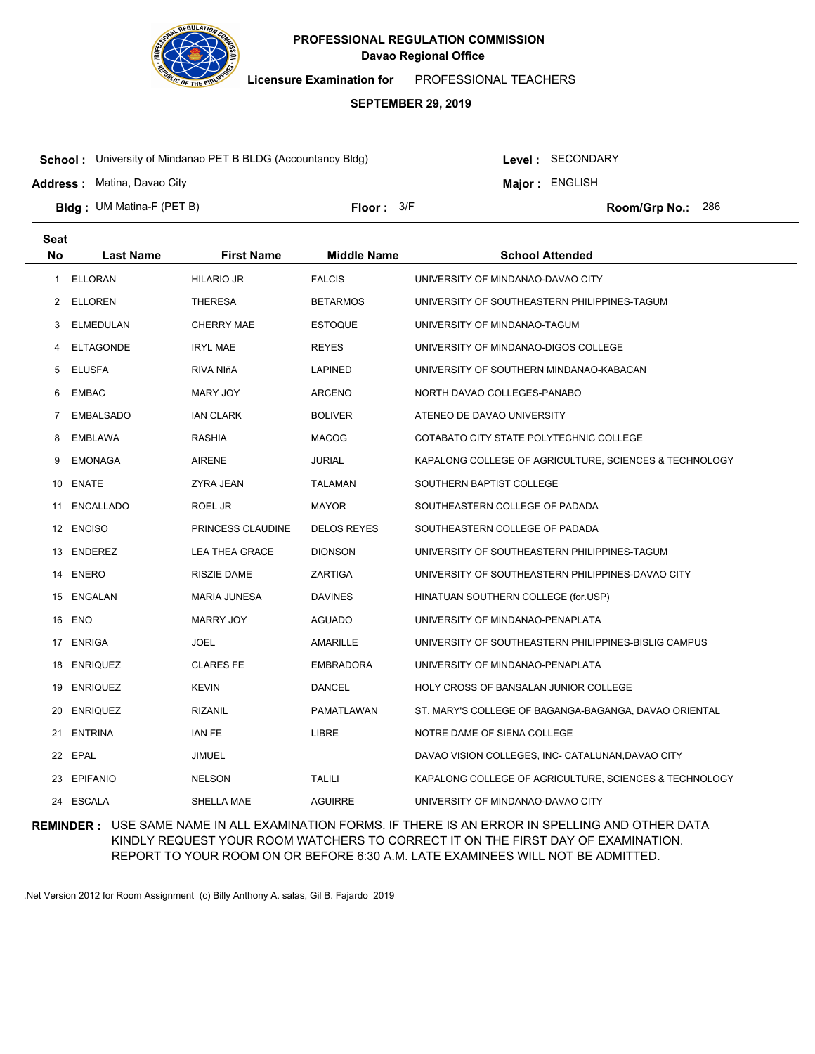

**Licensure Examination for**  PROFESSIONAL TEACHERS

### **SEPTEMBER 29, 2019**

**School :** University of Mindanao PET B BLDG (Accountancy Bldg)

Level : SECONDARY

**Major : ENGLISH** 

**Address :** Matina, Davao City

**Bldg : Floor : Room/Grp No.:** UM Matina-F (PET B) Floor:  $3/F$  Room/Grp No.: 286

| <b>Seat</b> |                  |                       |                    |                                                        |
|-------------|------------------|-----------------------|--------------------|--------------------------------------------------------|
| No          | <b>Last Name</b> | <b>First Name</b>     | <b>Middle Name</b> | <b>School Attended</b>                                 |
| 1           | <b>ELLORAN</b>   | <b>HILARIO JR</b>     | <b>FALCIS</b>      | UNIVERSITY OF MINDANAO-DAVAO CITY                      |
| 2           | <b>ELLOREN</b>   | <b>THERESA</b>        | <b>BETARMOS</b>    | UNIVERSITY OF SOUTHEASTERN PHILIPPINES-TAGUM           |
| 3           | ELMEDULAN        | <b>CHERRY MAE</b>     | <b>ESTOQUE</b>     | UNIVERSITY OF MINDANAO-TAGUM                           |
| 4           | <b>ELTAGONDE</b> | <b>IRYL MAE</b>       | <b>REYES</b>       | UNIVERSITY OF MINDANAO-DIGOS COLLEGE                   |
| 5           | <b>ELUSFA</b>    | RIVA NIñA             | <b>LAPINED</b>     | UNIVERSITY OF SOUTHERN MINDANAO-KABACAN                |
| 6           | <b>EMBAC</b>     | MARY JOY              | <b>ARCENO</b>      | NORTH DAVAO COLLEGES-PANABO                            |
| 7           | <b>EMBALSADO</b> | <b>IAN CLARK</b>      | <b>BOLIVER</b>     | ATENEO DE DAVAO UNIVERSITY                             |
| 8           | <b>EMBLAWA</b>   | RASHIA                | <b>MACOG</b>       | COTABATO CITY STATE POLYTECHNIC COLLEGE                |
| 9           | <b>EMONAGA</b>   | <b>AIRENE</b>         | <b>JURIAL</b>      | KAPALONG COLLEGE OF AGRICULTURE, SCIENCES & TECHNOLOGY |
|             | 10 ENATE         | ZYRA JEAN             | <b>TALAMAN</b>     | SOUTHERN BAPTIST COLLEGE                               |
| 11          | ENCALLADO        | ROEL JR               | <b>MAYOR</b>       | SOUTHEASTERN COLLEGE OF PADADA                         |
|             | 12 ENCISO        | PRINCESS CLAUDINE     | <b>DELOS REYES</b> | SOUTHEASTERN COLLEGE OF PADADA                         |
|             | 13 ENDEREZ       | <b>LEA THEA GRACE</b> | <b>DIONSON</b>     | UNIVERSITY OF SOUTHEASTERN PHILIPPINES-TAGUM           |
| 14          | <b>ENERO</b>     | RISZIE DAME           | ZARTIGA            | UNIVERSITY OF SOUTHEASTERN PHILIPPINES-DAVAO CITY      |
|             | 15 ENGALAN       | <b>MARIA JUNESA</b>   | <b>DAVINES</b>     | HINATUAN SOUTHERN COLLEGE (for.USP)                    |
|             | 16 ENO           | <b>MARRY JOY</b>      | <b>AGUADO</b>      | UNIVERSITY OF MINDANAO-PENAPLATA                       |
| 17          | <b>ENRIGA</b>    | JOEL                  | AMARILLE           | UNIVERSITY OF SOUTHEASTERN PHILIPPINES-BISLIG CAMPUS   |
| 18          | <b>ENRIQUEZ</b>  | <b>CLARES FE</b>      | <b>EMBRADORA</b>   | UNIVERSITY OF MINDANAO-PENAPLATA                       |
| 19          | <b>ENRIQUEZ</b>  | <b>KEVIN</b>          | <b>DANCEL</b>      | HOLY CROSS OF BANSALAN JUNIOR COLLEGE                  |
| 20          | <b>ENRIQUEZ</b>  | <b>RIZANIL</b>        | PAMATLAWAN         | ST. MARY'S COLLEGE OF BAGANGA-BAGANGA, DAVAO ORIENTAL  |
| 21          | ENTRINA          | <b>IAN FE</b>         | <b>LIBRE</b>       | NOTRE DAME OF SIENA COLLEGE                            |
|             | 22 EPAL          | JIMUEL                |                    | DAVAO VISION COLLEGES, INC- CATALUNAN, DAVAO CITY      |
|             | 23 EPIFANIO      | <b>NELSON</b>         | <b>TALILI</b>      | KAPALONG COLLEGE OF AGRICULTURE, SCIENCES & TECHNOLOGY |
|             | 24 ESCALA        | SHELLA MAE            | <b>AGUIRRE</b>     | UNIVERSITY OF MINDANAO-DAVAO CITY                      |

**REMINDER :** USE SAME NAME IN ALL EXAMINATION FORMS. IF THERE IS AN ERROR IN SPELLING AND OTHER DATA KINDLY REQUEST YOUR ROOM WATCHERS TO CORRECT IT ON THE FIRST DAY OF EXAMINATION. REPORT TO YOUR ROOM ON OR BEFORE 6:30 A.M. LATE EXAMINEES WILL NOT BE ADMITTED.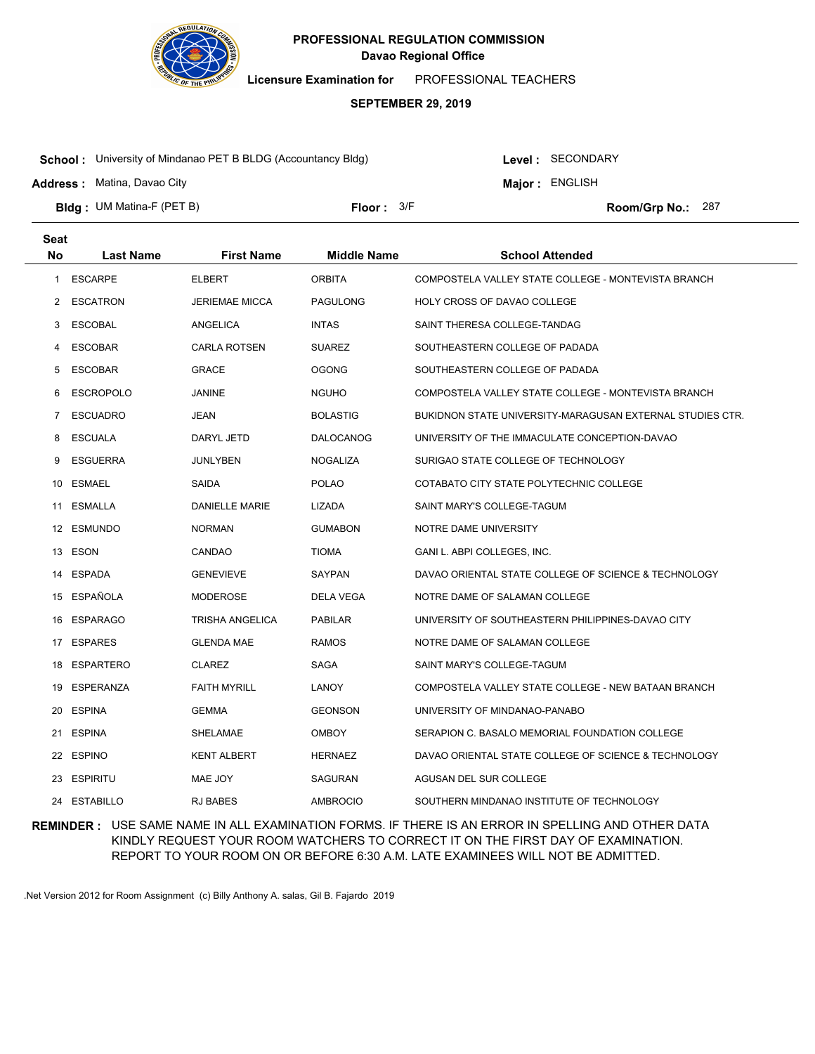

**Licensure Examination for**  PROFESSIONAL TEACHERS

### **SEPTEMBER 29, 2019**

**School :** University of Mindanao PET B BLDG (Accountancy Bldg)

**Address :** Matina, Davao City

Level : SECONDARY

**Major : ENGLISH** 

**Bldg : Floor : Room/Grp No.:** UM Matina-F (PET B)

Floor: 3/F Room/Grp No.: 287

| <b>Seat</b>    |                  |                        |                    |                                                           |
|----------------|------------------|------------------------|--------------------|-----------------------------------------------------------|
| <b>No</b>      | <b>Last Name</b> | <b>First Name</b>      | <b>Middle Name</b> | <b>School Attended</b>                                    |
| 1              | <b>ESCARPE</b>   | <b>ELBERT</b>          | <b>ORBITA</b>      | COMPOSTELA VALLEY STATE COLLEGE - MONTEVISTA BRANCH       |
| 2              | <b>ESCATRON</b>  | <b>JERIEMAE MICCA</b>  | <b>PAGULONG</b>    | <b>HOLY CROSS OF DAVAO COLLEGE</b>                        |
| 3              | <b>ESCOBAL</b>   | ANGELICA               | <b>INTAS</b>       | SAINT THERESA COLLEGE-TANDAG                              |
| 4              | <b>ESCOBAR</b>   | <b>CARLA ROTSEN</b>    | <b>SUAREZ</b>      | SOUTHEASTERN COLLEGE OF PADADA                            |
| 5              | <b>ESCOBAR</b>   | <b>GRACE</b>           | <b>OGONG</b>       | SOUTHEASTERN COLLEGE OF PADADA                            |
| 6              | <b>ESCROPOLO</b> | JANINE                 | <b>NGUHO</b>       | COMPOSTELA VALLEY STATE COLLEGE - MONTEVISTA BRANCH       |
| $\overline{7}$ | <b>ESCUADRO</b>  | JEAN                   | <b>BOLASTIG</b>    | BUKIDNON STATE UNIVERSITY-MARAGUSAN EXTERNAL STUDIES CTR. |
| 8              | <b>ESCUALA</b>   | DARYL JETD             | <b>DALOCANOG</b>   | UNIVERSITY OF THE IMMACULATE CONCEPTION-DAVAO             |
| 9              | <b>ESGUERRA</b>  | <b>JUNLYBEN</b>        | NOGALIZA           | SURIGAO STATE COLLEGE OF TECHNOLOGY                       |
| 10             | <b>ESMAEL</b>    | SAIDA                  | <b>POLAO</b>       | COTABATO CITY STATE POLYTECHNIC COLLEGE                   |
| 11             | ESMALLA          | <b>DANIELLE MARIE</b>  | LIZADA             | SAINT MARY'S COLLEGE-TAGUM                                |
|                | 12 ESMUNDO       | <b>NORMAN</b>          | <b>GUMABON</b>     | NOTRE DAME UNIVERSITY                                     |
|                | 13 ESON          | CANDAO                 | <b>TIOMA</b>       | GANI L. ABPI COLLEGES, INC.                               |
| 14             | <b>ESPADA</b>    | <b>GENEVIEVE</b>       | <b>SAYPAN</b>      | DAVAO ORIENTAL STATE COLLEGE OF SCIENCE & TECHNOLOGY      |
| 15             | ESPAÑOLA         | MODEROSE               | DELA VEGA          | NOTRE DAME OF SALAMAN COLLEGE                             |
| 16             | <b>ESPARAGO</b>  | <b>TRISHA ANGELICA</b> | <b>PABILAR</b>     | UNIVERSITY OF SOUTHEASTERN PHILIPPINES-DAVAO CITY         |
| 17             | <b>ESPARES</b>   | <b>GLENDA MAE</b>      | <b>RAMOS</b>       | NOTRE DAME OF SALAMAN COLLEGE                             |
| 18             | <b>ESPARTERO</b> | <b>CLAREZ</b>          | SAGA               | SAINT MARY'S COLLEGE-TAGUM                                |
| 19             | <b>ESPERANZA</b> | <b>FAITH MYRILL</b>    | LANOY              | COMPOSTELA VALLEY STATE COLLEGE - NEW BATAAN BRANCH       |
| 20             | <b>ESPINA</b>    | <b>GEMMA</b>           | <b>GEONSON</b>     | UNIVERSITY OF MINDANAO-PANABO                             |
| 21             | <b>ESPINA</b>    | SHELAMAE               | <b>OMBOY</b>       | SERAPION C. BASALO MEMORIAL FOUNDATION COLLEGE            |
| 22             | <b>ESPINO</b>    | <b>KENT ALBERT</b>     | <b>HERNAEZ</b>     | DAVAO ORIENTAL STATE COLLEGE OF SCIENCE & TECHNOLOGY      |
| 23             | <b>ESPIRITU</b>  | MAE JOY                | <b>SAGURAN</b>     | AGUSAN DEL SUR COLLEGE                                    |
| 24             | <b>ESTABILLO</b> | <b>RJ BABES</b>        | <b>AMBROCIO</b>    | SOUTHERN MINDANAO INSTITUTE OF TECHNOLOGY                 |

**REMINDER :** USE SAME NAME IN ALL EXAMINATION FORMS. IF THERE IS AN ERROR IN SPELLING AND OTHER DATA KINDLY REQUEST YOUR ROOM WATCHERS TO CORRECT IT ON THE FIRST DAY OF EXAMINATION. REPORT TO YOUR ROOM ON OR BEFORE 6:30 A.M. LATE EXAMINEES WILL NOT BE ADMITTED.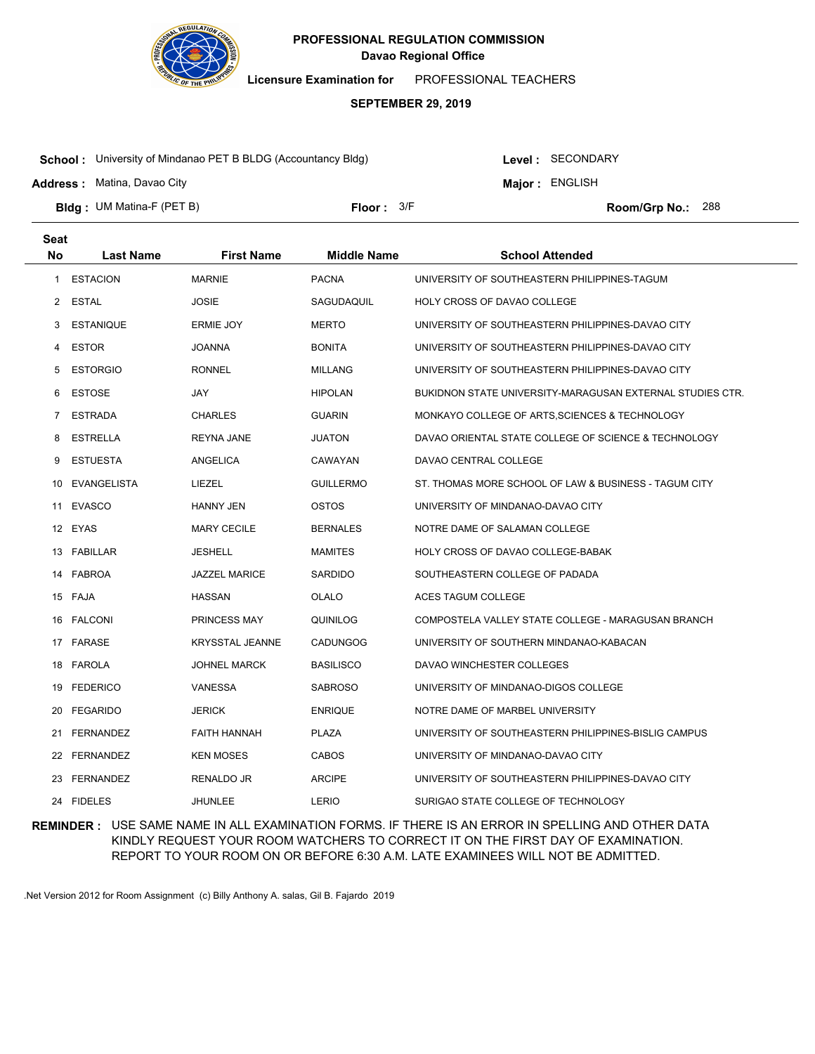

**Licensure Examination for**  PROFESSIONAL TEACHERS

### **SEPTEMBER 29, 2019**

**School :** University of Mindanao PET B BLDG (Accountancy Bldg)

Level : SECONDARY

**Major : ENGLISH** 

**Address :** Matina, Davao City

**Bldg : Floor : Room/Grp No.:** UM Matina-F (PET B) Floor:  $3/F$  Room/Grp No.: 288

| <b>Seat</b> |                  |                        |                    |                                                           |
|-------------|------------------|------------------------|--------------------|-----------------------------------------------------------|
| <b>No</b>   | <b>Last Name</b> | <b>First Name</b>      | <b>Middle Name</b> | <b>School Attended</b>                                    |
| 1           | <b>ESTACION</b>  | <b>MARNIE</b>          | <b>PACNA</b>       | UNIVERSITY OF SOUTHEASTERN PHILIPPINES-TAGUM              |
| 2           | <b>ESTAL</b>     | <b>JOSIE</b>           | SAGUDAQUIL         | HOLY CROSS OF DAVAO COLLEGE                               |
| 3           | <b>ESTANIQUE</b> | ERMIE JOY              | <b>MERTO</b>       | UNIVERSITY OF SOUTHEASTERN PHILIPPINES-DAVAO CITY         |
| 4           | <b>ESTOR</b>     | JOANNA                 | <b>BONITA</b>      | UNIVERSITY OF SOUTHEASTERN PHILIPPINES-DAVAO CITY         |
| 5           | <b>ESTORGIO</b>  | <b>RONNEL</b>          | <b>MILLANG</b>     | UNIVERSITY OF SOUTHEASTERN PHILIPPINES-DAVAO CITY         |
| 6           | <b>ESTOSE</b>    | JAY                    | <b>HIPOLAN</b>     | BUKIDNON STATE UNIVERSITY-MARAGUSAN EXTERNAL STUDIES CTR. |
| 7           | <b>ESTRADA</b>   | <b>CHARLES</b>         | <b>GUARIN</b>      | MONKAYO COLLEGE OF ARTS, SCIENCES & TECHNOLOGY            |
| 8           | <b>ESTRELLA</b>  | <b>REYNA JANE</b>      | <b>JUATON</b>      | DAVAO ORIENTAL STATE COLLEGE OF SCIENCE & TECHNOLOGY      |
| 9           | <b>ESTUESTA</b>  | <b>ANGELICA</b>        | CAWAYAN            | DAVAO CENTRAL COLLEGE                                     |
| 10          | EVANGELISTA      | LIEZEL                 | <b>GUILLERMO</b>   | ST. THOMAS MORE SCHOOL OF LAW & BUSINESS - TAGUM CITY     |
| 11          | EVASCO           | <b>HANNY JEN</b>       | <b>OSTOS</b>       | UNIVERSITY OF MINDANAO-DAVAO CITY                         |
|             | 12 EYAS          | <b>MARY CECILE</b>     | <b>BERNALES</b>    | NOTRE DAME OF SALAMAN COLLEGE                             |
|             | 13 FABILLAR      | JESHELL                | <b>MAMITES</b>     | HOLY CROSS OF DAVAO COLLEGE-BABAK                         |
|             | 14 FABROA        | <b>JAZZEL MARICE</b>   | <b>SARDIDO</b>     | SOUTHEASTERN COLLEGE OF PADADA                            |
|             | 15 FAJA          | HASSAN                 | OLALO              | ACES TAGUM COLLEGE                                        |
| 16          | FALCONI          | PRINCESS MAY           | QUINILOG           | COMPOSTELA VALLEY STATE COLLEGE - MARAGUSAN BRANCH        |
|             | 17 FARASE        | <b>KRYSSTAL JEANNE</b> | <b>CADUNGOG</b>    | UNIVERSITY OF SOUTHERN MINDANAO-KABACAN                   |
| 18          | FAROLA           | <b>JOHNEL MARCK</b>    | <b>BASILISCO</b>   | DAVAO WINCHESTER COLLEGES                                 |
| 19          | <b>FEDERICO</b>  | <b>VANESSA</b>         | <b>SABROSO</b>     | UNIVERSITY OF MINDANAO-DIGOS COLLEGE                      |
| 20          | <b>FEGARIDO</b>  | <b>JERICK</b>          | <b>ENRIQUE</b>     | NOTRE DAME OF MARBEL UNIVERSITY                           |
| 21          | FERNANDEZ        | <b>FAITH HANNAH</b>    | <b>PLAZA</b>       | UNIVERSITY OF SOUTHEASTERN PHILIPPINES-BISLIG CAMPUS      |
| 22          | FERNANDEZ        | <b>KEN MOSES</b>       | <b>CABOS</b>       | UNIVERSITY OF MINDANAO-DAVAO CITY                         |
| 23          | FERNANDEZ        | RENALDO JR             | <b>ARCIPE</b>      | UNIVERSITY OF SOUTHEASTERN PHILIPPINES-DAVAO CITY         |
|             | 24 FIDELES       | <b>JHUNLEE</b>         | LERIO              | SURIGAO STATE COLLEGE OF TECHNOLOGY                       |

**REMINDER :** USE SAME NAME IN ALL EXAMINATION FORMS. IF THERE IS AN ERROR IN SPELLING AND OTHER DATA KINDLY REQUEST YOUR ROOM WATCHERS TO CORRECT IT ON THE FIRST DAY OF EXAMINATION. REPORT TO YOUR ROOM ON OR BEFORE 6:30 A.M. LATE EXAMINEES WILL NOT BE ADMITTED.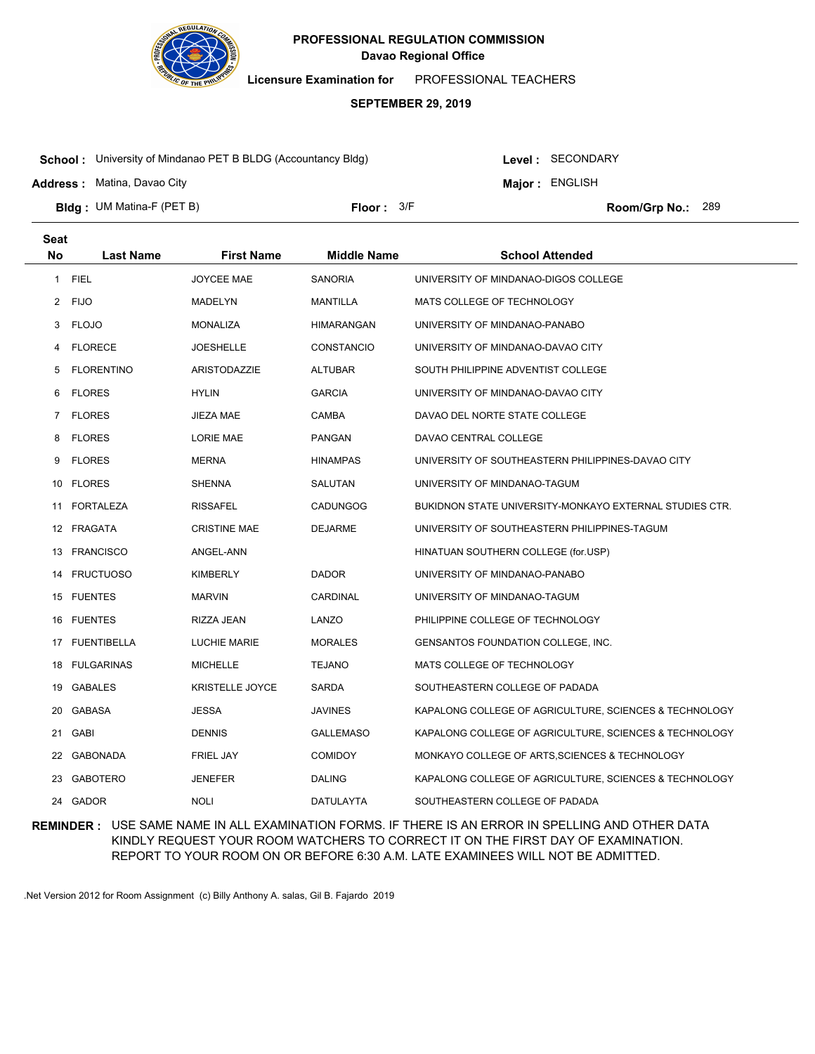

**Licensure Examination for**  PROFESSIONAL TEACHERS

#### **SEPTEMBER 29, 2019**

**School :** University of Mindanao PET B BLDG (Accountancy Bldg)

Level : SECONDARY

**Major : ENGLISH** 

**Address :** Matina, Davao City

**Bldg : Floor : Room/Grp No.:** UM Matina-F (PET B) Floor:  $3/F$  Room/Grp No.: 289

| <b>Seat</b> |                   |                        |                    |                                                         |
|-------------|-------------------|------------------------|--------------------|---------------------------------------------------------|
| No          | <b>Last Name</b>  | <b>First Name</b>      | <b>Middle Name</b> | <b>School Attended</b>                                  |
| 1           | <b>FIEL</b>       | <b>JOYCEE MAE</b>      | <b>SANORIA</b>     | UNIVERSITY OF MINDANAO-DIGOS COLLEGE                    |
| 2           | <b>FIJO</b>       | MADELYN                | MANTILLA           | MATS COLLEGE OF TECHNOLOGY                              |
| 3           | <b>FLOJO</b>      | <b>MONALIZA</b>        | <b>HIMARANGAN</b>  | UNIVERSITY OF MINDANAO-PANABO                           |
| 4           | <b>FLORECE</b>    | JOESHELLE              | <b>CONSTANCIO</b>  | UNIVERSITY OF MINDANAO-DAVAO CITY                       |
| 5           | <b>FLORENTINO</b> | ARISTODAZZIE           | <b>ALTUBAR</b>     | SOUTH PHILIPPINE ADVENTIST COLLEGE                      |
| 6           | <b>FLORES</b>     | <b>HYLIN</b>           | <b>GARCIA</b>      | UNIVERSITY OF MINDANAO-DAVAO CITY                       |
| 7           | <b>FLORES</b>     | JIEZA MAE              | CAMBA              | DAVAO DEL NORTE STATE COLLEGE                           |
| 8           | <b>FLORES</b>     | LORIE MAE              | <b>PANGAN</b>      | DAVAO CENTRAL COLLEGE                                   |
| 9           | <b>FLORES</b>     | <b>MERNA</b>           | <b>HINAMPAS</b>    | UNIVERSITY OF SOUTHEASTERN PHILIPPINES-DAVAO CITY       |
| 10          | <b>FLORES</b>     | <b>SHENNA</b>          | SALUTAN            | UNIVERSITY OF MINDANAO-TAGUM                            |
| 11          | FORTALEZA         | <b>RISSAFEL</b>        | <b>CADUNGOG</b>    | BUKIDNON STATE UNIVERSITY-MONKAYO EXTERNAL STUDIES CTR. |
|             | 12 FRAGATA        | <b>CRISTINE MAE</b>    | <b>DEJARME</b>     | UNIVERSITY OF SOUTHEASTERN PHILIPPINES-TAGUM            |
| 13          | <b>FRANCISCO</b>  | ANGEL-ANN              |                    | HINATUAN SOUTHERN COLLEGE (for.USP)                     |
| 14          | <b>FRUCTUOSO</b>  | <b>KIMBERLY</b>        | <b>DADOR</b>       | UNIVERSITY OF MINDANAO-PANABO                           |
|             | 15 FUENTES        | <b>MARVIN</b>          | <b>CARDINAL</b>    | UNIVERSITY OF MINDANAO-TAGUM                            |
| 16          | <b>FUENTES</b>    | RIZZA JEAN             | LANZO              | PHILIPPINE COLLEGE OF TECHNOLOGY                        |
|             | 17 FUENTIBELLA    | <b>LUCHIE MARIE</b>    | <b>MORALES</b>     | GENSANTOS FOUNDATION COLLEGE, INC.                      |
| 18          | <b>FULGARINAS</b> | <b>MICHELLE</b>        | <b>TEJANO</b>      | MATS COLLEGE OF TECHNOLOGY                              |
| 19          | <b>GABALES</b>    | <b>KRISTELLE JOYCE</b> | <b>SARDA</b>       | SOUTHEASTERN COLLEGE OF PADADA                          |
| 20          | <b>GABASA</b>     | <b>JESSA</b>           | <b>JAVINES</b>     | KAPALONG COLLEGE OF AGRICULTURE, SCIENCES & TECHNOLOGY  |
| 21          | GABI              | <b>DENNIS</b>          | <b>GALLEMASO</b>   | KAPALONG COLLEGE OF AGRICULTURE, SCIENCES & TECHNOLOGY  |
| 22          | GABONADA          | <b>FRIEL JAY</b>       | <b>COMIDOY</b>     | MONKAYO COLLEGE OF ARTS, SCIENCES & TECHNOLOGY          |
| 23          | <b>GABOTERO</b>   | <b>JENEFER</b>         | <b>DALING</b>      | KAPALONG COLLEGE OF AGRICULTURE, SCIENCES & TECHNOLOGY  |
|             | 24 GADOR          | <b>NOLI</b>            | DATULAYTA          | SOUTHEASTERN COLLEGE OF PADADA                          |

**REMINDER :** USE SAME NAME IN ALL EXAMINATION FORMS. IF THERE IS AN ERROR IN SPELLING AND OTHER DATA KINDLY REQUEST YOUR ROOM WATCHERS TO CORRECT IT ON THE FIRST DAY OF EXAMINATION. REPORT TO YOUR ROOM ON OR BEFORE 6:30 A.M. LATE EXAMINEES WILL NOT BE ADMITTED.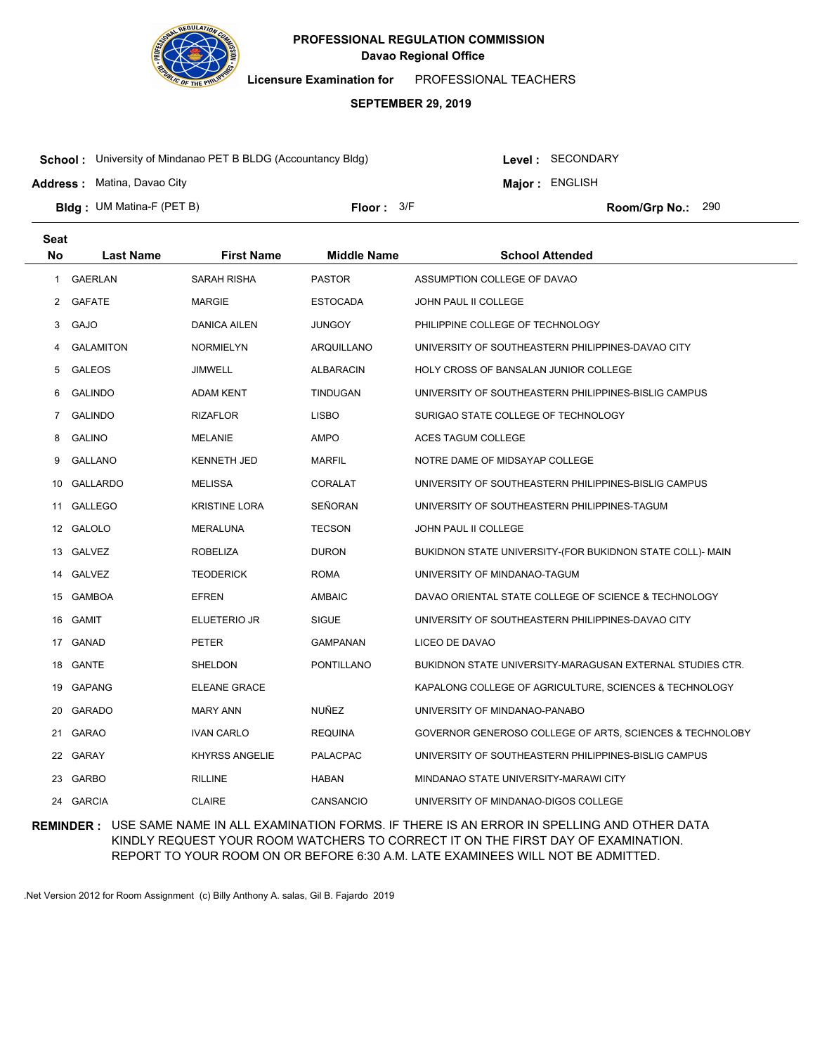

**Licensure Examination for**  PROFESSIONAL TEACHERS

### **SEPTEMBER 29, 2019**

**School :** University of Mindanao PET B BLDG (Accountancy Bldg)

**Address :** Matina, Davao City

**Seat**

Level : SECONDARY

**Major : ENGLISH** 

**Bldg : Floor : Room/Grp No.:** UM Matina-F (PET B)

Floor:  $3/F$  Room/Grp No.: 290

| συαι         |                  |                       |                    |                                                           |
|--------------|------------------|-----------------------|--------------------|-----------------------------------------------------------|
| No           | <b>Last Name</b> | <b>First Name</b>     | <b>Middle Name</b> | <b>School Attended</b>                                    |
| $\mathbf{1}$ | <b>GAERLAN</b>   | SARAH RISHA           | <b>PASTOR</b>      | ASSUMPTION COLLEGE OF DAVAO                               |
| 2            | <b>GAFATE</b>    | <b>MARGIE</b>         | <b>ESTOCADA</b>    | JOHN PAUL II COLLEGE                                      |
| 3            | GAJO             | DANICA AILEN          | <b>JUNGOY</b>      | PHILIPPINE COLLEGE OF TECHNOLOGY                          |
| 4            | <b>GALAMITON</b> | <b>NORMIELYN</b>      | ARQUILLANO         | UNIVERSITY OF SOUTHEASTERN PHILIPPINES-DAVAO CITY         |
| 5            | <b>GALEOS</b>    | JIMWELL               | <b>ALBARACIN</b>   | HOLY CROSS OF BANSALAN JUNIOR COLLEGE                     |
| 6            | <b>GALINDO</b>   | <b>ADAM KENT</b>      | <b>TINDUGAN</b>    | UNIVERSITY OF SOUTHEASTERN PHILIPPINES-BISLIG CAMPUS      |
| 7            | <b>GALINDO</b>   | <b>RIZAFLOR</b>       | <b>LISBO</b>       | SURIGAO STATE COLLEGE OF TECHNOLOGY                       |
| 8            | <b>GALINO</b>    | <b>MELANIE</b>        | AMPO               | ACES TAGUM COLLEGE                                        |
| 9            | <b>GALLANO</b>   | <b>KENNETH JED</b>    | <b>MARFIL</b>      | NOTRE DAME OF MIDSAYAP COLLEGE                            |
| 10           | <b>GALLARDO</b>  | <b>MELISSA</b>        | CORALAT            | UNIVERSITY OF SOUTHEASTERN PHILIPPINES-BISLIG CAMPUS      |
| 11           | <b>GALLEGO</b>   | <b>KRISTINE LORA</b>  | SEÑORAN            | UNIVERSITY OF SOUTHEASTERN PHILIPPINES-TAGUM              |
| 12           | GALOLO           | <b>MERALUNA</b>       | <b>TECSON</b>      | JOHN PAUL II COLLEGE                                      |
| 13           | <b>GALVEZ</b>    | <b>ROBELIZA</b>       | <b>DURON</b>       | BUKIDNON STATE UNIVERSITY-(FOR BUKIDNON STATE COLL)- MAIN |
| 14           | <b>GALVEZ</b>    | <b>TEODERICK</b>      | <b>ROMA</b>        | UNIVERSITY OF MINDANAO-TAGUM                              |
| 15           | <b>GAMBOA</b>    | <b>EFREN</b>          | <b>AMBAIC</b>      | DAVAO ORIENTAL STATE COLLEGE OF SCIENCE & TECHNOLOGY      |
| 16           | GAMIT            | ELUETERIO JR          | <b>SIGUE</b>       | UNIVERSITY OF SOUTHEASTERN PHILIPPINES-DAVAO CITY         |
| 17           | GANAD            | <b>PETER</b>          | <b>GAMPANAN</b>    | LICEO DE DAVAO                                            |
| 18           | GANTE            | <b>SHELDON</b>        | <b>PONTILLANO</b>  | BUKIDNON STATE UNIVERSITY-MARAGUSAN EXTERNAL STUDIES CTR. |
| 19           | <b>GAPANG</b>    | ELEANE GRACE          |                    | KAPALONG COLLEGE OF AGRICULTURE, SCIENCES & TECHNOLOGY    |
| 20           | GARADO           | <b>MARY ANN</b>       | <b>NUÑEZ</b>       | UNIVERSITY OF MINDANAO-PANABO                             |
| 21           | GARAO            | <b>IVAN CARLO</b>     | <b>REQUINA</b>     | GOVERNOR GENEROSO COLLEGE OF ARTS, SCIENCES & TECHNOLOBY  |
|              | 22 GARAY         | <b>KHYRSS ANGELIE</b> | PALACPAC           | UNIVERSITY OF SOUTHEASTERN PHILIPPINES-BISLIG CAMPUS      |
| 23           | GARBO            | <b>RILLINE</b>        | <b>HABAN</b>       | MINDANAO STATE UNIVERSITY-MARAWI CITY                     |
|              | 24 GARCIA        | <b>CLAIRE</b>         | CANSANCIO          | UNIVERSITY OF MINDANAO-DIGOS COLLEGE                      |
|              |                  |                       |                    |                                                           |

**REMINDER :** USE SAME NAME IN ALL EXAMINATION FORMS. IF THERE IS AN ERROR IN SPELLING AND OTHER DATA KINDLY REQUEST YOUR ROOM WATCHERS TO CORRECT IT ON THE FIRST DAY OF EXAMINATION. REPORT TO YOUR ROOM ON OR BEFORE 6:30 A.M. LATE EXAMINEES WILL NOT BE ADMITTED.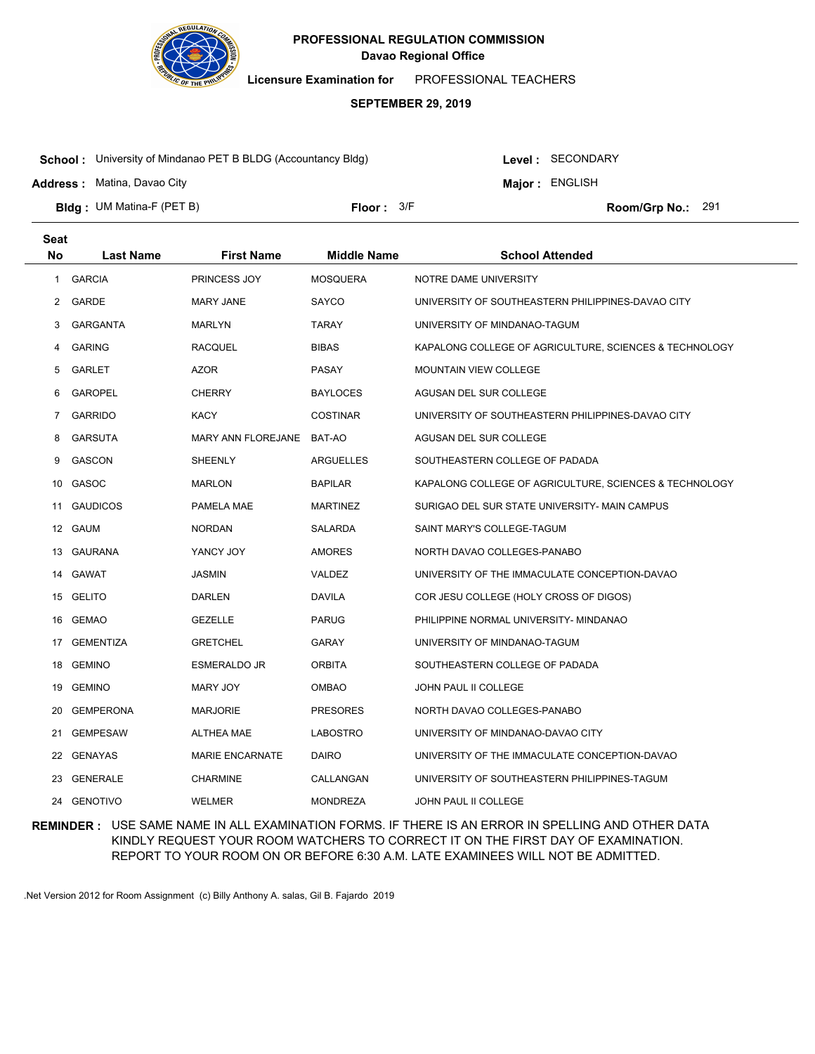

**Licensure Examination for**  PROFESSIONAL TEACHERS

### **SEPTEMBER 29, 2019**

**School :** University of Mindanao PET B BLDG (Accountancy Bldg)

**Address :** Matina, Davao City

Level : SECONDARY

**Major : ENGLISH** 

**Bldg : Floor : Room/Grp No.:** UM Matina-F (PET B) Floor: 3/F Room/Grp No.: 291

| <b>Seat</b> |                  |                        |                    |                                                        |
|-------------|------------------|------------------------|--------------------|--------------------------------------------------------|
| <b>No</b>   | <b>Last Name</b> | <b>First Name</b>      | <b>Middle Name</b> | <b>School Attended</b>                                 |
| 1           | <b>GARCIA</b>    | PRINCESS JOY           | <b>MOSQUERA</b>    | NOTRE DAME UNIVERSITY                                  |
| 2           | GARDE            | <b>MARY JANE</b>       | <b>SAYCO</b>       | UNIVERSITY OF SOUTHEASTERN PHILIPPINES-DAVAO CITY      |
| 3           | <b>GARGANTA</b>  | <b>MARLYN</b>          | <b>TARAY</b>       | UNIVERSITY OF MINDANAO-TAGUM                           |
| 4           | <b>GARING</b>    | <b>RACQUEL</b>         | <b>BIBAS</b>       | KAPALONG COLLEGE OF AGRICULTURE, SCIENCES & TECHNOLOGY |
| 5           | <b>GARLET</b>    | AZOR                   | <b>PASAY</b>       | <b>MOUNTAIN VIEW COLLEGE</b>                           |
| 6           | <b>GAROPEL</b>   | <b>CHERRY</b>          | <b>BAYLOCES</b>    | AGUSAN DEL SUR COLLEGE                                 |
| 7           | <b>GARRIDO</b>   | KACY                   | <b>COSTINAR</b>    | UNIVERSITY OF SOUTHEASTERN PHILIPPINES-DAVAO CITY      |
| 8           | <b>GARSUTA</b>   | MARY ANN FLOREJANE     | BAT-AO             | AGUSAN DEL SUR COLLEGE                                 |
| 9           | <b>GASCON</b>    | SHEENLY                | ARGUELLES          | SOUTHEASTERN COLLEGE OF PADADA                         |
| 10          | GASOC            | <b>MARLON</b>          | <b>BAPILAR</b>     | KAPALONG COLLEGE OF AGRICULTURE, SCIENCES & TECHNOLOGY |
| 11          | <b>GAUDICOS</b>  | PAMELA MAE             | MARTINEZ           | SURIGAO DEL SUR STATE UNIVERSITY- MAIN CAMPUS          |
|             | 12 GAUM          | <b>NORDAN</b>          | SALARDA            | SAINT MARY'S COLLEGE-TAGUM                             |
|             | 13 GAURANA       | YANCY JOY              | <b>AMORES</b>      | NORTH DAVAO COLLEGES-PANABO                            |
| 14          | GAWAT            | JASMIN                 | VALDEZ             | UNIVERSITY OF THE IMMACULATE CONCEPTION-DAVAO          |
|             | 15 GELITO        | DARLEN                 | <b>DAVILA</b>      | COR JESU COLLEGE (HOLY CROSS OF DIGOS)                 |
| 16          | <b>GEMAO</b>     | <b>GEZELLE</b>         | <b>PARUG</b>       | PHILIPPINE NORMAL UNIVERSITY- MINDANAO                 |
| 17          | <b>GEMENTIZA</b> | <b>GRETCHEL</b>        | <b>GARAY</b>       | UNIVERSITY OF MINDANAO-TAGUM                           |
| 18          | <b>GEMINO</b>    | ESMERALDO JR           | <b>ORBITA</b>      | SOUTHEASTERN COLLEGE OF PADADA                         |
| 19          | <b>GEMINO</b>    | <b>MARY JOY</b>        | <b>OMBAO</b>       | JOHN PAUL II COLLEGE                                   |
| 20          | <b>GEMPERONA</b> | <b>MARJORIE</b>        | <b>PRESORES</b>    | NORTH DAVAO COLLEGES-PANABO                            |
| 21          | <b>GEMPESAW</b>  | ALTHEA MAE             | LABOSTRO           | UNIVERSITY OF MINDANAO-DAVAO CITY                      |
|             | 22 GENAYAS       | <b>MARIE ENCARNATE</b> | <b>DAIRO</b>       | UNIVERSITY OF THE IMMACULATE CONCEPTION-DAVAO          |
| 23          | <b>GENERALE</b>  | <b>CHARMINE</b>        | CALLANGAN          | UNIVERSITY OF SOUTHEASTERN PHILIPPINES-TAGUM           |
|             | 24 GENOTIVO      | <b>WELMER</b>          | <b>MONDREZA</b>    | JOHN PAUL II COLLEGE                                   |

**REMINDER :** USE SAME NAME IN ALL EXAMINATION FORMS. IF THERE IS AN ERROR IN SPELLING AND OTHER DATA KINDLY REQUEST YOUR ROOM WATCHERS TO CORRECT IT ON THE FIRST DAY OF EXAMINATION. REPORT TO YOUR ROOM ON OR BEFORE 6:30 A.M. LATE EXAMINEES WILL NOT BE ADMITTED.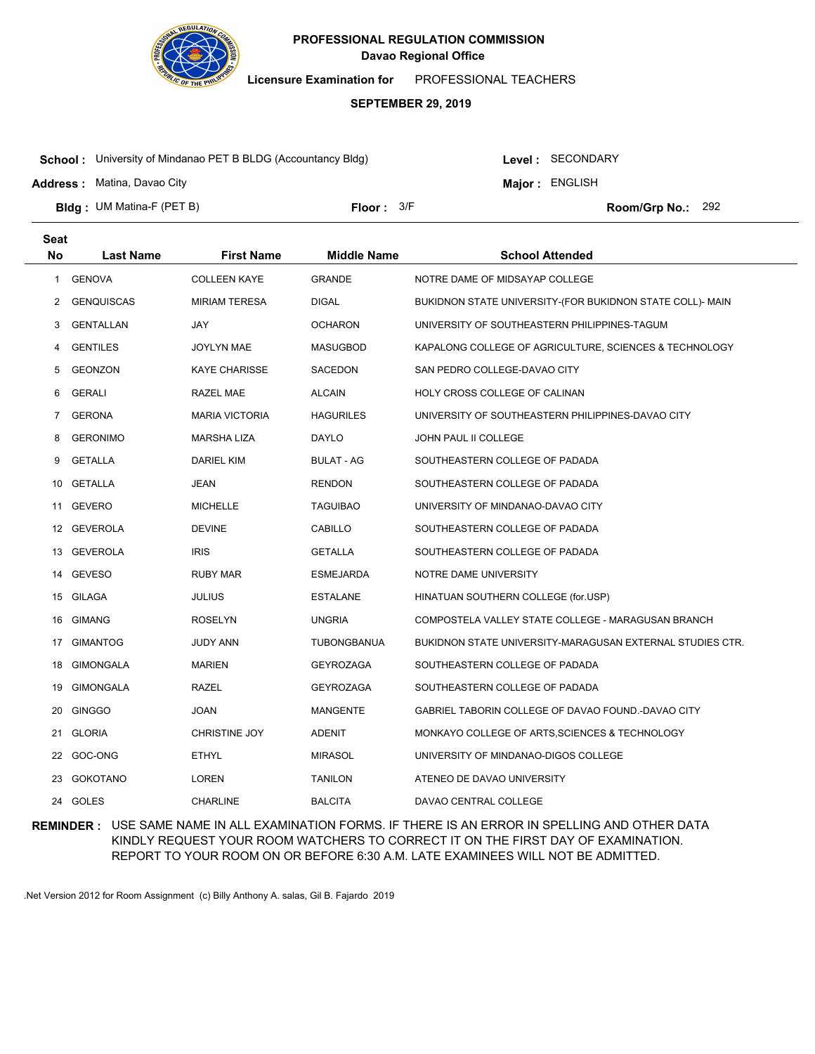

**Licensure Examination for**  PROFESSIONAL TEACHERS

### **SEPTEMBER 29, 2019**

**School :** University of Mindanao PET B BLDG (Accountancy Bldg)

**Address :** Matina, Davao City

Level : SECONDARY

**Major : ENGLISH** Floor:  $3/F$  Room/Grp No.: 292

**Bldg : Floor : Room/Grp No.:** UM Matina-F (PET B)

| <b>Seat</b> |                   |                       |                    |                                                           |
|-------------|-------------------|-----------------------|--------------------|-----------------------------------------------------------|
| <b>No</b>   | <b>Last Name</b>  | <b>First Name</b>     | <b>Middle Name</b> | <b>School Attended</b>                                    |
| 1           | <b>GENOVA</b>     | <b>COLLEEN KAYE</b>   | <b>GRANDE</b>      | NOTRE DAME OF MIDSAYAP COLLEGE                            |
| 2           | <b>GENQUISCAS</b> | <b>MIRIAM TERESA</b>  | DIGAL              | BUKIDNON STATE UNIVERSITY-(FOR BUKIDNON STATE COLL)- MAIN |
| 3           | GENTALLAN         | JAY                   | <b>OCHARON</b>     | UNIVERSITY OF SOUTHEASTERN PHILIPPINES-TAGUM              |
| 4           | <b>GENTILES</b>   | <b>JOYLYN MAE</b>     | <b>MASUGBOD</b>    | KAPALONG COLLEGE OF AGRICULTURE, SCIENCES & TECHNOLOGY    |
| 5           | <b>GEONZON</b>    | <b>KAYE CHARISSE</b>  | SACEDON            | SAN PEDRO COLLEGE-DAVAO CITY                              |
| 6           | <b>GERALI</b>     | RAZEL MAE             | <b>ALCAIN</b>      | HOLY CROSS COLLEGE OF CALINAN                             |
| 7           | <b>GERONA</b>     | <b>MARIA VICTORIA</b> | <b>HAGURILES</b>   | UNIVERSITY OF SOUTHEASTERN PHILIPPINES-DAVAO CITY         |
| 8           | <b>GERONIMO</b>   | MARSHA LIZA           | DAYLO              | <b>JOHN PAUL II COLLEGE</b>                               |
| 9           | GETALLA           | <b>DARIEL KIM</b>     | <b>BULAT - AG</b>  | SOUTHEASTERN COLLEGE OF PADADA                            |
| 10          | GETALLA           | JEAN                  | <b>RENDON</b>      | SOUTHEASTERN COLLEGE OF PADADA                            |
|             | 11 GEVERO         | <b>MICHELLE</b>       | <b>TAGUIBAO</b>    | UNIVERSITY OF MINDANAO-DAVAO CITY                         |
|             | 12 GEVEROLA       | <b>DEVINE</b>         | CABILLO            | SOUTHEASTERN COLLEGE OF PADADA                            |
|             | 13 GEVEROLA       | <b>IRIS</b>           | <b>GETALLA</b>     | SOUTHEASTERN COLLEGE OF PADADA                            |
| 14          | GEVESO            | <b>RUBY MAR</b>       | <b>ESMEJARDA</b>   | NOTRE DAME UNIVERSITY                                     |
|             | 15 GILAGA         | JULIUS                | <b>ESTALANE</b>    | HINATUAN SOUTHERN COLLEGE (for.USP)                       |
| 16          | GIMANG            | <b>ROSELYN</b>        | <b>UNGRIA</b>      | COMPOSTELA VALLEY STATE COLLEGE - MARAGUSAN BRANCH        |
|             | 17 GIMANTOG       | JUDY ANN              | TUBONGBANUA        | BUKIDNON STATE UNIVERSITY-MARAGUSAN EXTERNAL STUDIES CTR. |
| 18          | <b>GIMONGALA</b>  | <b>MARIEN</b>         | <b>GEYROZAGA</b>   | SOUTHEASTERN COLLEGE OF PADADA                            |
| 19          | GIMONGALA         | <b>RAZEL</b>          | <b>GEYROZAGA</b>   | SOUTHEASTERN COLLEGE OF PADADA                            |
| 20          | <b>GINGGO</b>     | <b>JOAN</b>           | <b>MANGENTE</b>    | GABRIEL TABORIN COLLEGE OF DAVAO FOUND.-DAVAO CITY        |
|             | 21 GLORIA         | CHRISTINE JOY         | <b>ADENIT</b>      | MONKAYO COLLEGE OF ARTS, SCIENCES & TECHNOLOGY            |
|             | 22 GOC-ONG        | <b>ETHYL</b>          | <b>MIRASOL</b>     | UNIVERSITY OF MINDANAO-DIGOS COLLEGE                      |
|             | 23 GOKOTANO       | <b>LOREN</b>          | <b>TANILON</b>     | ATENEO DE DAVAO UNIVERSITY                                |
|             | 24 GOLES          | <b>CHARLINE</b>       | <b>BALCITA</b>     | DAVAO CENTRAL COLLEGE                                     |

**REMINDER :** USE SAME NAME IN ALL EXAMINATION FORMS. IF THERE IS AN ERROR IN SPELLING AND OTHER DATA KINDLY REQUEST YOUR ROOM WATCHERS TO CORRECT IT ON THE FIRST DAY OF EXAMINATION. REPORT TO YOUR ROOM ON OR BEFORE 6:30 A.M. LATE EXAMINEES WILL NOT BE ADMITTED.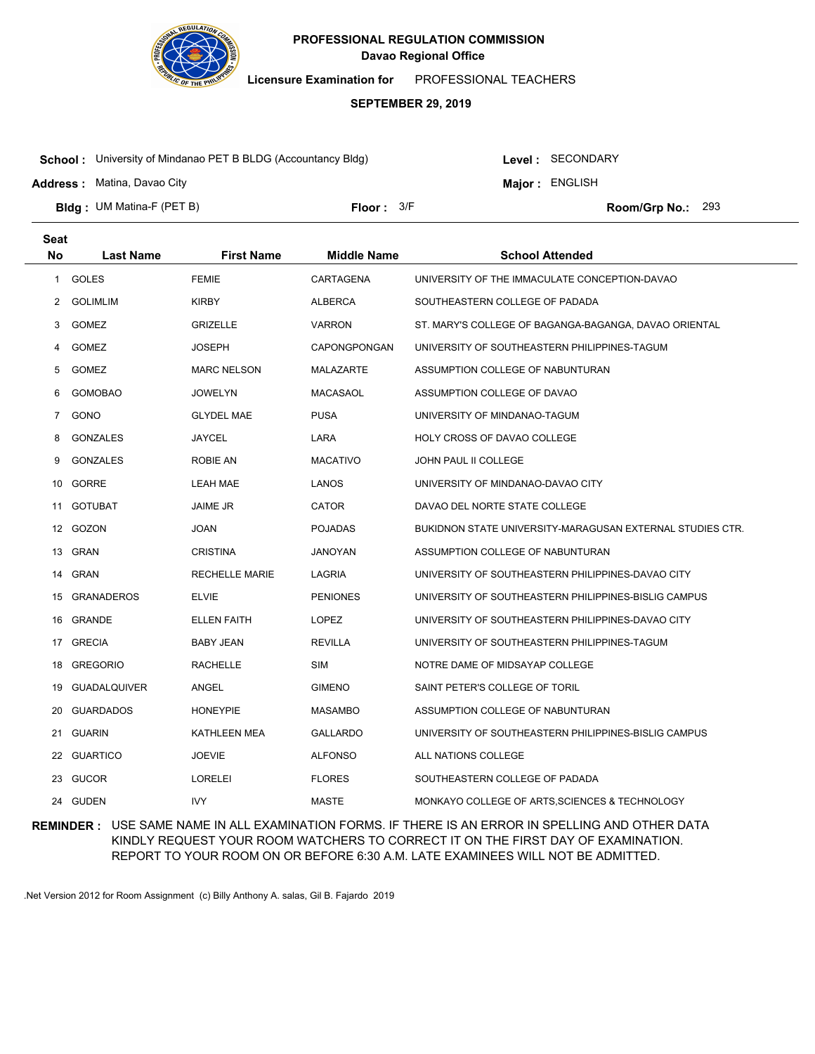

**Licensure Examination for**  PROFESSIONAL TEACHERS

### **SEPTEMBER 29, 2019**

**School :** University of Mindanao PET B BLDG (Accountancy Bldg)

**Address :** Matina, Davao City

Level : SECONDARY

**Major : ENGLISH** 

**Bldg : Floor : Room/Grp No.:** UM Matina-F (PET B) Floor:  $3/F$  Room/Grp No.: 293

| <b>Seat</b>  |                     |                       |                    |                                                           |
|--------------|---------------------|-----------------------|--------------------|-----------------------------------------------------------|
| <b>No</b>    | <b>Last Name</b>    | <b>First Name</b>     | <b>Middle Name</b> | <b>School Attended</b>                                    |
| $\mathbf{1}$ | <b>GOLES</b>        | <b>FEMIE</b>          | CARTAGENA          | UNIVERSITY OF THE IMMACULATE CONCEPTION-DAVAO             |
| 2            | <b>GOLIMLIM</b>     | <b>KIRBY</b>          | <b>ALBERCA</b>     | SOUTHEASTERN COLLEGE OF PADADA                            |
| 3            | <b>GOMEZ</b>        | <b>GRIZELLE</b>       | <b>VARRON</b>      | ST. MARY'S COLLEGE OF BAGANGA-BAGANGA, DAVAO ORIENTAL     |
| 4            | <b>GOMEZ</b>        | <b>JOSEPH</b>         | CAPONGPONGAN       | UNIVERSITY OF SOUTHEASTERN PHILIPPINES-TAGUM              |
| 5            | <b>GOMEZ</b>        | <b>MARC NELSON</b>    | <b>MALAZARTE</b>   | ASSUMPTION COLLEGE OF NABUNTURAN                          |
| 6            | <b>GOMOBAO</b>      | <b>JOWELYN</b>        | <b>MACASAOL</b>    | ASSUMPTION COLLEGE OF DAVAO                               |
| 7            | GONO                | <b>GLYDEL MAE</b>     | PUSA               | UNIVERSITY OF MINDANAO-TAGUM                              |
| 8            | <b>GONZALES</b>     | <b>JAYCEL</b>         | LARA               | HOLY CROSS OF DAVAO COLLEGE                               |
| 9            | <b>GONZALES</b>     | <b>ROBIE AN</b>       | <b>MACATIVO</b>    | JOHN PAUL II COLLEGE                                      |
| 10           | GORRE               | <b>LEAH MAE</b>       | LANOS              | UNIVERSITY OF MINDANAO-DAVAO CITY                         |
|              | 11 GOTUBAT          | JAIME JR              | <b>CATOR</b>       | DAVAO DEL NORTE STATE COLLEGE                             |
| 12           | GOZON               | <b>JOAN</b>           | <b>POJADAS</b>     | BUKIDNON STATE UNIVERSITY-MARAGUSAN EXTERNAL STUDIES CTR. |
| 13           | GRAN                | <b>CRISTINA</b>       | JANOYAN            | ASSUMPTION COLLEGE OF NABUNTURAN                          |
| 14           | <b>GRAN</b>         | <b>RECHELLE MARIE</b> | LAGRIA             | UNIVERSITY OF SOUTHEASTERN PHILIPPINES-DAVAO CITY         |
| 15           | <b>GRANADEROS</b>   | <b>ELVIE</b>          | <b>PENIONES</b>    | UNIVERSITY OF SOUTHEASTERN PHILIPPINES-BISLIG CAMPUS      |
| 16           | GRANDE              | <b>ELLEN FAITH</b>    | <b>LOPEZ</b>       | UNIVERSITY OF SOUTHEASTERN PHILIPPINES-DAVAO CITY         |
| 17           | GRECIA              | <b>BABY JEAN</b>      | <b>REVILLA</b>     | UNIVERSITY OF SOUTHEASTERN PHILIPPINES-TAGUM              |
| 18           | <b>GREGORIO</b>     | <b>RACHELLE</b>       | <b>SIM</b>         | NOTRE DAME OF MIDSAYAP COLLEGE                            |
| 19           | <b>GUADALQUIVER</b> | ANGEL                 | <b>GIMENO</b>      | SAINT PETER'S COLLEGE OF TORIL                            |
| 20           | <b>GUARDADOS</b>    | <b>HONEYPIE</b>       | <b>MASAMBO</b>     | ASSUMPTION COLLEGE OF NABUNTURAN                          |
| 21           | <b>GUARIN</b>       | <b>KATHLEEN MEA</b>   | <b>GALLARDO</b>    | UNIVERSITY OF SOUTHEASTERN PHILIPPINES-BISLIG CAMPUS      |
|              | 22 GUARTICO         | <b>JOEVIE</b>         | <b>ALFONSO</b>     | ALL NATIONS COLLEGE                                       |
| 23           | GUCOR               | <b>LORELEI</b>        | <b>FLORES</b>      | SOUTHEASTERN COLLEGE OF PADADA                            |
|              | 24 GUDEN            | <b>IVY</b>            | <b>MASTE</b>       | MONKAYO COLLEGE OF ARTS, SCIENCES & TECHNOLOGY            |

**REMINDER :** USE SAME NAME IN ALL EXAMINATION FORMS. IF THERE IS AN ERROR IN SPELLING AND OTHER DATA KINDLY REQUEST YOUR ROOM WATCHERS TO CORRECT IT ON THE FIRST DAY OF EXAMINATION. REPORT TO YOUR ROOM ON OR BEFORE 6:30 A.M. LATE EXAMINEES WILL NOT BE ADMITTED.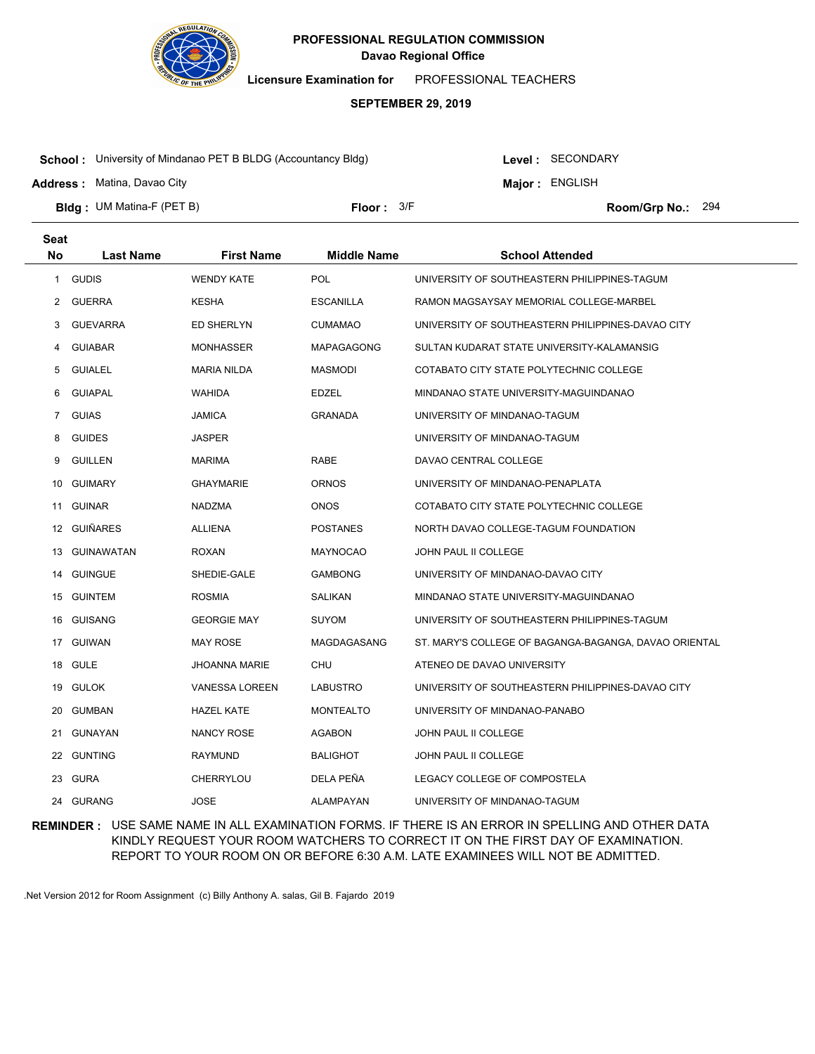

**Licensure Examination for**  PROFESSIONAL TEACHERS

### **SEPTEMBER 29, 2019**

**School :** University of Mindanao PET B BLDG (Accountancy Bldg)

Level : SECONDARY

**Major : ENGLISH** 

**Address :** Matina, Davao City

**Bldg : Floor : Room/Grp No.:** UM Matina-F (PET B) Floor: 3/F Room/Grp No.: 294

| <b>Seat</b><br><b>No</b> | <b>Last Name</b> | <b>First Name</b>     | <b>Middle Name</b> | <b>School Attended</b>                                |
|--------------------------|------------------|-----------------------|--------------------|-------------------------------------------------------|
|                          |                  |                       |                    |                                                       |
| $\mathbf{1}$             | <b>GUDIS</b>     | <b>WENDY KATE</b>     | <b>POL</b>         | UNIVERSITY OF SOUTHEASTERN PHILIPPINES-TAGUM          |
| 2                        | <b>GUERRA</b>    | <b>KESHA</b>          | <b>ESCANILLA</b>   | RAMON MAGSAYSAY MEMORIAL COLLEGE-MARBEL               |
| 3                        | <b>GUEVARRA</b>  | ED SHERLYN            | <b>CUMAMAO</b>     | UNIVERSITY OF SOUTHEASTERN PHILIPPINES-DAVAO CITY     |
| 4                        | <b>GUIABAR</b>   | <b>MONHASSER</b>      | <b>MAPAGAGONG</b>  | SULTAN KUDARAT STATE UNIVERSITY-KALAMANSIG            |
| 5                        | <b>GUIALEL</b>   | <b>MARIA NILDA</b>    | <b>MASMODI</b>     | COTABATO CITY STATE POLYTECHNIC COLLEGE               |
| 6                        | <b>GUIAPAL</b>   | WAHIDA                | EDZEL              | MINDANAO STATE UNIVERSITY-MAGUINDANAO                 |
| 7                        | <b>GUIAS</b>     | JAMICA                | <b>GRANADA</b>     | UNIVERSITY OF MINDANAO-TAGUM                          |
| 8                        | <b>GUIDES</b>    | JASPER                |                    | UNIVERSITY OF MINDANAO-TAGUM                          |
| 9                        | <b>GUILLEN</b>   | <b>MARIMA</b>         | <b>RABE</b>        | DAVAO CENTRAL COLLEGE                                 |
| 10                       | GUIMARY          | GHAYMARIE             | ORNOS              | UNIVERSITY OF MINDANAO-PENAPLATA                      |
| 11                       | <b>GUINAR</b>    | <b>NADZMA</b>         | <b>ONOS</b>        | COTABATO CITY STATE POLYTECHNIC COLLEGE               |
|                          | 12 GUIÑARES      | ALLIENA               | <b>POSTANES</b>    | NORTH DAVAO COLLEGE-TAGUM FOUNDATION                  |
| 13                       | GUINAWATAN       | ROXAN                 | <b>MAYNOCAO</b>    | JOHN PAUL II COLLEGE                                  |
|                          | 14 GUINGUE       | SHEDIE-GALE           | <b>GAMBONG</b>     | UNIVERSITY OF MINDANAO-DAVAO CITY                     |
|                          | 15 GUINTEM       | <b>ROSMIA</b>         | SALIKAN            | MINDANAO STATE UNIVERSITY-MAGUINDANAO                 |
|                          | 16 GUISANG       | <b>GEORGIE MAY</b>    | <b>SUYOM</b>       | UNIVERSITY OF SOUTHEASTERN PHILIPPINES-TAGUM          |
|                          | 17 GUIWAN        | <b>MAY ROSE</b>       | MAGDAGASANG        | ST. MARY'S COLLEGE OF BAGANGA-BAGANGA, DAVAO ORIENTAL |
| 18                       | GULE             | JHOANNA MARIE         | CHU                | ATENEO DE DAVAO UNIVERSITY                            |
| 19                       | GULOK            | <b>VANESSA LOREEN</b> | LABUSTRO           | UNIVERSITY OF SOUTHEASTERN PHILIPPINES-DAVAO CITY     |
| 20                       | GUMBAN           | <b>HAZEL KATE</b>     | <b>MONTEALTO</b>   | UNIVERSITY OF MINDANAO-PANABO                         |
| 21                       | GUNAYAN          | <b>NANCY ROSE</b>     | <b>AGABON</b>      | JOHN PAUL II COLLEGE                                  |
|                          | 22 GUNTING       | RAYMUND               | <b>BALIGHOT</b>    | JOHN PAUL II COLLEGE                                  |
|                          | 23 GURA          | CHERRYLOU             | DELA PEÑA          | LEGACY COLLEGE OF COMPOSTELA                          |
|                          | 24 GURANG        | <b>JOSE</b>           | <b>ALAMPAYAN</b>   | UNIVERSITY OF MINDANAO-TAGUM                          |

**REMINDER :** USE SAME NAME IN ALL EXAMINATION FORMS. IF THERE IS AN ERROR IN SPELLING AND OTHER DATA KINDLY REQUEST YOUR ROOM WATCHERS TO CORRECT IT ON THE FIRST DAY OF EXAMINATION. REPORT TO YOUR ROOM ON OR BEFORE 6:30 A.M. LATE EXAMINEES WILL NOT BE ADMITTED.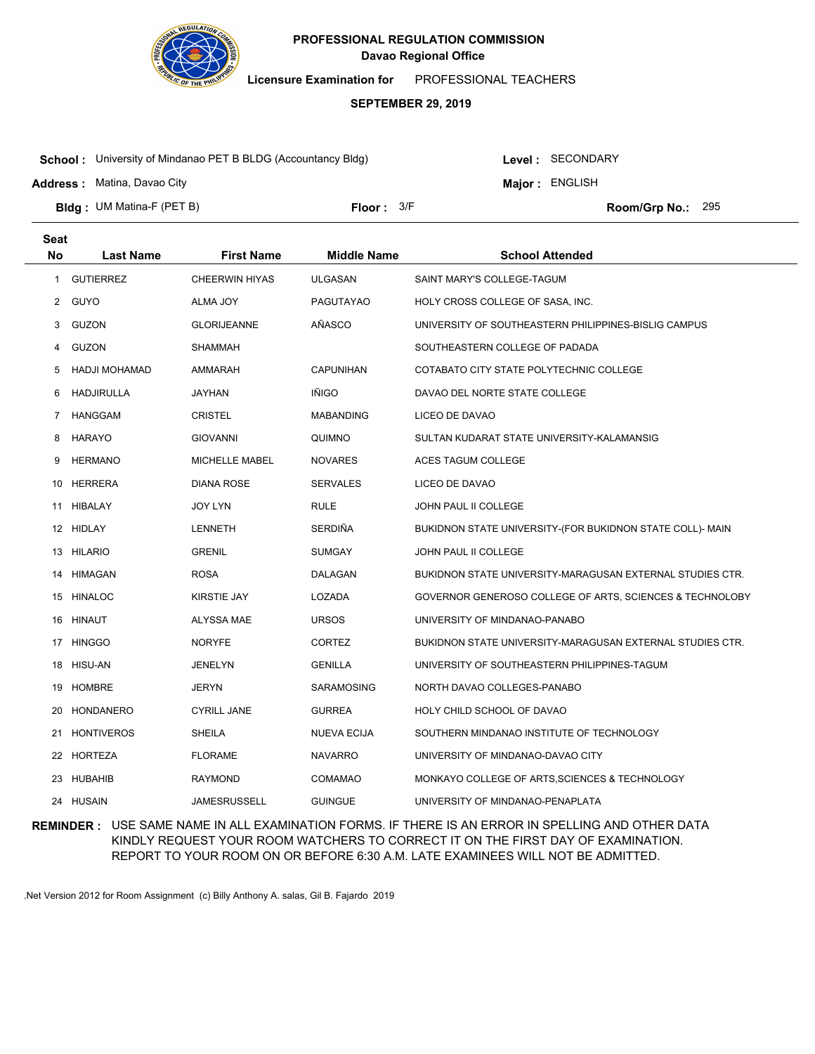

**Licensure Examination for**  PROFESSIONAL TEACHERS

### **SEPTEMBER 29, 2019**

**School :** University of Mindanao PET B BLDG (Accountancy Bldg)

**Address :** Matina, Davao City

**Seat**

Level : SECONDARY

**Major : ENGLISH** 

**Bldg : Floor : Room/Grp No.:** UM Matina-F (PET B) Floor:  $3/F$  Room/Grp No.: 295

| υσαι |                      |                       |                    |                                                           |
|------|----------------------|-----------------------|--------------------|-----------------------------------------------------------|
| No   | <b>Last Name</b>     | <b>First Name</b>     | <b>Middle Name</b> | <b>School Attended</b>                                    |
| 1    | <b>GUTIERREZ</b>     | <b>CHEERWIN HIYAS</b> | <b>ULGASAN</b>     | SAINT MARY'S COLLEGE-TAGUM                                |
| 2    | <b>GUYO</b>          | ALMA JOY              | <b>PAGUTAYAO</b>   | HOLY CROSS COLLEGE OF SASA, INC.                          |
| 3    | GUZON                | <b>GLORIJEANNE</b>    | AÑASCO             | UNIVERSITY OF SOUTHEASTERN PHILIPPINES-BISLIG CAMPUS      |
| 4    | <b>GUZON</b>         | SHAMMAH               |                    | SOUTHEASTERN COLLEGE OF PADADA                            |
| 5    | <b>HADJI MOHAMAD</b> | AMMARAH               | CAPUNIHAN          | COTABATO CITY STATE POLYTECHNIC COLLEGE                   |
| 6    | <b>HADJIRULLA</b>    | JAYHAN                | <b>IÑIGO</b>       | DAVAO DEL NORTE STATE COLLEGE                             |
| 7    | <b>HANGGAM</b>       | <b>CRISTEL</b>        | <b>MABANDING</b>   | LICEO DE DAVAO                                            |
| 8    | <b>HARAYO</b>        | <b>GIOVANNI</b>       | QUIMNO             | SULTAN KUDARAT STATE UNIVERSITY-KALAMANSIG                |
| 9    | <b>HERMANO</b>       | MICHELLE MABEL        | <b>NOVARES</b>     | ACES TAGUM COLLEGE                                        |
|      | 10 HERRERA           | <b>DIANA ROSE</b>     | <b>SERVALES</b>    | LICEO DE DAVAO                                            |
|      | 11 HIBALAY           | <b>JOY LYN</b>        | <b>RULE</b>        | JOHN PAUL II COLLEGE                                      |
|      | 12 HIDLAY            | LENNETH               | SERDIÑA            | BUKIDNON STATE UNIVERSITY-(FOR BUKIDNON STATE COLL)- MAIN |
|      | 13 HILARIO           | <b>GRENIL</b>         | <b>SUMGAY</b>      | JOHN PAUL II COLLEGE                                      |
|      | 14 HIMAGAN           | ROSA                  | DALAGAN            | BUKIDNON STATE UNIVERSITY-MARAGUSAN EXTERNAL STUDIES CTR. |
|      | 15 HINALOC           | KIRSTIE JAY           | LOZADA             | GOVERNOR GENEROSO COLLEGE OF ARTS, SCIENCES & TECHNOLOBY  |
|      | 16 HINAUT            | ALYSSA MAE            | <b>URSOS</b>       | UNIVERSITY OF MINDANAO-PANABO                             |
|      | 17 HINGGO            | <b>NORYFE</b>         | <b>CORTEZ</b>      | BUKIDNON STATE UNIVERSITY-MARAGUSAN EXTERNAL STUDIES CTR. |
| 18   | HISU-AN              | JENELYN               | <b>GENILLA</b>     | UNIVERSITY OF SOUTHEASTERN PHILIPPINES-TAGUM              |
| 19   | HOMBRE               | JERYN                 | SARAMOSING         | NORTH DAVAO COLLEGES-PANABO                               |
| 20   | HONDANERO            | <b>CYRILL JANE</b>    | <b>GURREA</b>      | HOLY CHILD SCHOOL OF DAVAO                                |
|      | 21 HONTIVEROS        | SHEILA                | <b>NUEVA ECIJA</b> | SOUTHERN MINDANAO INSTITUTE OF TECHNOLOGY                 |
|      | 22 HORTEZA           | <b>FLORAME</b>        | <b>NAVARRO</b>     | UNIVERSITY OF MINDANAO-DAVAO CITY                         |
|      | 23 HUBAHIB           | <b>RAYMOND</b>        | <b>COMAMAO</b>     | MONKAYO COLLEGE OF ARTS, SCIENCES & TECHNOLOGY            |
|      | 24 HUSAIN            | <b>JAMESRUSSELL</b>   | <b>GUINGUE</b>     | UNIVERSITY OF MINDANAO-PENAPLATA                          |

# **REMINDER :** USE SAME NAME IN ALL EXAMINATION FORMS. IF THERE IS AN ERROR IN SPELLING AND OTHER DATA KINDLY REQUEST YOUR ROOM WATCHERS TO CORRECT IT ON THE FIRST DAY OF EXAMINATION. REPORT TO YOUR ROOM ON OR BEFORE 6:30 A.M. LATE EXAMINEES WILL NOT BE ADMITTED.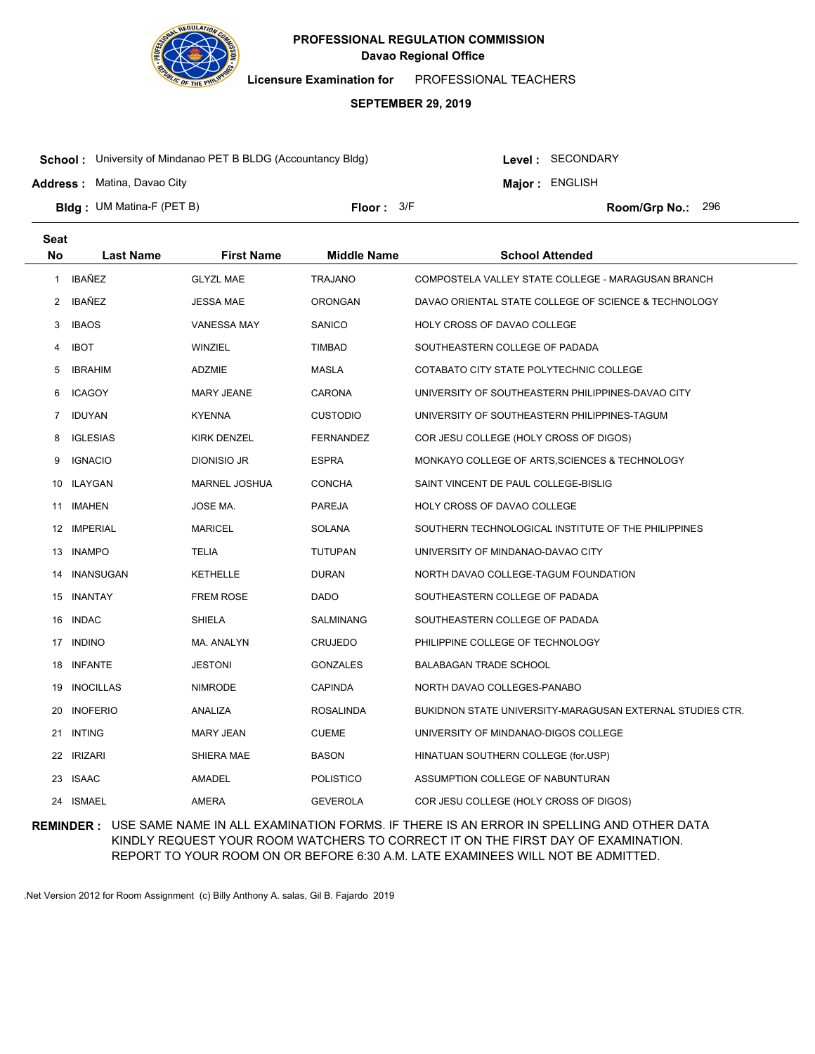

**Licensure Examination for**  PROFESSIONAL TEACHERS

### **SEPTEMBER 29, 2019**

**School :** University of Mindanao PET B BLDG (Accountancy Bldg)

**Address :** Matina, Davao City

**Seat**

Level : SECONDARY

**Major : ENGLISH** 

**Bldg : Floor : Room/Grp No.:** UM Matina-F (PET B)

Floor:  $3/F$  Room/Grp No.: 296

| συαι           |                  |                      |                    |                                                           |
|----------------|------------------|----------------------|--------------------|-----------------------------------------------------------|
| No             | <b>Last Name</b> | <b>First Name</b>    | <b>Middle Name</b> | <b>School Attended</b>                                    |
| $\mathbf{1}$   | IBAÑEZ           | <b>GLYZL MAE</b>     | <b>TRAJANO</b>     | COMPOSTELA VALLEY STATE COLLEGE - MARAGUSAN BRANCH        |
| $\overline{2}$ | IBAÑEZ           | <b>JESSA MAE</b>     | <b>ORONGAN</b>     | DAVAO ORIENTAL STATE COLLEGE OF SCIENCE & TECHNOLOGY      |
| 3              | <b>IBAOS</b>     | <b>VANESSA MAY</b>   | SANICO             | HOLY CROSS OF DAVAO COLLEGE                               |
| 4              | <b>IBOT</b>      | WINZIEL              | TIMBAD             | SOUTHEASTERN COLLEGE OF PADADA                            |
| 5              | <b>IBRAHIM</b>   | ADZMIE               | <b>MASLA</b>       | COTABATO CITY STATE POLYTECHNIC COLLEGE                   |
| 6              | <b>ICAGOY</b>    | <b>MARY JEANE</b>    | <b>CARONA</b>      | UNIVERSITY OF SOUTHEASTERN PHILIPPINES-DAVAO CITY         |
| $\overline{7}$ | IDUYAN           | <b>KYENNA</b>        | <b>CUSTODIO</b>    | UNIVERSITY OF SOUTHEASTERN PHILIPPINES-TAGUM              |
| 8              | <b>IGLESIAS</b>  | KIRK DENZEL          | <b>FERNANDEZ</b>   | COR JESU COLLEGE (HOLY CROSS OF DIGOS)                    |
| 9              | <b>IGNACIO</b>   | DIONISIO JR          | <b>ESPRA</b>       | MONKAYO COLLEGE OF ARTS, SCIENCES & TECHNOLOGY            |
| 10             | <b>ILAYGAN</b>   | <b>MARNEL JOSHUA</b> | <b>CONCHA</b>      | SAINT VINCENT DE PAUL COLLEGE-BISLIG                      |
| 11             | IMAHEN           | JOSE MA.             | <b>PAREJA</b>      | HOLY CROSS OF DAVAO COLLEGE                               |
|                | 12 IMPERIAL      | <b>MARICEL</b>       | SOLANA             | SOUTHERN TECHNOLOGICAL INSTITUTE OF THE PHILIPPINES       |
| 13             | <b>INAMPO</b>    | <b>TELIA</b>         | <b>TUTUPAN</b>     | UNIVERSITY OF MINDANAO-DAVAO CITY                         |
|                | 14 INANSUGAN     | <b>KETHELLE</b>      | <b>DURAN</b>       | NORTH DAVAO COLLEGE-TAGUM FOUNDATION                      |
|                | 15 INANTAY       | <b>FREM ROSE</b>     | DADO               | SOUTHEASTERN COLLEGE OF PADADA                            |
|                | 16 INDAC         | <b>SHIELA</b>        | <b>SALMINANG</b>   | SOUTHEASTERN COLLEGE OF PADADA                            |
|                | 17 INDINO        | MA. ANALYN           | <b>CRUJEDO</b>     | PHILIPPINE COLLEGE OF TECHNOLOGY                          |
|                | 18 INFANTE       | <b>JESTONI</b>       | <b>GONZALES</b>    | <b>BALABAGAN TRADE SCHOOL</b>                             |
| 19             | <b>INOCILLAS</b> | <b>NIMRODE</b>       | <b>CAPINDA</b>     | NORTH DAVAO COLLEGES-PANABO                               |
| 20             | <b>INOFERIO</b>  | ANALIZA              | <b>ROSALINDA</b>   | BUKIDNON STATE UNIVERSITY-MARAGUSAN EXTERNAL STUDIES CTR. |
| 21             | INTING           | <b>MARY JEAN</b>     | <b>CUEME</b>       | UNIVERSITY OF MINDANAO-DIGOS COLLEGE                      |
|                | 22 IRIZARI       | SHIERA MAE           | <b>BASON</b>       | HINATUAN SOUTHERN COLLEGE (for.USP)                       |
|                | 23 ISAAC         | AMADEL               | <b>POLISTICO</b>   | ASSUMPTION COLLEGE OF NABUNTURAN                          |
|                | 24 ISMAEL        | AMERA                | <b>GEVEROLA</b>    | COR JESU COLLEGE (HOLY CROSS OF DIGOS)                    |

**REMINDER :** USE SAME NAME IN ALL EXAMINATION FORMS. IF THERE IS AN ERROR IN SPELLING AND OTHER DATA KINDLY REQUEST YOUR ROOM WATCHERS TO CORRECT IT ON THE FIRST DAY OF EXAMINATION. REPORT TO YOUR ROOM ON OR BEFORE 6:30 A.M. LATE EXAMINEES WILL NOT BE ADMITTED.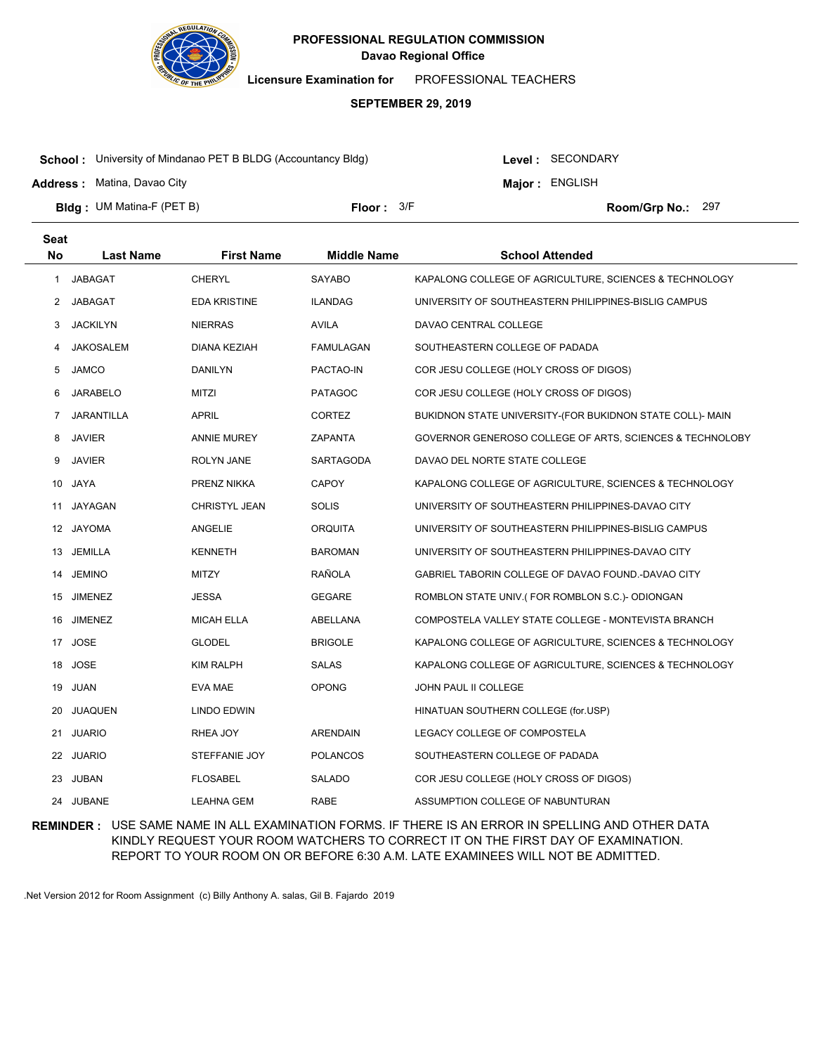

**Licensure Examination for**  PROFESSIONAL TEACHERS

### **SEPTEMBER 29, 2019**

**School :** University of Mindanao PET B BLDG (Accountancy Bldg)

**Address :** Matina, Davao City

Level : SECONDARY

**Major : ENGLISH** 

**Bldg : Floor : Room/Grp No.:** UM Matina-F (PET B)

Floor:  $3/F$  Room/Grp No.: 297

| <b>Seat</b> |                  |                     |                    |                                                           |
|-------------|------------------|---------------------|--------------------|-----------------------------------------------------------|
| <b>No</b>   | <b>Last Name</b> | <b>First Name</b>   | <b>Middle Name</b> | <b>School Attended</b>                                    |
| 1           | <b>JABAGAT</b>   | <b>CHERYL</b>       | <b>SAYABO</b>      | KAPALONG COLLEGE OF AGRICULTURE, SCIENCES & TECHNOLOGY    |
| 2           | JABAGAT          | <b>EDA KRISTINE</b> | <b>ILANDAG</b>     | UNIVERSITY OF SOUTHEASTERN PHILIPPINES-BISLIG CAMPUS      |
| 3           | <b>JACKILYN</b>  | <b>NIERRAS</b>      | <b>AVILA</b>       | DAVAO CENTRAL COLLEGE                                     |
| 4           | JAKOSALEM        | <b>DIANA KEZIAH</b> | <b>FAMULAGAN</b>   | SOUTHEASTERN COLLEGE OF PADADA                            |
| 5           | <b>JAMCO</b>     | DANILYN             | PACTAO-IN          | COR JESU COLLEGE (HOLY CROSS OF DIGOS)                    |
| 6           | <b>JARABELO</b>  | <b>MITZI</b>        | <b>PATAGOC</b>     | COR JESU COLLEGE (HOLY CROSS OF DIGOS)                    |
| 7           | JARANTILLA       | APRIL               | <b>CORTEZ</b>      | BUKIDNON STATE UNIVERSITY-(FOR BUKIDNON STATE COLL)- MAIN |
| 8           | <b>JAVIER</b>    | <b>ANNIE MUREY</b>  | <b>ZAPANTA</b>     | GOVERNOR GENEROSO COLLEGE OF ARTS, SCIENCES & TECHNOLOBY  |
| 9           | <b>JAVIER</b>    | ROLYN JANE          | SARTAGODA          | DAVAO DEL NORTE STATE COLLEGE                             |
| 10          | JAYA             | PRENZ NIKKA         | <b>CAPOY</b>       | KAPALONG COLLEGE OF AGRICULTURE, SCIENCES & TECHNOLOGY    |
| 11          | JAYAGAN          | CHRISTYL JEAN       | <b>SOLIS</b>       | UNIVERSITY OF SOUTHEASTERN PHILIPPINES-DAVAO CITY         |
| 12          | <b>JAYOMA</b>    | ANGELIE             | <b>ORQUITA</b>     | UNIVERSITY OF SOUTHEASTERN PHILIPPINES-BISLIG CAMPUS      |
| 13          | <b>JEMILLA</b>   | <b>KENNETH</b>      | <b>BAROMAN</b>     | UNIVERSITY OF SOUTHEASTERN PHILIPPINES-DAVAO CITY         |
| 14          | <b>JEMINO</b>    | <b>MITZY</b>        | RAÑOLA             | GABRIEL TABORIN COLLEGE OF DAVAO FOUND.-DAVAO CITY        |
|             | 15 JIMENEZ       | JESSA               | <b>GEGARE</b>      | ROMBLON STATE UNIV.(FOR ROMBLON S.C.)- ODIONGAN           |
| 16          | <b>JIMENEZ</b>   | <b>MICAH ELLA</b>   | ABELLANA           | COMPOSTELA VALLEY STATE COLLEGE - MONTEVISTA BRANCH       |
|             | 17 JOSE          | GLODEL              | <b>BRIGOLE</b>     | KAPALONG COLLEGE OF AGRICULTURE, SCIENCES & TECHNOLOGY    |
| 18          | <b>JOSE</b>      | <b>KIM RALPH</b>    | <b>SALAS</b>       | KAPALONG COLLEGE OF AGRICULTURE, SCIENCES & TECHNOLOGY    |
| 19          | JUAN             | EVA MAE             | <b>OPONG</b>       | JOHN PAUL II COLLEGE                                      |
| 20          | <b>JUAQUEN</b>   | LINDO EDWIN         |                    | HINATUAN SOUTHERN COLLEGE (for.USP)                       |
| 21          | <b>JUARIO</b>    | RHEA JOY            | <b>ARENDAIN</b>    | LEGACY COLLEGE OF COMPOSTELA                              |
| 22          | <b>JUARIO</b>    | STEFFANIE JOY       | <b>POLANCOS</b>    | SOUTHEASTERN COLLEGE OF PADADA                            |
| 23          | <b>JUBAN</b>     | <b>FLOSABEL</b>     | <b>SALADO</b>      | COR JESU COLLEGE (HOLY CROSS OF DIGOS)                    |
|             | 24 JUBANE        | LEAHNA GEM          | <b>RABE</b>        | ASSUMPTION COLLEGE OF NABUNTURAN                          |

**REMINDER :** USE SAME NAME IN ALL EXAMINATION FORMS. IF THERE IS AN ERROR IN SPELLING AND OTHER DATA KINDLY REQUEST YOUR ROOM WATCHERS TO CORRECT IT ON THE FIRST DAY OF EXAMINATION. REPORT TO YOUR ROOM ON OR BEFORE 6:30 A.M. LATE EXAMINEES WILL NOT BE ADMITTED.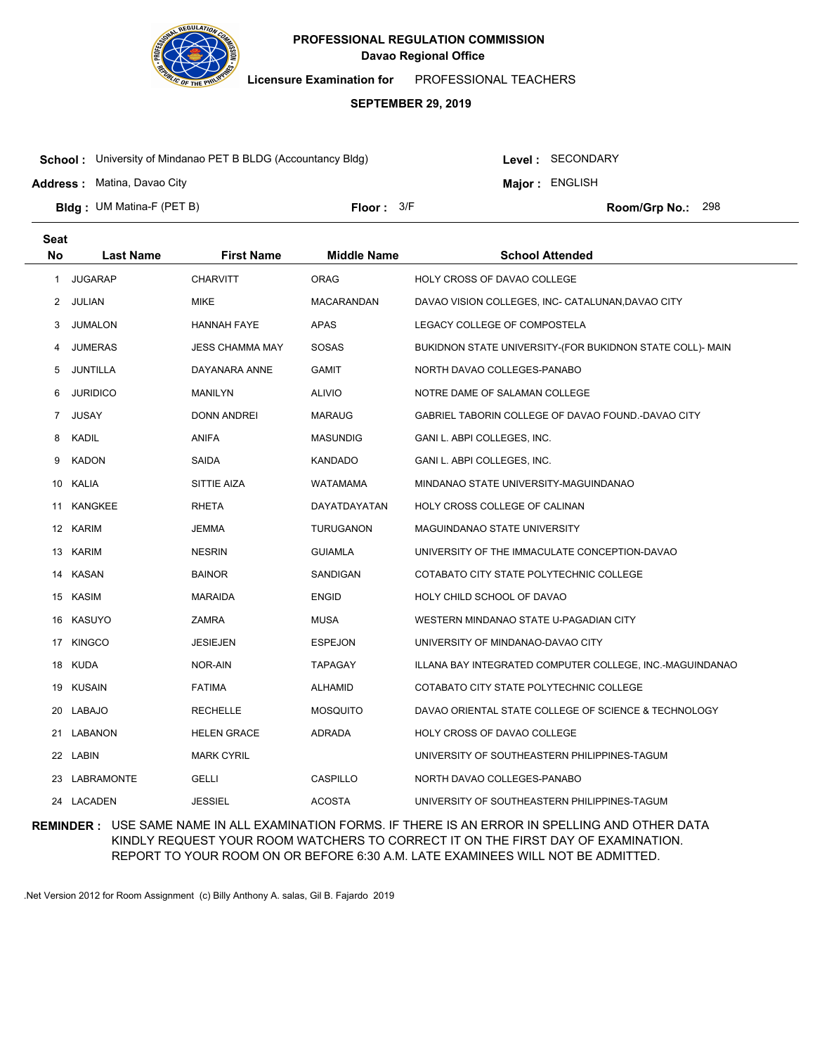

**Licensure Examination for**  PROFESSIONAL TEACHERS

### **SEPTEMBER 29, 2019**

**School :** University of Mindanao PET B BLDG (Accountancy Bldg)

Level : SECONDARY

**Major : ENGLISH** 

**Address :** Matina, Davao City

**Bldg : Floor : Room/Grp No.:** UM Matina-F (PET B)

Floor:  $3/F$  Room/Grp No.: 298

| <b>Seat</b> |                  |                        |                    |                                                           |
|-------------|------------------|------------------------|--------------------|-----------------------------------------------------------|
| <b>No</b>   | <b>Last Name</b> | <b>First Name</b>      | <b>Middle Name</b> | <b>School Attended</b>                                    |
| 1           | <b>JUGARAP</b>   | <b>CHARVITT</b>        | <b>ORAG</b>        | HOLY CROSS OF DAVAO COLLEGE                               |
| 2           | JULIAN           | <b>MIKE</b>            | MACARANDAN         | DAVAO VISION COLLEGES, INC- CATALUNAN, DAVAO CITY         |
| 3           | <b>JUMALON</b>   | <b>HANNAH FAYE</b>     | APAS               | LEGACY COLLEGE OF COMPOSTELA                              |
| 4           | <b>JUMERAS</b>   | <b>JESS CHAMMA MAY</b> | SOSAS              | BUKIDNON STATE UNIVERSITY-(FOR BUKIDNON STATE COLL)- MAIN |
| 5           | <b>JUNTILLA</b>  | DAYANARA ANNE          | <b>GAMIT</b>       | NORTH DAVAO COLLEGES-PANABO                               |
| 6           | <b>JURIDICO</b>  | <b>MANILYN</b>         | <b>ALIVIO</b>      | NOTRE DAME OF SALAMAN COLLEGE                             |
| 7           | <b>JUSAY</b>     | <b>DONN ANDREI</b>     | <b>MARAUG</b>      | GABRIEL TABORIN COLLEGE OF DAVAO FOUND.-DAVAO CITY        |
| 8           | KADIL            | <b>ANIFA</b>           | <b>MASUNDIG</b>    | GANI L. ABPI COLLEGES, INC.                               |
| 9           | <b>KADON</b>     | SAIDA                  | <b>KANDADO</b>     | GANI L. ABPI COLLEGES, INC.                               |
| 10          | KALIA            | SITTIE AIZA            | WATAMAMA           | MINDANAO STATE UNIVERSITY-MAGUINDANAO                     |
| 11          | KANGKEE          | <b>RHETA</b>           | DAYATDAYATAN       | HOLY CROSS COLLEGE OF CALINAN                             |
|             | 12 KARIM         | <b>JEMMA</b>           | <b>TURUGANON</b>   | MAGUINDANAO STATE UNIVERSITY                              |
|             | 13 KARIM         | <b>NESRIN</b>          | <b>GUIAMLA</b>     | UNIVERSITY OF THE IMMACULATE CONCEPTION-DAVAO             |
|             | 14 KASAN         | <b>BAINOR</b>          | SANDIGAN           | COTABATO CITY STATE POLYTECHNIC COLLEGE                   |
|             | 15 KASIM         | MARAIDA                | <b>ENGID</b>       | HOLY CHILD SCHOOL OF DAVAO                                |
| 16          | KASUYO           | <b>ZAMRA</b>           | <b>MUSA</b>        | WESTERN MINDANAO STATE U-PAGADIAN CITY                    |
|             | 17 KINGCO        | <b>JESIEJEN</b>        | <b>ESPEJON</b>     | UNIVERSITY OF MINDANAO-DAVAO CITY                         |
| 18          | KUDA             | NOR-AIN                | <b>TAPAGAY</b>     | ILLANA BAY INTEGRATED COMPUTER COLLEGE, INC.-MAGUINDANAO  |
| 19          | KUSAIN           | <b>FATIMA</b>          | ALHAMID            | COTABATO CITY STATE POLYTECHNIC COLLEGE                   |
| 20          | LABAJO           | <b>RECHELLE</b>        | <b>MOSQUITO</b>    | DAVAO ORIENTAL STATE COLLEGE OF SCIENCE & TECHNOLOGY      |
|             | 21 LABANON       | <b>HELEN GRACE</b>     | ADRADA             | HOLY CROSS OF DAVAO COLLEGE                               |
|             | 22 LABIN         | <b>MARK CYRIL</b>      |                    | UNIVERSITY OF SOUTHEASTERN PHILIPPINES-TAGUM              |
| 23          | LABRAMONTE       | GELLI                  | CASPILLO           | NORTH DAVAO COLLEGES-PANABO                               |
|             | 24 LACADEN       | <b>JESSIEL</b>         | <b>ACOSTA</b>      | UNIVERSITY OF SOUTHEASTERN PHILIPPINES-TAGUM              |

**REMINDER :** USE SAME NAME IN ALL EXAMINATION FORMS. IF THERE IS AN ERROR IN SPELLING AND OTHER DATA KINDLY REQUEST YOUR ROOM WATCHERS TO CORRECT IT ON THE FIRST DAY OF EXAMINATION. REPORT TO YOUR ROOM ON OR BEFORE 6:30 A.M. LATE EXAMINEES WILL NOT BE ADMITTED.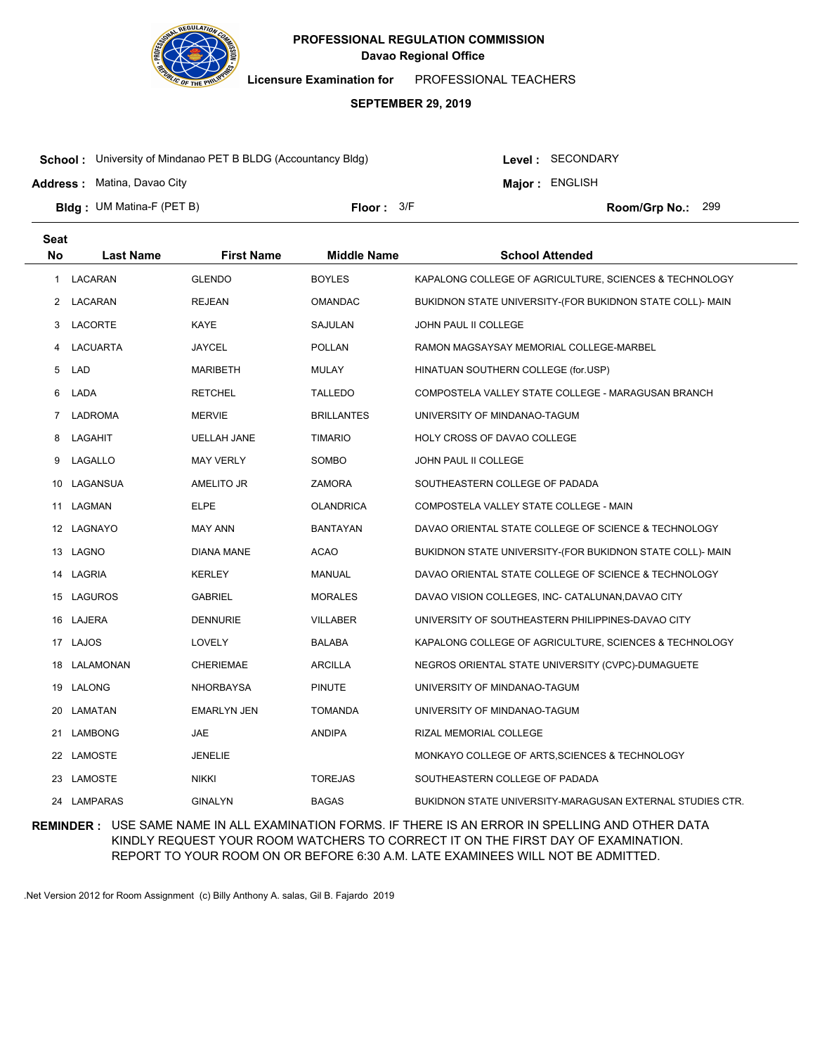

**Licensure Examination for**  PROFESSIONAL TEACHERS

### **SEPTEMBER 29, 2019**

**School :** University of Mindanao PET B BLDG (Accountancy Bldg)

Level : SECONDARY

**Major : ENGLISH** 

**Address :** Matina, Davao City

**Bldg : Floor : Room/Grp No.:** UM Matina-F (PET B) Floor:  $3/F$  Room/Grp No.: 299

| <b>Seat</b> |                  |                    |                    |                                                           |
|-------------|------------------|--------------------|--------------------|-----------------------------------------------------------|
| <b>No</b>   | <b>Last Name</b> | <b>First Name</b>  | <b>Middle Name</b> | <b>School Attended</b>                                    |
| 1           | LACARAN          | <b>GLENDO</b>      | <b>BOYLES</b>      | KAPALONG COLLEGE OF AGRICULTURE, SCIENCES & TECHNOLOGY    |
| 2           | LACARAN          | <b>REJEAN</b>      | OMANDAC            | BUKIDNON STATE UNIVERSITY-(FOR BUKIDNON STATE COLL)- MAIN |
| 3           | LACORTE          | <b>KAYE</b>        | SAJULAN            | JOHN PAUL II COLLEGE                                      |
| 4           | LACUARTA         | <b>JAYCEL</b>      | <b>POLLAN</b>      | RAMON MAGSAYSAY MEMORIAL COLLEGE-MARBEL                   |
| 5           | <b>LAD</b>       | <b>MARIBETH</b>    | <b>MULAY</b>       | HINATUAN SOUTHERN COLLEGE (for.USP)                       |
| 6           | LADA             | <b>RETCHEL</b>     | <b>TALLEDO</b>     | COMPOSTELA VALLEY STATE COLLEGE - MARAGUSAN BRANCH        |
| $7^{\circ}$ | LADROMA          | <b>MERVIE</b>      | <b>BRILLANTES</b>  | UNIVERSITY OF MINDANAO-TAGUM                              |
| 8           | LAGAHIT          | <b>UELLAH JANE</b> | <b>TIMARIO</b>     | HOLY CROSS OF DAVAO COLLEGE                               |
| 9           | LAGALLO          | <b>MAY VERLY</b>   | SOMBO              | JOHN PAUL II COLLEGE                                      |
|             | 10 LAGANSUA      | AMELITO JR         | ZAMORA             | SOUTHEASTERN COLLEGE OF PADADA                            |
|             | 11 LAGMAN        | <b>ELPE</b>        | OLANDRICA          | COMPOSTELA VALLEY STATE COLLEGE - MAIN                    |
|             | 12 LAGNAYO       | <b>MAY ANN</b>     | BANTAYAN           | DAVAO ORIENTAL STATE COLLEGE OF SCIENCE & TECHNOLOGY      |
|             | 13 LAGNO         | <b>DIANA MANE</b>  | <b>ACAO</b>        | BUKIDNON STATE UNIVERSITY-(FOR BUKIDNON STATE COLL)- MAIN |
|             | 14 LAGRIA        | <b>KERLEY</b>      | MANUAL             | DAVAO ORIENTAL STATE COLLEGE OF SCIENCE & TECHNOLOGY      |
|             | 15 LAGUROS       | <b>GABRIEL</b>     | <b>MORALES</b>     | DAVAO VISION COLLEGES, INC- CATALUNAN, DAVAO CITY         |
|             | 16 LAJERA        | <b>DENNURIE</b>    | <b>VILLABER</b>    | UNIVERSITY OF SOUTHEASTERN PHILIPPINES-DAVAO CITY         |
|             | 17 LAJOS         | LOVELY             | BALABA             | KAPALONG COLLEGE OF AGRICULTURE, SCIENCES & TECHNOLOGY    |
| 18          | LALAMONAN        | <b>CHERIEMAE</b>   | <b>ARCILLA</b>     | NEGROS ORIENTAL STATE UNIVERSITY (CVPC)-DUMAGUETE         |
|             | 19 LALONG        | <b>NHORBAYSA</b>   | <b>PINUTE</b>      | UNIVERSITY OF MINDANAO-TAGUM                              |
| 20          | LAMATAN          | <b>EMARLYN JEN</b> | <b>TOMANDA</b>     | UNIVERSITY OF MINDANAO-TAGUM                              |
| 21          | LAMBONG          | JAE                | <b>ANDIPA</b>      | RIZAL MEMORIAL COLLEGE                                    |
|             | 22 LAMOSTE       | <b>JENELIE</b>     |                    | MONKAYO COLLEGE OF ARTS, SCIENCES & TECHNOLOGY            |
| 23          | LAMOSTE          | <b>NIKKI</b>       | <b>TOREJAS</b>     | SOUTHEASTERN COLLEGE OF PADADA                            |
|             | 24 LAMPARAS      | <b>GINALYN</b>     | <b>BAGAS</b>       | BUKIDNON STATE UNIVERSITY-MARAGUSAN EXTERNAL STUDIES CTR. |

**REMINDER :** USE SAME NAME IN ALL EXAMINATION FORMS. IF THERE IS AN ERROR IN SPELLING AND OTHER DATA KINDLY REQUEST YOUR ROOM WATCHERS TO CORRECT IT ON THE FIRST DAY OF EXAMINATION. REPORT TO YOUR ROOM ON OR BEFORE 6:30 A.M. LATE EXAMINEES WILL NOT BE ADMITTED.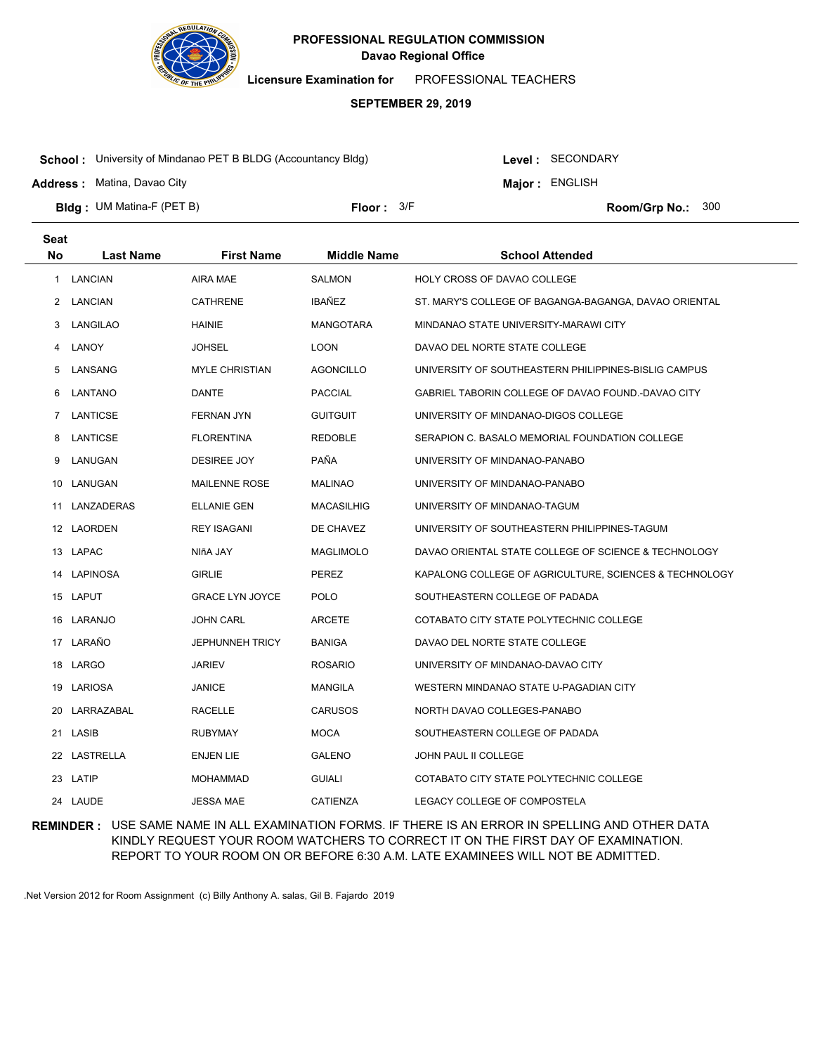

**Licensure Examination for**  PROFESSIONAL TEACHERS

### **SEPTEMBER 29, 2019**

**School :** University of Mindanao PET B BLDG (Accountancy Bldg)

Level : SECONDARY

**Major : ENGLISH** 

**Address :** Matina, Davao City

**Seat**

**Bldg : Floor : Room/Grp No.:** UM Matina-F (PET B)

Floor:  $3/F$  Room/Grp No.: 300

| υσαι |                  |                        |                    |                                                        |
|------|------------------|------------------------|--------------------|--------------------------------------------------------|
| No   | <b>Last Name</b> | <b>First Name</b>      | <b>Middle Name</b> | <b>School Attended</b>                                 |
| 1    | LANCIAN          | AIRA MAE               | <b>SALMON</b>      | HOLY CROSS OF DAVAO COLLEGE                            |
| 2    | <b>LANCIAN</b>   | CATHRENE               | IBAÑEZ             | ST. MARY'S COLLEGE OF BAGANGA-BAGANGA, DAVAO ORIENTAL  |
| 3    | LANGILAO         | HAINIE                 | <b>MANGOTARA</b>   | MINDANAO STATE UNIVERSITY-MARAWI CITY                  |
| 4    | LANOY            | <b>JOHSEL</b>          | LOON               | DAVAO DEL NORTE STATE COLLEGE                          |
| 5    | LANSANG          | <b>MYLE CHRISTIAN</b>  | <b>AGONCILLO</b>   | UNIVERSITY OF SOUTHEASTERN PHILIPPINES-BISLIG CAMPUS   |
| 6    | LANTANO          | DANTE                  | <b>PACCIAL</b>     | GABRIEL TABORIN COLLEGE OF DAVAO FOUND.-DAVAO CITY     |
| 7    | LANTICSE         | FERNAN JYN             | <b>GUITGUIT</b>    | UNIVERSITY OF MINDANAO-DIGOS COLLEGE                   |
| 8    | LANTICSE         | <b>FLORENTINA</b>      | <b>REDOBLE</b>     | SERAPION C. BASALO MEMORIAL FOUNDATION COLLEGE         |
| 9    | LANUGAN          | DESIREE JOY            | PAÑA               | UNIVERSITY OF MINDANAO-PANABO                          |
|      | 10 LANUGAN       | <b>MAILENNE ROSE</b>   | MALINAO            | UNIVERSITY OF MINDANAO-PANABO                          |
|      | 11 LANZADERAS    | ELLANIE GEN            | MACASILHIG         | UNIVERSITY OF MINDANAO-TAGUM                           |
|      | 12 LAORDEN       | REY ISAGANI            | DE CHAVEZ          | UNIVERSITY OF SOUTHEASTERN PHILIPPINES-TAGUM           |
|      | 13 LAPAC         | NIñA JAY               | <b>MAGLIMOLO</b>   | DAVAO ORIENTAL STATE COLLEGE OF SCIENCE & TECHNOLOGY   |
|      | 14 LAPINOSA      | <b>GIRLIE</b>          | PEREZ              | KAPALONG COLLEGE OF AGRICULTURE, SCIENCES & TECHNOLOGY |
|      | 15 LAPUT         | <b>GRACE LYN JOYCE</b> | <b>POLO</b>        | SOUTHEASTERN COLLEGE OF PADADA                         |
|      | 16 LARANJO       | JOHN CARL              | ARCETE             | COTABATO CITY STATE POLYTECHNIC COLLEGE                |
|      | 17 LARAÑO        | <b>JEPHUNNEH TRICY</b> | <b>BANIGA</b>      | DAVAO DEL NORTE STATE COLLEGE                          |
|      | 18 LARGO         | JARIEV                 | <b>ROSARIO</b>     | UNIVERSITY OF MINDANAO-DAVAO CITY                      |
|      | 19 LARIOSA       | <b>JANICE</b>          | <b>MANGILA</b>     | WESTERN MINDANAO STATE U-PAGADIAN CITY                 |
|      | 20 LARRAZABAL    | RACELLE                | <b>CARUSOS</b>     | NORTH DAVAO COLLEGES-PANABO                            |
|      | 21 LASIB         | RUBYMAY                | MOCA               | SOUTHEASTERN COLLEGE OF PADADA                         |
|      | 22 LASTRELLA     | ENJEN LIE              | <b>GALENO</b>      | JOHN PAUL II COLLEGE                                   |
|      | 23 LATIP         | <b>MOHAMMAD</b>        | <b>GUIALI</b>      | COTABATO CITY STATE POLYTECHNIC COLLEGE                |
|      | 24 LAUDE         | <b>JESSA MAE</b>       | CATIENZA           | LEGACY COLLEGE OF COMPOSTELA                           |
|      |                  |                        |                    |                                                        |

**REMINDER :** USE SAME NAME IN ALL EXAMINATION FORMS. IF THERE IS AN ERROR IN SPELLING AND OTHER DATA KINDLY REQUEST YOUR ROOM WATCHERS TO CORRECT IT ON THE FIRST DAY OF EXAMINATION. REPORT TO YOUR ROOM ON OR BEFORE 6:30 A.M. LATE EXAMINEES WILL NOT BE ADMITTED.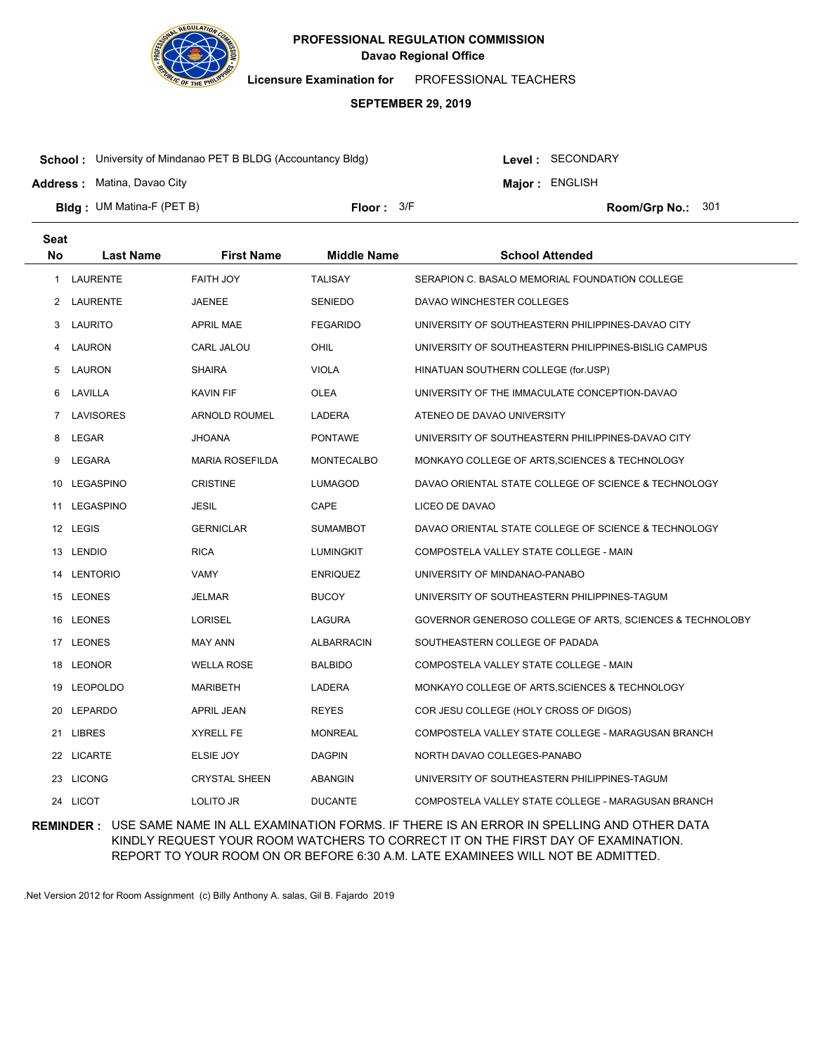

**Licensure Examination for**  PROFESSIONAL TEACHERS

### **SEPTEMBER 29, 2019**

**School :** University of Mindanao PET B BLDG (Accountancy Bldg)

Level : SECONDARY

**Major : ENGLISH** 

**Address :** Matina, Davao City

**Bldg : Floor : Room/Grp No.:** UM Matina-F (PET B) Floor: 3/F Room/Grp No.: 301

| <b>Seat</b>  |                  |                        |                    |                                                          |
|--------------|------------------|------------------------|--------------------|----------------------------------------------------------|
| <b>No</b>    | <b>Last Name</b> | <b>First Name</b>      | <b>Middle Name</b> | <b>School Attended</b>                                   |
| $\mathbf{1}$ | <b>LAURENTE</b>  | FAITH JOY              | <b>TALISAY</b>     | SERAPION C. BASALO MEMORIAL FOUNDATION COLLEGE           |
|              | 2 LAURENTE       | <b>JAENEE</b>          | <b>SENIEDO</b>     | DAVAO WINCHESTER COLLEGES                                |
| 3            | LAURITO          | <b>APRIL MAE</b>       | <b>FEGARIDO</b>    | UNIVERSITY OF SOUTHEASTERN PHILIPPINES-DAVAO CITY        |
| 4            | LAURON           | CARL JALOU             | OHIL               | UNIVERSITY OF SOUTHEASTERN PHILIPPINES-BISLIG CAMPUS     |
| 5            | LAURON           | <b>SHAIRA</b>          | <b>VIOLA</b>       | HINATUAN SOUTHERN COLLEGE (for.USP)                      |
| 6            | LAVILLA          | <b>KAVIN FIF</b>       | <b>OLEA</b>        | UNIVERSITY OF THE IMMACULATE CONCEPTION-DAVAO            |
| 7            | LAVISORES        | <b>ARNOLD ROUMEL</b>   | LADERA             | ATENEO DE DAVAO UNIVERSITY                               |
| 8            | <b>LEGAR</b>     | <b>JHOANA</b>          | <b>PONTAWE</b>     | UNIVERSITY OF SOUTHEASTERN PHILIPPINES-DAVAO CITY        |
| 9            | LEGARA           | <b>MARIA ROSEFILDA</b> | MONTECALBO         | MONKAYO COLLEGE OF ARTS, SCIENCES & TECHNOLOGY           |
|              | 10 LEGASPINO     | <b>CRISTINE</b>        | LUMAGOD            | DAVAO ORIENTAL STATE COLLEGE OF SCIENCE & TECHNOLOGY     |
|              | 11 LEGASPINO     | <b>JESIL</b>           | CAPE               | LICEO DE DAVAO                                           |
|              | 12 LEGIS         | <b>GERNICLAR</b>       | <b>SUMAMBOT</b>    | DAVAO ORIENTAL STATE COLLEGE OF SCIENCE & TECHNOLOGY     |
|              | 13 LENDIO        | <b>RICA</b>            | <b>LUMINGKIT</b>   | COMPOSTELA VALLEY STATE COLLEGE - MAIN                   |
| 14           | <b>LENTORIO</b>  | VAMY                   | <b>ENRIQUEZ</b>    | UNIVERSITY OF MINDANAO-PANABO                            |
|              | 15 LEONES        | <b>JELMAR</b>          | <b>BUCOY</b>       | UNIVERSITY OF SOUTHEASTERN PHILIPPINES-TAGUM             |
| 16           | <b>LEONES</b>    | <b>LORISEL</b>         | LAGURA             | GOVERNOR GENEROSO COLLEGE OF ARTS, SCIENCES & TECHNOLOBY |
|              | 17 LEONES        | <b>MAY ANN</b>         | <b>ALBARRACIN</b>  | SOUTHEASTERN COLLEGE OF PADADA                           |
| 18           | LEONOR           | <b>WELLA ROSE</b>      | <b>BALBIDO</b>     | COMPOSTELA VALLEY STATE COLLEGE - MAIN                   |
| 19           | LEOPOLDO         | <b>MARIBETH</b>        | LADERA             | MONKAYO COLLEGE OF ARTS, SCIENCES & TECHNOLOGY           |
|              | 20 LEPARDO       | APRIL JEAN             | <b>REYES</b>       | COR JESU COLLEGE (HOLY CROSS OF DIGOS)                   |
|              | 21 LIBRES        | <b>XYRELL FE</b>       | <b>MONREAL</b>     | COMPOSTELA VALLEY STATE COLLEGE - MARAGUSAN BRANCH       |
|              | 22 LICARTE       | ELSIE JOY              | <b>DAGPIN</b>      | NORTH DAVAO COLLEGES-PANABO                              |
| 23           | <b>LICONG</b>    | <b>CRYSTAL SHEEN</b>   | ABANGIN            | UNIVERSITY OF SOUTHEASTERN PHILIPPINES-TAGUM             |
|              | 24 LICOT         | LOLITO JR              | <b>DUCANTE</b>     | COMPOSTELA VALLEY STATE COLLEGE - MARAGUSAN BRANCH       |
|              |                  |                        |                    |                                                          |

**REMINDER :** USE SAME NAME IN ALL EXAMINATION FORMS. IF THERE IS AN ERROR IN SPELLING AND OTHER DATA KINDLY REQUEST YOUR ROOM WATCHERS TO CORRECT IT ON THE FIRST DAY OF EXAMINATION. REPORT TO YOUR ROOM ON OR BEFORE 6:30 A.M. LATE EXAMINEES WILL NOT BE ADMITTED.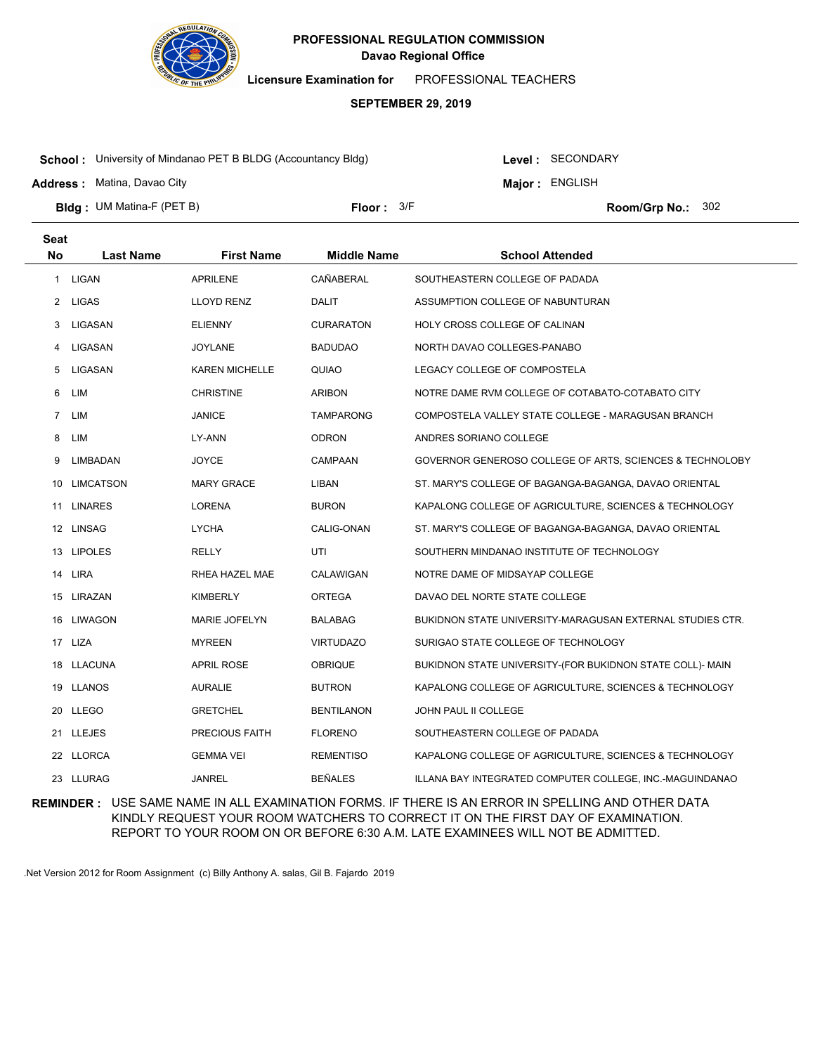

**Licensure Examination for**  PROFESSIONAL TEACHERS

#### **SEPTEMBER 29, 2019**

**School :** University of Mindanao PET B BLDG (Accountancy Bldg)

**Address :** Matina, Davao City

**Seat**

Level : SECONDARY

**Major : ENGLISH** 

**Bldg : Floor : Room/Grp No.:** UM Matina-F (PET B)

Floor:  $3/F$  Room/Grp No.: 302

| υσαι        |                  |                       |                    |                                                           |
|-------------|------------------|-----------------------|--------------------|-----------------------------------------------------------|
| <b>No</b>   | <b>Last Name</b> | <b>First Name</b>     | <b>Middle Name</b> | <b>School Attended</b>                                    |
|             | 1 LIGAN          | <b>APRILENE</b>       | CAÑABERAL          | SOUTHEASTERN COLLEGE OF PADADA                            |
|             | 2 LIGAS          | LLOYD RENZ            | <b>DALIT</b>       | ASSUMPTION COLLEGE OF NABUNTURAN                          |
| 3           | LIGASAN          | <b>ELIENNY</b>        | <b>CURARATON</b>   | HOLY CROSS COLLEGE OF CALINAN                             |
| 4           | LIGASAN          | <b>JOYLANE</b>        | <b>BADUDAO</b>     | NORTH DAVAO COLLEGES-PANABO                               |
| 5           | LIGASAN          | <b>KAREN MICHELLE</b> | QUIAO              | LEGACY COLLEGE OF COMPOSTELA                              |
| 6           | LIM              | <b>CHRISTINE</b>      | <b>ARIBON</b>      | NOTRE DAME RVM COLLEGE OF COTABATO-COTABATO CITY          |
| $7^{\circ}$ | LIM              | JANICE                | <b>TAMPARONG</b>   | COMPOSTELA VALLEY STATE COLLEGE - MARAGUSAN BRANCH        |
| 8           | LIM              | LY-ANN                | <b>ODRON</b>       | ANDRES SORIANO COLLEGE                                    |
| 9           | LIMBADAN         | <b>JOYCE</b>          | CAMPAAN            | GOVERNOR GENEROSO COLLEGE OF ARTS, SCIENCES & TECHNOLOBY  |
| 10          | LIMCATSON        | <b>MARY GRACE</b>     | LIBAN              | ST. MARY'S COLLEGE OF BAGANGA-BAGANGA, DAVAO ORIENTAL     |
| 11          | <b>LINARES</b>   | <b>LORENA</b>         | <b>BURON</b>       | KAPALONG COLLEGE OF AGRICULTURE, SCIENCES & TECHNOLOGY    |
|             | 12 LINSAG        | <b>LYCHA</b>          | CALIG-ONAN         | ST. MARY'S COLLEGE OF BAGANGA-BAGANGA, DAVAO ORIENTAL     |
|             | 13 LIPOLES       | RELLY                 | UTI                | SOUTHERN MINDANAO INSTITUTE OF TECHNOLOGY                 |
|             | 14 LIRA          | RHEA HAZEL MAE        | CALAWIGAN          | NOTRE DAME OF MIDSAYAP COLLEGE                            |
|             | 15 LIRAZAN       | <b>KIMBERLY</b>       | ORTEGA             | DAVAO DEL NORTE STATE COLLEGE                             |
|             | 16 LIWAGON       | <b>MARIE JOFELYN</b>  | BALABAG            | BUKIDNON STATE UNIVERSITY-MARAGUSAN EXTERNAL STUDIES CTR. |
|             | 17 LIZA          | <b>MYREEN</b>         | <b>VIRTUDAZO</b>   | SURIGAO STATE COLLEGE OF TECHNOLOGY                       |
|             | 18 LLACUNA       | <b>APRIL ROSE</b>     | <b>OBRIQUE</b>     | BUKIDNON STATE UNIVERSITY-(FOR BUKIDNON STATE COLL)- MAIN |
| 19.         | LLANOS           | <b>AURALIE</b>        | <b>BUTRON</b>      | KAPALONG COLLEGE OF AGRICULTURE, SCIENCES & TECHNOLOGY    |
|             | 20 LLEGO         | <b>GRETCHEL</b>       | <b>BENTILANON</b>  | JOHN PAUL II COLLEGE                                      |
|             | 21 LLEJES        | PRECIOUS FAITH        | <b>FLORENO</b>     | SOUTHEASTERN COLLEGE OF PADADA                            |
|             | 22 LLORCA        | <b>GEMMA VEI</b>      | <b>REMENTISO</b>   | KAPALONG COLLEGE OF AGRICULTURE, SCIENCES & TECHNOLOGY    |
|             | 23 LLURAG        | <b>JANREL</b>         | <b>BEÑALES</b>     | ILLANA BAY INTEGRATED COMPUTER COLLEGE, INC.-MAGUINDANAO  |
|             |                  |                       |                    |                                                           |

**REMINDER :** USE SAME NAME IN ALL EXAMINATION FORMS. IF THERE IS AN ERROR IN SPELLING AND OTHER DATA KINDLY REQUEST YOUR ROOM WATCHERS TO CORRECT IT ON THE FIRST DAY OF EXAMINATION. REPORT TO YOUR ROOM ON OR BEFORE 6:30 A.M. LATE EXAMINEES WILL NOT BE ADMITTED.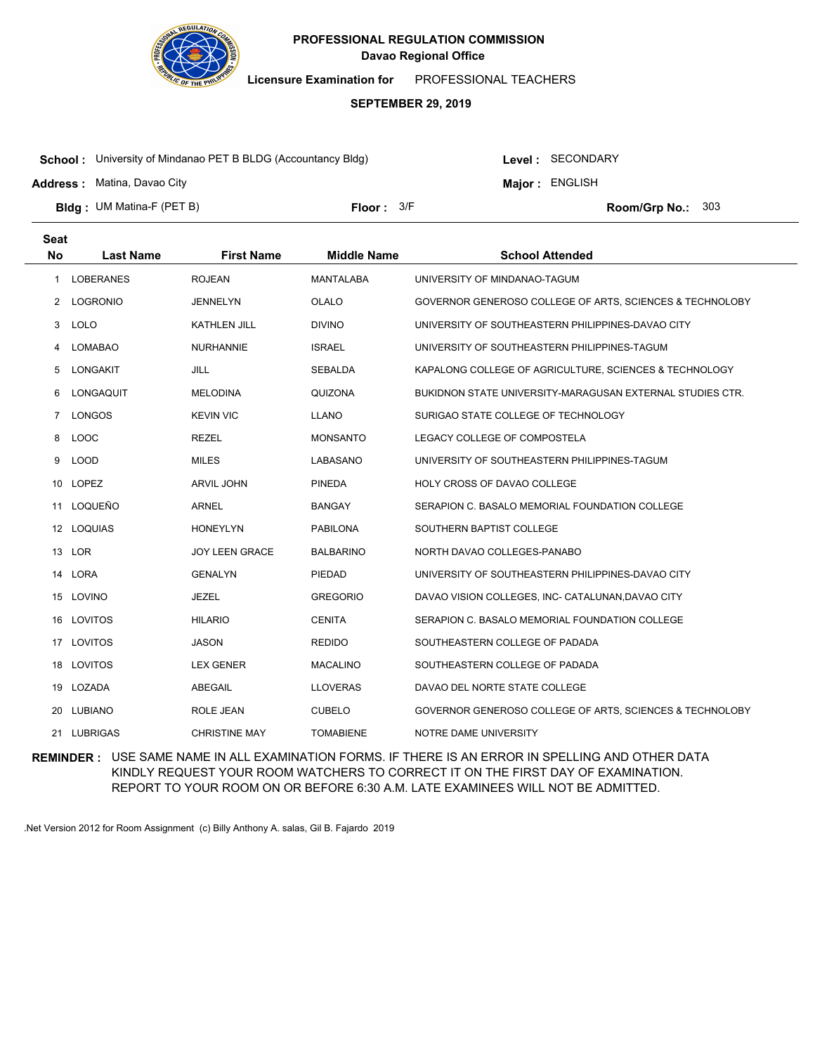

**Licensure Examination for**  PROFESSIONAL TEACHERS

### **SEPTEMBER 29, 2019**

**School :** University of Mindanao PET B BLDG (Accountancy Bldg)

Level : SECONDARY

**Major : ENGLISH** 

**Address :** Matina, Davao City

**Bldg : Floor : Room/Grp No.:** UM Matina-F (PET B) Floor:  $3/5$  Room/Grp No.: 303

| Seat         |                  |                      |                    |                                                           |
|--------------|------------------|----------------------|--------------------|-----------------------------------------------------------|
| <b>No</b>    | <b>Last Name</b> | <b>First Name</b>    | <b>Middle Name</b> | <b>School Attended</b>                                    |
| 1            | <b>LOBERANES</b> | <b>ROJEAN</b>        | <b>MANTALABA</b>   | UNIVERSITY OF MINDANAO-TAGUM                              |
| $\mathbf{2}$ | LOGRONIO         | <b>JENNELYN</b>      | OLALO              | GOVERNOR GENEROSO COLLEGE OF ARTS, SCIENCES & TECHNOLOBY  |
| 3            | <b>LOLO</b>      | <b>KATHLEN JILL</b>  | <b>DIVINO</b>      | UNIVERSITY OF SOUTHEASTERN PHILIPPINES-DAVAO CITY         |
| 4            | <b>LOMABAO</b>   | <b>NURHANNIE</b>     | <b>ISRAEL</b>      | UNIVERSITY OF SOUTHEASTERN PHILIPPINES-TAGUM              |
| 5            | <b>LONGAKIT</b>  | <b>JILL</b>          | <b>SEBALDA</b>     | KAPALONG COLLEGE OF AGRICULTURE, SCIENCES & TECHNOLOGY    |
| 6            | LONGAQUIT        | <b>MELODINA</b>      | QUIZONA            | BUKIDNON STATE UNIVERSITY-MARAGUSAN EXTERNAL STUDIES CTR. |
| $7^{\circ}$  | LONGOS           | <b>KEVIN VIC</b>     | <b>LLANO</b>       | SURIGAO STATE COLLEGE OF TECHNOLOGY                       |
| 8            | LOOC             | <b>REZEL</b>         | <b>MONSANTO</b>    | LEGACY COLLEGE OF COMPOSTELA                              |
| 9            | <b>LOOD</b>      | <b>MILES</b>         | LABASANO           | UNIVERSITY OF SOUTHEASTERN PHILIPPINES-TAGUM              |
|              | 10 LOPEZ         | <b>ARVIL JOHN</b>    | <b>PINEDA</b>      | <b>HOLY CROSS OF DAVAO COLLEGE</b>                        |
| 11           | LOQUEÑO          | <b>ARNEL</b>         | <b>BANGAY</b>      | SERAPION C. BASALO MEMORIAL FOUNDATION COLLEGE            |
|              | 12 LOQUIAS       | <b>HONEYLYN</b>      | <b>PABILONA</b>    | SOUTHERN BAPTIST COLLEGE                                  |
|              | 13 LOR           | JOY LEEN GRACE       | <b>BALBARINO</b>   | NORTH DAVAO COLLEGES-PANABO                               |
| 14           | LORA             | <b>GENALYN</b>       | PIEDAD             | UNIVERSITY OF SOUTHEASTERN PHILIPPINES-DAVAO CITY         |
| 15           | LOVINO           | <b>JEZEL</b>         | <b>GREGORIO</b>    | DAVAO VISION COLLEGES, INC- CATALUNAN, DAVAO CITY         |
| 16           | LOVITOS          | <b>HILARIO</b>       | <b>CENITA</b>      | SERAPION C. BASALO MEMORIAL FOUNDATION COLLEGE            |
| 17           | LOVITOS          | <b>JASON</b>         | <b>REDIDO</b>      | SOUTHEASTERN COLLEGE OF PADADA                            |
| 18           | LOVITOS          | <b>LEX GENER</b>     | <b>MACALINO</b>    | SOUTHEASTERN COLLEGE OF PADADA                            |
|              | 19 LOZADA        | ABEGAIL              | <b>LLOVERAS</b>    | DAVAO DEL NORTE STATE COLLEGE                             |
| 20           | <b>LUBIANO</b>   | <b>ROLE JEAN</b>     | <b>CUBELO</b>      | GOVERNOR GENEROSO COLLEGE OF ARTS, SCIENCES & TECHNOLOBY  |
|              | 21 LUBRIGAS      | <b>CHRISTINE MAY</b> | <b>TOMABIENE</b>   | NOTRE DAME UNIVERSITY                                     |

**REMINDER :** USE SAME NAME IN ALL EXAMINATION FORMS. IF THERE IS AN ERROR IN SPELLING AND OTHER DATA KINDLY REQUEST YOUR ROOM WATCHERS TO CORRECT IT ON THE FIRST DAY OF EXAMINATION. REPORT TO YOUR ROOM ON OR BEFORE 6:30 A.M. LATE EXAMINEES WILL NOT BE ADMITTED.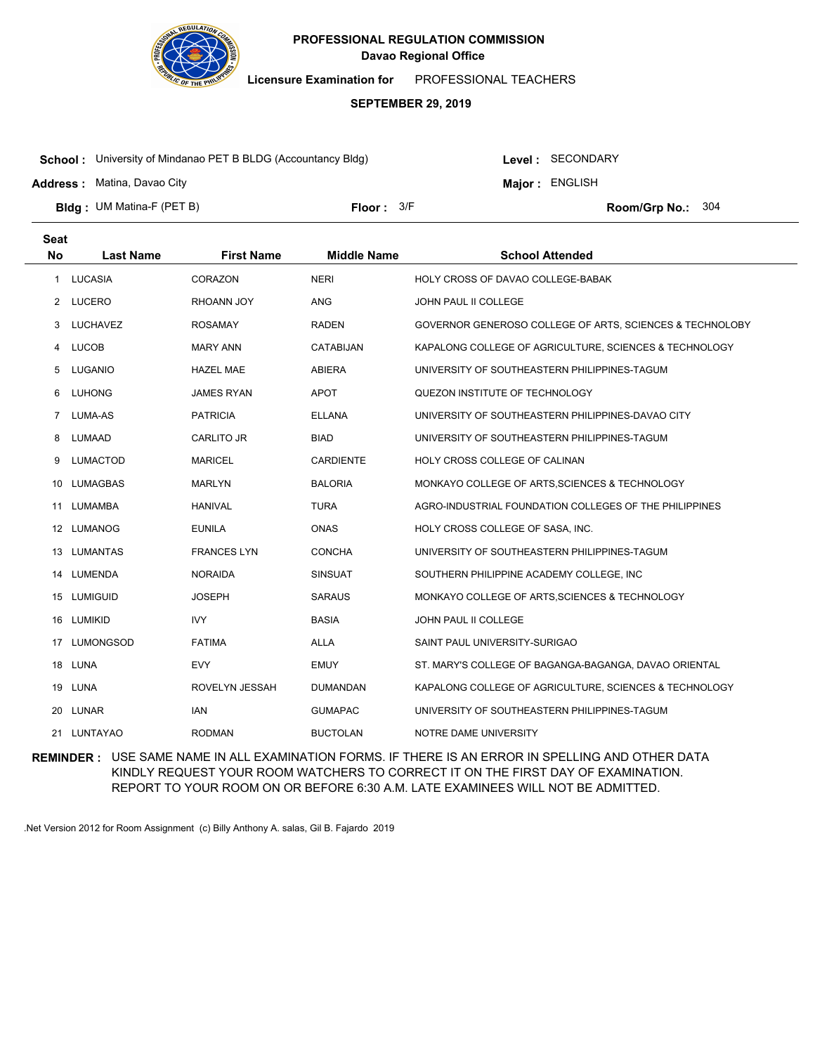

**Licensure Examination for**  PROFESSIONAL TEACHERS

## **SEPTEMBER 29, 2019**

**School :** University of Mindanao PET B BLDG (Accountancy Bldg)

Level : SECONDARY

**Major : ENGLISH** 

**Address :** Matina, Davao City

**Bldg : Floor : Room/Grp No.:** UM Matina-F (PET B) Floor:  $3/5$  Room/Grp No.: 304

| <b>Seat</b> |                  |                    |                    |                                                          |
|-------------|------------------|--------------------|--------------------|----------------------------------------------------------|
| <b>No</b>   | <b>Last Name</b> | <b>First Name</b>  | <b>Middle Name</b> | <b>School Attended</b>                                   |
| 1           | LUCASIA          | CORAZON            | <b>NERI</b>        | HOLY CROSS OF DAVAO COLLEGE-BABAK                        |
| 2           | LUCERO           | RHOANN JOY         | ANG                | JOHN PAUL II COLLEGE                                     |
| 3           | LUCHAVEZ         | <b>ROSAMAY</b>     | <b>RADEN</b>       | GOVERNOR GENEROSO COLLEGE OF ARTS, SCIENCES & TECHNOLOBY |
| 4           | <b>LUCOB</b>     | <b>MARY ANN</b>    | <b>CATABIJAN</b>   | KAPALONG COLLEGE OF AGRICULTURE, SCIENCES & TECHNOLOGY   |
| 5           | LUGANIO          | <b>HAZEL MAE</b>   | <b>ABIERA</b>      | UNIVERSITY OF SOUTHEASTERN PHILIPPINES-TAGUM             |
| 6           | <b>LUHONG</b>    | <b>JAMES RYAN</b>  | APOT               | QUEZON INSTITUTE OF TECHNOLOGY                           |
| 7           | LUMA-AS          | <b>PATRICIA</b>    | <b>ELLANA</b>      | UNIVERSITY OF SOUTHEASTERN PHILIPPINES-DAVAO CITY        |
| 8           | LUMAAD           | CARLITO JR         | <b>BIAD</b>        | UNIVERSITY OF SOUTHEASTERN PHILIPPINES-TAGUM             |
| 9           | <b>LUMACTOD</b>  | <b>MARICEL</b>     | <b>CARDIENTE</b>   | HOLY CROSS COLLEGE OF CALINAN                            |
| 10          | LUMAGBAS         | <b>MARLYN</b>      | <b>BALORIA</b>     | MONKAYO COLLEGE OF ARTS, SCIENCES & TECHNOLOGY           |
| 11          | LUMAMBA          | <b>HANIVAL</b>     | <b>TURA</b>        | AGRO-INDUSTRIAL FOUNDATION COLLEGES OF THE PHILIPPINES   |
|             | 12 LUMANOG       | <b>EUNILA</b>      | <b>ONAS</b>        | HOLY CROSS COLLEGE OF SASA, INC.                         |
| 13          | LUMANTAS         | <b>FRANCES LYN</b> | <b>CONCHA</b>      | UNIVERSITY OF SOUTHEASTERN PHILIPPINES-TAGUM             |
| 14          | LUMENDA          | <b>NORAIDA</b>     | <b>SINSUAT</b>     | SOUTHERN PHILIPPINE ACADEMY COLLEGE, INC                 |
|             | 15 LUMIGUID      | <b>JOSEPH</b>      | <b>SARAUS</b>      | MONKAYO COLLEGE OF ARTS, SCIENCES & TECHNOLOGY           |
| 16          | LUMIKID          | <b>IVY</b>         | <b>BASIA</b>       | JOHN PAUL II COLLEGE                                     |
| 17          | <b>LUMONGSOD</b> | <b>FATIMA</b>      | <b>ALLA</b>        | SAINT PAUL UNIVERSITY-SURIGAO                            |
|             | 18 LUNA          | <b>EVY</b>         | <b>EMUY</b>        | ST. MARY'S COLLEGE OF BAGANGA-BAGANGA, DAVAO ORIENTAL    |
| 19          | LUNA             | ROVELYN JESSAH     | <b>DUMANDAN</b>    | KAPALONG COLLEGE OF AGRICULTURE, SCIENCES & TECHNOLOGY   |
| 20          | <b>LUNAR</b>     | <b>IAN</b>         | <b>GUMAPAC</b>     | UNIVERSITY OF SOUTHEASTERN PHILIPPINES-TAGUM             |
|             | 21 LUNTAYAO      | <b>RODMAN</b>      | <b>BUCTOLAN</b>    | NOTRE DAME UNIVERSITY                                    |

**REMINDER :** USE SAME NAME IN ALL EXAMINATION FORMS. IF THERE IS AN ERROR IN SPELLING AND OTHER DATA KINDLY REQUEST YOUR ROOM WATCHERS TO CORRECT IT ON THE FIRST DAY OF EXAMINATION. REPORT TO YOUR ROOM ON OR BEFORE 6:30 A.M. LATE EXAMINEES WILL NOT BE ADMITTED.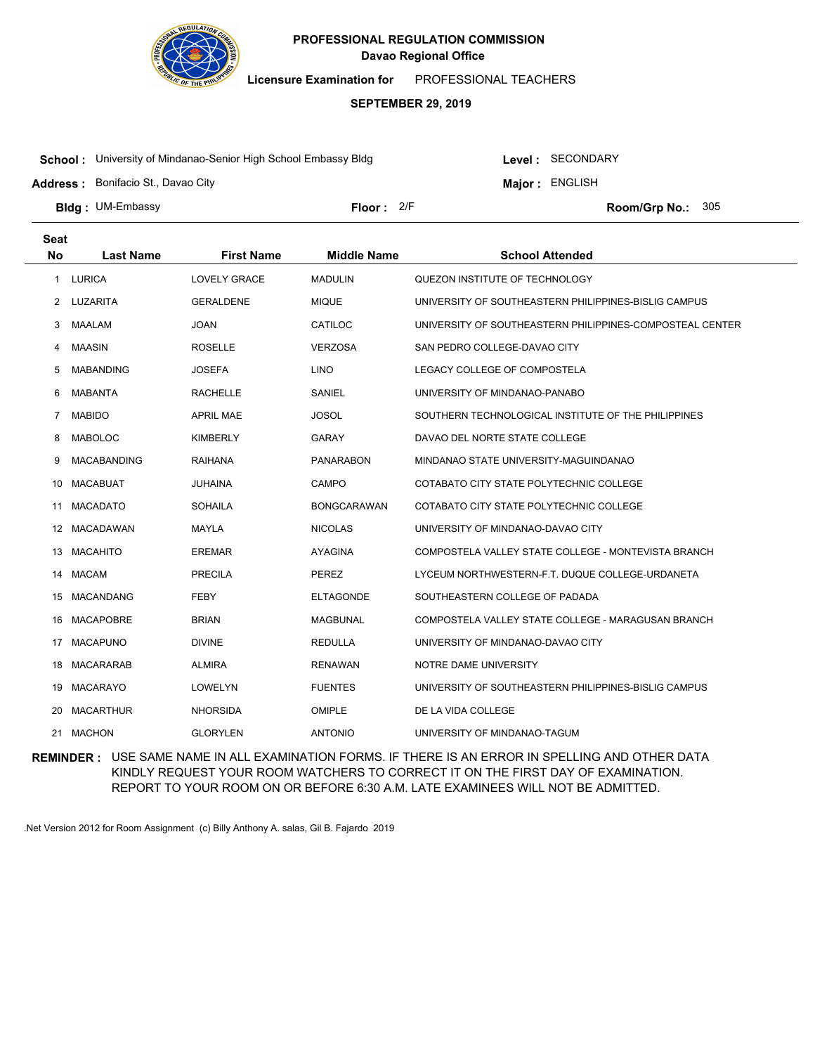

**Licensure Examination for**  PROFESSIONAL TEACHERS

### **SEPTEMBER 29, 2019**

**School :** University of Mindanao-Senior High School Embassy Bldg

**Address :** Bonifacio St., Davao City

Level : SECONDARY **Major : ENGLISH** 

**Bldg : Floor : Room/Grp No.:** UM-Embassy Floor: 2/F Room/Grp No.: 305

| <b>Seat</b> |                    |                     |                    |                                                          |
|-------------|--------------------|---------------------|--------------------|----------------------------------------------------------|
| <b>No</b>   | <b>Last Name</b>   | <b>First Name</b>   | <b>Middle Name</b> | <b>School Attended</b>                                   |
| 1           | <b>LURICA</b>      | <b>LOVELY GRACE</b> | <b>MADULIN</b>     | QUEZON INSTITUTE OF TECHNOLOGY                           |
| 2           | LUZARITA           | <b>GERALDENE</b>    | <b>MIQUE</b>       | UNIVERSITY OF SOUTHEASTERN PHILIPPINES-BISLIG CAMPUS     |
| 3           | <b>MAALAM</b>      | <b>JOAN</b>         | CATILOC            | UNIVERSITY OF SOUTHEASTERN PHILIPPINES-COMPOSTEAL CENTER |
| 4           | <b>MAASIN</b>      | <b>ROSELLE</b>      | <b>VERZOSA</b>     | SAN PEDRO COLLEGE-DAVAO CITY                             |
| 5           | <b>MABANDING</b>   | <b>JOSEFA</b>       | <b>LINO</b>        | LEGACY COLLEGE OF COMPOSTELA                             |
| 6           | <b>MABANTA</b>     | <b>RACHELLE</b>     | SANIEL             | UNIVERSITY OF MINDANAO-PANABO                            |
| 7           | <b>MABIDO</b>      | <b>APRIL MAE</b>    | <b>JOSOL</b>       | SOUTHERN TECHNOLOGICAL INSTITUTE OF THE PHILIPPINES      |
| 8           | <b>MABOLOC</b>     | <b>KIMBERLY</b>     | <b>GARAY</b>       | DAVAO DEL NORTE STATE COLLEGE                            |
| 9           | <b>MACABANDING</b> | RAIHANA             | <b>PANARABON</b>   | MINDANAO STATE UNIVERSITY-MAGUINDANAO                    |
| 10          | <b>MACABUAT</b>    | JUHAINA             | CAMPO              | COTABATO CITY STATE POLYTECHNIC COLLEGE                  |
| 11          | <b>MACADATO</b>    | <b>SOHAILA</b>      | <b>BONGCARAWAN</b> | COTABATO CITY STATE POLYTECHNIC COLLEGE                  |
| 12          | <b>MACADAWAN</b>   | MAYLA               | <b>NICOLAS</b>     | UNIVERSITY OF MINDANAO-DAVAO CITY                        |
| 13          | <b>MACAHITO</b>    | <b>EREMAR</b>       | <b>AYAGINA</b>     | COMPOSTELA VALLEY STATE COLLEGE - MONTEVISTA BRANCH      |
| 14          | <b>MACAM</b>       | <b>PRECILA</b>      | <b>PEREZ</b>       | LYCEUM NORTHWESTERN-F.T. DUQUE COLLEGE-URDANETA          |
| 15          | <b>MACANDANG</b>   | <b>FEBY</b>         | <b>ELTAGONDE</b>   | SOUTHEASTERN COLLEGE OF PADADA                           |
| 16          | <b>MACAPOBRE</b>   | <b>BRIAN</b>        | <b>MAGBUNAL</b>    | COMPOSTELA VALLEY STATE COLLEGE - MARAGUSAN BRANCH       |
| 17          | <b>MACAPUNO</b>    | <b>DIVINE</b>       | <b>REDULLA</b>     | UNIVERSITY OF MINDANAO-DAVAO CITY                        |
| 18          | <b>MACARARAB</b>   | <b>ALMIRA</b>       | <b>RENAWAN</b>     | NOTRE DAME UNIVERSITY                                    |
| 19          | <b>MACARAYO</b>    | <b>LOWELYN</b>      | <b>FUENTES</b>     | UNIVERSITY OF SOUTHEASTERN PHILIPPINES-BISLIG CAMPUS     |
| 20          | <b>MACARTHUR</b>   | <b>NHORSIDA</b>     | <b>OMIPLE</b>      | DE LA VIDA COLLEGE                                       |
|             | 21 MACHON          | <b>GLORYLEN</b>     | <b>ANTONIO</b>     | UNIVERSITY OF MINDANAO-TAGUM                             |

**REMINDER :** USE SAME NAME IN ALL EXAMINATION FORMS. IF THERE IS AN ERROR IN SPELLING AND OTHER DATA KINDLY REQUEST YOUR ROOM WATCHERS TO CORRECT IT ON THE FIRST DAY OF EXAMINATION. REPORT TO YOUR ROOM ON OR BEFORE 6:30 A.M. LATE EXAMINEES WILL NOT BE ADMITTED.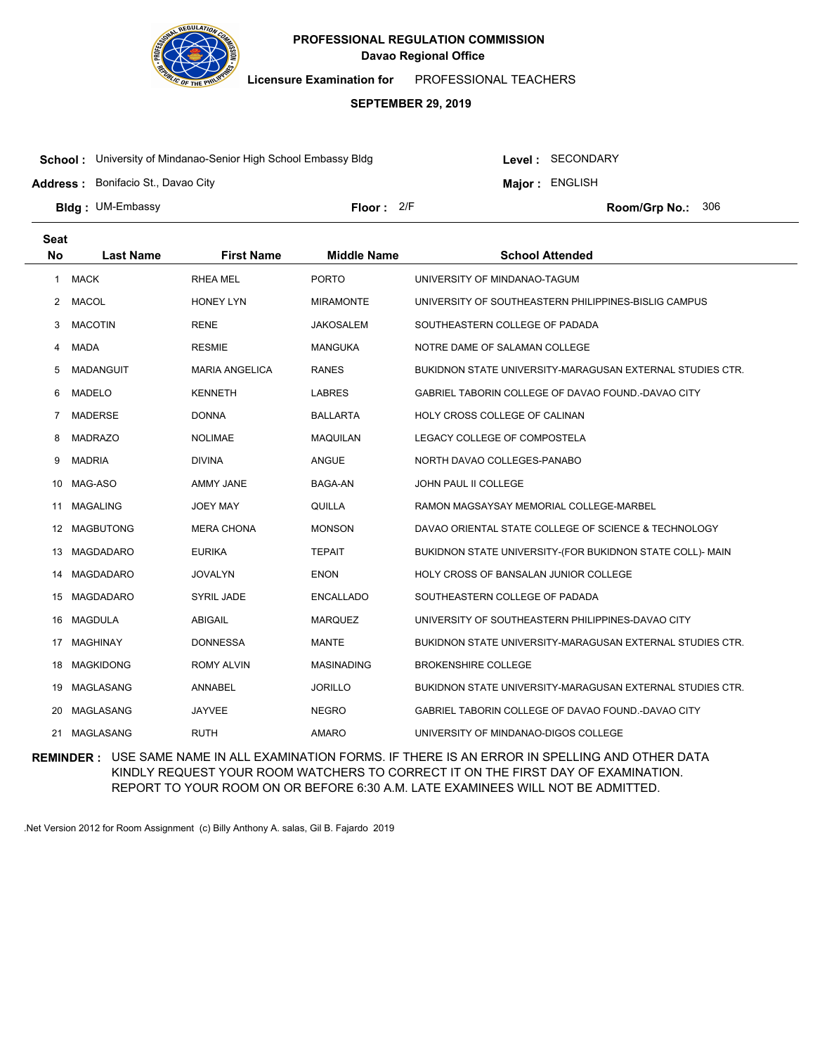

**Licensure Examination for**  PROFESSIONAL TEACHERS

### **SEPTEMBER 29, 2019**

**School :** University of Mindanao-Senior High School Embassy Bldg

**Address :** Bonifacio St., Davao City

Level : SECONDARY **Major : ENGLISH** 

**Bldg : Floor : Room/Grp No.:** UM-Embassy Floor: 2/F Room/Grp No.: 306

| <b>Seat</b>  |                  |                       |                    |                                                           |
|--------------|------------------|-----------------------|--------------------|-----------------------------------------------------------|
| <b>No</b>    | <b>Last Name</b> | <b>First Name</b>     | <b>Middle Name</b> | <b>School Attended</b>                                    |
| $\mathbf{1}$ | <b>MACK</b>      | <b>RHEA MEL</b>       | <b>PORTO</b>       | UNIVERSITY OF MINDANAO-TAGUM                              |
| 2            | <b>MACOL</b>     | <b>HONEY LYN</b>      | <b>MIRAMONTE</b>   | UNIVERSITY OF SOUTHEASTERN PHILIPPINES-BISLIG CAMPUS      |
| 3            | <b>MACOTIN</b>   | <b>RENE</b>           | JAKOSALEM          | SOUTHEASTERN COLLEGE OF PADADA                            |
| 4            | <b>MADA</b>      | <b>RESMIE</b>         | <b>MANGUKA</b>     | NOTRE DAME OF SALAMAN COLLEGE                             |
| 5            | <b>MADANGUIT</b> | <b>MARIA ANGELICA</b> | <b>RANES</b>       | BUKIDNON STATE UNIVERSITY-MARAGUSAN EXTERNAL STUDIES CTR. |
| 6            | <b>MADELO</b>    | <b>KENNETH</b>        | <b>LABRES</b>      | GABRIEL TABORIN COLLEGE OF DAVAO FOUND.-DAVAO CITY        |
| 7            | <b>MADERSE</b>   | <b>DONNA</b>          | <b>BALLARTA</b>    | HOLY CROSS COLLEGE OF CALINAN                             |
| 8            | <b>MADRAZO</b>   | <b>NOLIMAE</b>        | <b>MAQUILAN</b>    | LEGACY COLLEGE OF COMPOSTELA                              |
| 9            | <b>MADRIA</b>    | <b>DIVINA</b>         | <b>ANGUE</b>       | NORTH DAVAO COLLEGES-PANABO                               |
| 10           | MAG-ASO          | AMMY JANE             | BAGA-AN            | JOHN PAUL II COLLEGE                                      |
| 11           | <b>MAGALING</b>  | <b>JOEY MAY</b>       | QUILLA             | RAMON MAGSAYSAY MEMORIAL COLLEGE-MARBEL                   |
| 12           | <b>MAGBUTONG</b> | <b>MERA CHONA</b>     | <b>MONSON</b>      | DAVAO ORIENTAL STATE COLLEGE OF SCIENCE & TECHNOLOGY      |
| 13           | <b>MAGDADARO</b> | <b>EURIKA</b>         | <b>TEPAIT</b>      | BUKIDNON STATE UNIVERSITY-(FOR BUKIDNON STATE COLL)- MAIN |
| 14           | MAGDADARO        | <b>JOVALYN</b>        | <b>ENON</b>        | <b>HOLY CROSS OF BANSALAN JUNIOR COLLEGE</b>              |
| 15           | MAGDADARO        | <b>SYRIL JADE</b>     | ENCALLADO          | SOUTHEASTERN COLLEGE OF PADADA                            |
| 16           | <b>MAGDULA</b>   | <b>ABIGAIL</b>        | <b>MARQUEZ</b>     | UNIVERSITY OF SOUTHEASTERN PHILIPPINES-DAVAO CITY         |
| 17           | <b>MAGHINAY</b>  | <b>DONNESSA</b>       | MANTE              | BUKIDNON STATE UNIVERSITY-MARAGUSAN EXTERNAL STUDIES CTR. |
| 18           | <b>MAGKIDONG</b> | <b>ROMY ALVIN</b>     | <b>MASINADING</b>  | <b>BROKENSHIRE COLLEGE</b>                                |
| 19           | MAGLASANG        | <b>ANNABEL</b>        | <b>JORILLO</b>     | BUKIDNON STATE UNIVERSITY-MARAGUSAN EXTERNAL STUDIES CTR. |
| 20           | MAGLASANG        | <b>JAYVEE</b>         | <b>NEGRO</b>       | GABRIEL TABORIN COLLEGE OF DAVAO FOUND.-DAVAO CITY        |
| 21           | <b>MAGLASANG</b> | <b>RUTH</b>           | <b>AMARO</b>       | UNIVERSITY OF MINDANAO-DIGOS COLLEGE                      |

**REMINDER :** USE SAME NAME IN ALL EXAMINATION FORMS. IF THERE IS AN ERROR IN SPELLING AND OTHER DATA KINDLY REQUEST YOUR ROOM WATCHERS TO CORRECT IT ON THE FIRST DAY OF EXAMINATION. REPORT TO YOUR ROOM ON OR BEFORE 6:30 A.M. LATE EXAMINEES WILL NOT BE ADMITTED.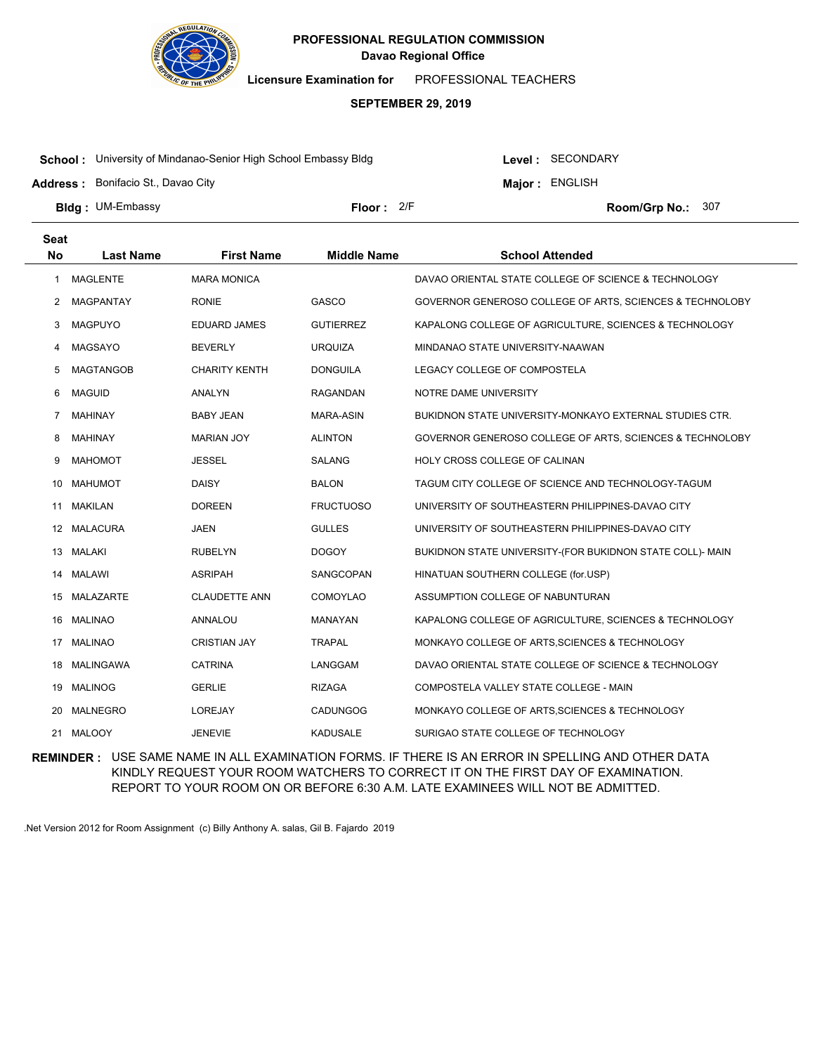

**Licensure Examination for**  PROFESSIONAL TEACHERS

### **SEPTEMBER 29, 2019**

**School :** University of Mindanao-Senior High School Embassy Bldg

**Address :** Bonifacio St., Davao City

Level : SECONDARY

**Major : ENGLISH** 

**Bldg : Floor : Room/Grp No.:** UM-Embassy Floor:  $2/F$  Room/Gro No.: 307

**Last Name First Name Middle Name School Attended Seat No** 1 MAGLENTE MARA MONICA DAVAO ORIENTAL STATE COLLEGE OF SCIENCE & TECHNOLOGY 2 MAGPANTAY RONIE GASCO GOVERNOR GENEROSO COLLEGE OF ARTS, SCIENCES & TECHNOLOBY 3 MAGPUYO EDUARD JAMES GUTIERREZ KAPALONG COLLEGE OF AGRICULTURE, SCIENCES & TECHNOLOGY 4 MAGSAYO BEVERLY URQUIZA MINDANAO STATE UNIVERSITY-NAAWAN 5 MAGTANGOB CHARITY KENTH DONGUILA LEGACY COLLEGE OF COMPOSTELA 6 MAGUID ANALYN RAGANDAN NOTRE DAME UNIVERSITY 7 MAHINAY BABY JEAN MARA-ASIN BUKIDNON STATE UNIVERSITY-MONKAYO EXTERNAL STUDIES CTR. 8 MAHINAY MARIAN JOY ALINTON GOVERNOR GENEROSO COLLEGE OF ARTS, SCIENCES & TECHNOLOBY 9 MAHOMOT JESSEL SALANG HOLY CROSS COLLEGE OF CALINAN 10 MAHUMOT DAISY BALON TAGUM CITY COLLEGE OF SCIENCE AND TECHNOLOGY-TAGUM 11 MAKILAN DOREEN FRUCTUOSO UNIVERSITY OF SOUTHEASTERN PHILIPPINES-DAVAO CITY 12 MALACURA JAEN GULLES UNIVERSITY OF SOUTHEASTERN PHILIPPINES-DAVAO CITY 13 MALAKI RUBELYN DOGOY BUKIDNON STATE UNIVERSITY-(FOR BUKIDNON STATE COLL)- MAIN 14 MALAWI ASRIPAH SANGCOPAN HINATUAN SOUTHERN COLLEGE (for.USP) 15 MALAZARTE CLAUDETTE ANN COMOYLAO ASSUMPTION COLLEGE OF NABUNTURAN 16 MALINAO ANNALOU MANAYAN KAPALONG COLLEGE OF AGRICULTURE, SCIENCES & TECHNOLOGY 17 MALINAO CRISTIAN JAY TRAPAL MONKAYO COLLEGE OF ARTS,SCIENCES & TECHNOLOGY 18 MALINGAWA CATRINA LANGGAM DAVAO ORIENTAL STATE COLLEGE OF SCIENCE & TECHNOLOGY 19 MALINOG GERLIE GERLIE RIZAGA COMPOSTELA VALLEY STATE COLLEGE - MAIN 20 MALNEGRO LOREJAY CADUNGOG MONKAYO COLLEGE OF ARTS,SCIENCES & TECHNOLOGY 21 MALOOY **JENEVIE KADUSALE SURIGAO STATE COLLEGE OF TECHNOLOGY** 

**REMINDER :** USE SAME NAME IN ALL EXAMINATION FORMS. IF THERE IS AN ERROR IN SPELLING AND OTHER DATA KINDLY REQUEST YOUR ROOM WATCHERS TO CORRECT IT ON THE FIRST DAY OF EXAMINATION. REPORT TO YOUR ROOM ON OR BEFORE 6:30 A.M. LATE EXAMINEES WILL NOT BE ADMITTED.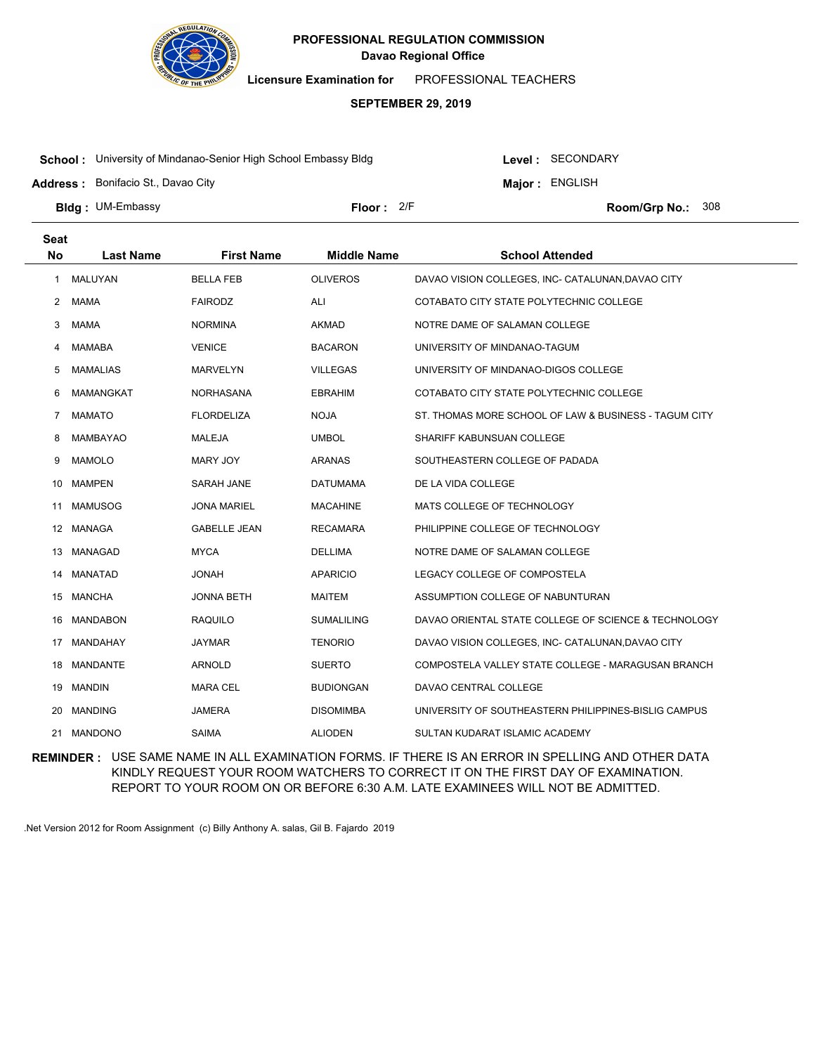

**Licensure Examination for**  PROFESSIONAL TEACHERS

### **SEPTEMBER 29, 2019**

**School :** University of Mindanao-Senior High School Embassy Bldg

Level : SECONDARY

**Major : ENGLISH** 

**Address :** Bonifacio St., Davao City

**Bldg : Floor : Room/Grp No.:** UM-Embassy Floor: 2/F Room/Grp No.: 308

| <b>Seat</b>          |                  |                     |                    |                                                       |
|----------------------|------------------|---------------------|--------------------|-------------------------------------------------------|
| <b>No</b>            | <b>Last Name</b> | <b>First Name</b>   | <b>Middle Name</b> | <b>School Attended</b>                                |
| 1                    | <b>MALUYAN</b>   | <b>BELLA FEB</b>    | <b>OLIVEROS</b>    | DAVAO VISION COLLEGES, INC- CATALUNAN, DAVAO CITY     |
| $\mathbf{2}^{\circ}$ | <b>MAMA</b>      | <b>FAIRODZ</b>      | ALI                | COTABATO CITY STATE POLYTECHNIC COLLEGE               |
| 3                    | MAMA             | <b>NORMINA</b>      | <b>AKMAD</b>       | NOTRE DAME OF SALAMAN COLLEGE                         |
| 4                    | <b>MAMABA</b>    | <b>VENICE</b>       | BACARON            | UNIVERSITY OF MINDANAO-TAGUM                          |
| 5                    | <b>MAMALIAS</b>  | <b>MARVELYN</b>     | <b>VILLEGAS</b>    | UNIVERSITY OF MINDANAO-DIGOS COLLEGE                  |
| 6                    | <b>MAMANGKAT</b> | <b>NORHASANA</b>    | <b>EBRAHIM</b>     | COTABATO CITY STATE POLYTECHNIC COLLEGE               |
| $7^{\circ}$          | <b>MAMATO</b>    | <b>FLORDELIZA</b>   | <b>NOJA</b>        | ST. THOMAS MORE SCHOOL OF LAW & BUSINESS - TAGUM CITY |
| 8                    | <b>MAMBAYAO</b>  | <b>MALEJA</b>       | <b>UMBOL</b>       | SHARIFF KABUNSUAN COLLEGE                             |
| 9                    | <b>MAMOLO</b>    | MARY JOY            | <b>ARANAS</b>      | SOUTHEASTERN COLLEGE OF PADADA                        |
| 10                   | <b>MAMPEN</b>    | SARAH JANE          | <b>DATUMAMA</b>    | DE LA VIDA COLLEGE                                    |
| 11                   | <b>MAMUSOG</b>   | <b>JONA MARIEL</b>  | <b>MACAHINE</b>    | MATS COLLEGE OF TECHNOLOGY                            |
|                      | 12 MANAGA        | <b>GABELLE JEAN</b> | <b>RECAMARA</b>    | PHILIPPINE COLLEGE OF TECHNOLOGY                      |
| 13                   | MANAGAD          | <b>MYCA</b>         | <b>DELLIMA</b>     | NOTRE DAME OF SALAMAN COLLEGE                         |
| 14                   | <b>MANATAD</b>   | <b>HANOL</b>        | <b>APARICIO</b>    | LEGACY COLLEGE OF COMPOSTELA                          |
| 15                   | <b>MANCHA</b>    | <b>JONNA BETH</b>   | <b>MAITEM</b>      | ASSUMPTION COLLEGE OF NABUNTURAN                      |
| 16                   | <b>MANDABON</b>  | <b>RAQUILO</b>      | SUMALILING         | DAVAO ORIENTAL STATE COLLEGE OF SCIENCE & TECHNOLOGY  |
| 17                   | MANDAHAY         | <b>JAYMAR</b>       | <b>TENORIO</b>     | DAVAO VISION COLLEGES, INC- CATALUNAN, DAVAO CITY     |
| 18                   | <b>MANDANTE</b>  | <b>ARNOLD</b>       | <b>SUERTO</b>      | COMPOSTELA VALLEY STATE COLLEGE - MARAGUSAN BRANCH    |
| 19                   | <b>MANDIN</b>    | <b>MARA CEL</b>     | <b>BUDIONGAN</b>   | DAVAO CENTRAL COLLEGE                                 |
| 20                   | <b>MANDING</b>   | <b>JAMERA</b>       | <b>DISOMIMBA</b>   | UNIVERSITY OF SOUTHEASTERN PHILIPPINES-BISLIG CAMPUS  |
| 21                   | <b>MANDONO</b>   | <b>SAIMA</b>        | <b>ALIODEN</b>     | SULTAN KUDARAT ISLAMIC ACADEMY                        |

**REMINDER :** USE SAME NAME IN ALL EXAMINATION FORMS. IF THERE IS AN ERROR IN SPELLING AND OTHER DATA KINDLY REQUEST YOUR ROOM WATCHERS TO CORRECT IT ON THE FIRST DAY OF EXAMINATION. REPORT TO YOUR ROOM ON OR BEFORE 6:30 A.M. LATE EXAMINEES WILL NOT BE ADMITTED.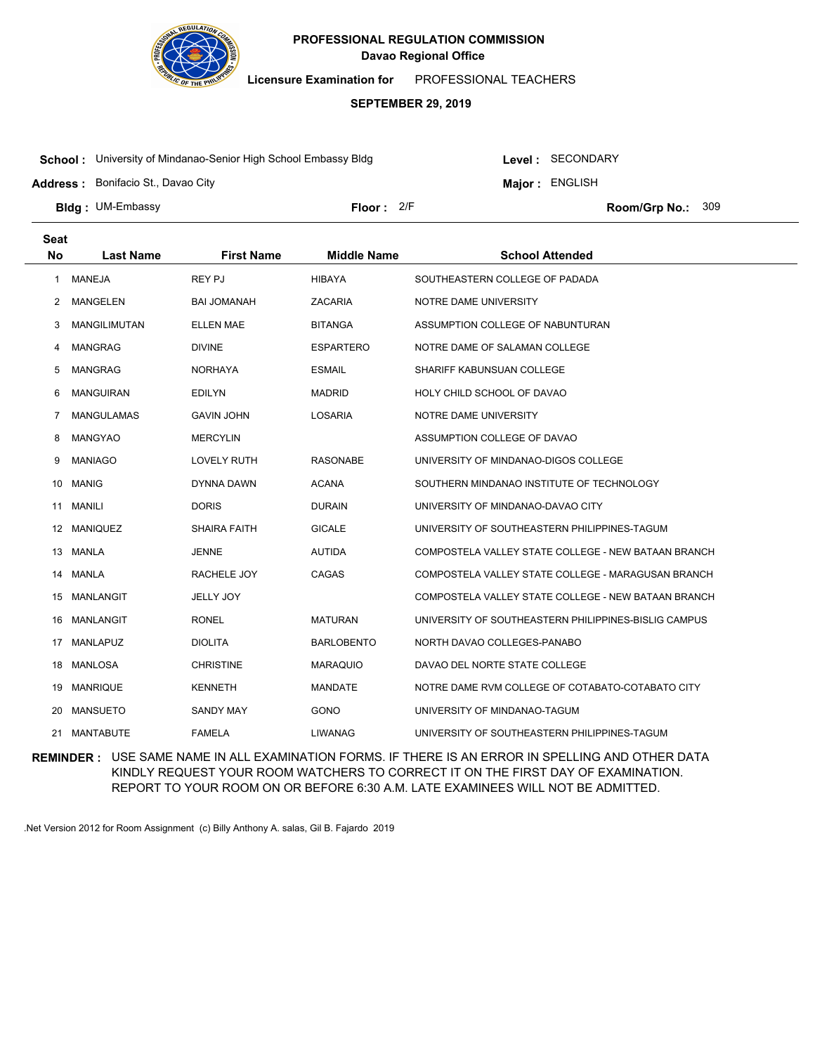

**Licensure Examination for**  PROFESSIONAL TEACHERS

### **SEPTEMBER 29, 2019**

**School :** University of Mindanao-Senior High School Embassy Bldg

Level : SECONDARY

**Major : ENGLISH** 

**Address :** Bonifacio St., Davao City

**Bldg : Floor : Room/Grp No.:** UM-Embassy Floor: 2/F Room/Grp No.: 309

| <b>Seat</b><br><b>No</b> | <b>Last Name</b>    | <b>First Name</b>   | <b>Middle Name</b> | <b>School Attended</b>                               |
|--------------------------|---------------------|---------------------|--------------------|------------------------------------------------------|
| 1                        | <b>MANEJA</b>       | <b>REY PJ</b>       | <b>HIBAYA</b>      | SOUTHEASTERN COLLEGE OF PADADA                       |
| 2                        | MANGELEN            | <b>BAI JOMANAH</b>  | <b>ZACARIA</b>     | NOTRE DAME UNIVERSITY                                |
| 3                        | <b>MANGILIMUTAN</b> | <b>ELLEN MAE</b>    | <b>BITANGA</b>     | ASSUMPTION COLLEGE OF NABUNTURAN                     |
| 4                        | <b>MANGRAG</b>      | <b>DIVINE</b>       | <b>ESPARTERO</b>   | NOTRE DAME OF SALAMAN COLLEGE                        |
| 5                        | <b>MANGRAG</b>      | <b>NORHAYA</b>      | <b>ESMAIL</b>      | SHARIFF KABUNSUAN COLLEGE                            |
| 6                        | <b>MANGUIRAN</b>    | <b>EDILYN</b>       | <b>MADRID</b>      | HOLY CHILD SCHOOL OF DAVAO                           |
| 7                        | <b>MANGULAMAS</b>   | <b>GAVIN JOHN</b>   | <b>LOSARIA</b>     | NOTRE DAME UNIVERSITY                                |
| 8                        | <b>MANGYAO</b>      | <b>MERCYLIN</b>     |                    | ASSUMPTION COLLEGE OF DAVAO                          |
| 9                        | <b>MANIAGO</b>      | <b>LOVELY RUTH</b>  | <b>RASONABE</b>    | UNIVERSITY OF MINDANAO-DIGOS COLLEGE                 |
| 10                       | MANIG               | DYNNA DAWN          | <b>ACANA</b>       | SOUTHERN MINDANAO INSTITUTE OF TECHNOLOGY            |
| 11                       | <b>MANILI</b>       | <b>DORIS</b>        | <b>DURAIN</b>      | UNIVERSITY OF MINDANAO-DAVAO CITY                    |
| 12                       | <b>MANIQUEZ</b>     | <b>SHAIRA FAITH</b> | <b>GICALE</b>      | UNIVERSITY OF SOUTHEASTERN PHILIPPINES-TAGUM         |
| 13                       | MANLA               | <b>JENNE</b>        | <b>AUTIDA</b>      | COMPOSTELA VALLEY STATE COLLEGE - NEW BATAAN BRANCH  |
| 14                       | <b>MANLA</b>        | RACHELE JOY         | CAGAS              | COMPOSTELA VALLEY STATE COLLEGE - MARAGUSAN BRANCH   |
| 15                       | <b>MANLANGIT</b>    | <b>JELLY JOY</b>    |                    | COMPOSTELA VALLEY STATE COLLEGE - NEW BATAAN BRANCH  |
| 16                       | MANLANGIT           | <b>RONEL</b>        | <b>MATURAN</b>     | UNIVERSITY OF SOUTHEASTERN PHILIPPINES-BISLIG CAMPUS |
| 17                       | MANLAPUZ            | <b>DIOLITA</b>      | <b>BARLOBENTO</b>  | NORTH DAVAO COLLEGES-PANABO                          |
| 18                       | MANLOSA             | <b>CHRISTINE</b>    | <b>MARAQUIO</b>    | DAVAO DEL NORTE STATE COLLEGE                        |
| 19                       | <b>MANRIQUE</b>     | <b>KENNETH</b>      | MANDATE            | NOTRE DAME RVM COLLEGE OF COTABATO-COTABATO CITY     |
| 20                       | <b>MANSUETO</b>     | <b>SANDY MAY</b>    | GONO               | UNIVERSITY OF MINDANAO-TAGUM                         |
| 21                       | <b>MANTABUTE</b>    | <b>FAMELA</b>       | <b>LIWANAG</b>     | UNIVERSITY OF SOUTHEASTERN PHILIPPINES-TAGUM         |

**REMINDER :** USE SAME NAME IN ALL EXAMINATION FORMS. IF THERE IS AN ERROR IN SPELLING AND OTHER DATA KINDLY REQUEST YOUR ROOM WATCHERS TO CORRECT IT ON THE FIRST DAY OF EXAMINATION. REPORT TO YOUR ROOM ON OR BEFORE 6:30 A.M. LATE EXAMINEES WILL NOT BE ADMITTED.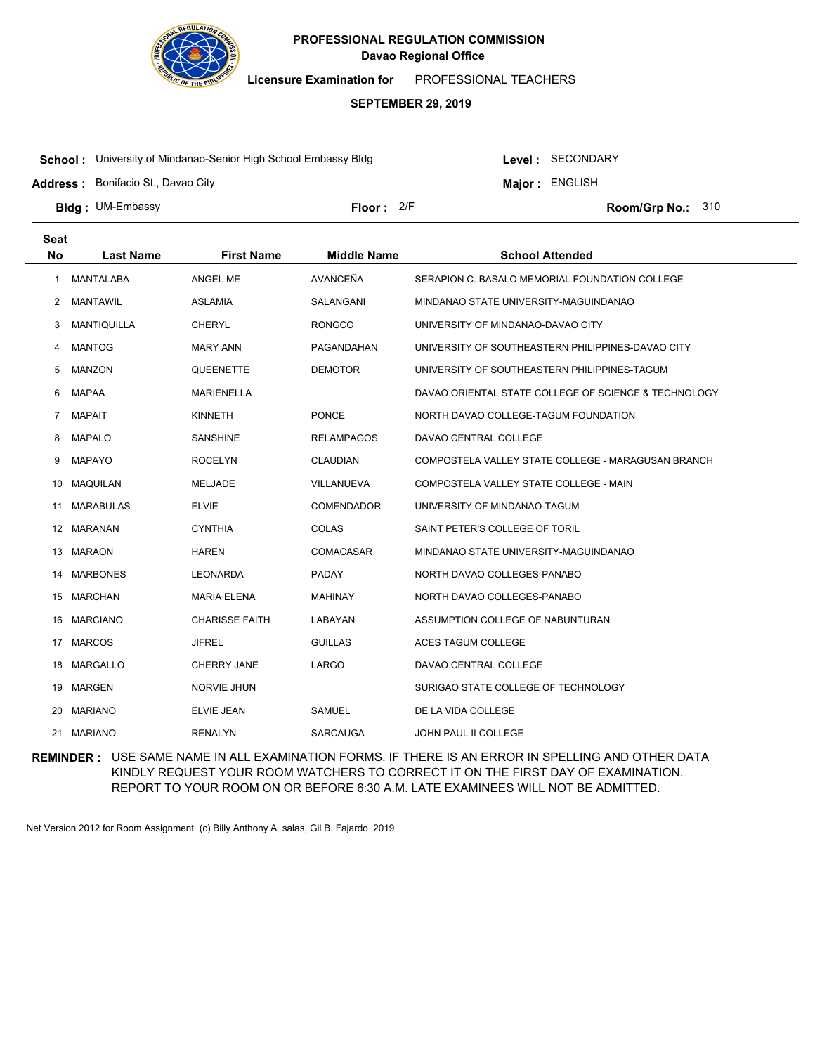

**Licensure Examination for**  PROFESSIONAL TEACHERS

### **SEPTEMBER 29, 2019**

**School :** University of Mindanao-Senior High School Embassy Bldg

Level : SECONDARY

**Major : ENGLISH** 

**Address :** Bonifacio St., Davao City

**Bldg : Floor : Room/Grp No.:** UM-Embassy Floor: 2/F Room/Grp No.: 310

| <b>Seat</b>    |                    |                       |                    |                                                      |
|----------------|--------------------|-----------------------|--------------------|------------------------------------------------------|
| <b>No</b>      | <b>Last Name</b>   | <b>First Name</b>     | <b>Middle Name</b> | <b>School Attended</b>                               |
| 1              | <b>MANTALABA</b>   | ANGEL ME              | AVANCEÑA           | SERAPION C. BASALO MEMORIAL FOUNDATION COLLEGE       |
| 2              | <b>MANTAWIL</b>    | <b>ASLAMIA</b>        | SALANGANI          | MINDANAO STATE UNIVERSITY-MAGUINDANAO                |
| 3              | <b>MANTIQUILLA</b> | <b>CHERYL</b>         | <b>RONGCO</b>      | UNIVERSITY OF MINDANAO-DAVAO CITY                    |
| 4              | <b>MANTOG</b>      | <b>MARY ANN</b>       | PAGANDAHAN         | UNIVERSITY OF SOUTHEASTERN PHILIPPINES-DAVAO CITY    |
| 5              | <b>MANZON</b>      | QUEENETTE             | <b>DEMOTOR</b>     | UNIVERSITY OF SOUTHEASTERN PHILIPPINES-TAGUM         |
| 6              | MAPAA              | <b>MARIENELLA</b>     |                    | DAVAO ORIENTAL STATE COLLEGE OF SCIENCE & TECHNOLOGY |
| $\overline{7}$ | <b>MAPAIT</b>      | <b>KINNETH</b>        | <b>PONCE</b>       | NORTH DAVAO COLLEGE-TAGUM FOUNDATION                 |
| 8              | <b>MAPALO</b>      | <b>SANSHINE</b>       | <b>RELAMPAGOS</b>  | DAVAO CENTRAL COLLEGE                                |
| 9              | <b>MAPAYO</b>      | <b>ROCELYN</b>        | <b>CLAUDIAN</b>    | COMPOSTELA VALLEY STATE COLLEGE - MARAGUSAN BRANCH   |
| 10             | <b>MAQUILAN</b>    | <b>MELJADE</b>        | VILLANUEVA         | COMPOSTELA VALLEY STATE COLLEGE - MAIN               |
| 11             | <b>MARABULAS</b>   | <b>ELVIE</b>          | <b>COMENDADOR</b>  | UNIVERSITY OF MINDANAO-TAGUM                         |
|                | 12 MARANAN         | <b>CYNTHIA</b>        | COLAS              | SAINT PETER'S COLLEGE OF TORIL                       |
| 13             | <b>MARAON</b>      | <b>HAREN</b>          | COMACASAR          | MINDANAO STATE UNIVERSITY-MAGUINDANAO                |
| 14             | <b>MARBONES</b>    | <b>LEONARDA</b>       | <b>PADAY</b>       | NORTH DAVAO COLLEGES-PANABO                          |
|                | 15 MARCHAN         | <b>MARIA ELENA</b>    | <b>MAHINAY</b>     | NORTH DAVAO COLLEGES-PANABO                          |
| 16             | <b>MARCIANO</b>    | <b>CHARISSE FAITH</b> | LABAYAN            | ASSUMPTION COLLEGE OF NABUNTURAN                     |
| 17             | <b>MARCOS</b>      | <b>JIFREL</b>         | <b>GUILLAS</b>     | ACES TAGUM COLLEGE                                   |
|                | 18 MARGALLO        | <b>CHERRY JANE</b>    | LARGO              | DAVAO CENTRAL COLLEGE                                |
| 19             | <b>MARGEN</b>      | <b>NORVIE JHUN</b>    |                    | SURIGAO STATE COLLEGE OF TECHNOLOGY                  |
| 20             | <b>MARIANO</b>     | <b>ELVIE JEAN</b>     | <b>SAMUEL</b>      | DE LA VIDA COLLEGE                                   |
| 21             | <b>MARIANO</b>     | <b>RENALYN</b>        | <b>SARCAUGA</b>    | <b>JOHN PAUL II COLLEGE</b>                          |

**REMINDER :** USE SAME NAME IN ALL EXAMINATION FORMS. IF THERE IS AN ERROR IN SPELLING AND OTHER DATA KINDLY REQUEST YOUR ROOM WATCHERS TO CORRECT IT ON THE FIRST DAY OF EXAMINATION. REPORT TO YOUR ROOM ON OR BEFORE 6:30 A.M. LATE EXAMINEES WILL NOT BE ADMITTED.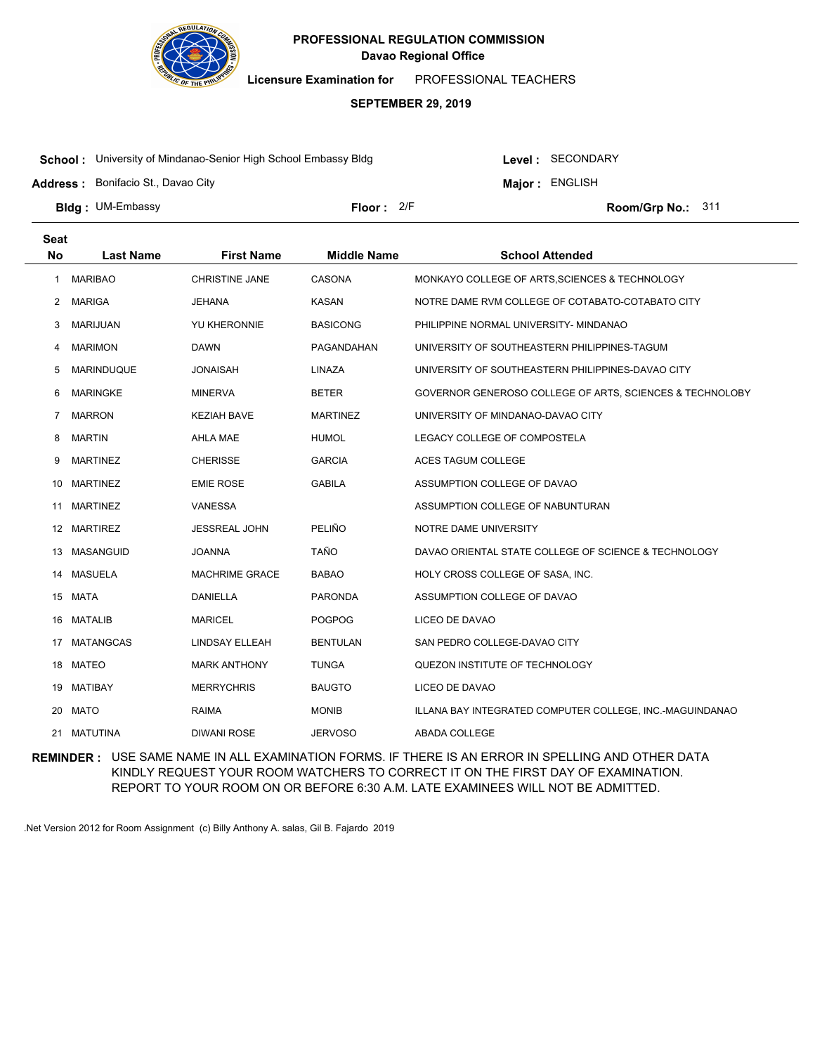

**Licensure Examination for**  PROFESSIONAL TEACHERS

### **SEPTEMBER 29, 2019**

**School :** University of Mindanao-Senior High School Embassy Bldg

Level : SECONDARY

**Major : ENGLISH** 

**Address :** Bonifacio St., Davao City

**Bldg : Floor : Room/Grp No.:** UM-Embassy

Floor: 2/F Room/Grp No.: 311

| <b>Seat</b> |                   |                       |                    |                                                          |
|-------------|-------------------|-----------------------|--------------------|----------------------------------------------------------|
| <b>No</b>   | <b>Last Name</b>  | <b>First Name</b>     | <b>Middle Name</b> | <b>School Attended</b>                                   |
| 1           | <b>MARIBAO</b>    | <b>CHRISTINE JANE</b> | CASONA             | MONKAYO COLLEGE OF ARTS, SCIENCES & TECHNOLOGY           |
| 2           | <b>MARIGA</b>     | <b>JEHANA</b>         | <b>KASAN</b>       | NOTRE DAME RVM COLLEGE OF COTABATO-COTABATO CITY         |
| 3           | <b>MARIJUAN</b>   | YU KHERONNIE          | <b>BASICONG</b>    | PHILIPPINE NORMAL UNIVERSITY- MINDANAO                   |
| 4           | <b>MARIMON</b>    | <b>DAWN</b>           | PAGANDAHAN         | UNIVERSITY OF SOUTHEASTERN PHILIPPINES-TAGUM             |
| 5           | <b>MARINDUQUE</b> | <b>JONAISAH</b>       | LINAZA             | UNIVERSITY OF SOUTHEASTERN PHILIPPINES-DAVAO CITY        |
| 6           | <b>MARINGKE</b>   | <b>MINERVA</b>        | <b>BETER</b>       | GOVERNOR GENEROSO COLLEGE OF ARTS, SCIENCES & TECHNOLOBY |
| 7           | <b>MARRON</b>     | <b>KEZIAH BAVE</b>    | <b>MARTINEZ</b>    | UNIVERSITY OF MINDANAO-DAVAO CITY                        |
| 8           | <b>MARTIN</b>     | AHLA MAE              | <b>HUMOL</b>       | LEGACY COLLEGE OF COMPOSTELA                             |
| 9           | <b>MARTINEZ</b>   | <b>CHERISSE</b>       | <b>GARCIA</b>      | ACES TAGUM COLLEGE                                       |
| 10          | <b>MARTINEZ</b>   | <b>EMIE ROSE</b>      | <b>GABILA</b>      | ASSUMPTION COLLEGE OF DAVAO                              |
| 11          | <b>MARTINEZ</b>   | <b>VANESSA</b>        |                    | ASSUMPTION COLLEGE OF NABUNTURAN                         |
|             | 12 MARTIREZ       | <b>JESSREAL JOHN</b>  | PELIÑO             | NOTRE DAME UNIVERSITY                                    |
| 13          | MASANGUID         | <b>JOANNA</b>         | <b>TAÑO</b>        | DAVAO ORIENTAL STATE COLLEGE OF SCIENCE & TECHNOLOGY     |
| 14          | <b>MASUELA</b>    | <b>MACHRIME GRACE</b> | <b>BABAO</b>       | HOLY CROSS COLLEGE OF SASA, INC.                         |
|             | 15 MATA           | <b>DANIELLA</b>       | <b>PARONDA</b>     | ASSUMPTION COLLEGE OF DAVAO                              |
| 16          | <b>MATALIB</b>    | <b>MARICEL</b>        | <b>POGPOG</b>      | LICEO DE DAVAO                                           |
| 17          | <b>MATANGCAS</b>  | <b>LINDSAY ELLEAH</b> | <b>BENTULAN</b>    | SAN PEDRO COLLEGE-DAVAO CITY                             |
| 18          | MATEO             | <b>MARK ANTHONY</b>   | <b>TUNGA</b>       | QUEZON INSTITUTE OF TECHNOLOGY                           |
| 19          | <b>MATIBAY</b>    | <b>MERRYCHRIS</b>     | <b>BAUGTO</b>      | LICEO DE DAVAO                                           |
| 20          | <b>MATO</b>       | <b>RAIMA</b>          | <b>MONIB</b>       | ILLANA BAY INTEGRATED COMPUTER COLLEGE, INC.-MAGUINDANAO |
|             | 21 MATUTINA       | <b>DIWANI ROSE</b>    | <b>JERVOSO</b>     | <b>ABADA COLLEGE</b>                                     |

**REMINDER :** USE SAME NAME IN ALL EXAMINATION FORMS. IF THERE IS AN ERROR IN SPELLING AND OTHER DATA KINDLY REQUEST YOUR ROOM WATCHERS TO CORRECT IT ON THE FIRST DAY OF EXAMINATION. REPORT TO YOUR ROOM ON OR BEFORE 6:30 A.M. LATE EXAMINEES WILL NOT BE ADMITTED.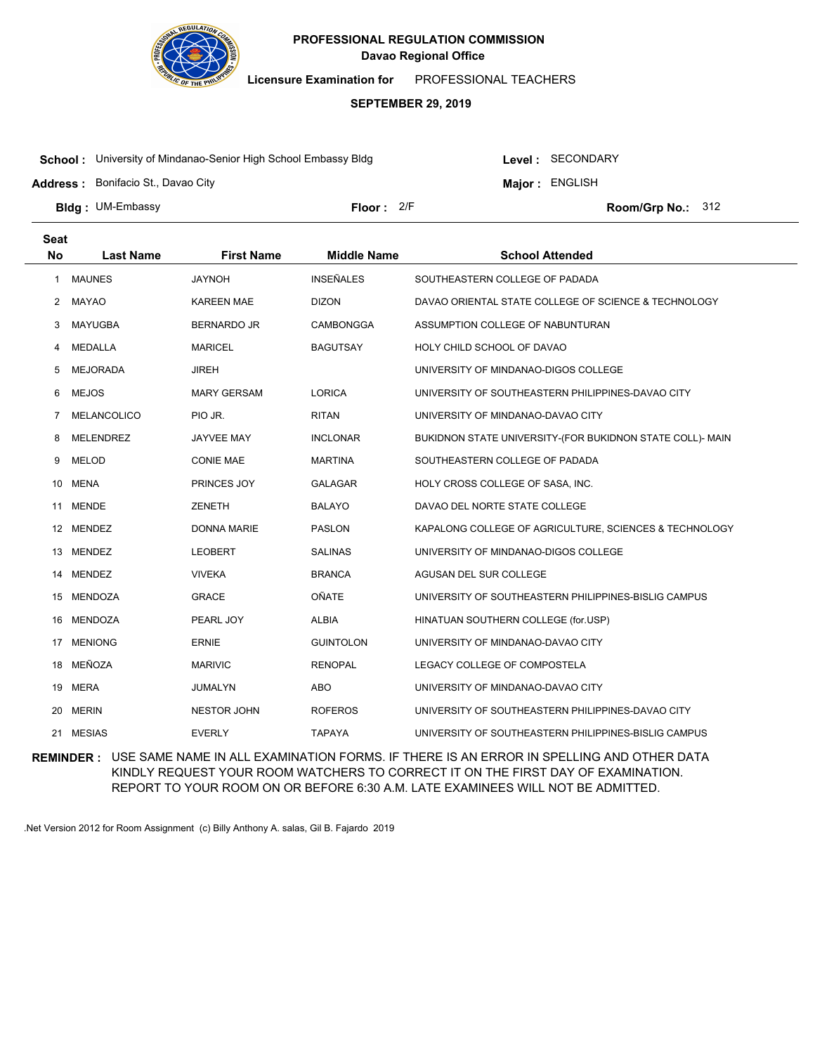

**Licensure Examination for**  PROFESSIONAL TEACHERS

### **SEPTEMBER 29, 2019**

**School :** University of Mindanao-Senior High School Embassy Bldg

Level : SECONDARY

**Major : ENGLISH** 

**Address :** Bonifacio St., Davao City

**Bldg : Floor : Room/Grp No.:** UM-Embassy

Floor: 2/F Room/Grp No.: 312

| <b>Seat</b><br><b>No</b> | <b>Last Name</b>   | <b>First Name</b>  | <b>Middle Name</b> | <b>School Attended</b>                                    |
|--------------------------|--------------------|--------------------|--------------------|-----------------------------------------------------------|
|                          |                    |                    |                    |                                                           |
| 1                        | <b>MAUNES</b>      | <b>JAYNOH</b>      | <b>INSEÑALES</b>   | SOUTHEASTERN COLLEGE OF PADADA                            |
| 2                        | <b>MAYAO</b>       | <b>KAREEN MAE</b>  | <b>DIZON</b>       | DAVAO ORIENTAL STATE COLLEGE OF SCIENCE & TECHNOLOGY      |
| 3                        | <b>MAYUGBA</b>     | <b>BERNARDO JR</b> | <b>CAMBONGGA</b>   | ASSUMPTION COLLEGE OF NABUNTURAN                          |
| 4                        | MEDALLA            | <b>MARICEL</b>     | <b>BAGUTSAY</b>    | HOLY CHILD SCHOOL OF DAVAO                                |
| 5                        | <b>MEJORADA</b>    | <b>JIREH</b>       |                    | UNIVERSITY OF MINDANAO-DIGOS COLLEGE                      |
| 6                        | <b>MEJOS</b>       | <b>MARY GERSAM</b> | <b>LORICA</b>      | UNIVERSITY OF SOUTHEASTERN PHILIPPINES-DAVAO CITY         |
| 7                        | <b>MELANCOLICO</b> | PIO JR.            | <b>RITAN</b>       | UNIVERSITY OF MINDANAO-DAVAO CITY                         |
| 8                        | <b>MELENDREZ</b>   | <b>JAYVEE MAY</b>  | <b>INCLONAR</b>    | BUKIDNON STATE UNIVERSITY-(FOR BUKIDNON STATE COLL)- MAIN |
| 9                        | <b>MELOD</b>       | <b>CONIE MAE</b>   | <b>MARTINA</b>     | SOUTHEASTERN COLLEGE OF PADADA                            |
| 10                       | <b>MENA</b>        | PRINCES JOY        | <b>GALAGAR</b>     | HOLY CROSS COLLEGE OF SASA, INC.                          |
| 11                       | <b>MENDE</b>       | <b>ZENETH</b>      | <b>BALAYO</b>      | DAVAO DEL NORTE STATE COLLEGE                             |
| 12                       | <b>MENDEZ</b>      | <b>DONNA MARIE</b> | <b>PASLON</b>      | KAPALONG COLLEGE OF AGRICULTURE, SCIENCES & TECHNOLOGY    |
| 13                       | <b>MENDEZ</b>      | <b>LEOBERT</b>     | <b>SALINAS</b>     | UNIVERSITY OF MINDANAO-DIGOS COLLEGE                      |
| 14                       | <b>MENDEZ</b>      | <b>VIVEKA</b>      | <b>BRANCA</b>      | AGUSAN DEL SUR COLLEGE                                    |
| 15                       | <b>MENDOZA</b>     | <b>GRACE</b>       | <b>OÑATE</b>       | UNIVERSITY OF SOUTHEASTERN PHILIPPINES-BISLIG CAMPUS      |
| 16                       | <b>MENDOZA</b>     | PEARL JOY          | <b>ALBIA</b>       | HINATUAN SOUTHERN COLLEGE (for.USP)                       |
| 17                       | <b>MENIONG</b>     | <b>ERNIE</b>       | <b>GUINTOLON</b>   | UNIVERSITY OF MINDANAO-DAVAO CITY                         |
| 18                       | MEÑOZA             | <b>MARIVIC</b>     | <b>RENOPAL</b>     | LEGACY COLLEGE OF COMPOSTELA                              |
| 19                       | <b>MERA</b>        | JUMALYN            | ABO                | UNIVERSITY OF MINDANAO-DAVAO CITY                         |
| 20                       | <b>MERIN</b>       | <b>NESTOR JOHN</b> | <b>ROFEROS</b>     | UNIVERSITY OF SOUTHEASTERN PHILIPPINES-DAVAO CITY         |
| 21                       | <b>MESIAS</b>      | <b>EVERLY</b>      | <b>TAPAYA</b>      | UNIVERSITY OF SOUTHEASTERN PHILIPPINES-BISLIG CAMPUS      |

**REMINDER :** USE SAME NAME IN ALL EXAMINATION FORMS. IF THERE IS AN ERROR IN SPELLING AND OTHER DATA KINDLY REQUEST YOUR ROOM WATCHERS TO CORRECT IT ON THE FIRST DAY OF EXAMINATION. REPORT TO YOUR ROOM ON OR BEFORE 6:30 A.M. LATE EXAMINEES WILL NOT BE ADMITTED.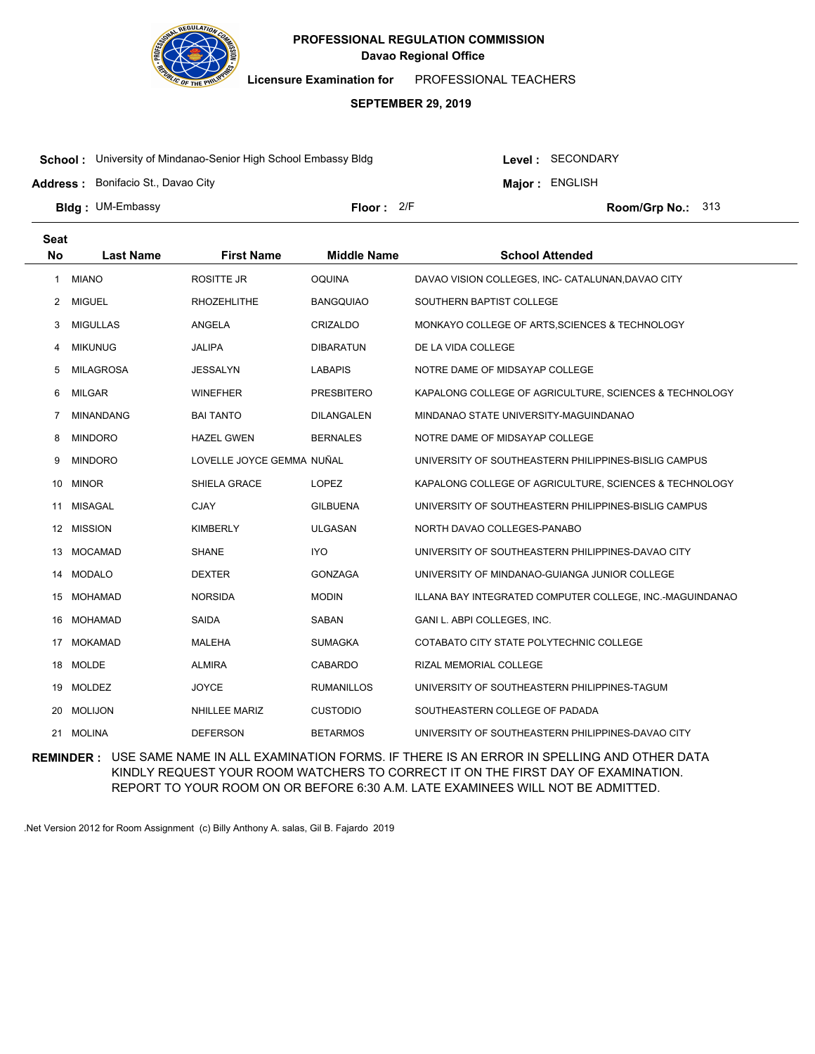

**Licensure Examination for**  PROFESSIONAL TEACHERS

### **SEPTEMBER 29, 2019**

**School :** University of Mindanao-Senior High School Embassy Bldg

**Address :** Bonifacio St., Davao City

Level : SECONDARY

**Major : ENGLISH** 

Floor: 2/F Room/Grp No.: 313

**Bldg : Floor : Room/Grp No.:** UM-Embassy

| <b>Seat</b> |                  |                           |                    |                                                          |
|-------------|------------------|---------------------------|--------------------|----------------------------------------------------------|
| <b>No</b>   | <b>Last Name</b> | <b>First Name</b>         | <b>Middle Name</b> | <b>School Attended</b>                                   |
| -1          | <b>MIANO</b>     | <b>ROSITTE JR</b>         | <b>OQUINA</b>      | DAVAO VISION COLLEGES, INC- CATALUNAN, DAVAO CITY        |
| 2           | <b>MIGUEL</b>    | <b>RHOZEHLITHE</b>        | <b>BANGQUIAO</b>   | SOUTHERN BAPTIST COLLEGE                                 |
| 3           | <b>MIGULLAS</b>  | ANGELA                    | <b>CRIZALDO</b>    | MONKAYO COLLEGE OF ARTS, SCIENCES & TECHNOLOGY           |
| 4           | <b>MIKUNUG</b>   | <b>JALIPA</b>             | <b>DIBARATUN</b>   | DE LA VIDA COLLEGE                                       |
| 5           | <b>MILAGROSA</b> | <b>JESSALYN</b>           | <b>LABAPIS</b>     | NOTRE DAME OF MIDSAYAP COLLEGE                           |
| 6           | <b>MILGAR</b>    | <b>WINEFHER</b>           | <b>PRESBITERO</b>  | KAPALONG COLLEGE OF AGRICULTURE, SCIENCES & TECHNOLOGY   |
| 7           | <b>MINANDANG</b> | <b>BAI TANTO</b>          | <b>DILANGALEN</b>  | MINDANAO STATE UNIVERSITY-MAGUINDANAO                    |
| 8           | <b>MINDORO</b>   | <b>HAZEL GWEN</b>         | <b>BERNALES</b>    | NOTRE DAME OF MIDSAYAP COLLEGE                           |
| 9           | <b>MINDORO</b>   | LOVELLE JOYCE GEMMA NUÑAL |                    | UNIVERSITY OF SOUTHEASTERN PHILIPPINES-BISLIG CAMPUS     |
| 10          | <b>MINOR</b>     | SHIELA GRACE              | <b>LOPEZ</b>       | KAPALONG COLLEGE OF AGRICULTURE, SCIENCES & TECHNOLOGY   |
| 11          | <b>MISAGAL</b>   | <b>CJAY</b>               | GILBUENA           | UNIVERSITY OF SOUTHEASTERN PHILIPPINES-BISLIG CAMPUS     |
|             | 12 MISSION       | <b>KIMBERLY</b>           | <b>ULGASAN</b>     | NORTH DAVAO COLLEGES-PANABO                              |
| 13          | <b>MOCAMAD</b>   | <b>SHANE</b>              | <b>IYO</b>         | UNIVERSITY OF SOUTHEASTERN PHILIPPINES-DAVAO CITY        |
| 14          | <b>MODALO</b>    | <b>DEXTER</b>             | <b>GONZAGA</b>     | UNIVERSITY OF MINDANAO-GUIANGA JUNIOR COLLEGE            |
| 15          | MOHAMAD          | <b>NORSIDA</b>            | <b>MODIN</b>       | ILLANA BAY INTEGRATED COMPUTER COLLEGE, INC.-MAGUINDANAO |
| 16          | <b>MOHAMAD</b>   | SAIDA                     | SABAN              | GANI L. ABPI COLLEGES, INC.                              |
| 17          | MOKAMAD          | <b>MALEHA</b>             | <b>SUMAGKA</b>     | COTABATO CITY STATE POLYTECHNIC COLLEGE                  |
| 18          | <b>MOLDE</b>     | <b>ALMIRA</b>             | <b>CABARDO</b>     | RIZAL MEMORIAL COLLEGE                                   |
| 19          | <b>MOLDEZ</b>    | <b>JOYCE</b>              | <b>RUMANILLOS</b>  | UNIVERSITY OF SOUTHEASTERN PHILIPPINES-TAGUM             |
| 20          | <b>MOLIJON</b>   | <b>NHILLEE MARIZ</b>      | <b>CUSTODIO</b>    | SOUTHEASTERN COLLEGE OF PADADA                           |
| 21          | <b>MOLINA</b>    | <b>DEFERSON</b>           | <b>BETARMOS</b>    | UNIVERSITY OF SOUTHEASTERN PHILIPPINES-DAVAO CITY        |

**REMINDER :** USE SAME NAME IN ALL EXAMINATION FORMS. IF THERE IS AN ERROR IN SPELLING AND OTHER DATA KINDLY REQUEST YOUR ROOM WATCHERS TO CORRECT IT ON THE FIRST DAY OF EXAMINATION. REPORT TO YOUR ROOM ON OR BEFORE 6:30 A.M. LATE EXAMINEES WILL NOT BE ADMITTED.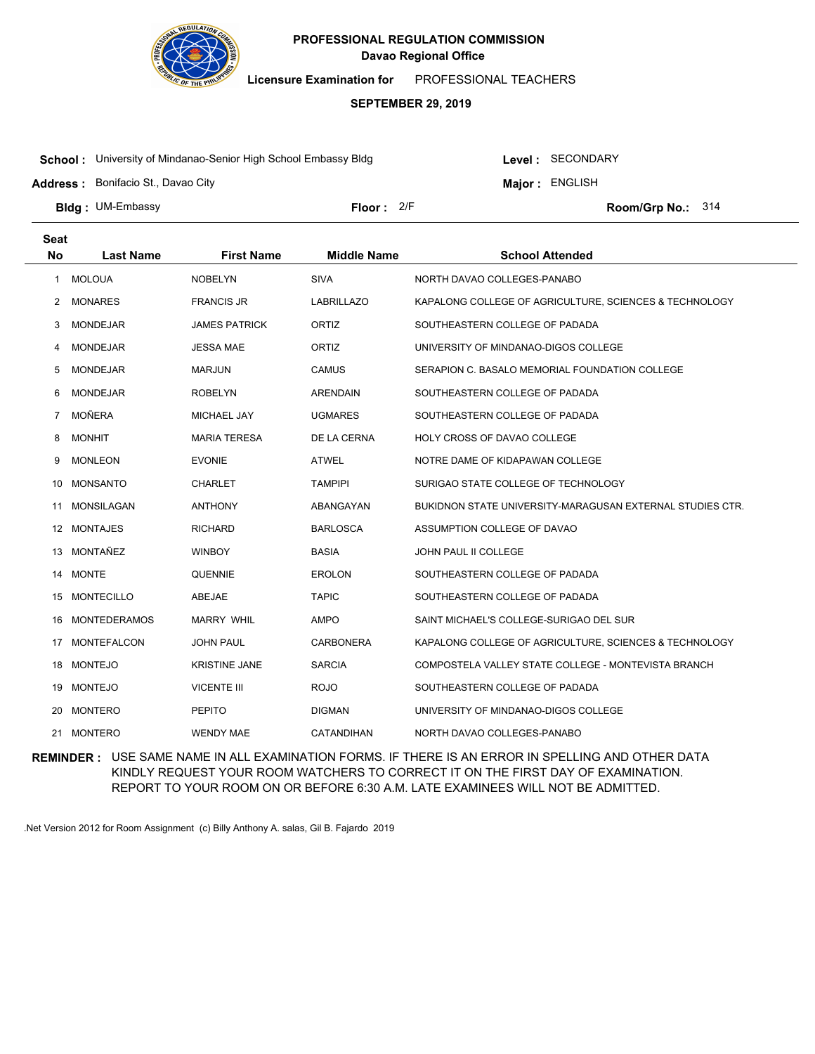

**Licensure Examination for**  PROFESSIONAL TEACHERS

### **SEPTEMBER 29, 2019**

**School :** University of Mindanao-Senior High School Embassy Bldg

**Address :** Bonifacio St., Davao City

Level : SECONDARY

**Major : ENGLISH** 

**Bldg : Floor : Room/Grp No.:** UM-Embassy Floor: 2/F Room/Grp No.: 314

| <b>Seat</b>    |                     |                      |                    |                                                           |
|----------------|---------------------|----------------------|--------------------|-----------------------------------------------------------|
| <b>No</b>      | <b>Last Name</b>    | <b>First Name</b>    | <b>Middle Name</b> | <b>School Attended</b>                                    |
| $\mathbf{1}$   | <b>MOLOUA</b>       | <b>NOBELYN</b>       | <b>SIVA</b>        | NORTH DAVAO COLLEGES-PANABO                               |
| 2              | <b>MONARES</b>      | <b>FRANCIS JR</b>    | <b>LABRILLAZO</b>  | KAPALONG COLLEGE OF AGRICULTURE, SCIENCES & TECHNOLOGY    |
| 3              | <b>MONDEJAR</b>     | <b>JAMES PATRICK</b> | ORTIZ              | SOUTHEASTERN COLLEGE OF PADADA                            |
| 4              | <b>MONDEJAR</b>     | <b>JESSA MAE</b>     | ORTIZ              | UNIVERSITY OF MINDANAO-DIGOS COLLEGE                      |
| 5              | <b>MONDEJAR</b>     | <b>MARJUN</b>        | <b>CAMUS</b>       | SERAPION C. BASALO MEMORIAL FOUNDATION COLLEGE            |
| 6              | <b>MONDEJAR</b>     | <b>ROBELYN</b>       | <b>ARENDAIN</b>    | SOUTHEASTERN COLLEGE OF PADADA                            |
| $\overline{7}$ | <b>MOÑERA</b>       | <b>MICHAEL JAY</b>   | <b>UGMARES</b>     | SOUTHEASTERN COLLEGE OF PADADA                            |
| 8              | <b>MONHIT</b>       | <b>MARIA TERESA</b>  | DE LA CERNA        | HOLY CROSS OF DAVAO COLLEGE                               |
| 9              | <b>MONLEON</b>      | <b>EVONIE</b>        | <b>ATWEL</b>       | NOTRE DAME OF KIDAPAWAN COLLEGE                           |
| 10             | <b>MONSANTO</b>     | <b>CHARLET</b>       | <b>TAMPIPI</b>     | SURIGAO STATE COLLEGE OF TECHNOLOGY                       |
| 11             | <b>MONSILAGAN</b>   | <b>ANTHONY</b>       | ABANGAYAN          | BUKIDNON STATE UNIVERSITY-MARAGUSAN EXTERNAL STUDIES CTR. |
| 12             | <b>MONTAJES</b>     | <b>RICHARD</b>       | <b>BARLOSCA</b>    | ASSUMPTION COLLEGE OF DAVAO                               |
| 13             | MONTAÑEZ            | <b>WINBOY</b>        | <b>BASIA</b>       | JOHN PAUL II COLLEGE                                      |
| 14             | <b>MONTE</b>        | <b>QUENNIE</b>       | <b>EROLON</b>      | SOUTHEASTERN COLLEGE OF PADADA                            |
| 15             | <b>MONTECILLO</b>   | ABEJAE               | <b>TAPIC</b>       | SOUTHEASTERN COLLEGE OF PADADA                            |
| 16             | <b>MONTEDERAMOS</b> | <b>MARRY WHIL</b>    | AMPO               | SAINT MICHAEL'S COLLEGE-SURIGAO DEL SUR                   |
| 17             | <b>MONTEFALCON</b>  | <b>JOHN PAUL</b>     | <b>CARBONERA</b>   | KAPALONG COLLEGE OF AGRICULTURE, SCIENCES & TECHNOLOGY    |
| 18             | <b>MONTEJO</b>      | <b>KRISTINE JANE</b> | <b>SARCIA</b>      | COMPOSTELA VALLEY STATE COLLEGE - MONTEVISTA BRANCH       |
| 19             | <b>MONTEJO</b>      | <b>VICENTE III</b>   | <b>ROJO</b>        | SOUTHEASTERN COLLEGE OF PADADA                            |
| 20             | <b>MONTERO</b>      | <b>PEPITO</b>        | <b>DIGMAN</b>      | UNIVERSITY OF MINDANAO-DIGOS COLLEGE                      |
| 21             | <b>MONTERO</b>      | <b>WENDY MAE</b>     | CATANDIHAN         | NORTH DAVAO COLLEGES-PANABO                               |

**REMINDER :** USE SAME NAME IN ALL EXAMINATION FORMS. IF THERE IS AN ERROR IN SPELLING AND OTHER DATA KINDLY REQUEST YOUR ROOM WATCHERS TO CORRECT IT ON THE FIRST DAY OF EXAMINATION. REPORT TO YOUR ROOM ON OR BEFORE 6:30 A.M. LATE EXAMINEES WILL NOT BE ADMITTED.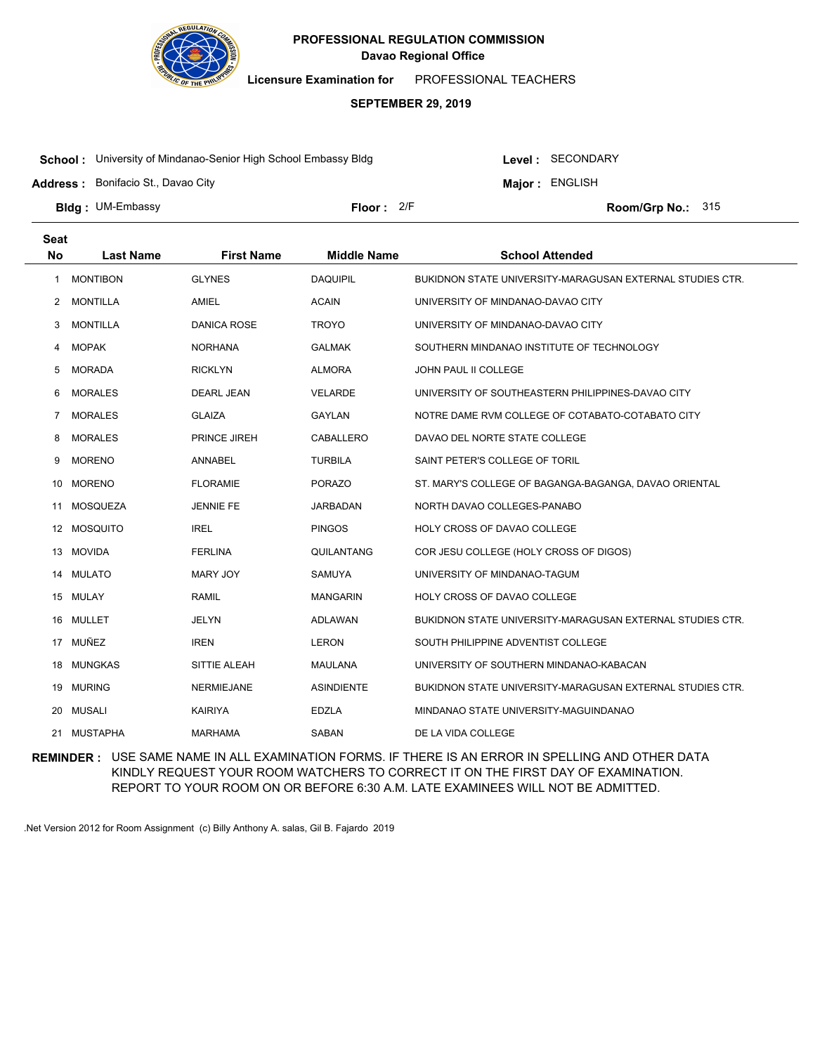

**Licensure Examination for**  PROFESSIONAL TEACHERS

### **SEPTEMBER 29, 2019**

**School :** University of Mindanao-Senior High School Embassy Bldg

Level : SECONDARY

**Major : ENGLISH** 

**Address :** Bonifacio St., Davao City

**Bldg : Floor : Room/Grp No.:** UM-Embassy

Floor: 2/F Room/Grp No.: 315

| <b>Seat</b> |                  |                     |                    |                                                           |
|-------------|------------------|---------------------|--------------------|-----------------------------------------------------------|
| <b>No</b>   | <b>Last Name</b> | <b>First Name</b>   | <b>Middle Name</b> | <b>School Attended</b>                                    |
| 1           | <b>MONTIBON</b>  | <b>GLYNES</b>       | <b>DAQUIPIL</b>    | BUKIDNON STATE UNIVERSITY-MARAGUSAN EXTERNAL STUDIES CTR. |
| 2           | <b>MONTILLA</b>  | <b>AMIEL</b>        | <b>ACAIN</b>       | UNIVERSITY OF MINDANAO-DAVAO CITY                         |
| 3           | <b>MONTILLA</b>  | <b>DANICA ROSE</b>  | <b>TROYO</b>       | UNIVERSITY OF MINDANAO-DAVAO CITY                         |
| 4           | <b>MOPAK</b>     | <b>NORHANA</b>      | <b>GALMAK</b>      | SOUTHERN MINDANAO INSTITUTE OF TECHNOLOGY                 |
| 5           | <b>MORADA</b>    | <b>RICKLYN</b>      | <b>ALMORA</b>      | <b>JOHN PAUL II COLLEGE</b>                               |
| 6           | <b>MORALES</b>   | <b>DEARL JEAN</b>   | <b>VELARDE</b>     | UNIVERSITY OF SOUTHEASTERN PHILIPPINES-DAVAO CITY         |
| 7           | <b>MORALES</b>   | <b>GLAIZA</b>       | <b>GAYLAN</b>      | NOTRE DAME RVM COLLEGE OF COTABATO-COTABATO CITY          |
| 8           | <b>MORALES</b>   | <b>PRINCE JIREH</b> | CABALLERO          | DAVAO DEL NORTE STATE COLLEGE                             |
| 9           | <b>MORENO</b>    | ANNABEL             | <b>TURBILA</b>     | SAINT PETER'S COLLEGE OF TORIL                            |
| 10          | <b>MORENO</b>    | <b>FLORAMIE</b>     | <b>PORAZO</b>      | ST. MARY'S COLLEGE OF BAGANGA-BAGANGA, DAVAO ORIENTAL     |
| 11          | MOSQUEZA         | <b>JENNIE FE</b>    | JARBADAN           | NORTH DAVAO COLLEGES-PANABO                               |
|             | 12 MOSQUITO      | <b>IREL</b>         | <b>PINGOS</b>      | HOLY CROSS OF DAVAO COLLEGE                               |
| 13          | MOVIDA           | <b>FERLINA</b>      | QUILANTANG         | COR JESU COLLEGE (HOLY CROSS OF DIGOS)                    |
| 14          | MULATO           | MARY JOY            | <b>SAMUYA</b>      | UNIVERSITY OF MINDANAO-TAGUM                              |
|             | 15 MULAY         | <b>RAMIL</b>        | <b>MANGARIN</b>    | HOLY CROSS OF DAVAO COLLEGE                               |
| 16          | MULLET           | <b>JELYN</b>        | ADLAWAN            | BUKIDNON STATE UNIVERSITY-MARAGUSAN EXTERNAL STUDIES CTR. |
|             | 17 MUÑEZ         | <b>IREN</b>         | <b>LERON</b>       | SOUTH PHILIPPINE ADVENTIST COLLEGE                        |
| 18          | <b>MUNGKAS</b>   | SITTIE ALEAH        | <b>MAULANA</b>     | UNIVERSITY OF SOUTHERN MINDANAO-KABACAN                   |
| 19          | <b>MURING</b>    | <b>NERMIEJANE</b>   | <b>ASINDIENTE</b>  | BUKIDNON STATE UNIVERSITY-MARAGUSAN EXTERNAL STUDIES CTR. |
|             | 20 MUSALI        | <b>KAIRIYA</b>      | <b>EDZLA</b>       | MINDANAO STATE UNIVERSITY-MAGUINDANAO                     |
|             | 21 MUSTAPHA      | <b>MARHAMA</b>      | <b>SABAN</b>       | DE LA VIDA COLLEGE                                        |

**REMINDER :** USE SAME NAME IN ALL EXAMINATION FORMS. IF THERE IS AN ERROR IN SPELLING AND OTHER DATA KINDLY REQUEST YOUR ROOM WATCHERS TO CORRECT IT ON THE FIRST DAY OF EXAMINATION. REPORT TO YOUR ROOM ON OR BEFORE 6:30 A.M. LATE EXAMINEES WILL NOT BE ADMITTED.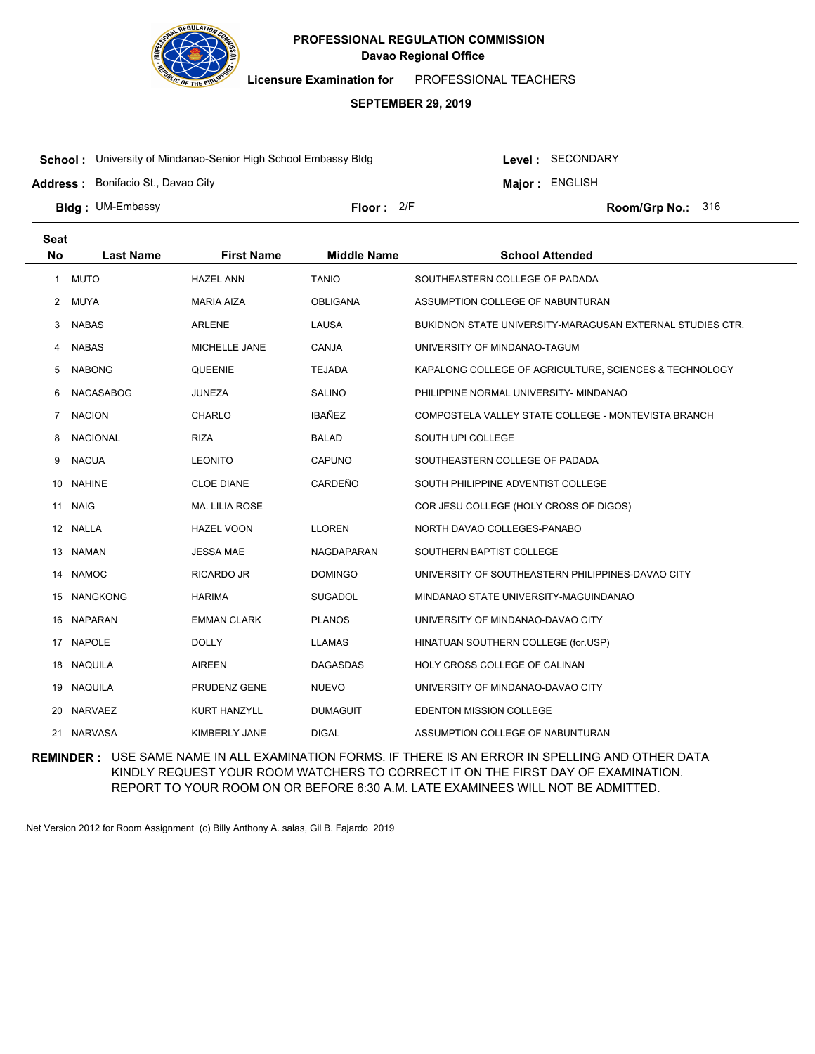

**Licensure Examination for**  PROFESSIONAL TEACHERS

### **SEPTEMBER 29, 2019**

**School :** University of Mindanao-Senior High School Embassy Bldg

**Address :** Bonifacio St., Davao City

Level : SECONDARY **Major : ENGLISH** 

**Bldg : Floor : Room/Grp No.:** UM-Embassy Floor: 2/F Room/Grp No.: 316

| <b>Seat</b> |                  |                       |                    |                                                           |
|-------------|------------------|-----------------------|--------------------|-----------------------------------------------------------|
| <b>No</b>   | <b>Last Name</b> | <b>First Name</b>     | <b>Middle Name</b> | <b>School Attended</b>                                    |
| 1           | <b>MUTO</b>      | <b>HAZEL ANN</b>      | <b>TANIO</b>       | SOUTHEASTERN COLLEGE OF PADADA                            |
| 2           | <b>MUYA</b>      | <b>MARIA AIZA</b>     | <b>OBLIGANA</b>    | ASSUMPTION COLLEGE OF NABUNTURAN                          |
| 3           | <b>NABAS</b>     | <b>ARLENE</b>         | LAUSA              | BUKIDNON STATE UNIVERSITY-MARAGUSAN EXTERNAL STUDIES CTR. |
| 4           | <b>NABAS</b>     | MICHELLE JANE         | CANJA              | UNIVERSITY OF MINDANAO-TAGUM                              |
| 5           | <b>NABONG</b>    | QUEENIE               | <b>TEJADA</b>      | KAPALONG COLLEGE OF AGRICULTURE, SCIENCES & TECHNOLOGY    |
| 6           | <b>NACASABOG</b> | <b>JUNEZA</b>         | <b>SALINO</b>      | PHILIPPINE NORMAL UNIVERSITY- MINDANAO                    |
| 7           | <b>NACION</b>    | <b>CHARLO</b>         | <b>IBAÑEZ</b>      | COMPOSTELA VALLEY STATE COLLEGE - MONTEVISTA BRANCH       |
| 8           | <b>NACIONAL</b>  | <b>RIZA</b>           | <b>BALAD</b>       | SOUTH UPI COLLEGE                                         |
| 9           | <b>NACUA</b>     | <b>LEONITO</b>        | <b>CAPUNO</b>      | SOUTHEASTERN COLLEGE OF PADADA                            |
| 10          | <b>NAHINE</b>    | <b>CLOE DIANE</b>     | CARDEÑO            | SOUTH PHILIPPINE ADVENTIST COLLEGE                        |
| 11          | <b>NAIG</b>      | <b>MA. LILIA ROSE</b> |                    | COR JESU COLLEGE (HOLY CROSS OF DIGOS)                    |
|             | 12 NALLA         | <b>HAZEL VOON</b>     | <b>LLOREN</b>      | NORTH DAVAO COLLEGES-PANABO                               |
| 13          | <b>NAMAN</b>     | <b>JESSA MAE</b>      | <b>NAGDAPARAN</b>  | SOUTHERN BAPTIST COLLEGE                                  |
| 14          | <b>NAMOC</b>     | <b>RICARDO JR</b>     | <b>DOMINGO</b>     | UNIVERSITY OF SOUTHEASTERN PHILIPPINES-DAVAO CITY         |
| 15          | <b>NANGKONG</b>  | <b>HARIMA</b>         | <b>SUGADOL</b>     | MINDANAO STATE UNIVERSITY-MAGUINDANAO                     |
| 16          | <b>NAPARAN</b>   | <b>EMMAN CLARK</b>    | <b>PLANOS</b>      | UNIVERSITY OF MINDANAO-DAVAO CITY                         |
| 17          | <b>NAPOLE</b>    | <b>DOLLY</b>          | <b>LLAMAS</b>      | HINATUAN SOUTHERN COLLEGE (for.USP)                       |
| 18          | <b>NAQUILA</b>   | <b>AIREEN</b>         | <b>DAGASDAS</b>    | HOLY CROSS COLLEGE OF CALINAN                             |
| 19          | <b>NAQUILA</b>   | PRUDENZ GENE          | <b>NUEVO</b>       | UNIVERSITY OF MINDANAO-DAVAO CITY                         |
| 20          | <b>NARVAEZ</b>   | <b>KURT HANZYLL</b>   | <b>DUMAGUIT</b>    | <b>EDENTON MISSION COLLEGE</b>                            |
|             | 21 NARVASA       | KIMBERLY JANE         | <b>DIGAL</b>       | ASSUMPTION COLLEGE OF NABUNTURAN                          |

**REMINDER :** USE SAME NAME IN ALL EXAMINATION FORMS. IF THERE IS AN ERROR IN SPELLING AND OTHER DATA KINDLY REQUEST YOUR ROOM WATCHERS TO CORRECT IT ON THE FIRST DAY OF EXAMINATION. REPORT TO YOUR ROOM ON OR BEFORE 6:30 A.M. LATE EXAMINEES WILL NOT BE ADMITTED.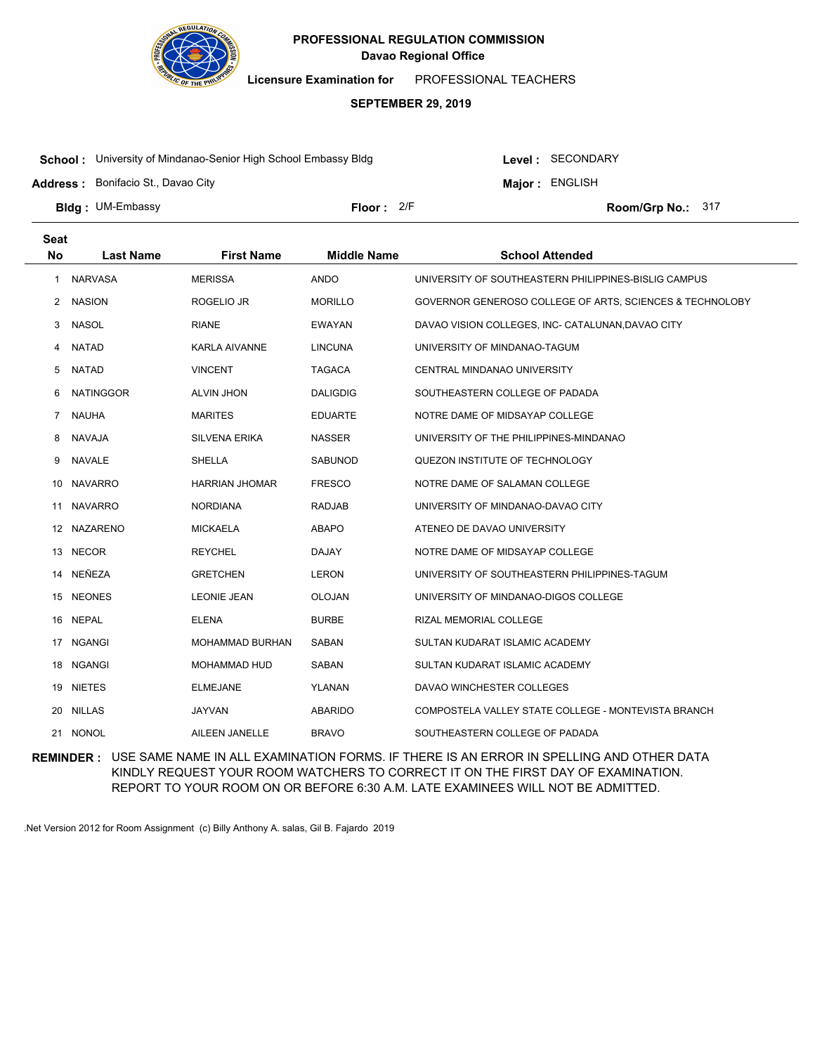

**Licensure Examination for**  PROFESSIONAL TEACHERS

### **SEPTEMBER 29, 2019**

**School :** University of Mindanao-Senior High School Embassy Bldg

**Address :** Bonifacio St., Davao City

Level : SECONDARY

**Major : ENGLISH** 

**Bldg : Floor : Room/Grp No.:** UM-Embassy Floor: 2/F Room/Grp No.: 317

| Seat         |                  |                       |                    |                                                          |
|--------------|------------------|-----------------------|--------------------|----------------------------------------------------------|
| <b>No</b>    | <b>Last Name</b> | <b>First Name</b>     | <b>Middle Name</b> | <b>School Attended</b>                                   |
| $\mathbf{1}$ | <b>NARVASA</b>   | <b>MERISSA</b>        | <b>ANDO</b>        | UNIVERSITY OF SOUTHEASTERN PHILIPPINES-BISLIG CAMPUS     |
| 2            | <b>NASION</b>    | ROGELIO JR            | <b>MORILLO</b>     | GOVERNOR GENEROSO COLLEGE OF ARTS, SCIENCES & TECHNOLOBY |
| 3            | <b>NASOL</b>     | <b>RIANE</b>          | <b>EWAYAN</b>      | DAVAO VISION COLLEGES, INC- CATALUNAN, DAVAO CITY        |
| 4            | <b>NATAD</b>     | <b>KARLA AIVANNE</b>  | <b>LINCUNA</b>     | UNIVERSITY OF MINDANAO-TAGUM                             |
| 5            | <b>NATAD</b>     | <b>VINCENT</b>        | <b>TAGACA</b>      | <b>CENTRAL MINDANAO UNIVERSITY</b>                       |
| 6            | <b>NATINGGOR</b> | <b>ALVIN JHON</b>     | <b>DALIGDIG</b>    | SOUTHEASTERN COLLEGE OF PADADA                           |
| $7^{\circ}$  | <b>NAUHA</b>     | <b>MARITES</b>        | <b>EDUARTE</b>     | NOTRE DAME OF MIDSAYAP COLLEGE                           |
| 8            | NAVAJA           | <b>SILVENA ERIKA</b>  | <b>NASSER</b>      | UNIVERSITY OF THE PHILIPPINES-MINDANAO                   |
| 9            | <b>NAVALE</b>    | SHELLA                | SABUNOD            | QUEZON INSTITUTE OF TECHNOLOGY                           |
| 10           | <b>NAVARRO</b>   | <b>HARRIAN JHOMAR</b> | <b>FRESCO</b>      | NOTRE DAME OF SALAMAN COLLEGE                            |
| 11           | <b>NAVARRO</b>   | <b>NORDIANA</b>       | <b>RADJAB</b>      | UNIVERSITY OF MINDANAO-DAVAO CITY                        |
|              | 12 NAZARENO      | <b>MICKAELA</b>       | <b>ABAPO</b>       | ATENEO DE DAVAO UNIVERSITY                               |
|              | 13 NECOR         | <b>REYCHEL</b>        | <b>DAJAY</b>       | NOTRE DAME OF MIDSAYAP COLLEGE                           |
|              | 14 NEÑEZA        | <b>GRETCHEN</b>       | <b>LERON</b>       | UNIVERSITY OF SOUTHEASTERN PHILIPPINES-TAGUM             |
| 15           | <b>NEONES</b>    | <b>LEONIE JEAN</b>    | OLOJAN             | UNIVERSITY OF MINDANAO-DIGOS COLLEGE                     |
| 16           | <b>NEPAL</b>     | <b>ELENA</b>          | <b>BURBE</b>       | RIZAL MEMORIAL COLLEGE                                   |
|              | 17 NGANGI        | MOHAMMAD BURHAN       | SABAN              | SULTAN KUDARAT ISLAMIC ACADEMY                           |
|              | 18 NGANGI        | <b>MOHAMMAD HUD</b>   | SABAN              | SULTAN KUDARAT ISLAMIC ACADEMY                           |
| 19           | <b>NIETES</b>    | <b>ELMEJANE</b>       | YLANAN             | DAVAO WINCHESTER COLLEGES                                |
|              | 20 NILLAS        | <b>JAYVAN</b>         | ABARIDO            | COMPOSTELA VALLEY STATE COLLEGE - MONTEVISTA BRANCH      |
|              | 21 NONOL         | AILEEN JANELLE        | <b>BRAVO</b>       | SOUTHEASTERN COLLEGE OF PADADA                           |

**REMINDER :** USE SAME NAME IN ALL EXAMINATION FORMS. IF THERE IS AN ERROR IN SPELLING AND OTHER DATA KINDLY REQUEST YOUR ROOM WATCHERS TO CORRECT IT ON THE FIRST DAY OF EXAMINATION. REPORT TO YOUR ROOM ON OR BEFORE 6:30 A.M. LATE EXAMINEES WILL NOT BE ADMITTED.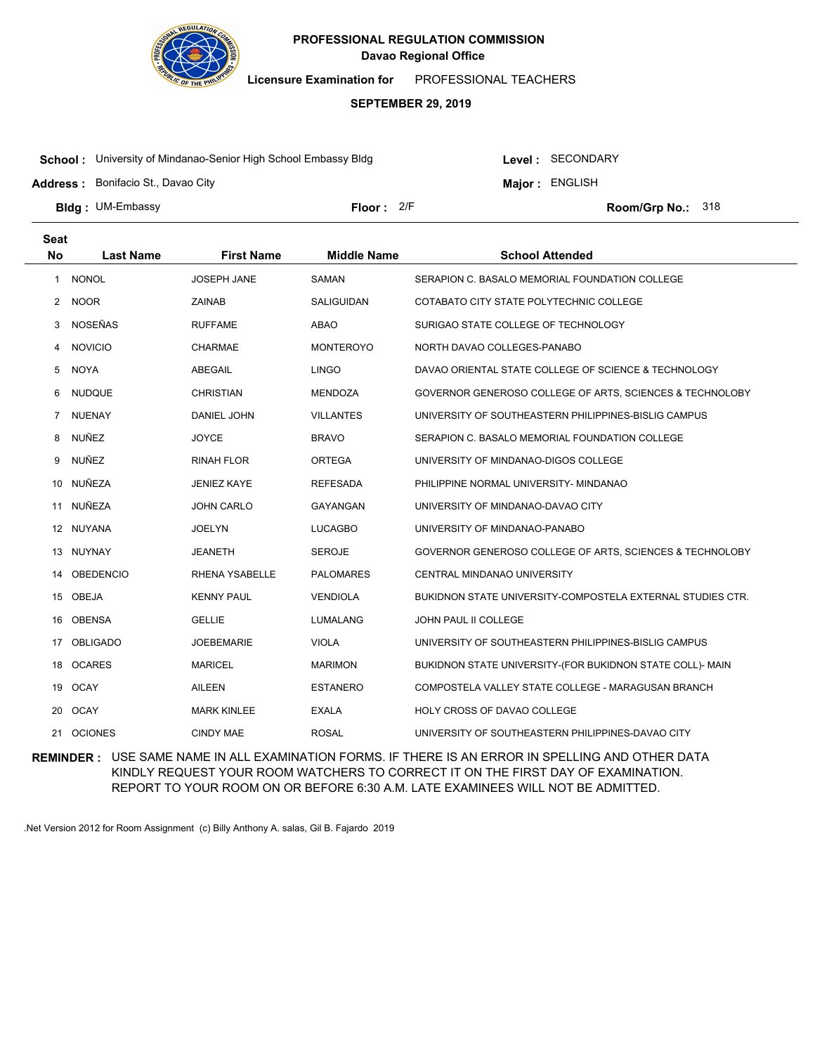

**Licensure Examination for**  PROFESSIONAL TEACHERS

### **SEPTEMBER 29, 2019**

**School :** University of Mindanao-Senior High School Embassy Bldg

**Address :** Bonifacio St., Davao City

Level : SECONDARY

**Major : ENGLISH** 

**Bldg : Floor : Room/Grp No.:** UM-Embassy

Floor: 2/F Room/Grp No.: 318

| <b>Seat</b>          |                  |                    |                    |                                                            |
|----------------------|------------------|--------------------|--------------------|------------------------------------------------------------|
| <b>No</b>            | <b>Last Name</b> | <b>First Name</b>  | <b>Middle Name</b> | <b>School Attended</b>                                     |
| 1                    | <b>NONOL</b>     | <b>JOSEPH JANE</b> | SAMAN              | SERAPION C. BASALO MEMORIAL FOUNDATION COLLEGE             |
| $\mathbf{2}^{\circ}$ | <b>NOOR</b>      | <b>ZAINAB</b>      | SALIGUIDAN         | COTABATO CITY STATE POLYTECHNIC COLLEGE                    |
| 3                    | <b>NOSEÑAS</b>   | <b>RUFFAME</b>     | ABAO               | SURIGAO STATE COLLEGE OF TECHNOLOGY                        |
| 4                    | <b>NOVICIO</b>   | <b>CHARMAE</b>     | <b>MONTEROYO</b>   | NORTH DAVAO COLLEGES-PANABO                                |
| 5                    | <b>NOYA</b>      | ABEGAIL            | <b>LINGO</b>       | DAVAO ORIENTAL STATE COLLEGE OF SCIENCE & TECHNOLOGY       |
| 6                    | <b>NUDQUE</b>    | <b>CHRISTIAN</b>   | <b>MENDOZA</b>     | GOVERNOR GENEROSO COLLEGE OF ARTS, SCIENCES & TECHNOLOBY   |
| $\overline{7}$       | <b>NUENAY</b>    | DANIEL JOHN        | <b>VILLANTES</b>   | UNIVERSITY OF SOUTHEASTERN PHILIPPINES-BISLIG CAMPUS       |
| 8                    | NUÑEZ            | <b>JOYCE</b>       | <b>BRAVO</b>       | SERAPION C. BASALO MEMORIAL FOUNDATION COLLEGE             |
| 9                    | NUÑEZ            | <b>RINAH FLOR</b>  | <b>ORTEGA</b>      | UNIVERSITY OF MINDANAO-DIGOS COLLEGE                       |
| 10                   | NUÑEZA           | <b>JENIEZ KAYE</b> | <b>REFESADA</b>    | PHILIPPINE NORMAL UNIVERSITY- MINDANAO                     |
| 11                   | NUÑEZA           | <b>JOHN CARLO</b>  | GAYANGAN           | UNIVERSITY OF MINDANAO-DAVAO CITY                          |
| 12                   | NUYANA           | <b>JOELYN</b>      | <b>LUCAGBO</b>     | UNIVERSITY OF MINDANAO-PANABO                              |
| 13                   | NUYNAY           | <b>JEANETH</b>     | <b>SEROJE</b>      | GOVERNOR GENEROSO COLLEGE OF ARTS, SCIENCES & TECHNOLOBY   |
| 14                   | <b>OBEDENCIO</b> | RHENA YSABELLE     | <b>PALOMARES</b>   | CENTRAL MINDANAO UNIVERSITY                                |
| 15                   | <b>OBEJA</b>     | <b>KENNY PAUL</b>  | <b>VENDIOLA</b>    | BUKIDNON STATE UNIVERSITY-COMPOSTELA EXTERNAL STUDIES CTR. |
| 16                   | <b>OBENSA</b>    | <b>GELLIE</b>      | <b>LUMALANG</b>    | JOHN PAUL II COLLEGE                                       |
| 17                   | <b>OBLIGADO</b>  | <b>JOEBEMARIE</b>  | <b>VIOLA</b>       | UNIVERSITY OF SOUTHEASTERN PHILIPPINES-BISLIG CAMPUS       |
| 18                   | <b>OCARES</b>    | <b>MARICEL</b>     | <b>MARIMON</b>     | BUKIDNON STATE UNIVERSITY-(FOR BUKIDNON STATE COLL)- MAIN  |
|                      | 19 OCAY          | <b>AILEEN</b>      | <b>ESTANERO</b>    | COMPOSTELA VALLEY STATE COLLEGE - MARAGUSAN BRANCH         |
| 20                   | <b>OCAY</b>      | <b>MARK KINLEE</b> | <b>EXALA</b>       | <b>HOLY CROSS OF DAVAO COLLEGE</b>                         |
| 21                   | <b>OCIONES</b>   | <b>CINDY MAE</b>   | <b>ROSAL</b>       | UNIVERSITY OF SOUTHEASTERN PHILIPPINES-DAVAO CITY          |

**REMINDER :** USE SAME NAME IN ALL EXAMINATION FORMS. IF THERE IS AN ERROR IN SPELLING AND OTHER DATA KINDLY REQUEST YOUR ROOM WATCHERS TO CORRECT IT ON THE FIRST DAY OF EXAMINATION. REPORT TO YOUR ROOM ON OR BEFORE 6:30 A.M. LATE EXAMINEES WILL NOT BE ADMITTED.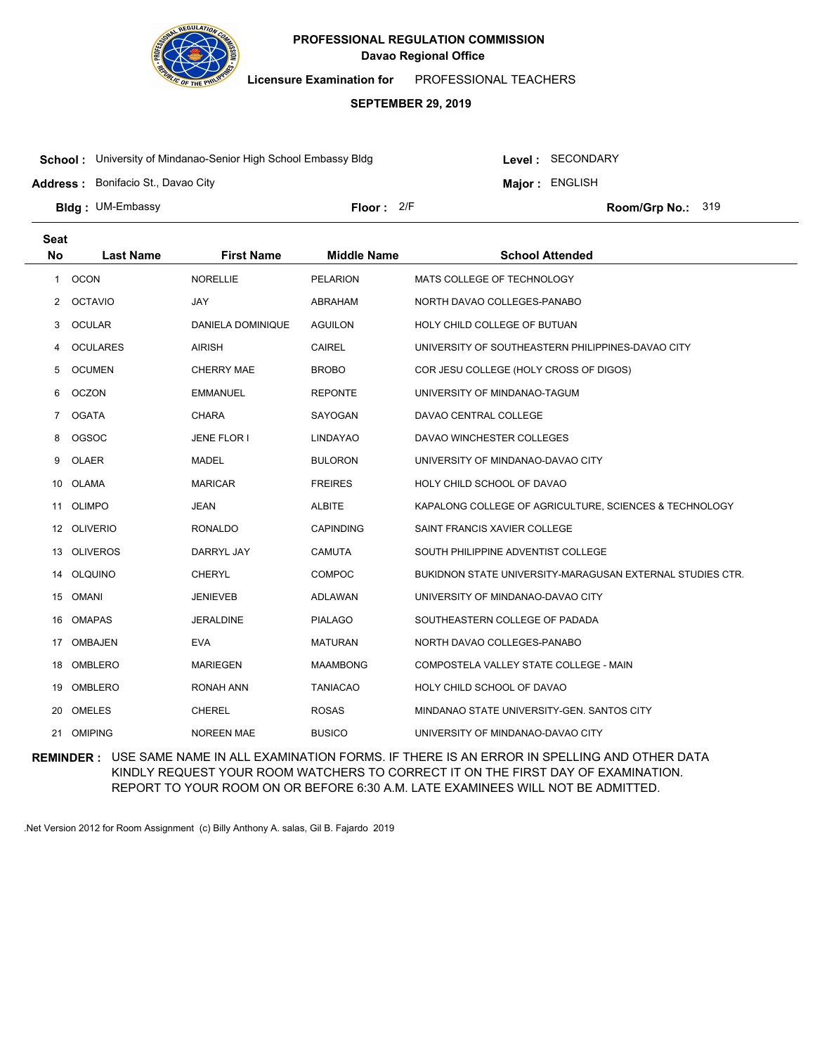

**Licensure Examination for**  PROFESSIONAL TEACHERS

### **SEPTEMBER 29, 2019**

**School :** University of Mindanao-Senior High School Embassy Bldg

Level : SECONDARY

**Major : ENGLISH** 

**Address :** Bonifacio St., Davao City

**Bldg : Floor : Room/Grp No.:** UM-Embassy

Floor: 2/F Room/Grp No.: 319

| <b>Seat</b> |                  |                   |                    |                                                           |
|-------------|------------------|-------------------|--------------------|-----------------------------------------------------------|
| <b>No</b>   | <b>Last Name</b> | <b>First Name</b> | <b>Middle Name</b> | <b>School Attended</b>                                    |
| 1           | <b>OCON</b>      | <b>NORELLIE</b>   | <b>PELARION</b>    | MATS COLLEGE OF TECHNOLOGY                                |
| 2           | <b>OCTAVIO</b>   | <b>JAY</b>        | <b>ABRAHAM</b>     | NORTH DAVAO COLLEGES-PANABO                               |
| 3           | <b>OCULAR</b>    | DANIELA DOMINIQUE | <b>AGUILON</b>     | HOLY CHILD COLLEGE OF BUTUAN                              |
| 4           | <b>OCULARES</b>  | <b>AIRISH</b>     | <b>CAIREL</b>      | UNIVERSITY OF SOUTHEASTERN PHILIPPINES-DAVAO CITY         |
| 5           | <b>OCUMEN</b>    | <b>CHERRY MAE</b> | <b>BROBO</b>       | COR JESU COLLEGE (HOLY CROSS OF DIGOS)                    |
| 6           | <b>OCZON</b>     | <b>EMMANUEL</b>   | <b>REPONTE</b>     | UNIVERSITY OF MINDANAO-TAGUM                              |
| $7^{\circ}$ | <b>OGATA</b>     | <b>CHARA</b>      | SAYOGAN            | DAVAO CENTRAL COLLEGE                                     |
| 8           | <b>OGSOC</b>     | JENE FLOR I       | <b>LINDAYAO</b>    | DAVAO WINCHESTER COLLEGES                                 |
| 9           | OLAER            | <b>MADEL</b>      | <b>BULORON</b>     | UNIVERSITY OF MINDANAO-DAVAO CITY                         |
| 10          | <b>OLAMA</b>     | <b>MARICAR</b>    | <b>FREIRES</b>     | HOLY CHILD SCHOOL OF DAVAO                                |
| 11          | OLIMPO           | <b>JEAN</b>       | <b>ALBITE</b>      | KAPALONG COLLEGE OF AGRICULTURE, SCIENCES & TECHNOLOGY    |
|             | 12 OLIVERIO      | <b>RONALDO</b>    | <b>CAPINDING</b>   | SAINT FRANCIS XAVIER COLLEGE                              |
| 13          | <b>OLIVEROS</b>  | DARRYL JAY        | <b>CAMUTA</b>      | SOUTH PHILIPPINE ADVENTIST COLLEGE                        |
| 14          | <b>OLQUINO</b>   | <b>CHERYL</b>     | <b>COMPOC</b>      | BUKIDNON STATE UNIVERSITY-MARAGUSAN EXTERNAL STUDIES CTR. |
| 15          | OMANI            | <b>JENIEVEB</b>   | <b>ADLAWAN</b>     | UNIVERSITY OF MINDANAO-DAVAO CITY                         |
| 16          | <b>OMAPAS</b>    | <b>JERALDINE</b>  | <b>PIALAGO</b>     | SOUTHEASTERN COLLEGE OF PADADA                            |
| 17          | <b>OMBAJEN</b>   | <b>EVA</b>        | <b>MATURAN</b>     | NORTH DAVAO COLLEGES-PANABO                               |
| 18          | OMBLERO          | <b>MARIEGEN</b>   | <b>MAAMBONG</b>    | COMPOSTELA VALLEY STATE COLLEGE - MAIN                    |
| 19          | <b>OMBLERO</b>   | <b>RONAH ANN</b>  | <b>TANIACAO</b>    | HOLY CHILD SCHOOL OF DAVAO                                |
| 20          | OMELES           | <b>CHEREL</b>     | <b>ROSAS</b>       | MINDANAO STATE UNIVERSITY-GEN. SANTOS CITY                |
|             | 21 OMIPING       | <b>NOREEN MAE</b> | <b>BUSICO</b>      | UNIVERSITY OF MINDANAO-DAVAO CITY                         |

**REMINDER :** USE SAME NAME IN ALL EXAMINATION FORMS. IF THERE IS AN ERROR IN SPELLING AND OTHER DATA KINDLY REQUEST YOUR ROOM WATCHERS TO CORRECT IT ON THE FIRST DAY OF EXAMINATION. REPORT TO YOUR ROOM ON OR BEFORE 6:30 A.M. LATE EXAMINEES WILL NOT BE ADMITTED.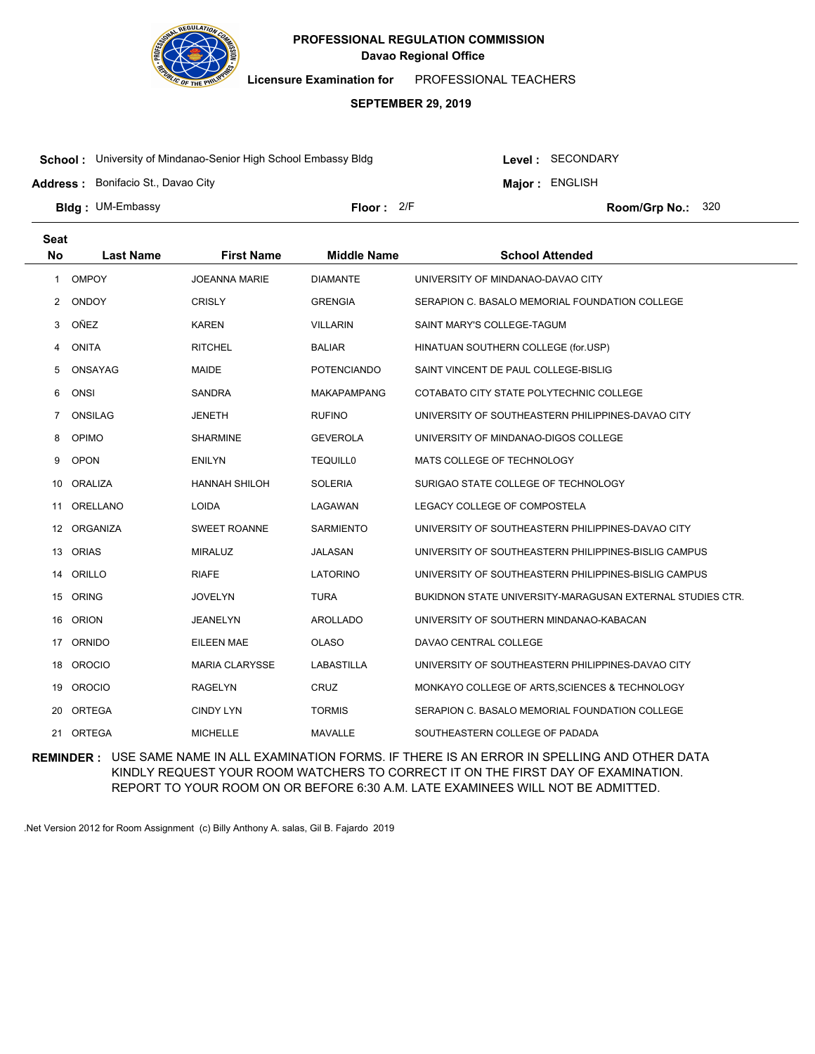

**Licensure Examination for**  PROFESSIONAL TEACHERS

### **SEPTEMBER 29, 2019**

**School :** University of Mindanao-Senior High School Embassy Bldg

Level : SECONDARY

**Major : ENGLISH** 

**Address :** Bonifacio St., Davao City

**Bldg : Floor : Room/Grp No.:** UM-Embassy Floor: 2/F Room/Grp No.: 320

| <b>Seat</b> |                  |                       |                    |                                                           |
|-------------|------------------|-----------------------|--------------------|-----------------------------------------------------------|
| <b>No</b>   | <b>Last Name</b> | <b>First Name</b>     | <b>Middle Name</b> | <b>School Attended</b>                                    |
| 1           | <b>OMPOY</b>     | <b>JOEANNA MARIE</b>  | <b>DIAMANTE</b>    | UNIVERSITY OF MINDANAO-DAVAO CITY                         |
| 2           | <b>ONDOY</b>     | <b>CRISLY</b>         | <b>GRENGIA</b>     | SERAPION C. BASALO MEMORIAL FOUNDATION COLLEGE            |
| 3           | OÑEZ             | <b>KAREN</b>          | <b>VILLARIN</b>    | SAINT MARY'S COLLEGE-TAGUM                                |
| 4           | <b>ONITA</b>     | <b>RITCHEL</b>        | <b>BALIAR</b>      | HINATUAN SOUTHERN COLLEGE (for.USP)                       |
| 5           | ONSAYAG          | <b>MAIDE</b>          | <b>POTENCIANDO</b> | SAINT VINCENT DE PAUL COLLEGE-BISLIG                      |
| 6           | ONSI             | <b>SANDRA</b>         | <b>MAKAPAMPANG</b> | COTABATO CITY STATE POLYTECHNIC COLLEGE                   |
| 7           | <b>ONSILAG</b>   | <b>JENETH</b>         | <b>RUFINO</b>      | UNIVERSITY OF SOUTHEASTERN PHILIPPINES-DAVAO CITY         |
| 8           | OPIMO            | <b>SHARMINE</b>       | <b>GEVEROLA</b>    | UNIVERSITY OF MINDANAO-DIGOS COLLEGE                      |
| 9           | <b>OPON</b>      | ENILYN                | <b>TEQUILL0</b>    | MATS COLLEGE OF TECHNOLOGY                                |
| 10          | <b>ORALIZA</b>   | <b>HANNAH SHILOH</b>  | <b>SOLERIA</b>     | SURIGAO STATE COLLEGE OF TECHNOLOGY                       |
| 11          | ORELLANO         | <b>LOIDA</b>          | LAGAWAN            | LEGACY COLLEGE OF COMPOSTELA                              |
| 12          | ORGANIZA         | <b>SWEET ROANNE</b>   | <b>SARMIENTO</b>   | UNIVERSITY OF SOUTHEASTERN PHILIPPINES-DAVAO CITY         |
|             | 13 ORIAS         | <b>MIRALUZ</b>        | <b>JALASAN</b>     | UNIVERSITY OF SOUTHEASTERN PHILIPPINES-BISLIG CAMPUS      |
| 14          | ORILLO           | <b>RIAFE</b>          | <b>LATORINO</b>    | UNIVERSITY OF SOUTHEASTERN PHILIPPINES-BISLIG CAMPUS      |
| 15          | <b>ORING</b>     | <b>JOVELYN</b>        | <b>TURA</b>        | BUKIDNON STATE UNIVERSITY-MARAGUSAN EXTERNAL STUDIES CTR. |
| 16          | <b>ORION</b>     | <b>JEANELYN</b>       | <b>AROLLADO</b>    | UNIVERSITY OF SOUTHERN MINDANAO-KABACAN                   |
| 17          | ORNIDO           | <b>EILEEN MAE</b>     | <b>OLASO</b>       | DAVAO CENTRAL COLLEGE                                     |
| 18          | <b>OROCIO</b>    | <b>MARIA CLARYSSE</b> | LABASTILLA         | UNIVERSITY OF SOUTHEASTERN PHILIPPINES-DAVAO CITY         |
| 19          | <b>OROCIO</b>    | <b>RAGELYN</b>        | CRUZ               | MONKAYO COLLEGE OF ARTS, SCIENCES & TECHNOLOGY            |
| 20          | ORTEGA           | <b>CINDY LYN</b>      | <b>TORMIS</b>      | SERAPION C. BASALO MEMORIAL FOUNDATION COLLEGE            |
|             | 21 ORTEGA        | <b>MICHELLE</b>       | <b>MAVALLE</b>     | SOUTHEASTERN COLLEGE OF PADADA                            |

**REMINDER :** USE SAME NAME IN ALL EXAMINATION FORMS. IF THERE IS AN ERROR IN SPELLING AND OTHER DATA KINDLY REQUEST YOUR ROOM WATCHERS TO CORRECT IT ON THE FIRST DAY OF EXAMINATION. REPORT TO YOUR ROOM ON OR BEFORE 6:30 A.M. LATE EXAMINEES WILL NOT BE ADMITTED.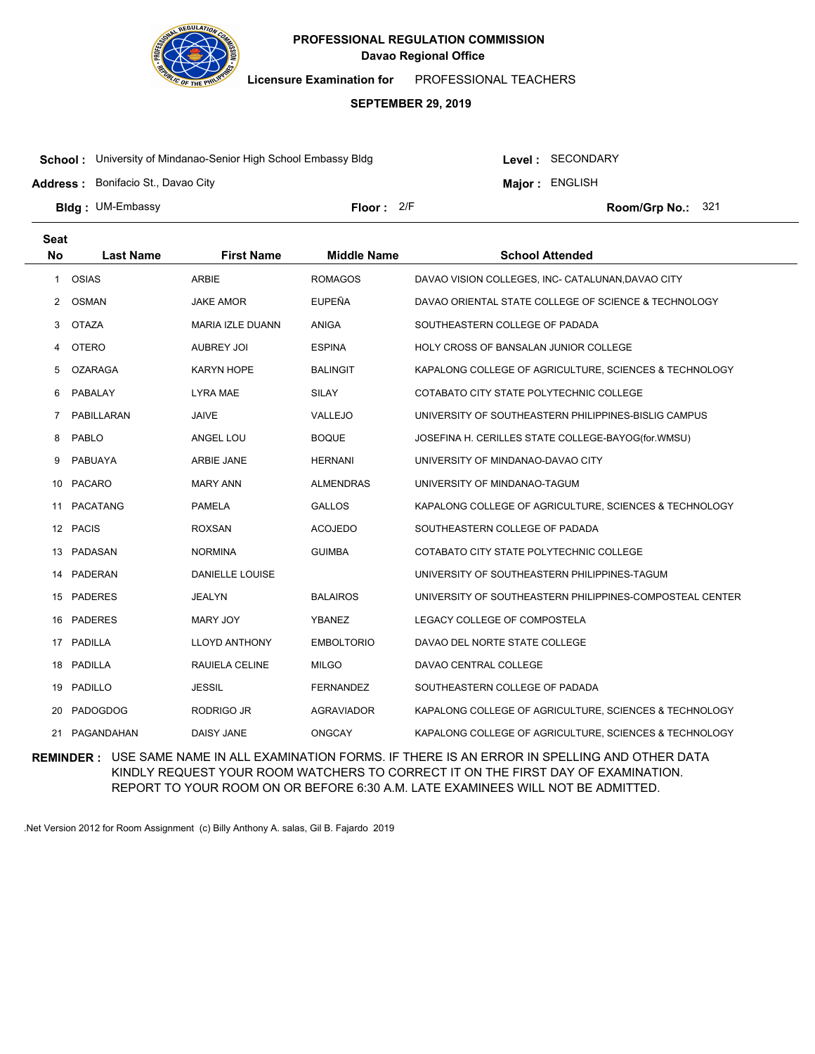

**Licensure Examination for**  PROFESSIONAL TEACHERS

### **SEPTEMBER 29, 2019**

**School :** University of Mindanao-Senior High School Embassy Bldg

**Address :** Bonifacio St., Davao City

Level : SECONDARY

**Major : ENGLISH** 

**Bldg : Floor : Room/Grp No.:** UM-Embassy

Floor: 2/F Room/Grp No.: 321

| <b>Seat</b>  |                  |                         |                    |                                                          |
|--------------|------------------|-------------------------|--------------------|----------------------------------------------------------|
| <b>No</b>    | <b>Last Name</b> | <b>First Name</b>       | <b>Middle Name</b> | <b>School Attended</b>                                   |
| $\mathbf{1}$ | OSIAS            | <b>ARBIE</b>            | <b>ROMAGOS</b>     | DAVAO VISION COLLEGES, INC- CATALUNAN, DAVAO CITY        |
| 2            | <b>OSMAN</b>     | <b>JAKE AMOR</b>        | <b>EUPEÑA</b>      | DAVAO ORIENTAL STATE COLLEGE OF SCIENCE & TECHNOLOGY     |
| 3            | <b>OTAZA</b>     | <b>MARIA IZLE DUANN</b> | <b>ANIGA</b>       | SOUTHEASTERN COLLEGE OF PADADA                           |
| 4            | <b>OTERO</b>     | <b>AUBREY JOI</b>       | <b>ESPINA</b>      | HOLY CROSS OF BANSALAN JUNIOR COLLEGE                    |
| 5            | <b>OZARAGA</b>   | KARYN HOPE              | <b>BALINGIT</b>    | KAPALONG COLLEGE OF AGRICULTURE, SCIENCES & TECHNOLOGY   |
| 6            | PABALAY          | LYRA MAE                | <b>SILAY</b>       | COTABATO CITY STATE POLYTECHNIC COLLEGE                  |
| 7            | PABILLARAN       | JAIVE                   | VALLEJO            | UNIVERSITY OF SOUTHEASTERN PHILIPPINES-BISLIG CAMPUS     |
| 8            | PABLO            | ANGEL LOU               | <b>BOQUE</b>       | JOSEFINA H. CERILLES STATE COLLEGE-BAYOG(for.WMSU)       |
| 9            | <b>PABUAYA</b>   | ARBIE JANE              | <b>HERNANI</b>     | UNIVERSITY OF MINDANAO-DAVAO CITY                        |
| 10           | <b>PACARO</b>    | <b>MARY ANN</b>         | <b>ALMENDRAS</b>   | UNIVERSITY OF MINDANAO-TAGUM                             |
| 11           | <b>PACATANG</b>  | <b>PAMELA</b>           | <b>GALLOS</b>      | KAPALONG COLLEGE OF AGRICULTURE, SCIENCES & TECHNOLOGY   |
| 12           | <b>PACIS</b>     | <b>ROXSAN</b>           | <b>ACOJEDO</b>     | SOUTHEASTERN COLLEGE OF PADADA                           |
| 13           | PADASAN          | <b>NORMINA</b>          | <b>GUIMBA</b>      | COTABATO CITY STATE POLYTECHNIC COLLEGE                  |
| 14           | PADERAN          | <b>DANIELLE LOUISE</b>  |                    | UNIVERSITY OF SOUTHEASTERN PHILIPPINES-TAGUM             |
| 15           | <b>PADERES</b>   | <b>JEALYN</b>           | <b>BALAIROS</b>    | UNIVERSITY OF SOUTHEASTERN PHILIPPINES-COMPOSTEAL CENTER |
| 16           | <b>PADERES</b>   | <b>MARY JOY</b>         | <b>YBANEZ</b>      | LEGACY COLLEGE OF COMPOSTELA                             |
| 17           | PADILLA          | <b>LLOYD ANTHONY</b>    | <b>EMBOLTORIO</b>  | DAVAO DEL NORTE STATE COLLEGE                            |
| 18           | PADILLA          | RAUIELA CELINE          | <b>MILGO</b>       | DAVAO CENTRAL COLLEGE                                    |
| 19           | <b>PADILLO</b>   | <b>JESSIL</b>           | <b>FERNANDEZ</b>   | SOUTHEASTERN COLLEGE OF PADADA                           |
| 20           | <b>PADOGDOG</b>  | RODRIGO JR              | AGRAVIADOR         | KAPALONG COLLEGE OF AGRICULTURE, SCIENCES & TECHNOLOGY   |
| 21           | PAGANDAHAN       | DAISY JANE              | <b>ONGCAY</b>      | KAPALONG COLLEGE OF AGRICULTURE, SCIENCES & TECHNOLOGY   |

**REMINDER :** USE SAME NAME IN ALL EXAMINATION FORMS. IF THERE IS AN ERROR IN SPELLING AND OTHER DATA KINDLY REQUEST YOUR ROOM WATCHERS TO CORRECT IT ON THE FIRST DAY OF EXAMINATION. REPORT TO YOUR ROOM ON OR BEFORE 6:30 A.M. LATE EXAMINEES WILL NOT BE ADMITTED.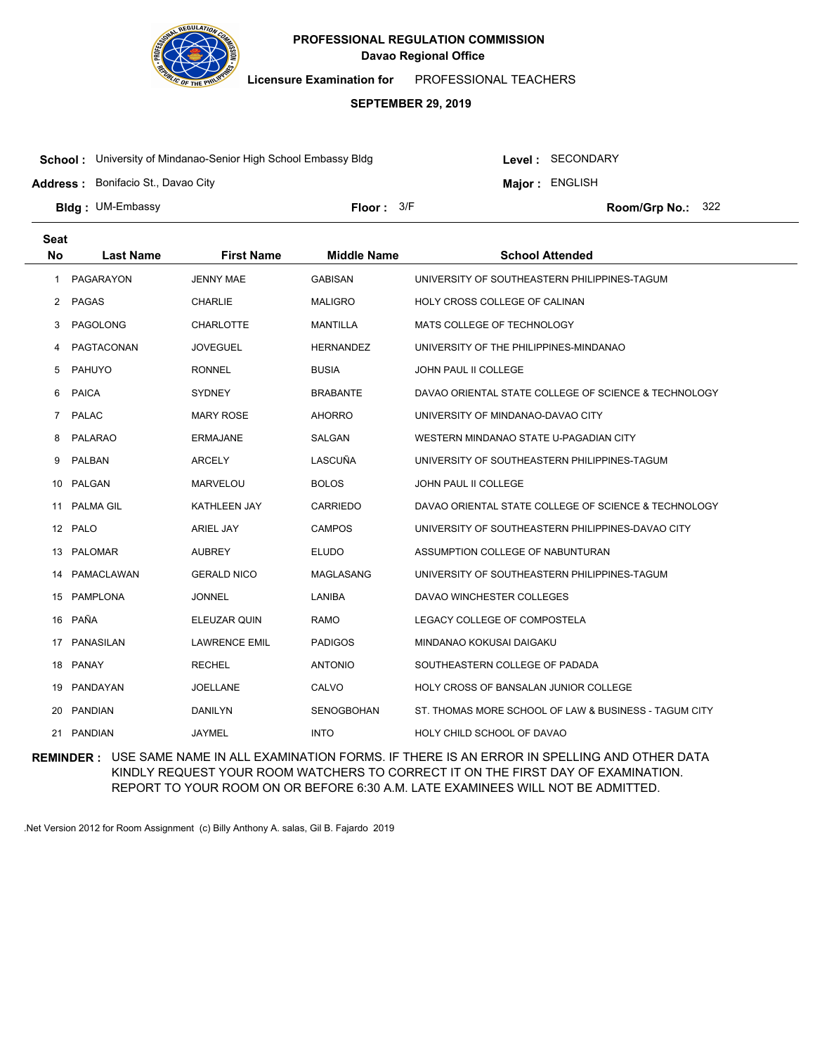

**Licensure Examination for**  PROFESSIONAL TEACHERS

#### **SEPTEMBER 29, 2019**

**School :** University of Mindanao-Senior High School Embassy Bldg

Level : SECONDARY

**Major : ENGLISH** 

**Address :** Bonifacio St., Davao City

**Bldg : Floor : Room/Grp No.:** UM-Embassy Floor: 3/F Room/Grp No.: 322

| <b>Seat</b> |                  |                      |                    |                                                       |
|-------------|------------------|----------------------|--------------------|-------------------------------------------------------|
| <b>No</b>   | <b>Last Name</b> | <b>First Name</b>    | <b>Middle Name</b> | <b>School Attended</b>                                |
| 1           | <b>PAGARAYON</b> | <b>JENNY MAE</b>     | <b>GABISAN</b>     | UNIVERSITY OF SOUTHEASTERN PHILIPPINES-TAGUM          |
| $^{2}$      | PAGAS            | <b>CHARLIE</b>       | <b>MALIGRO</b>     | HOLY CROSS COLLEGE OF CALINAN                         |
| 3           | PAGOLONG         | <b>CHARLOTTE</b>     | <b>MANTILLA</b>    | MATS COLLEGE OF TECHNOLOGY                            |
| 4           | PAGTACONAN       | <b>JOVEGUEL</b>      | <b>HERNANDEZ</b>   | UNIVERSITY OF THE PHILIPPINES-MINDANAO                |
| 5           | PAHUYO           | <b>RONNEL</b>        | <b>BUSIA</b>       | JOHN PAUL II COLLEGE                                  |
| 6           | <b>PAICA</b>     | <b>SYDNEY</b>        | BRABANTE           | DAVAO ORIENTAL STATE COLLEGE OF SCIENCE & TECHNOLOGY  |
| $7^{\circ}$ | <b>PALAC</b>     | <b>MARY ROSE</b>     | <b>AHORRO</b>      | UNIVERSITY OF MINDANAO-DAVAO CITY                     |
| 8           | <b>PALARAO</b>   | ERMAJANE             | SALGAN             | WESTERN MINDANAO STATE U-PAGADIAN CITY                |
| 9           | PALBAN           | <b>ARCELY</b>        | LASCUÑA            | UNIVERSITY OF SOUTHEASTERN PHILIPPINES-TAGUM          |
| 10          | PALGAN           | <b>MARVELOU</b>      | <b>BOLOS</b>       | <b>JOHN PAUL II COLLEGE</b>                           |
| 11          | <b>PALMA GIL</b> | <b>KATHLEEN JAY</b>  | <b>CARRIEDO</b>    | DAVAO ORIENTAL STATE COLLEGE OF SCIENCE & TECHNOLOGY  |
|             | 12 PALO          | <b>ARIEL JAY</b>     | <b>CAMPOS</b>      | UNIVERSITY OF SOUTHEASTERN PHILIPPINES-DAVAO CITY     |
| 13          | <b>PALOMAR</b>   | <b>AUBREY</b>        | <b>ELUDO</b>       | ASSUMPTION COLLEGE OF NABUNTURAN                      |
| 14          | PAMACLAWAN       | <b>GERALD NICO</b>   | MAGLASANG          | UNIVERSITY OF SOUTHEASTERN PHILIPPINES-TAGUM          |
| 15          | <b>PAMPLONA</b>  | <b>JONNEL</b>        | LANIBA             | DAVAO WINCHESTER COLLEGES                             |
| 16          | PAÑA             | ELEUZAR QUIN         | RAMO               | LEGACY COLLEGE OF COMPOSTELA                          |
|             | 17 PANASILAN     | <b>LAWRENCE EMIL</b> | <b>PADIGOS</b>     | MINDANAO KOKUSAI DAIGAKU                              |
| 18          | PANAY            | <b>RECHEL</b>        | <b>ANTONIO</b>     | SOUTHEASTERN COLLEGE OF PADADA                        |
| 19          | PANDAYAN         | <b>JOELLANE</b>      | CALVO              | HOLY CROSS OF BANSALAN JUNIOR COLLEGE                 |
| 20          | PANDIAN          | <b>DANILYN</b>       | <b>SENOGBOHAN</b>  | ST. THOMAS MORE SCHOOL OF LAW & BUSINESS - TAGUM CITY |
| 21          | PANDIAN          | <b>JAYMEL</b>        | <b>INTO</b>        | HOLY CHILD SCHOOL OF DAVAO                            |

**REMINDER :** USE SAME NAME IN ALL EXAMINATION FORMS. IF THERE IS AN ERROR IN SPELLING AND OTHER DATA KINDLY REQUEST YOUR ROOM WATCHERS TO CORRECT IT ON THE FIRST DAY OF EXAMINATION. REPORT TO YOUR ROOM ON OR BEFORE 6:30 A.M. LATE EXAMINEES WILL NOT BE ADMITTED.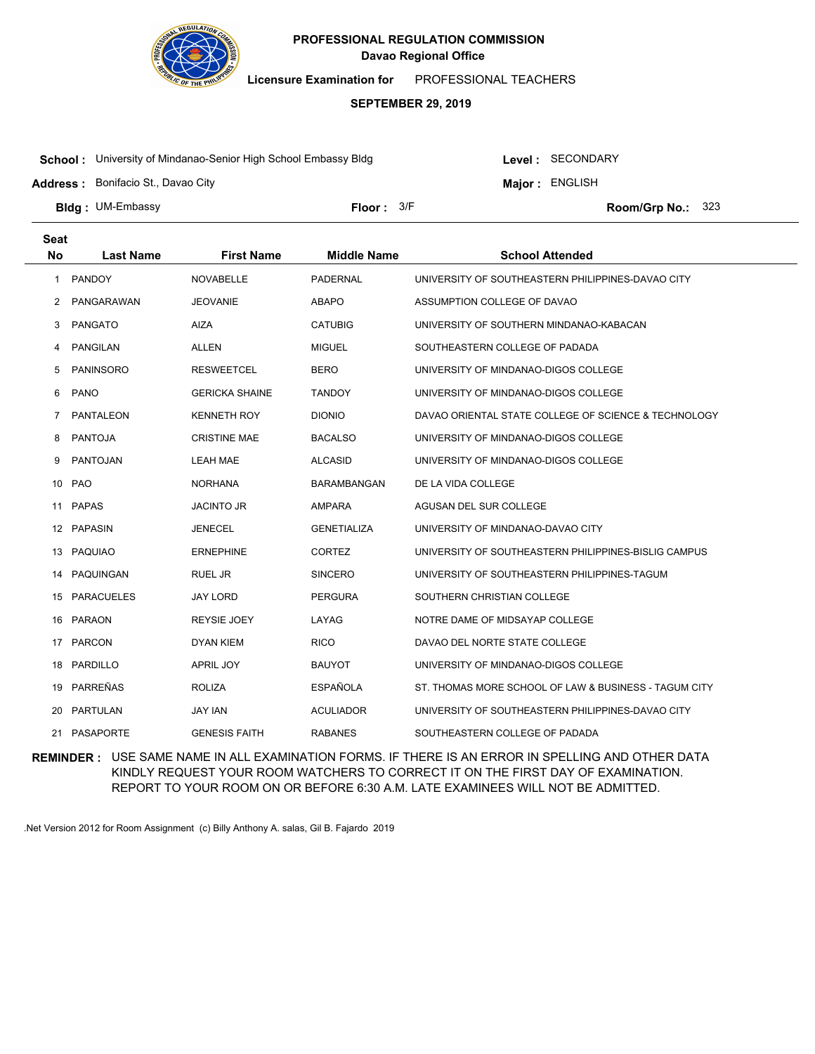

**Licensure Examination for**  PROFESSIONAL TEACHERS

#### **SEPTEMBER 29, 2019**

**School :** University of Mindanao-Senior High School Embassy Bldg

Level : SECONDARY

**Major : ENGLISH** 

**Address :** Bonifacio St., Davao City

**Bldg : Floor : Room/Grp No.:** UM-Embassy Floor: 3/F Room/Grp No.: 323

| <b>Seat</b>  |                  |                       |                    |                                                       |
|--------------|------------------|-----------------------|--------------------|-------------------------------------------------------|
| <b>No</b>    | <b>Last Name</b> | <b>First Name</b>     | <b>Middle Name</b> | <b>School Attended</b>                                |
| 1            | <b>PANDOY</b>    | <b>NOVABELLE</b>      | <b>PADERNAL</b>    | UNIVERSITY OF SOUTHEASTERN PHILIPPINES-DAVAO CITY     |
| 2            | PANGARAWAN       | <b>JEOVANIE</b>       | <b>ABAPO</b>       | ASSUMPTION COLLEGE OF DAVAO                           |
| 3            | <b>PANGATO</b>   | <b>AIZA</b>           | <b>CATUBIG</b>     | UNIVERSITY OF SOUTHERN MINDANAO-KABACAN               |
| 4            | <b>PANGILAN</b>  | <b>ALLEN</b>          | <b>MIGUEL</b>      | SOUTHEASTERN COLLEGE OF PADADA                        |
| 5            | <b>PANINSORO</b> | <b>RESWEETCEL</b>     | <b>BERO</b>        | UNIVERSITY OF MINDANAO-DIGOS COLLEGE                  |
| 6            | <b>PANO</b>      | <b>GERICKA SHAINE</b> | <b>TANDOY</b>      | UNIVERSITY OF MINDANAO-DIGOS COLLEGE                  |
| $\mathbf{7}$ | <b>PANTALEON</b> | <b>KENNETH ROY</b>    | <b>DIONIO</b>      | DAVAO ORIENTAL STATE COLLEGE OF SCIENCE & TECHNOLOGY  |
| 8            | <b>PANTOJA</b>   | <b>CRISTINE MAE</b>   | <b>BACALSO</b>     | UNIVERSITY OF MINDANAO-DIGOS COLLEGE                  |
| 9            | <b>PANTOJAN</b>  | <b>LEAH MAE</b>       | <b>ALCASID</b>     | UNIVERSITY OF MINDANAO-DIGOS COLLEGE                  |
| 10           | <b>PAO</b>       | <b>NORHANA</b>        | <b>BARAMBANGAN</b> | DE LA VIDA COLLEGE                                    |
| 11           | <b>PAPAS</b>     | <b>JACINTO JR</b>     | <b>AMPARA</b>      | AGUSAN DEL SUR COLLEGE                                |
|              | 12 PAPASIN       | <b>JENECEL</b>        | <b>GENETIALIZA</b> | UNIVERSITY OF MINDANAO-DAVAO CITY                     |
| 13           | PAQUIAO          | <b>ERNEPHINE</b>      | <b>CORTEZ</b>      | UNIVERSITY OF SOUTHEASTERN PHILIPPINES-BISLIG CAMPUS  |
| 14           | PAQUINGAN        | <b>RUEL JR</b>        | <b>SINCERO</b>     | UNIVERSITY OF SOUTHEASTERN PHILIPPINES-TAGUM          |
|              | 15 PARACUELES    | JAY LORD              | <b>PERGURA</b>     | SOUTHERN CHRISTIAN COLLEGE                            |
|              | 16 PARAON        | <b>REYSIE JOEY</b>    | LAYAG              | NOTRE DAME OF MIDSAYAP COLLEGE                        |
| 17           | PARCON           | <b>DYAN KIEM</b>      | <b>RICO</b>        | DAVAO DEL NORTE STATE COLLEGE                         |
|              | 18 PARDILLO      | <b>APRIL JOY</b>      | <b>BAUYOT</b>      | UNIVERSITY OF MINDANAO-DIGOS COLLEGE                  |
| 19           | PARREÑAS         | <b>ROLIZA</b>         | <b>ESPAÑOLA</b>    | ST. THOMAS MORE SCHOOL OF LAW & BUSINESS - TAGUM CITY |
| 20           | <b>PARTULAN</b>  | <b>JAY IAN</b>        | <b>ACULIADOR</b>   | UNIVERSITY OF SOUTHEASTERN PHILIPPINES-DAVAO CITY     |
|              | 21 PASAPORTE     | <b>GENESIS FAITH</b>  | <b>RABANES</b>     | SOUTHEASTERN COLLEGE OF PADADA                        |

**REMINDER :** USE SAME NAME IN ALL EXAMINATION FORMS. IF THERE IS AN ERROR IN SPELLING AND OTHER DATA KINDLY REQUEST YOUR ROOM WATCHERS TO CORRECT IT ON THE FIRST DAY OF EXAMINATION. REPORT TO YOUR ROOM ON OR BEFORE 6:30 A.M. LATE EXAMINEES WILL NOT BE ADMITTED.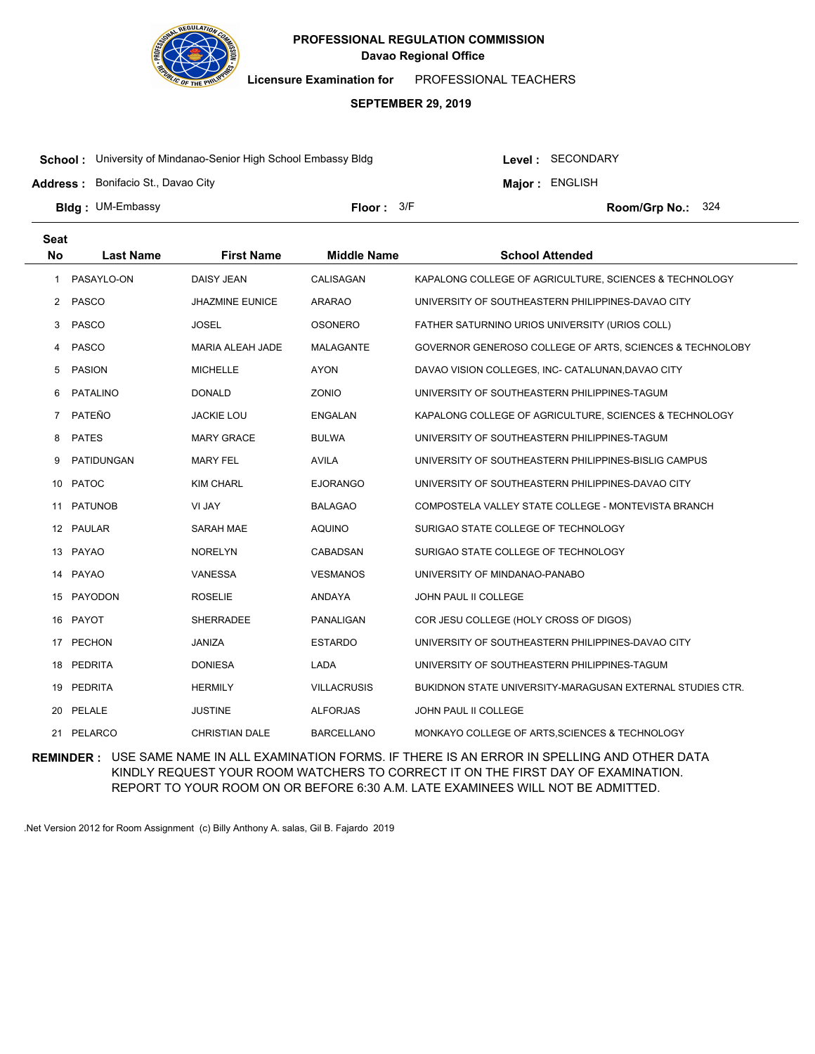

**Licensure Examination for**  PROFESSIONAL TEACHERS

#### **SEPTEMBER 29, 2019**

**School :** University of Mindanao-Senior High School Embassy Bldg

Level : SECONDARY

**Major : ENGLISH** 

**Address :** Bonifacio St., Davao City

**Bldg : Floor : Room/Grp No.:** UM-Embassy Floor:  $3/5$  3/F Room/Grp No.: 324

| <b>Seat</b>    |                  |                        |                    |                                                           |  |
|----------------|------------------|------------------------|--------------------|-----------------------------------------------------------|--|
| <b>No</b>      | <b>Last Name</b> | <b>First Name</b>      | <b>Middle Name</b> | <b>School Attended</b>                                    |  |
| 1              | PASAYLO-ON       | DAISY JEAN             | CALISAGAN          | KAPALONG COLLEGE OF AGRICULTURE, SCIENCES & TECHNOLOGY    |  |
| $^{2}$         | PASCO            | <b>JHAZMINE EUNICE</b> | <b>ARARAO</b>      | UNIVERSITY OF SOUTHEASTERN PHILIPPINES-DAVAO CITY         |  |
| 3              | PASCO            | <b>JOSEL</b>           | <b>OSONERO</b>     | FATHER SATURNINO URIOS UNIVERSITY (URIOS COLL)            |  |
| 4              | PASCO            | MARIA ALEAH JADE       | <b>MALAGANTE</b>   | GOVERNOR GENEROSO COLLEGE OF ARTS, SCIENCES & TECHNOLOBY  |  |
| 5              | <b>PASION</b>    | <b>MICHELLE</b>        | <b>AYON</b>        | DAVAO VISION COLLEGES, INC- CATALUNAN, DAVAO CITY         |  |
| 6              | <b>PATALINO</b>  | <b>DONALD</b>          | ZONIO              | UNIVERSITY OF SOUTHEASTERN PHILIPPINES-TAGUM              |  |
| $\overline{7}$ | PATEÑO           | <b>JACKIE LOU</b>      | ENGALAN            | KAPALONG COLLEGE OF AGRICULTURE, SCIENCES & TECHNOLOGY    |  |
| 8              | <b>PATES</b>     | <b>MARY GRACE</b>      | <b>BULWA</b>       | UNIVERSITY OF SOUTHEASTERN PHILIPPINES-TAGUM              |  |
| 9              | PATIDUNGAN       | <b>MARY FEL</b>        | <b>AVILA</b>       | UNIVERSITY OF SOUTHEASTERN PHILIPPINES-BISLIG CAMPUS      |  |
| 10             | <b>PATOC</b>     | <b>KIM CHARL</b>       | <b>EJORANGO</b>    | UNIVERSITY OF SOUTHEASTERN PHILIPPINES-DAVAO CITY         |  |
| 11             | <b>PATUNOB</b>   | VI JAY                 | <b>BALAGAO</b>     | COMPOSTELA VALLEY STATE COLLEGE - MONTEVISTA BRANCH       |  |
|                | 12 PAULAR        | SARAH MAE              | <b>AQUINO</b>      | SURIGAO STATE COLLEGE OF TECHNOLOGY                       |  |
|                | 13 PAYAO         | <b>NORELYN</b>         | CABADSAN           | SURIGAO STATE COLLEGE OF TECHNOLOGY                       |  |
|                | 14 PAYAO         | VANESSA                | <b>VESMANOS</b>    | UNIVERSITY OF MINDANAO-PANABO                             |  |
|                | 15 PAYODON       | <b>ROSELIE</b>         | <b>ANDAYA</b>      | JOHN PAUL II COLLEGE                                      |  |
|                | 16 PAYOT         | <b>SHERRADEE</b>       | PANALIGAN          | COR JESU COLLEGE (HOLY CROSS OF DIGOS)                    |  |
| 17             | PECHON           | JANIZA                 | <b>ESTARDO</b>     | UNIVERSITY OF SOUTHEASTERN PHILIPPINES-DAVAO CITY         |  |
| 18             | PEDRITA          | <b>DONIESA</b>         | LADA               | UNIVERSITY OF SOUTHEASTERN PHILIPPINES-TAGUM              |  |
| 19             | PEDRITA          | <b>HERMILY</b>         | <b>VILLACRUSIS</b> | BUKIDNON STATE UNIVERSITY-MARAGUSAN EXTERNAL STUDIES CTR. |  |
|                | 20 PELALE        | <b>JUSTINE</b>         | <b>ALFORJAS</b>    | JOHN PAUL II COLLEGE                                      |  |
|                | 21 PELARCO       | <b>CHRISTIAN DALE</b>  | BARCELLANO         | MONKAYO COLLEGE OF ARTS, SCIENCES & TECHNOLOGY            |  |

**REMINDER :** USE SAME NAME IN ALL EXAMINATION FORMS. IF THERE IS AN ERROR IN SPELLING AND OTHER DATA KINDLY REQUEST YOUR ROOM WATCHERS TO CORRECT IT ON THE FIRST DAY OF EXAMINATION. REPORT TO YOUR ROOM ON OR BEFORE 6:30 A.M. LATE EXAMINEES WILL NOT BE ADMITTED.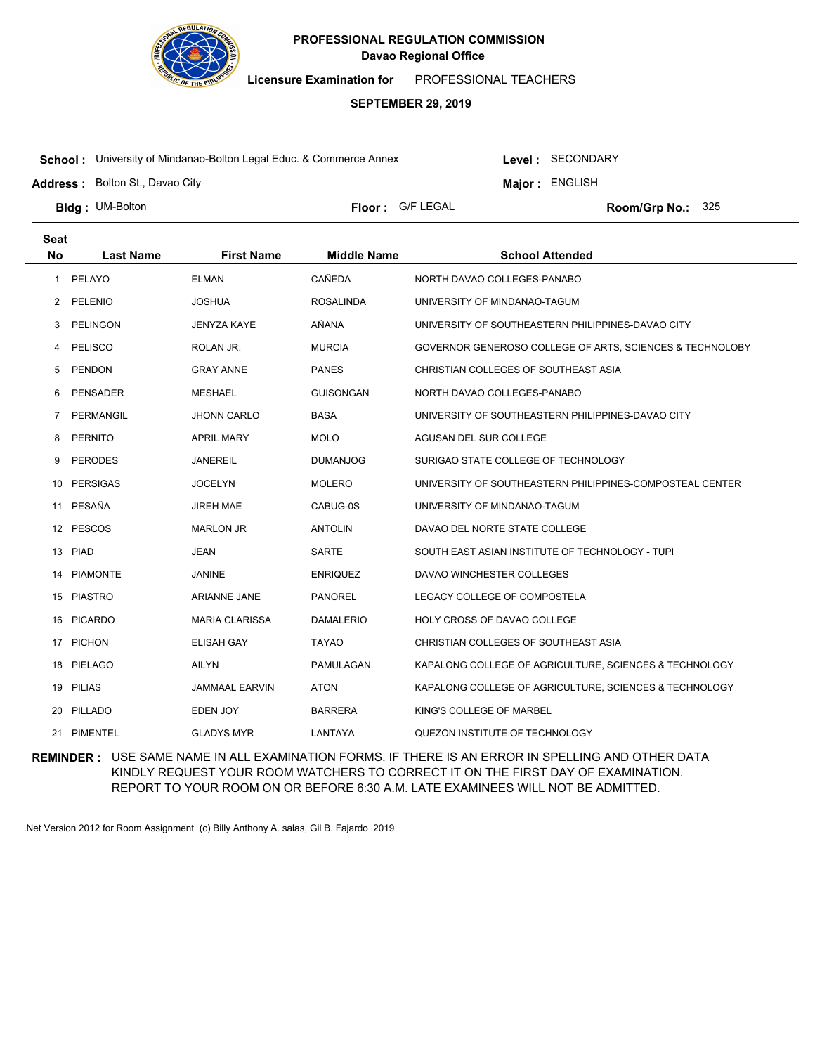

**Licensure Examination for**  PROFESSIONAL TEACHERS

### **SEPTEMBER 29, 2019**

**School :** University of Mindanao-Bolton Legal Educ. & Commerce Annex

**Address :** Bolton St., Davao City

**Major : ENGLISH** 

Level : SECONDARY

**Bldg: UM-Bolton** 

**Floor :** G/F LEGAL

Room/Grp No.: 325

| <b>Seat</b> |                  |                       |                    |                                                          |
|-------------|------------------|-----------------------|--------------------|----------------------------------------------------------|
| <b>No</b>   | <b>Last Name</b> | <b>First Name</b>     | <b>Middle Name</b> | <b>School Attended</b>                                   |
| 1           | PELAYO           | <b>ELMAN</b>          | CAÑEDA             | NORTH DAVAO COLLEGES-PANABO                              |
| 2           | PELENIO          | <b>JOSHUA</b>         | <b>ROSALINDA</b>   | UNIVERSITY OF MINDANAO-TAGUM                             |
| 3           | <b>PELINGON</b>  | <b>JENYZA KAYE</b>    | AÑANA              | UNIVERSITY OF SOUTHEASTERN PHILIPPINES-DAVAO CITY        |
| 4           | <b>PELISCO</b>   | ROLAN JR.             | <b>MURCIA</b>      | GOVERNOR GENEROSO COLLEGE OF ARTS, SCIENCES & TECHNOLOBY |
| 5           | <b>PENDON</b>    | <b>GRAY ANNE</b>      | <b>PANES</b>       | CHRISTIAN COLLEGES OF SOUTHEAST ASIA                     |
| 6           | <b>PENSADER</b>  | <b>MESHAEL</b>        | <b>GUISONGAN</b>   | NORTH DAVAO COLLEGES-PANABO                              |
| 7           | PERMANGIL        | <b>JHONN CARLO</b>    | <b>BASA</b>        | UNIVERSITY OF SOUTHEASTERN PHILIPPINES-DAVAO CITY        |
| 8           | <b>PERNITO</b>   | <b>APRIL MARY</b>     | <b>MOLO</b>        | AGUSAN DEL SUR COLLEGE                                   |
| 9           | <b>PERODES</b>   | <b>JANEREIL</b>       | <b>DUMANJOG</b>    | SURIGAO STATE COLLEGE OF TECHNOLOGY                      |
| 10          | <b>PERSIGAS</b>  | <b>JOCELYN</b>        | <b>MOLERO</b>      | UNIVERSITY OF SOUTHEASTERN PHILIPPINES-COMPOSTEAL CENTER |
|             | 11 PESAÑA        | <b>JIREH MAE</b>      | CABUG-0S           | UNIVERSITY OF MINDANAO-TAGUM                             |
|             | 12 PESCOS        | <b>MARLON JR</b>      | <b>ANTOLIN</b>     | DAVAO DEL NORTE STATE COLLEGE                            |
| 13          | PIAD             | <b>JEAN</b>           | SARTE              | SOUTH EAST ASIAN INSTITUTE OF TECHNOLOGY - TUPI          |
| 14          | <b>PIAMONTE</b>  | <b>JANINE</b>         | <b>ENRIQUEZ</b>    | DAVAO WINCHESTER COLLEGES                                |
| 15          | <b>PIASTRO</b>   | <b>ARIANNE JANE</b>   | <b>PANOREL</b>     | LEGACY COLLEGE OF COMPOSTELA                             |
| 16          | <b>PICARDO</b>   | <b>MARIA CLARISSA</b> | <b>DAMALERIO</b>   | HOLY CROSS OF DAVAO COLLEGE                              |
|             | 17 PICHON        | <b>ELISAH GAY</b>     | <b>TAYAO</b>       | CHRISTIAN COLLEGES OF SOUTHEAST ASIA                     |
| 18          | <b>PIELAGO</b>   | <b>AILYN</b>          | PAMULAGAN          | KAPALONG COLLEGE OF AGRICULTURE, SCIENCES & TECHNOLOGY   |
| 19          | <b>PILIAS</b>    | <b>JAMMAAL EARVIN</b> | <b>ATON</b>        | KAPALONG COLLEGE OF AGRICULTURE, SCIENCES & TECHNOLOGY   |
| 20          | PILLADO          | EDEN JOY              | <b>BARRERA</b>     | KING'S COLLEGE OF MARBEL                                 |
| 21          | PIMENTEL         | <b>GLADYS MYR</b>     | LANTAYA            | QUEZON INSTITUTE OF TECHNOLOGY                           |

**REMINDER :** USE SAME NAME IN ALL EXAMINATION FORMS. IF THERE IS AN ERROR IN SPELLING AND OTHER DATA KINDLY REQUEST YOUR ROOM WATCHERS TO CORRECT IT ON THE FIRST DAY OF EXAMINATION. REPORT TO YOUR ROOM ON OR BEFORE 6:30 A.M. LATE EXAMINEES WILL NOT BE ADMITTED.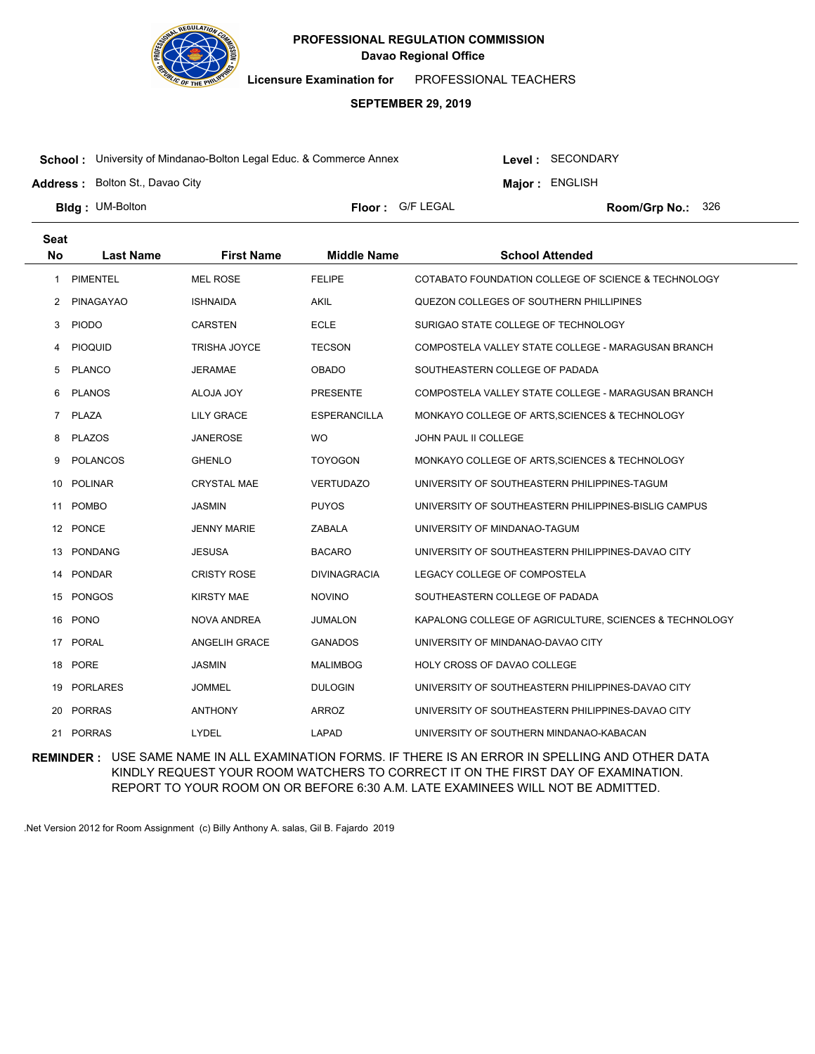

**Licensure Examination for**  PROFESSIONAL TEACHERS

### **SEPTEMBER 29, 2019**

**School :** University of Mindanao-Bolton Legal Educ. & Commerce Annex

**Address :** Bolton St., Davao City

Level : SECONDARY

**Major : ENGLISH** 

**Bldg: UM-Bolton** 

**Floor :** G/F LEGAL

Room/Grp No.: 326

| <b>Seat</b> |                  |                     |                     |                                                        |
|-------------|------------------|---------------------|---------------------|--------------------------------------------------------|
| <b>No</b>   | <b>Last Name</b> | <b>First Name</b>   | <b>Middle Name</b>  | <b>School Attended</b>                                 |
| 1           | <b>PIMENTEL</b>  | <b>MEL ROSE</b>     | <b>FELIPE</b>       | COTABATO FOUNDATION COLLEGE OF SCIENCE & TECHNOLOGY    |
| 2           | <b>PINAGAYAO</b> | <b>ISHNAIDA</b>     | <b>AKIL</b>         | QUEZON COLLEGES OF SOUTHERN PHILLIPINES                |
| 3           | <b>PIODO</b>     | <b>CARSTEN</b>      | <b>ECLE</b>         | SURIGAO STATE COLLEGE OF TECHNOLOGY                    |
| 4           | <b>PIOQUID</b>   | <b>TRISHA JOYCE</b> | <b>TECSON</b>       | COMPOSTELA VALLEY STATE COLLEGE - MARAGUSAN BRANCH     |
| 5           | <b>PLANCO</b>    | <b>JERAMAE</b>      | <b>OBADO</b>        | SOUTHEASTERN COLLEGE OF PADADA                         |
| 6           | <b>PLANOS</b>    | ALOJA JOY           | <b>PRESENTE</b>     | COMPOSTELA VALLEY STATE COLLEGE - MARAGUSAN BRANCH     |
| $7^{\circ}$ | PLAZA            | <b>LILY GRACE</b>   | <b>ESPERANCILLA</b> | MONKAYO COLLEGE OF ARTS, SCIENCES & TECHNOLOGY         |
| 8           | <b>PLAZOS</b>    | <b>JANEROSE</b>     | <b>WO</b>           | JOHN PAUL II COLLEGE                                   |
| 9           | <b>POLANCOS</b>  | <b>GHENLO</b>       | <b>TOYOGON</b>      | MONKAYO COLLEGE OF ARTS, SCIENCES & TECHNOLOGY         |
| 10          | <b>POLINAR</b>   | <b>CRYSTAL MAE</b>  | <b>VERTUDAZO</b>    | UNIVERSITY OF SOUTHEASTERN PHILIPPINES-TAGUM           |
| 11          | <b>POMBO</b>     | <b>JASMIN</b>       | <b>PUYOS</b>        | UNIVERSITY OF SOUTHEASTERN PHILIPPINES-BISLIG CAMPUS   |
|             | 12 PONCE         | <b>JENNY MARIE</b>  | <b>ZABALA</b>       | UNIVERSITY OF MINDANAO-TAGUM                           |
| 13          | <b>PONDANG</b>   | <b>JESUSA</b>       | <b>BACARO</b>       | UNIVERSITY OF SOUTHEASTERN PHILIPPINES-DAVAO CITY      |
| 14          | PONDAR           | <b>CRISTY ROSE</b>  | <b>DIVINAGRACIA</b> | LEGACY COLLEGE OF COMPOSTELA                           |
| 15          | PONGOS           | <b>KIRSTY MAE</b>   | <b>NOVINO</b>       | SOUTHEASTERN COLLEGE OF PADADA                         |
| 16          | <b>PONO</b>      | <b>NOVA ANDREA</b>  | <b>JUMALON</b>      | KAPALONG COLLEGE OF AGRICULTURE, SCIENCES & TECHNOLOGY |
| 17          | PORAL            | ANGELIH GRACE       | <b>GANADOS</b>      | UNIVERSITY OF MINDANAO-DAVAO CITY                      |
| 18          | PORE             | <b>JASMIN</b>       | <b>MALIMBOG</b>     | HOLY CROSS OF DAVAO COLLEGE                            |
| 19          | <b>PORLARES</b>  | <b>JOMMEL</b>       | <b>DULOGIN</b>      | UNIVERSITY OF SOUTHEASTERN PHILIPPINES-DAVAO CITY      |
| 20          | <b>PORRAS</b>    | <b>ANTHONY</b>      | <b>ARROZ</b>        | UNIVERSITY OF SOUTHEASTERN PHILIPPINES-DAVAO CITY      |
|             | 21 PORRAS        | LYDEL               | LAPAD               | UNIVERSITY OF SOUTHERN MINDANAO-KABACAN                |

**REMINDER :** USE SAME NAME IN ALL EXAMINATION FORMS. IF THERE IS AN ERROR IN SPELLING AND OTHER DATA KINDLY REQUEST YOUR ROOM WATCHERS TO CORRECT IT ON THE FIRST DAY OF EXAMINATION. REPORT TO YOUR ROOM ON OR BEFORE 6:30 A.M. LATE EXAMINEES WILL NOT BE ADMITTED.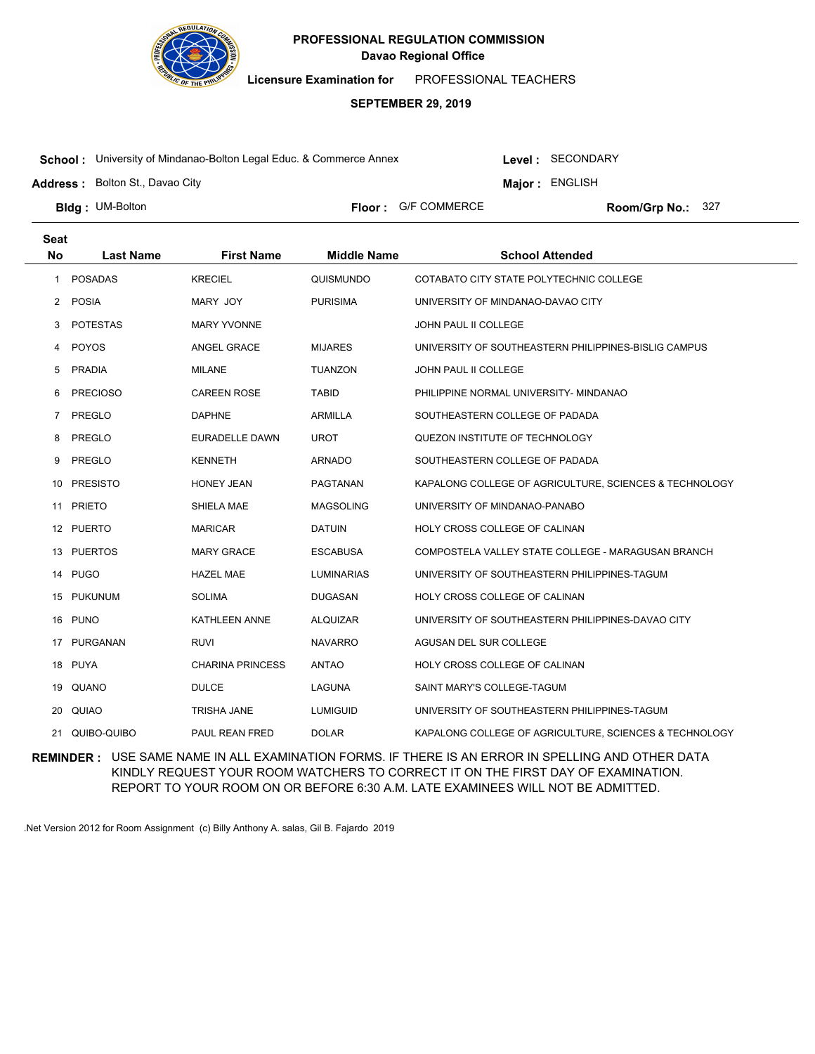

**Licensure Examination for**  PROFESSIONAL TEACHERS

### **SEPTEMBER 29, 2019**

**School :** University of Mindanao-Bolton Legal Educ. & Commerce Annex

Level : SECONDARY

**Major : ENGLISH** 

**Address :** Bolton St., Davao City

**Bldg: UM-Bolton** 

**Floor :** G/F COMMERCE

Room/Grp No.: 327

| <b>Seat</b> |                  |                         |                    |                                                        |
|-------------|------------------|-------------------------|--------------------|--------------------------------------------------------|
| <b>No</b>   | <b>Last Name</b> | <b>First Name</b>       | <b>Middle Name</b> | <b>School Attended</b>                                 |
| 1           | <b>POSADAS</b>   | <b>KRECIEL</b>          | QUISMUNDO          | COTABATO CITY STATE POLYTECHNIC COLLEGE                |
| 2           | POSIA            | MARY JOY                | <b>PURISIMA</b>    | UNIVERSITY OF MINDANAO-DAVAO CITY                      |
| 3           | <b>POTESTAS</b>  | <b>MARY YVONNE</b>      |                    | JOHN PAUL II COLLEGE                                   |
| 4           | POYOS            | ANGEL GRACE             | <b>MIJARES</b>     | UNIVERSITY OF SOUTHEASTERN PHILIPPINES-BISLIG CAMPUS   |
| 5           | <b>PRADIA</b>    | <b>MILANE</b>           | <b>TUANZON</b>     | JOHN PAUL II COLLEGE                                   |
| 6           | <b>PRECIOSO</b>  | <b>CAREEN ROSE</b>      | <b>TABID</b>       | PHILIPPINE NORMAL UNIVERSITY- MINDANAO                 |
| 7           | PREGLO           | <b>DAPHNE</b>           | <b>ARMILLA</b>     | SOUTHEASTERN COLLEGE OF PADADA                         |
| 8           | PREGLO           | EURADELLE DAWN          | <b>UROT</b>        | QUEZON INSTITUTE OF TECHNOLOGY                         |
| 9           | PREGLO           | <b>KENNETH</b>          | <b>ARNADO</b>      | SOUTHEASTERN COLLEGE OF PADADA                         |
| 10          | <b>PRESISTO</b>  | <b>HONEY JEAN</b>       | <b>PAGTANAN</b>    | KAPALONG COLLEGE OF AGRICULTURE, SCIENCES & TECHNOLOGY |
| 11          | <b>PRIETO</b>    | SHIELA MAE              | <b>MAGSOLING</b>   | UNIVERSITY OF MINDANAO-PANABO                          |
|             | 12 PUERTO        | <b>MARICAR</b>          | <b>DATUIN</b>      | HOLY CROSS COLLEGE OF CALINAN                          |
| 13          | <b>PUERTOS</b>   | <b>MARY GRACE</b>       | ESCABUSA           | COMPOSTELA VALLEY STATE COLLEGE - MARAGUSAN BRANCH     |
|             | 14 PUGO          | <b>HAZEL MAE</b>        | <b>LUMINARIAS</b>  | UNIVERSITY OF SOUTHEASTERN PHILIPPINES-TAGUM           |
| 15          | <b>PUKUNUM</b>   | <b>SOLIMA</b>           | <b>DUGASAN</b>     | HOLY CROSS COLLEGE OF CALINAN                          |
| 16          | <b>PUNO</b>      | <b>KATHLEEN ANNE</b>    | <b>ALQUIZAR</b>    | UNIVERSITY OF SOUTHEASTERN PHILIPPINES-DAVAO CITY      |
| 17          | PURGANAN         | <b>RUVI</b>             | <b>NAVARRO</b>     | AGUSAN DEL SUR COLLEGE                                 |
| 18          | <b>PUYA</b>      | <b>CHARINA PRINCESS</b> | <b>ANTAO</b>       | HOLY CROSS COLLEGE OF CALINAN                          |
| 19          | QUANO            | <b>DULCE</b>            | LAGUNA             | SAINT MARY'S COLLEGE-TAGUM                             |
| 20          | QUIAO            | TRISHA JANE             | <b>LUMIGUID</b>    | UNIVERSITY OF SOUTHEASTERN PHILIPPINES-TAGUM           |
| 21          | QUIBO-QUIBO      | <b>PAUL REAN FRED</b>   | <b>DOLAR</b>       | KAPALONG COLLEGE OF AGRICULTURE, SCIENCES & TECHNOLOGY |

**REMINDER :** USE SAME NAME IN ALL EXAMINATION FORMS. IF THERE IS AN ERROR IN SPELLING AND OTHER DATA KINDLY REQUEST YOUR ROOM WATCHERS TO CORRECT IT ON THE FIRST DAY OF EXAMINATION. REPORT TO YOUR ROOM ON OR BEFORE 6:30 A.M. LATE EXAMINEES WILL NOT BE ADMITTED.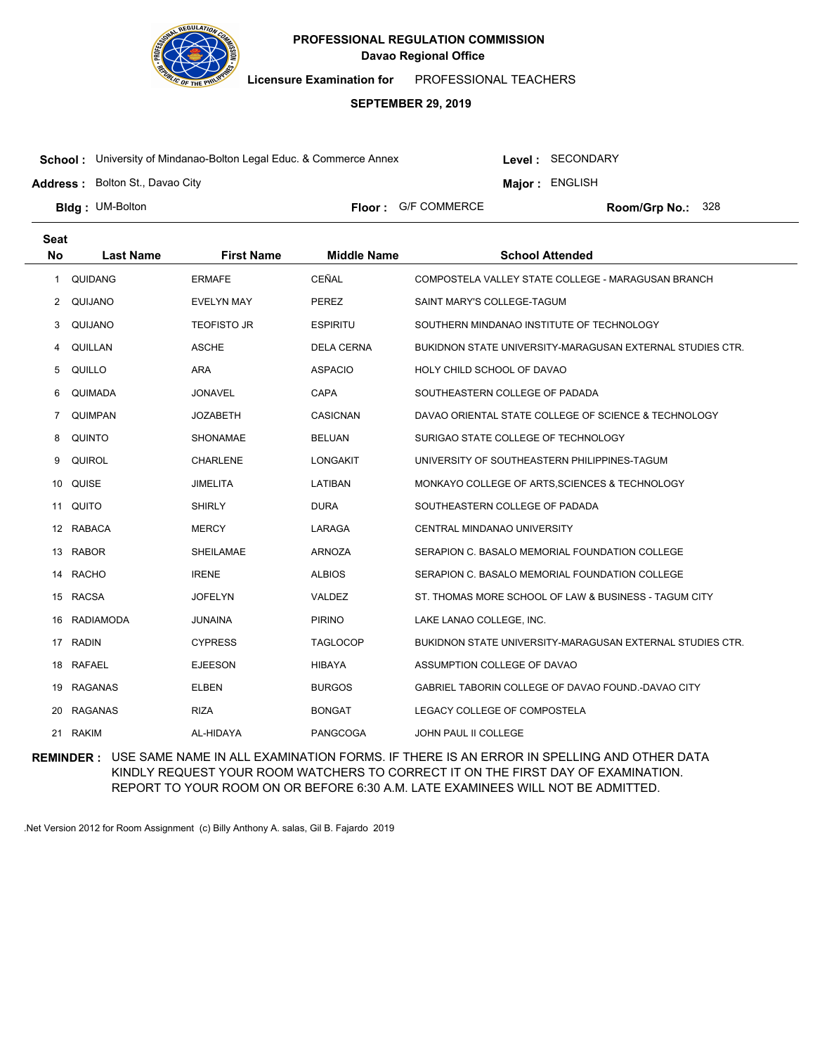

**Licensure Examination for**  PROFESSIONAL TEACHERS

# **SEPTEMBER 29, 2019**

**School :** University of Mindanao-Bolton Legal Educ. & Commerce Annex

Level : SECONDARY

**Major : ENGLISH** 

**Address :** Bolton St., Davao City

**Bldg: UM-Bolton** 

**Floor :** G/F COMMERCE

Room/Grp No.: 328

| <b>Seat</b>    |                  |                    |                    |                                                           |
|----------------|------------------|--------------------|--------------------|-----------------------------------------------------------|
| <b>No</b>      | <b>Last Name</b> | <b>First Name</b>  | <b>Middle Name</b> | <b>School Attended</b>                                    |
| 1              | QUIDANG          | <b>ERMAFE</b>      | CEÑAL              | COMPOSTELA VALLEY STATE COLLEGE - MARAGUSAN BRANCH        |
| 2              | QUIJANO          | <b>EVELYN MAY</b>  | <b>PEREZ</b>       | SAINT MARY'S COLLEGE-TAGUM                                |
| 3              | QUIJANO          | <b>TEOFISTO JR</b> | <b>ESPIRITU</b>    | SOUTHERN MINDANAO INSTITUTE OF TECHNOLOGY                 |
| 4              | QUILLAN          | <b>ASCHE</b>       | <b>DELA CERNA</b>  | BUKIDNON STATE UNIVERSITY-MARAGUSAN EXTERNAL STUDIES CTR. |
| 5              | QUILLO           | <b>ARA</b>         | <b>ASPACIO</b>     | HOLY CHILD SCHOOL OF DAVAO                                |
| 6              | QUIMADA          | <b>JONAVEL</b>     | <b>CAPA</b>        | SOUTHEASTERN COLLEGE OF PADADA                            |
| $\overline{7}$ | QUIMPAN          | <b>JOZABETH</b>    | <b>CASICNAN</b>    | DAVAO ORIENTAL STATE COLLEGE OF SCIENCE & TECHNOLOGY      |
| 8              | <b>QUINTO</b>    | <b>SHONAMAE</b>    | <b>BELUAN</b>      | SURIGAO STATE COLLEGE OF TECHNOLOGY                       |
| 9              | <b>QUIROL</b>    | <b>CHARLENE</b>    | <b>LONGAKIT</b>    | UNIVERSITY OF SOUTHEASTERN PHILIPPINES-TAGUM              |
| 10             | QUISE            | <b>JIMELITA</b>    | LATIBAN            | MONKAYO COLLEGE OF ARTS, SCIENCES & TECHNOLOGY            |
|                | 11 QUITO         | <b>SHIRLY</b>      | <b>DURA</b>        | SOUTHEASTERN COLLEGE OF PADADA                            |
| 12             | <b>RABACA</b>    | <b>MERCY</b>       | LARAGA             | CENTRAL MINDANAO UNIVERSITY                               |
| 13             | <b>RABOR</b>     | <b>SHEILAMAE</b>   | <b>ARNOZA</b>      | SERAPION C. BASALO MEMORIAL FOUNDATION COLLEGE            |
|                | 14 RACHO         | <b>IRENE</b>       | <b>ALBIOS</b>      | SERAPION C. BASALO MEMORIAL FOUNDATION COLLEGE            |
| 15             | <b>RACSA</b>     | <b>JOFELYN</b>     | VALDEZ             | ST. THOMAS MORE SCHOOL OF LAW & BUSINESS - TAGUM CITY     |
| 16.            | <b>RADIAMODA</b> | <b>JUNAINA</b>     | <b>PIRINO</b>      | LAKE LANAO COLLEGE, INC.                                  |
| 17             | <b>RADIN</b>     | <b>CYPRESS</b>     | <b>TAGLOCOP</b>    | BUKIDNON STATE UNIVERSITY-MARAGUSAN EXTERNAL STUDIES CTR. |
| 18             | <b>RAFAEL</b>    | <b>EJEESON</b>     | <b>HIBAYA</b>      | ASSUMPTION COLLEGE OF DAVAO                               |
| 19             | <b>RAGANAS</b>   | <b>ELBEN</b>       | <b>BURGOS</b>      | GABRIEL TABORIN COLLEGE OF DAVAO FOUND.-DAVAO CITY        |
| 20             | <b>RAGANAS</b>   | <b>RIZA</b>        | <b>BONGAT</b>      | LEGACY COLLEGE OF COMPOSTELA                              |
| 21             | <b>RAKIM</b>     | AL-HIDAYA          | <b>PANGCOGA</b>    | <b>JOHN PAUL II COLLEGE</b>                               |

**REMINDER :** USE SAME NAME IN ALL EXAMINATION FORMS. IF THERE IS AN ERROR IN SPELLING AND OTHER DATA KINDLY REQUEST YOUR ROOM WATCHERS TO CORRECT IT ON THE FIRST DAY OF EXAMINATION. REPORT TO YOUR ROOM ON OR BEFORE 6:30 A.M. LATE EXAMINEES WILL NOT BE ADMITTED.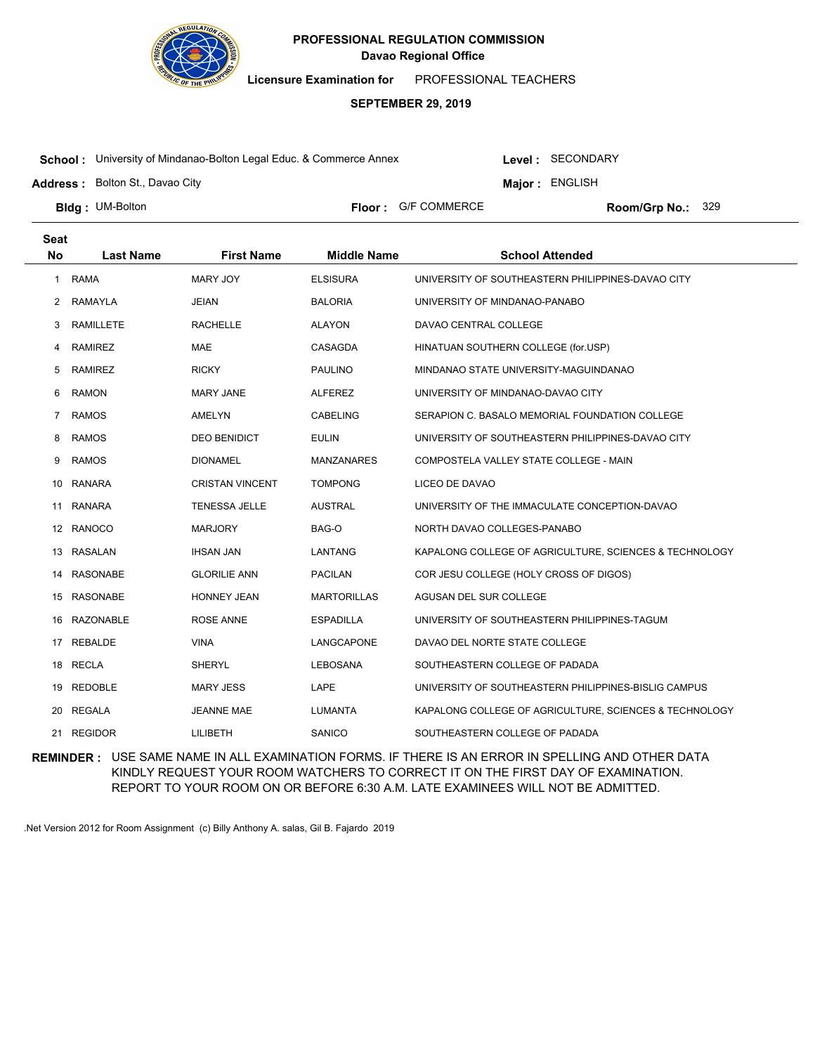

**Licensure Examination for**  PROFESSIONAL TEACHERS

# **SEPTEMBER 29, 2019**

**School :** University of Mindanao-Bolton Legal Educ. & Commerce Annex

Level : SECONDARY

**Major : ENGLISH** 

**Address :** Bolton St., Davao City

**Bldg: UM-Bolton** 

**Floor :** G/F COMMERCE

Room/Grp No.: 329

| <b>Seat</b>  |                  |                        |                    |                                                        |
|--------------|------------------|------------------------|--------------------|--------------------------------------------------------|
| <b>No</b>    | <b>Last Name</b> | <b>First Name</b>      | <b>Middle Name</b> | <b>School Attended</b>                                 |
| $\mathbf{1}$ | <b>RAMA</b>      | <b>MARY JOY</b>        | <b>ELSISURA</b>    | UNIVERSITY OF SOUTHEASTERN PHILIPPINES-DAVAO CITY      |
| 2            | RAMAYLA          | <b>JEIAN</b>           | <b>BALORIA</b>     | UNIVERSITY OF MINDANAO-PANABO                          |
| 3            | <b>RAMILLETE</b> | <b>RACHELLE</b>        | <b>ALAYON</b>      | DAVAO CENTRAL COLLEGE                                  |
| 4            | <b>RAMIREZ</b>   | <b>MAE</b>             | CASAGDA            | HINATUAN SOUTHERN COLLEGE (for.USP)                    |
| 5            | <b>RAMIREZ</b>   | <b>RICKY</b>           | <b>PAULINO</b>     | MINDANAO STATE UNIVERSITY-MAGUINDANAO                  |
| 6            | <b>RAMON</b>     | <b>MARY JANE</b>       | <b>ALFEREZ</b>     | UNIVERSITY OF MINDANAO-DAVAO CITY                      |
| 7            | <b>RAMOS</b>     | <b>AMELYN</b>          | <b>CABELING</b>    | SERAPION C. BASALO MEMORIAL FOUNDATION COLLEGE         |
| 8            | <b>RAMOS</b>     | <b>DEO BENIDICT</b>    | <b>EULIN</b>       | UNIVERSITY OF SOUTHEASTERN PHILIPPINES-DAVAO CITY      |
| 9            | <b>RAMOS</b>     | <b>DIONAMEL</b>        | <b>MANZANARES</b>  | COMPOSTELA VALLEY STATE COLLEGE - MAIN                 |
| 10           | RANARA           | <b>CRISTAN VINCENT</b> | <b>TOMPONG</b>     | LICEO DE DAVAO                                         |
| 11           | <b>RANARA</b>    | <b>TENESSA JELLE</b>   | <b>AUSTRAL</b>     | UNIVERSITY OF THE IMMACULATE CONCEPTION-DAVAO          |
|              | 12 RANOCO        | <b>MARJORY</b>         | BAG-O              | NORTH DAVAO COLLEGES-PANABO                            |
| 13           | <b>RASALAN</b>   | <b>IHSAN JAN</b>       | LANTANG            | KAPALONG COLLEGE OF AGRICULTURE, SCIENCES & TECHNOLOGY |
| 14           | <b>RASONABE</b>  | <b>GLORILIE ANN</b>    | <b>PACILAN</b>     | COR JESU COLLEGE (HOLY CROSS OF DIGOS)                 |
| 15           | RASONABE         | <b>HONNEY JEAN</b>     | <b>MARTORILLAS</b> | AGUSAN DEL SUR COLLEGE                                 |
| 16           | <b>RAZONABLE</b> | <b>ROSE ANNE</b>       | <b>ESPADILLA</b>   | UNIVERSITY OF SOUTHEASTERN PHILIPPINES-TAGUM           |
| 17           | REBALDE          | <b>VINA</b>            | LANGCAPONE         | DAVAO DEL NORTE STATE COLLEGE                          |
|              | 18 RECLA         | SHERYL                 | LEBOSANA           | SOUTHEASTERN COLLEGE OF PADADA                         |
| 19           | <b>REDOBLE</b>   | <b>MARY JESS</b>       | LAPE               | UNIVERSITY OF SOUTHEASTERN PHILIPPINES-BISLIG CAMPUS   |
| 20           | <b>REGALA</b>    | <b>JEANNE MAE</b>      | <b>LUMANTA</b>     | KAPALONG COLLEGE OF AGRICULTURE, SCIENCES & TECHNOLOGY |
|              | 21 REGIDOR       | LILIBETH               | SANICO             | SOUTHEASTERN COLLEGE OF PADADA                         |

**REMINDER :** USE SAME NAME IN ALL EXAMINATION FORMS. IF THERE IS AN ERROR IN SPELLING AND OTHER DATA KINDLY REQUEST YOUR ROOM WATCHERS TO CORRECT IT ON THE FIRST DAY OF EXAMINATION. REPORT TO YOUR ROOM ON OR BEFORE 6:30 A.M. LATE EXAMINEES WILL NOT BE ADMITTED.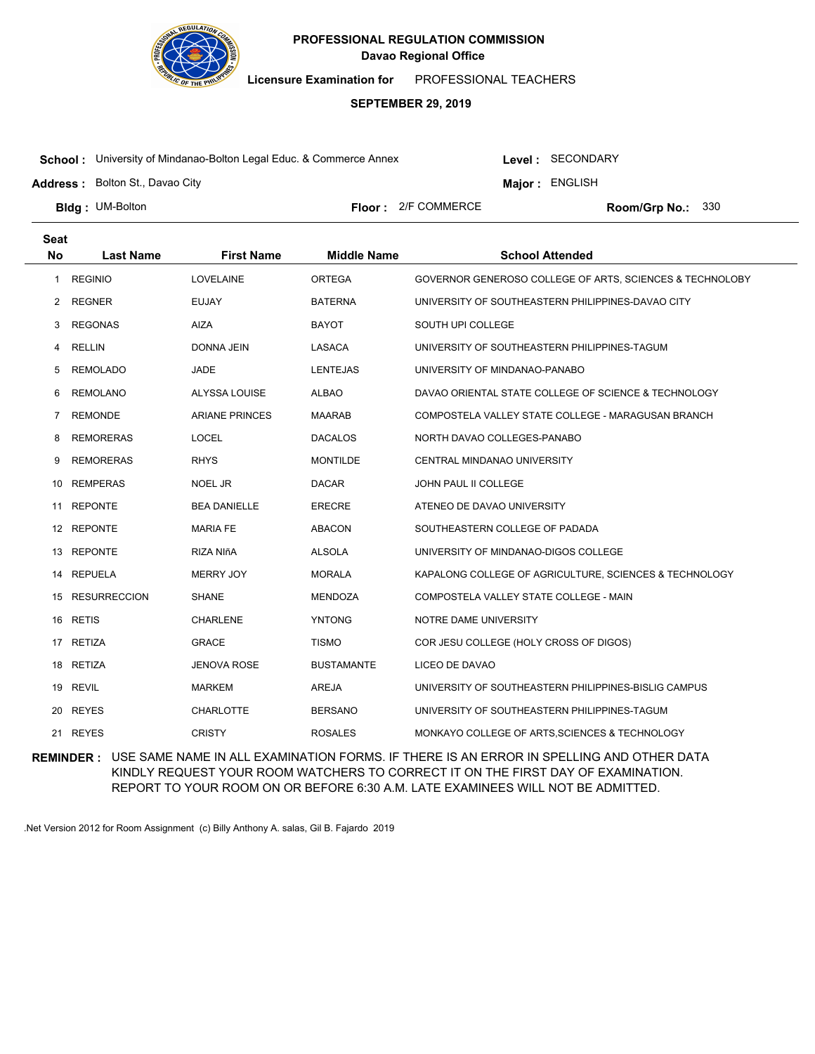

**Licensure Examination for**  PROFESSIONAL TEACHERS

# **SEPTEMBER 29, 2019**

**School :** University of Mindanao-Bolton Legal Educ. & Commerce Annex

Level : SECONDARY

**Major : ENGLISH** 

**Address :** Bolton St., Davao City

**Bldg: UM-Bolton** 

**Floor :** 2/F COMMERCE

Room/Grp No.: 330

| <b>Seat</b>    |                     |                       |                    |                                                          |
|----------------|---------------------|-----------------------|--------------------|----------------------------------------------------------|
| <b>No</b>      | <b>Last Name</b>    | <b>First Name</b>     | <b>Middle Name</b> | <b>School Attended</b>                                   |
| 1              | <b>REGINIO</b>      | <b>LOVELAINE</b>      | <b>ORTEGA</b>      | GOVERNOR GENEROSO COLLEGE OF ARTS, SCIENCES & TECHNOLOBY |
| 2              | <b>REGNER</b>       | <b>EUJAY</b>          | <b>BATERNA</b>     | UNIVERSITY OF SOUTHEASTERN PHILIPPINES-DAVAO CITY        |
| 3              | <b>REGONAS</b>      | <b>AIZA</b>           | <b>BAYOT</b>       | SOUTH UPI COLLEGE                                        |
| 4              | <b>RELLIN</b>       | DONNA JEIN            | LASACA             | UNIVERSITY OF SOUTHEASTERN PHILIPPINES-TAGUM             |
| 5              | <b>REMOLADO</b>     | JADE                  | <b>LENTEJAS</b>    | UNIVERSITY OF MINDANAO-PANABO                            |
| 6              | <b>REMOLANO</b>     | ALYSSA LOUISE         | <b>ALBAO</b>       | DAVAO ORIENTAL STATE COLLEGE OF SCIENCE & TECHNOLOGY     |
| $\overline{7}$ | <b>REMONDE</b>      | <b>ARIANE PRINCES</b> | <b>MAARAB</b>      | COMPOSTELA VALLEY STATE COLLEGE - MARAGUSAN BRANCH       |
| 8              | <b>REMORERAS</b>    | <b>LOCEL</b>          | <b>DACALOS</b>     | NORTH DAVAO COLLEGES-PANABO                              |
| 9              | <b>REMORERAS</b>    | <b>RHYS</b>           | <b>MONTILDE</b>    | CENTRAL MINDANAO UNIVERSITY                              |
| 10             | <b>REMPERAS</b>     | NOEL JR               | <b>DACAR</b>       | JOHN PAUL II COLLEGE                                     |
| 11             | <b>REPONTE</b>      | <b>BEA DANIELLE</b>   | <b>ERECRE</b>      | ATENEO DE DAVAO UNIVERSITY                               |
| 12             | <b>REPONTE</b>      | <b>MARIA FE</b>       | <b>ABACON</b>      | SOUTHEASTERN COLLEGE OF PADADA                           |
| 13             | <b>REPONTE</b>      | RIZA NIñA             | <b>ALSOLA</b>      | UNIVERSITY OF MINDANAO-DIGOS COLLEGE                     |
|                | 14 REPUELA          | <b>MERRY JOY</b>      | <b>MORALA</b>      | KAPALONG COLLEGE OF AGRICULTURE, SCIENCES & TECHNOLOGY   |
| 15             | <b>RESURRECCION</b> | <b>SHANE</b>          | <b>MENDOZA</b>     | COMPOSTELA VALLEY STATE COLLEGE - MAIN                   |
|                | 16 RETIS            | <b>CHARLENE</b>       | <b>YNTONG</b>      | NOTRE DAME UNIVERSITY                                    |
| 17             | <b>RETIZA</b>       | <b>GRACE</b>          | <b>TISMO</b>       | COR JESU COLLEGE (HOLY CROSS OF DIGOS)                   |
| 18             | <b>RETIZA</b>       | <b>JENOVA ROSE</b>    | <b>BUSTAMANTE</b>  | LICEO DE DAVAO                                           |
| 19             | REVIL               | <b>MARKEM</b>         | <b>AREJA</b>       | UNIVERSITY OF SOUTHEASTERN PHILIPPINES-BISLIG CAMPUS     |
| 20             | <b>REYES</b>        | <b>CHARLOTTE</b>      | <b>BERSANO</b>     | UNIVERSITY OF SOUTHEASTERN PHILIPPINES-TAGUM             |
| 21             | <b>REYES</b>        | <b>CRISTY</b>         | <b>ROSALES</b>     | MONKAYO COLLEGE OF ARTS SCIENCES & TECHNOLOGY            |

**REMINDER :** USE SAME NAME IN ALL EXAMINATION FORMS. IF THERE IS AN ERROR IN SPELLING AND OTHER DATA KINDLY REQUEST YOUR ROOM WATCHERS TO CORRECT IT ON THE FIRST DAY OF EXAMINATION. REPORT TO YOUR ROOM ON OR BEFORE 6:30 A.M. LATE EXAMINEES WILL NOT BE ADMITTED.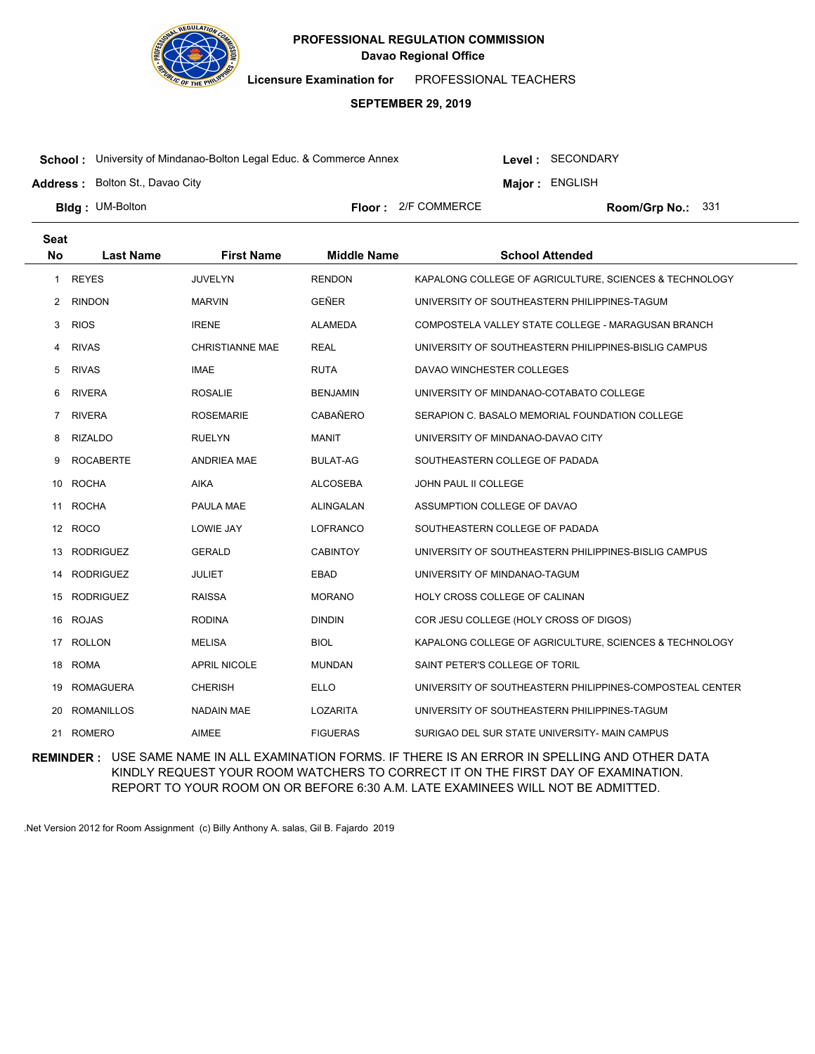

**Licensure Examination for**  PROFESSIONAL TEACHERS

# **SEPTEMBER 29, 2019**

**School :** University of Mindanao-Bolton Legal Educ. & Commerce Annex

**Address :** Bolton St., Davao City

Level : SECONDARY

**Major : ENGLISH** 

**Bldg: UM-Bolton** 

**Floor :** 2/F COMMERCE

Room/Grp No.: 331

| <b>Seat</b>    |                   |                        |                    |                                                          |
|----------------|-------------------|------------------------|--------------------|----------------------------------------------------------|
| <b>No</b>      | <b>Last Name</b>  | <b>First Name</b>      | <b>Middle Name</b> | <b>School Attended</b>                                   |
| 1              | <b>REYES</b>      | <b>JUVELYN</b>         | <b>RENDON</b>      | KAPALONG COLLEGE OF AGRICULTURE, SCIENCES & TECHNOLOGY   |
| $\overline{2}$ | <b>RINDON</b>     | <b>MARVIN</b>          | GEÑER              | UNIVERSITY OF SOUTHEASTERN PHILIPPINES-TAGUM             |
| 3              | <b>RIOS</b>       | <b>IRENE</b>           | <b>ALAMEDA</b>     | COMPOSTELA VALLEY STATE COLLEGE - MARAGUSAN BRANCH       |
| 4              | <b>RIVAS</b>      | <b>CHRISTIANNE MAE</b> | <b>REAL</b>        | UNIVERSITY OF SOUTHEASTERN PHILIPPINES-BISLIG CAMPUS     |
| 5              | <b>RIVAS</b>      | <b>IMAE</b>            | <b>RUTA</b>        | DAVAO WINCHESTER COLLEGES                                |
| 6              | <b>RIVERA</b>     | <b>ROSALIE</b>         | <b>BENJAMIN</b>    | UNIVERSITY OF MINDANAO-COTABATO COLLEGE                  |
| 7              | <b>RIVERA</b>     | <b>ROSEMARIE</b>       | <b>CABAÑERO</b>    | SERAPION C. BASALO MEMORIAL FOUNDATION COLLEGE           |
| 8              | <b>RIZALDO</b>    | <b>RUELYN</b>          | <b>MANIT</b>       | UNIVERSITY OF MINDANAO-DAVAO CITY                        |
| 9              | <b>ROCABERTE</b>  | <b>ANDRIEA MAE</b>     | <b>BULAT-AG</b>    | SOUTHEASTERN COLLEGE OF PADADA                           |
| 10             | ROCHA             | <b>AIKA</b>            | <b>ALCOSEBA</b>    | JOHN PAUL II COLLEGE                                     |
| 11             | <b>ROCHA</b>      | PAULA MAE              | ALINGALAN          | ASSUMPTION COLLEGE OF DAVAO                              |
|                | 12 ROCO           | LOWIE JAY              | <b>LOFRANCO</b>    | SOUTHEASTERN COLLEGE OF PADADA                           |
| 13             | <b>RODRIGUEZ</b>  | <b>GERALD</b>          | <b>CABINTOY</b>    | UNIVERSITY OF SOUTHEASTERN PHILIPPINES-BISLIG CAMPUS     |
| 14             | <b>RODRIGUEZ</b>  | <b>JULIET</b>          | <b>EBAD</b>        | UNIVERSITY OF MINDANAO-TAGUM                             |
| 15             | RODRIGUEZ         | <b>RAISSA</b>          | <b>MORANO</b>      | <b>HOLY CROSS COLLEGE OF CALINAN</b>                     |
| 16             | <b>ROJAS</b>      | <b>RODINA</b>          | <b>DINDIN</b>      | COR JESU COLLEGE (HOLY CROSS OF DIGOS)                   |
| 17             | <b>ROLLON</b>     | <b>MELISA</b>          | <b>BIOL</b>        | KAPALONG COLLEGE OF AGRICULTURE, SCIENCES & TECHNOLOGY   |
| 18             | <b>ROMA</b>       | <b>APRIL NICOLE</b>    | <b>MUNDAN</b>      | SAINT PETER'S COLLEGE OF TORIL                           |
| 19             | <b>ROMAGUERA</b>  | <b>CHERISH</b>         | <b>ELLO</b>        | UNIVERSITY OF SOUTHEASTERN PHILIPPINES-COMPOSTEAL CENTER |
| 20             | <b>ROMANILLOS</b> | <b>NADAIN MAE</b>      | <b>LOZARITA</b>    | UNIVERSITY OF SOUTHEASTERN PHILIPPINES-TAGUM             |
| 21             | <b>ROMERO</b>     | <b>AIMEE</b>           | <b>FIGUERAS</b>    | SURIGAO DEL SUR STATE UNIVERSITY- MAIN CAMPUS            |

**REMINDER :** USE SAME NAME IN ALL EXAMINATION FORMS. IF THERE IS AN ERROR IN SPELLING AND OTHER DATA KINDLY REQUEST YOUR ROOM WATCHERS TO CORRECT IT ON THE FIRST DAY OF EXAMINATION. REPORT TO YOUR ROOM ON OR BEFORE 6:30 A.M. LATE EXAMINEES WILL NOT BE ADMITTED.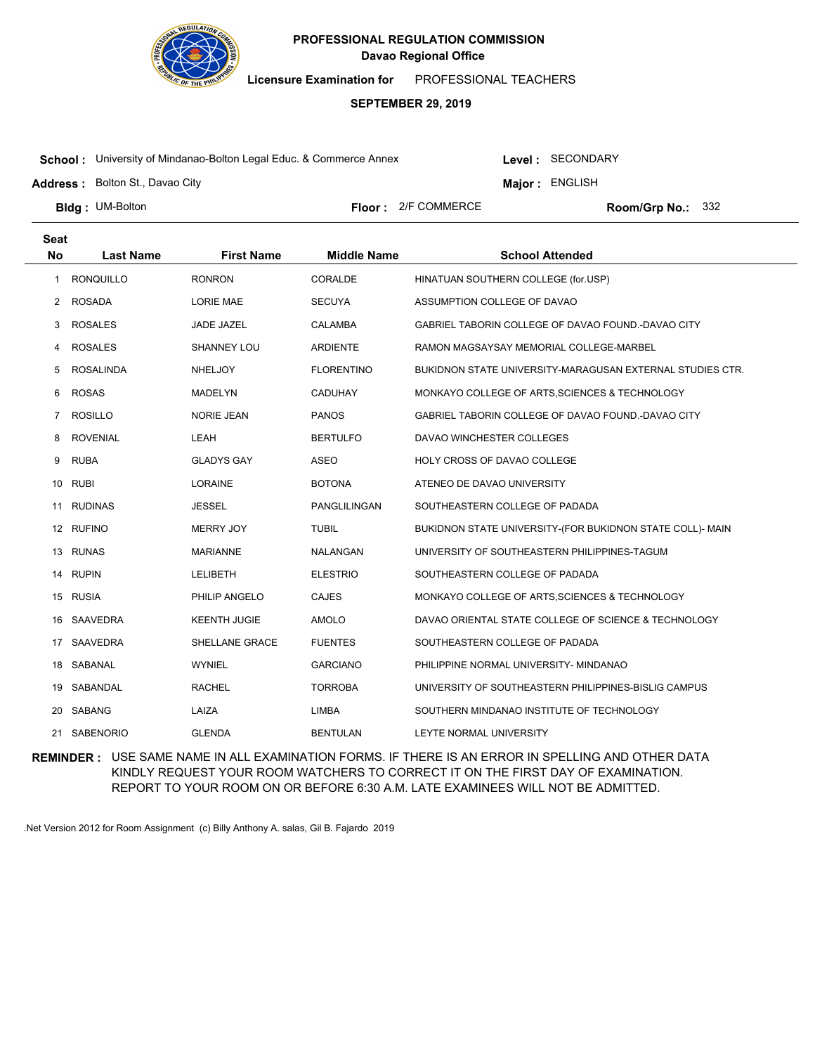

**Licensure Examination for**  PROFESSIONAL TEACHERS

### **SEPTEMBER 29, 2019**

**School :** University of Mindanao-Bolton Legal Educ. & Commerce Annex

Level : SECONDARY

**Major : ENGLISH** 

**Address :** Bolton St., Davao City

**Bldg: UM-Bolton** 

**Floor :** 2/F COMMERCE

Room/Grp No.: 332

| <b>Seat</b> |                  |                     |                    |                                                           |
|-------------|------------------|---------------------|--------------------|-----------------------------------------------------------|
| <b>No</b>   | <b>Last Name</b> | <b>First Name</b>   | <b>Middle Name</b> | <b>School Attended</b>                                    |
| 1           | <b>RONQUILLO</b> | <b>RONRON</b>       | CORALDE            | HINATUAN SOUTHERN COLLEGE (for.USP)                       |
| 2           | <b>ROSADA</b>    | LORIE MAE           | <b>SECUYA</b>      | ASSUMPTION COLLEGE OF DAVAO                               |
| 3           | <b>ROSALES</b>   | JADE JAZEL          | <b>CALAMBA</b>     | GABRIEL TABORIN COLLEGE OF DAVAO FOUND.-DAVAO CITY        |
| 4           | <b>ROSALES</b>   | SHANNEY LOU         | <b>ARDIENTE</b>    | RAMON MAGSAYSAY MEMORIAL COLLEGE-MARBEL                   |
| 5           | <b>ROSALINDA</b> | <b>NHELJOY</b>      | <b>FLORENTINO</b>  | BUKIDNON STATE UNIVERSITY-MARAGUSAN EXTERNAL STUDIES CTR. |
| 6           | <b>ROSAS</b>     | <b>MADELYN</b>      | <b>CADUHAY</b>     | MONKAYO COLLEGE OF ARTS, SCIENCES & TECHNOLOGY            |
| 7           | <b>ROSILLO</b>   | <b>NORIE JEAN</b>   | <b>PANOS</b>       | GABRIEL TABORIN COLLEGE OF DAVAO FOUND.-DAVAO CITY        |
| 8           | <b>ROVENIAL</b>  | LEAH                | <b>BERTULFO</b>    | DAVAO WINCHESTER COLLEGES                                 |
| 9           | <b>RUBA</b>      | <b>GLADYS GAY</b>   | <b>ASEO</b>        | HOLY CROSS OF DAVAO COLLEGE                               |
| 10          | <b>RUBI</b>      | <b>LORAINE</b>      | <b>BOTONA</b>      | ATENEO DE DAVAO UNIVERSITY                                |
| 11          | <b>RUDINAS</b>   | <b>JESSEL</b>       | PANGLILINGAN       | SOUTHEASTERN COLLEGE OF PADADA                            |
|             | 12 RUFINO        | <b>MERRY JOY</b>    | <b>TUBIL</b>       | BUKIDNON STATE UNIVERSITY-(FOR BUKIDNON STATE COLL)- MAIN |
| 13          | <b>RUNAS</b>     | <b>MARIANNE</b>     | NALANGAN           | UNIVERSITY OF SOUTHEASTERN PHILIPPINES-TAGUM              |
| 14          | <b>RUPIN</b>     | <b>LELIBETH</b>     | <b>ELESTRIO</b>    | SOUTHEASTERN COLLEGE OF PADADA                            |
| 15          | <b>RUSIA</b>     | PHILIP ANGELO       | <b>CAJES</b>       | MONKAYO COLLEGE OF ARTS, SCIENCES & TECHNOLOGY            |
| 16          | SAAVEDRA         | <b>KEENTH JUGIE</b> | <b>AMOLO</b>       | DAVAO ORIENTAL STATE COLLEGE OF SCIENCE & TECHNOLOGY      |
| 17          | SAAVEDRA         | SHELLANE GRACE      | <b>FUENTES</b>     | SOUTHEASTERN COLLEGE OF PADADA                            |
| 18          | SABANAL          | <b>WYNIEL</b>       | <b>GARCIANO</b>    | PHILIPPINE NORMAL UNIVERSITY- MINDANAO                    |
| 19.         | SABANDAL         | <b>RACHEL</b>       | <b>TORROBA</b>     | UNIVERSITY OF SOUTHEASTERN PHILIPPINES-BISLIG CAMPUS      |
| 20          | SABANG           | LAIZA               | <b>LIMBA</b>       | SOUTHERN MINDANAO INSTITUTE OF TECHNOLOGY                 |
| 21          | <b>SABENORIO</b> | <b>GLENDA</b>       | <b>BENTULAN</b>    | LEYTE NORMAL UNIVERSITY                                   |

**REMINDER :** USE SAME NAME IN ALL EXAMINATION FORMS. IF THERE IS AN ERROR IN SPELLING AND OTHER DATA KINDLY REQUEST YOUR ROOM WATCHERS TO CORRECT IT ON THE FIRST DAY OF EXAMINATION. REPORT TO YOUR ROOM ON OR BEFORE 6:30 A.M. LATE EXAMINEES WILL NOT BE ADMITTED.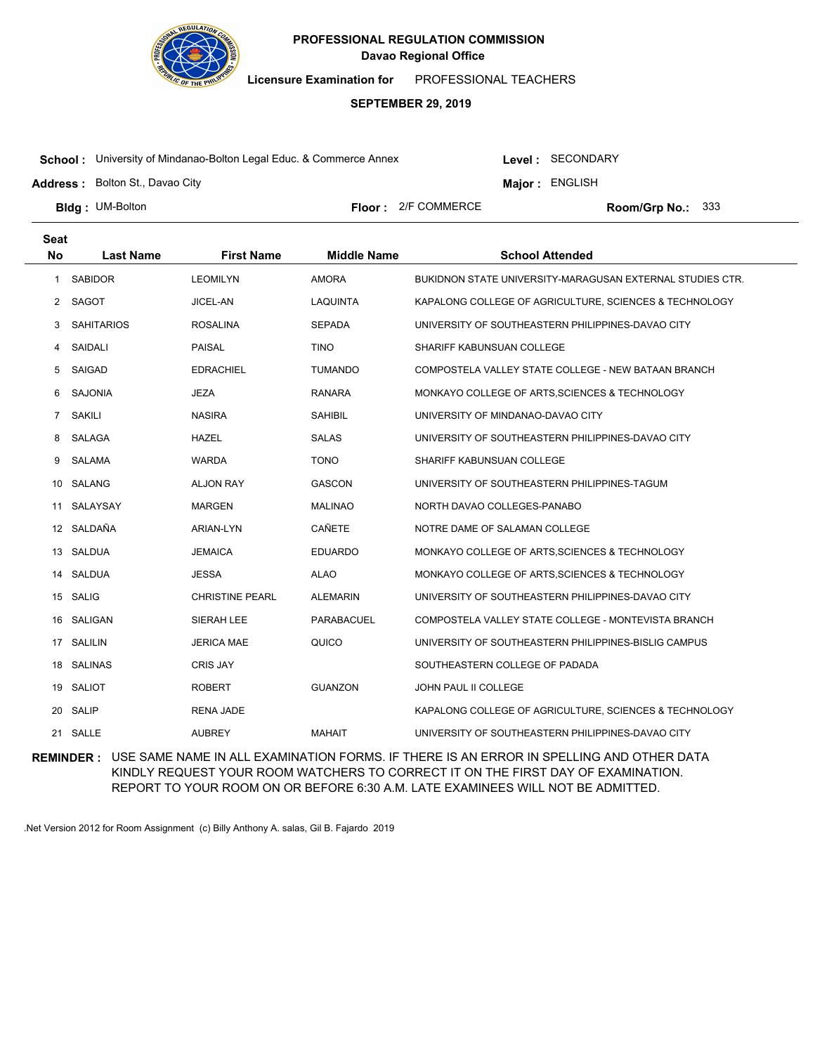

**Licensure Examination for**  PROFESSIONAL TEACHERS

### **SEPTEMBER 29, 2019**

**School :** University of Mindanao-Bolton Legal Educ. & Commerce Annex

Level : SECONDARY

**Major : ENGLISH** 

**Address :** Bolton St., Davao City

**Bldg: UM-Bolton** 

**Floor :** 2/F COMMERCE

Room/Grp No.: 333

| <b>Seat</b>    |                   |                        |                    |                                                           |
|----------------|-------------------|------------------------|--------------------|-----------------------------------------------------------|
| <b>No</b>      | <b>Last Name</b>  | <b>First Name</b>      | <b>Middle Name</b> | <b>School Attended</b>                                    |
| 1              | <b>SABIDOR</b>    | <b>LEOMILYN</b>        | <b>AMORA</b>       | BUKIDNON STATE UNIVERSITY-MARAGUSAN EXTERNAL STUDIES CTR. |
| $\mathbf{2}$   | SAGOT             | JICEL-AN               | <b>LAQUINTA</b>    | KAPALONG COLLEGE OF AGRICULTURE, SCIENCES & TECHNOLOGY    |
| 3              | <b>SAHITARIOS</b> | <b>ROSALINA</b>        | <b>SEPADA</b>      | UNIVERSITY OF SOUTHEASTERN PHILIPPINES-DAVAO CITY         |
| 4              | SAIDALI           | <b>PAISAL</b>          | <b>TINO</b>        | SHARIFF KABUNSUAN COLLEGE                                 |
| 5              | SAIGAD            | <b>EDRACHIEL</b>       | <b>TUMANDO</b>     | COMPOSTELA VALLEY STATE COLLEGE - NEW BATAAN BRANCH       |
| 6              | <b>SAJONIA</b>    | <b>JEZA</b>            | RANARA             | MONKAYO COLLEGE OF ARTS, SCIENCES & TECHNOLOGY            |
| $\overline{7}$ | <b>SAKILI</b>     | <b>NASIRA</b>          | <b>SAHIBIL</b>     | UNIVERSITY OF MINDANAO-DAVAO CITY                         |
| 8              | SALAGA            | <b>HAZEL</b>           | <b>SALAS</b>       | UNIVERSITY OF SOUTHEASTERN PHILIPPINES-DAVAO CITY         |
| 9              | SALAMA            | <b>WARDA</b>           | <b>TONO</b>        | SHARIFF KABUNSUAN COLLEGE                                 |
|                | 10 SALANG         | <b>ALJON RAY</b>       | <b>GASCON</b>      | UNIVERSITY OF SOUTHEASTERN PHILIPPINES-TAGUM              |
| 11             | SALAYSAY          | <b>MARGEN</b>          | MALINAO            | NORTH DAVAO COLLEGES-PANABO                               |
| 12             | SALDAÑA           | ARIAN-LYN              | CAÑETE             | NOTRE DAME OF SALAMAN COLLEGE                             |
| 13             | SALDUA            | <b>JEMAICA</b>         | <b>EDUARDO</b>     | MONKAYO COLLEGE OF ARTS, SCIENCES & TECHNOLOGY            |
| 14             | SALDUA            | <b>JESSA</b>           | <b>ALAO</b>        | MONKAYO COLLEGE OF ARTS, SCIENCES & TECHNOLOGY            |
| 15             | <b>SALIG</b>      | <b>CHRISTINE PEARL</b> | <b>ALEMARIN</b>    | UNIVERSITY OF SOUTHEASTERN PHILIPPINES-DAVAO CITY         |
| 16             | SALIGAN           | SIERAH LEE             | PARABACUEL         | COMPOSTELA VALLEY STATE COLLEGE - MONTEVISTA BRANCH       |
|                | 17 SALILIN        | <b>JERICA MAE</b>      | QUICO              | UNIVERSITY OF SOUTHEASTERN PHILIPPINES-BISLIG CAMPUS      |
| 18             | <b>SALINAS</b>    | <b>CRIS JAY</b>        |                    | SOUTHEASTERN COLLEGE OF PADADA                            |
| 19             | SALIOT            | <b>ROBERT</b>          | <b>GUANZON</b>     | JOHN PAUL II COLLEGE                                      |
| 20             | <b>SALIP</b>      | <b>RENA JADE</b>       |                    | KAPALONG COLLEGE OF AGRICULTURE, SCIENCES & TECHNOLOGY    |
|                | 21 SALLE          | <b>AUBREY</b>          | <b>MAHAIT</b>      | UNIVERSITY OF SOUTHEASTERN PHILIPPINES-DAVAO CITY         |

**REMINDER :** USE SAME NAME IN ALL EXAMINATION FORMS. IF THERE IS AN ERROR IN SPELLING AND OTHER DATA KINDLY REQUEST YOUR ROOM WATCHERS TO CORRECT IT ON THE FIRST DAY OF EXAMINATION. REPORT TO YOUR ROOM ON OR BEFORE 6:30 A.M. LATE EXAMINEES WILL NOT BE ADMITTED.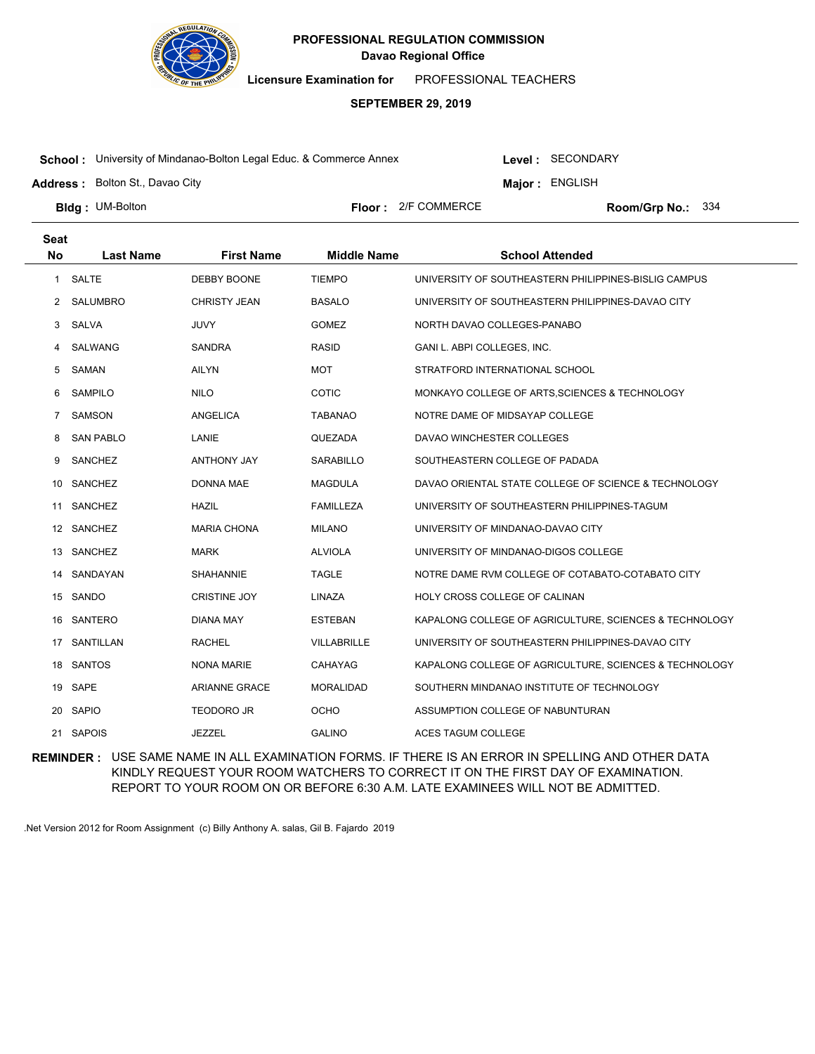

**Licensure Examination for**  PROFESSIONAL TEACHERS

### **SEPTEMBER 29, 2019**

**School :** University of Mindanao-Bolton Legal Educ. & Commerce Annex

Level : SECONDARY

**Major : ENGLISH** 

**Address :** Bolton St., Davao City

**Bldg: UM-Bolton** 

**Floor :** 2/F COMMERCE

Room/Grp No.: 334

| <b>Seat</b>  |                  |                      |                    |                                                        |
|--------------|------------------|----------------------|--------------------|--------------------------------------------------------|
| <b>No</b>    | <b>Last Name</b> | <b>First Name</b>    | <b>Middle Name</b> | <b>School Attended</b>                                 |
| $\mathbf{1}$ | SALTE            | DEBBY BOONE          | <b>TIEMPO</b>      | UNIVERSITY OF SOUTHEASTERN PHILIPPINES-BISLIG CAMPUS   |
| 2            | SALUMBRO         | <b>CHRISTY JEAN</b>  | <b>BASALO</b>      | UNIVERSITY OF SOUTHEASTERN PHILIPPINES-DAVAO CITY      |
| 3            | SALVA            | <b>JUVY</b>          | <b>GOMEZ</b>       | NORTH DAVAO COLLEGES-PANABO                            |
| 4            | SALWANG          | <b>SANDRA</b>        | <b>RASID</b>       | GANI L. ABPI COLLEGES, INC.                            |
| 5            | SAMAN            | <b>AILYN</b>         | <b>MOT</b>         | STRATFORD INTERNATIONAL SCHOOL                         |
| 6            | <b>SAMPILO</b>   | <b>NILO</b>          | <b>COTIC</b>       | MONKAYO COLLEGE OF ARTS, SCIENCES & TECHNOLOGY         |
| 7            | <b>SAMSON</b>    | <b>ANGELICA</b>      | <b>TABANAO</b>     | NOTRE DAME OF MIDSAYAP COLLEGE                         |
| 8            | <b>SAN PABLO</b> | LANIE                | QUEZADA            | DAVAO WINCHESTER COLLEGES                              |
| 9            | SANCHEZ          | <b>ANTHONY JAY</b>   | <b>SARABILLO</b>   | SOUTHEASTERN COLLEGE OF PADADA                         |
| 10           | SANCHEZ          | <b>DONNA MAE</b>     | <b>MAGDULA</b>     | DAVAO ORIENTAL STATE COLLEGE OF SCIENCE & TECHNOLOGY   |
| 11           | SANCHEZ          | <b>HAZIL</b>         | <b>FAMILLEZA</b>   | UNIVERSITY OF SOUTHEASTERN PHILIPPINES-TAGUM           |
|              | 12 SANCHEZ       | <b>MARIA CHONA</b>   | <b>MILANO</b>      | UNIVERSITY OF MINDANAO-DAVAO CITY                      |
| 13           | <b>SANCHEZ</b>   | <b>MARK</b>          | <b>ALVIOLA</b>     | UNIVERSITY OF MINDANAO-DIGOS COLLEGE                   |
| 14           | SANDAYAN         | <b>SHAHANNIE</b>     | <b>TAGLE</b>       | NOTRE DAME RVM COLLEGE OF COTABATO-COTABATO CITY       |
|              | 15 SANDO         | <b>CRISTINE JOY</b>  | LINAZA             | HOLY CROSS COLLEGE OF CALINAN                          |
| 16           | SANTERO          | DIANA MAY            | <b>ESTEBAN</b>     | KAPALONG COLLEGE OF AGRICULTURE, SCIENCES & TECHNOLOGY |
| 17           | SANTILLAN        | <b>RACHEL</b>        | VILLABRILLE        | UNIVERSITY OF SOUTHEASTERN PHILIPPINES-DAVAO CITY      |
| 18           | <b>SANTOS</b>    | <b>NONA MARIE</b>    | CAHAYAG            | KAPALONG COLLEGE OF AGRICULTURE, SCIENCES & TECHNOLOGY |
| 19           | SAPE             | <b>ARIANNE GRACE</b> | <b>MORALIDAD</b>   | SOUTHERN MINDANAO INSTITUTE OF TECHNOLOGY              |
| 20           | <b>SAPIO</b>     | <b>TEODORO JR</b>    | <b>OCHO</b>        | ASSUMPTION COLLEGE OF NABUNTURAN                       |
|              | 21 SAPOIS        | <b>JEZZEL</b>        | <b>GALINO</b>      | ACES TAGUM COLLEGE                                     |

**REMINDER :** USE SAME NAME IN ALL EXAMINATION FORMS. IF THERE IS AN ERROR IN SPELLING AND OTHER DATA KINDLY REQUEST YOUR ROOM WATCHERS TO CORRECT IT ON THE FIRST DAY OF EXAMINATION. REPORT TO YOUR ROOM ON OR BEFORE 6:30 A.M. LATE EXAMINEES WILL NOT BE ADMITTED.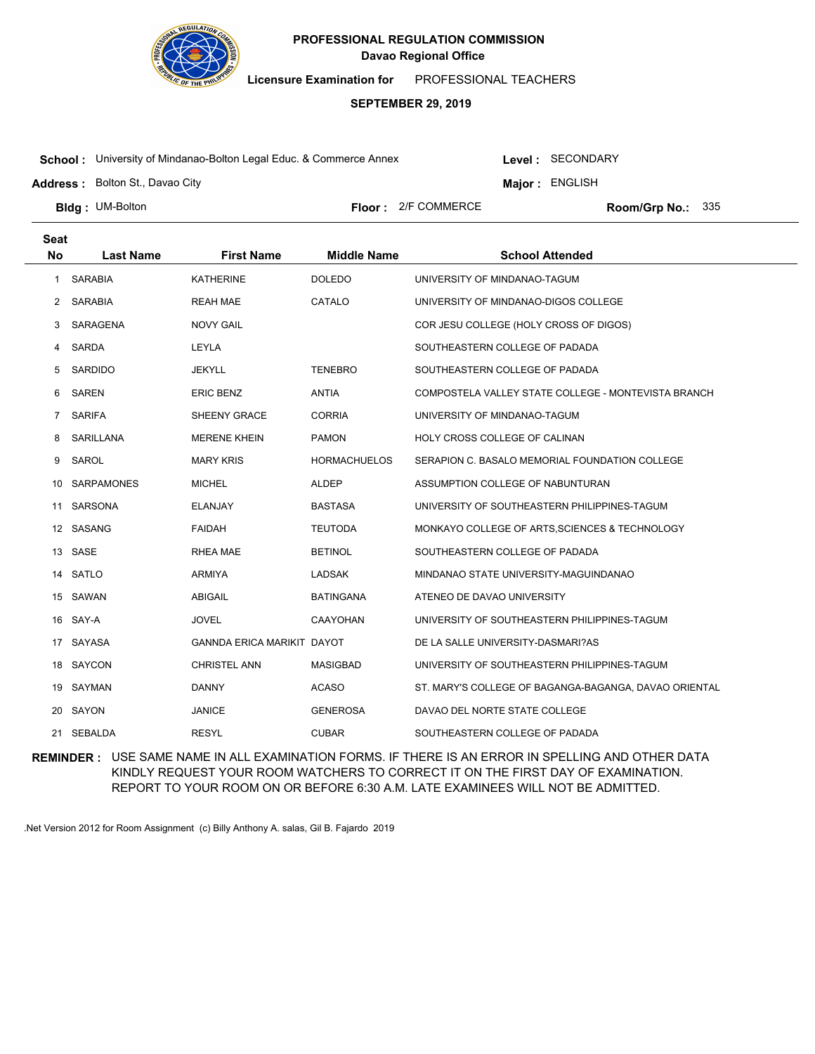

**Licensure Examination for**  PROFESSIONAL TEACHERS

### **SEPTEMBER 29, 2019**

**School :** University of Mindanao-Bolton Legal Educ. & Commerce Annex

Level : SECONDARY

**Major : ENGLISH** 

**Address :** Bolton St., Davao City

**Bldg: UM-Bolton** 

**Floor :** 2/F COMMERCE

Room/Grp No.: 335

| <b>Seat</b>    |                   |                                   |                     |                                                       |
|----------------|-------------------|-----------------------------------|---------------------|-------------------------------------------------------|
| <b>No</b>      | <b>Last Name</b>  | <b>First Name</b>                 | <b>Middle Name</b>  | <b>School Attended</b>                                |
| $\mathbf{1}$   | <b>SARABIA</b>    | <b>KATHERINE</b>                  | <b>DOLEDO</b>       | UNIVERSITY OF MINDANAO-TAGUM                          |
| 2              | SARABIA           | <b>REAH MAE</b>                   | CATALO              | UNIVERSITY OF MINDANAO-DIGOS COLLEGE                  |
| 3              | SARAGENA          | <b>NOVY GAIL</b>                  |                     | COR JESU COLLEGE (HOLY CROSS OF DIGOS)                |
| 4              | SARDA             | LEYLA                             |                     | SOUTHEASTERN COLLEGE OF PADADA                        |
| 5              | SARDIDO           | JEKYLL                            | <b>TENEBRO</b>      | SOUTHEASTERN COLLEGE OF PADADA                        |
| 6              | SAREN             | <b>ERIC BENZ</b>                  | <b>ANTIA</b>        | COMPOSTELA VALLEY STATE COLLEGE - MONTEVISTA BRANCH   |
| $\overline{7}$ | SARIFA            | SHEENY GRACE                      | <b>CORRIA</b>       | UNIVERSITY OF MINDANAO-TAGUM                          |
| 8              | SARILLANA         | <b>MERENE KHEIN</b>               | <b>PAMON</b>        | HOLY CROSS COLLEGE OF CALINAN                         |
| 9              | SAROL             | <b>MARY KRIS</b>                  | <b>HORMACHUELOS</b> | SERAPION C. BASALO MEMORIAL FOUNDATION COLLEGE        |
| 10             | <b>SARPAMONES</b> | <b>MICHEL</b>                     | <b>ALDEP</b>        | ASSUMPTION COLLEGE OF NABUNTURAN                      |
| 11             | <b>SARSONA</b>    | <b>ELANJAY</b>                    | <b>BASTASA</b>      | UNIVERSITY OF SOUTHEASTERN PHILIPPINES-TAGUM          |
|                | 12 SASANG         | <b>FAIDAH</b>                     | <b>TEUTODA</b>      | MONKAYO COLLEGE OF ARTS, SCIENCES & TECHNOLOGY        |
| 13             | SASE              | RHEA MAE                          | <b>BETINOL</b>      | SOUTHEASTERN COLLEGE OF PADADA                        |
|                | 14 SATLO          | <b>ARMIYA</b>                     | <b>LADSAK</b>       | MINDANAO STATE UNIVERSITY-MAGUINDANAO                 |
|                | 15 SAWAN          | ABIGAIL                           | <b>BATINGANA</b>    | ATENEO DE DAVAO UNIVERSITY                            |
| 16             | SAY-A             | <b>JOVEL</b>                      | <b>CAAYOHAN</b>     | UNIVERSITY OF SOUTHEASTERN PHILIPPINES-TAGUM          |
|                | 17 SAYASA         | <b>GANNDA ERICA MARIKIT DAYOT</b> |                     | DE LA SALLE UNIVERSITY-DASMARI?AS                     |
|                | 18 SAYCON         | <b>CHRISTEL ANN</b>               | <b>MASIGBAD</b>     | UNIVERSITY OF SOUTHEASTERN PHILIPPINES-TAGUM          |
|                | 19 SAYMAN         | <b>DANNY</b>                      | <b>ACASO</b>        | ST. MARY'S COLLEGE OF BAGANGA-BAGANGA, DAVAO ORIENTAL |
|                | 20 SAYON          | <b>JANICE</b>                     | <b>GENEROSA</b>     | DAVAO DEL NORTE STATE COLLEGE                         |
|                | 21 SEBALDA        | <b>RESYL</b>                      | <b>CUBAR</b>        | SOUTHEASTERN COLLEGE OF PADADA                        |

**REMINDER :** USE SAME NAME IN ALL EXAMINATION FORMS. IF THERE IS AN ERROR IN SPELLING AND OTHER DATA KINDLY REQUEST YOUR ROOM WATCHERS TO CORRECT IT ON THE FIRST DAY OF EXAMINATION. REPORT TO YOUR ROOM ON OR BEFORE 6:30 A.M. LATE EXAMINEES WILL NOT BE ADMITTED.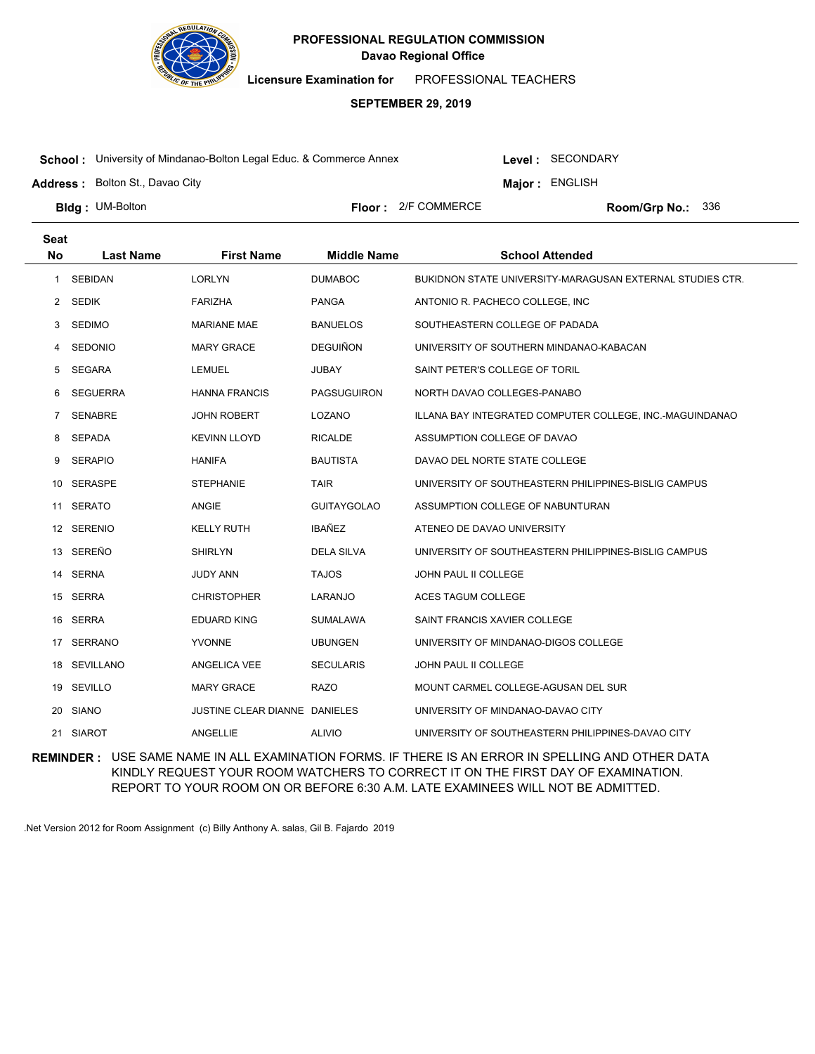

**Licensure Examination for**  PROFESSIONAL TEACHERS

### **SEPTEMBER 29, 2019**

**School :** University of Mindanao-Bolton Legal Educ. & Commerce Annex

Level : SECONDARY

**Major : ENGLISH** 

**Address :** Bolton St., Davao City

**Bldg: UM-Bolton** 

**Floor :** 2/F COMMERCE

Room/Grp No.: 336

| <b>Seat</b> |                  |                                      |                    |                                                           |
|-------------|------------------|--------------------------------------|--------------------|-----------------------------------------------------------|
| <b>No</b>   | <b>Last Name</b> | <b>First Name</b>                    | <b>Middle Name</b> | <b>School Attended</b>                                    |
| 1           | <b>SEBIDAN</b>   | <b>LORLYN</b>                        | <b>DUMABOC</b>     | BUKIDNON STATE UNIVERSITY-MARAGUSAN EXTERNAL STUDIES CTR. |
| 2           | <b>SEDIK</b>     | <b>FARIZHA</b>                       | <b>PANGA</b>       | ANTONIO R. PACHECO COLLEGE, INC.                          |
| 3           | <b>SEDIMO</b>    | <b>MARIANE MAE</b>                   | <b>BANUELOS</b>    | SOUTHEASTERN COLLEGE OF PADADA                            |
| 4           | <b>SEDONIO</b>   | <b>MARY GRACE</b>                    | <b>DEGUIÑON</b>    | UNIVERSITY OF SOUTHERN MINDANAO-KABACAN                   |
| 5.          | <b>SEGARA</b>    | <b>LEMUEL</b>                        | <b>JUBAY</b>       | SAINT PETER'S COLLEGE OF TORIL                            |
| 6           | <b>SEGUERRA</b>  | <b>HANNA FRANCIS</b>                 | <b>PAGSUGUIRON</b> | NORTH DAVAO COLLEGES-PANABO                               |
| 7           | <b>SENABRE</b>   | <b>JOHN ROBERT</b>                   | LOZANO             | ILLANA BAY INTEGRATED COMPUTER COLLEGE, INC.-MAGUINDANAO  |
| 8           | <b>SEPADA</b>    | <b>KEVINN LLOYD</b>                  | <b>RICALDE</b>     | ASSUMPTION COLLEGE OF DAVAO                               |
| 9           | <b>SERAPIO</b>   | <b>HANIFA</b>                        | <b>BAUTISTA</b>    | DAVAO DEL NORTE STATE COLLEGE                             |
| 10          | <b>SERASPE</b>   | <b>STEPHANIE</b>                     | <b>TAIR</b>        | UNIVERSITY OF SOUTHEASTERN PHILIPPINES-BISLIG CAMPUS      |
| 11          | <b>SERATO</b>    | ANGIE                                | <b>GUITAYGOLAO</b> | ASSUMPTION COLLEGE OF NABUNTURAN                          |
|             | 12 SERENIO       | <b>KELLY RUTH</b>                    | <b>IBAÑEZ</b>      | ATENEO DE DAVAO UNIVERSITY                                |
| 13          | SEREÑO           | <b>SHIRLYN</b>                       | <b>DELA SILVA</b>  | UNIVERSITY OF SOUTHEASTERN PHILIPPINES-BISLIG CAMPUS      |
|             | 14 SERNA         | <b>JUDY ANN</b>                      | <b>TAJOS</b>       | <b>JOHN PAUL II COLLEGE</b>                               |
| 15          | SERRA            | <b>CHRISTOPHER</b>                   | LARANJO            | ACES TAGUM COLLEGE                                        |
| 16          | SERRA            | <b>EDUARD KING</b>                   | <b>SUMALAWA</b>    | SAINT FRANCIS XAVIER COLLEGE                              |
| 17          | SERRANO          | <b>YVONNE</b>                        | <b>UBUNGEN</b>     | UNIVERSITY OF MINDANAO-DIGOS COLLEGE                      |
| 18          | <b>SEVILLANO</b> | ANGELICA VEE                         | <b>SECULARIS</b>   | JOHN PAUL II COLLEGE                                      |
| 19          | SEVILLO          | <b>MARY GRACE</b>                    | <b>RAZO</b>        | MOUNT CARMEL COLLEGE-AGUSAN DEL SUR                       |
| 20          | <b>SIANO</b>     | <b>JUSTINE CLEAR DIANNE DANIELES</b> |                    | UNIVERSITY OF MINDANAO-DAVAO CITY                         |
|             | 21 SIAROT        | ANGELLIE                             | <b>ALIVIO</b>      | UNIVERSITY OF SOUTHEASTERN PHILIPPINES-DAVAO CITY         |

**REMINDER :** USE SAME NAME IN ALL EXAMINATION FORMS. IF THERE IS AN ERROR IN SPELLING AND OTHER DATA KINDLY REQUEST YOUR ROOM WATCHERS TO CORRECT IT ON THE FIRST DAY OF EXAMINATION. REPORT TO YOUR ROOM ON OR BEFORE 6:30 A.M. LATE EXAMINEES WILL NOT BE ADMITTED.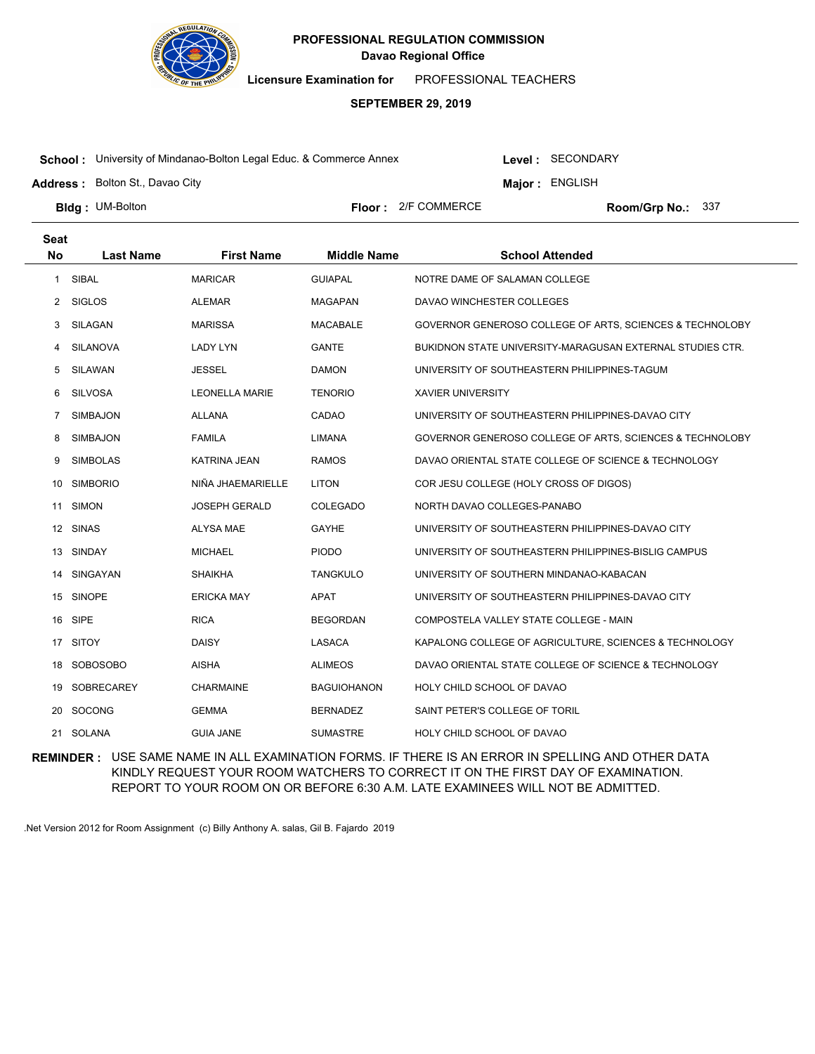

**Licensure Examination for**  PROFESSIONAL TEACHERS

# **SEPTEMBER 29, 2019**

**School :** University of Mindanao-Bolton Legal Educ. & Commerce Annex

Level : SECONDARY

**Major : ENGLISH** 

**Address :** Bolton St., Davao City

**Bldg: UM-Bolton** 

**Floor :** 2/F COMMERCE

Room/Grp No.: 337

| <b>Seat</b> |                  |                       |                    |                                                           |
|-------------|------------------|-----------------------|--------------------|-----------------------------------------------------------|
| <b>No</b>   | <b>Last Name</b> | <b>First Name</b>     | <b>Middle Name</b> | <b>School Attended</b>                                    |
| 1           | SIBAL            | <b>MARICAR</b>        | <b>GUIAPAL</b>     | NOTRE DAME OF SALAMAN COLLEGE                             |
| 2           | <b>SIGLOS</b>    | <b>ALEMAR</b>         | <b>MAGAPAN</b>     | DAVAO WINCHESTER COLLEGES                                 |
| 3           | SILAGAN          | <b>MARISSA</b>        | <b>MACABALE</b>    | GOVERNOR GENEROSO COLLEGE OF ARTS, SCIENCES & TECHNOLOBY  |
| 4           | SILANOVA         | <b>LADY LYN</b>       | <b>GANTE</b>       | BUKIDNON STATE UNIVERSITY-MARAGUSAN EXTERNAL STUDIES CTR. |
| 5           | SILAWAN          | <b>JESSEL</b>         | <b>DAMON</b>       | UNIVERSITY OF SOUTHEASTERN PHILIPPINES-TAGUM              |
| 6           | <b>SILVOSA</b>   | <b>LEONELLA MARIE</b> | <b>TENORIO</b>     | <b>XAVIER UNIVERSITY</b>                                  |
| 7           | SIMBAJON         | <b>ALLANA</b>         | CADAO              | UNIVERSITY OF SOUTHEASTERN PHILIPPINES-DAVAO CITY         |
| 8           | SIMBAJON         | <b>FAMILA</b>         | LIMANA             | GOVERNOR GENEROSO COLLEGE OF ARTS, SCIENCES & TECHNOLOBY  |
| 9           | <b>SIMBOLAS</b>  | <b>KATRINA JEAN</b>   | <b>RAMOS</b>       | DAVAO ORIENTAL STATE COLLEGE OF SCIENCE & TECHNOLOGY      |
| 10          | <b>SIMBORIO</b>  | NIÑA JHAEMARIELLE     | <b>LITON</b>       | COR JESU COLLEGE (HOLY CROSS OF DIGOS)                    |
| 11          | <b>SIMON</b>     | <b>JOSEPH GERALD</b>  | <b>COLEGADO</b>    | NORTH DAVAO COLLEGES-PANABO                               |
|             | 12 SINAS         | <b>ALYSA MAE</b>      | GAYHE              | UNIVERSITY OF SOUTHEASTERN PHILIPPINES-DAVAO CITY         |
| 13          | SINDAY           | <b>MICHAEL</b>        | <b>PIODO</b>       | UNIVERSITY OF SOUTHEASTERN PHILIPPINES-BISLIG CAMPUS      |
| 14          | SINGAYAN         | <b>SHAIKHA</b>        | <b>TANGKULO</b>    | UNIVERSITY OF SOUTHERN MINDANAO-KABACAN                   |
| 15          | <b>SINOPE</b>    | <b>ERICKA MAY</b>     | APAT               | UNIVERSITY OF SOUTHEASTERN PHILIPPINES-DAVAO CITY         |
| 16          | SIPE             | <b>RICA</b>           | <b>BEGORDAN</b>    | COMPOSTELA VALLEY STATE COLLEGE - MAIN                    |
| 17          | <b>SITOY</b>     | <b>DAISY</b>          | LASACA             | KAPALONG COLLEGE OF AGRICULTURE, SCIENCES & TECHNOLOGY    |
| 18          | SOBOSOBO         | <b>AISHA</b>          | <b>ALIMEOS</b>     | DAVAO ORIENTAL STATE COLLEGE OF SCIENCE & TECHNOLOGY      |
| 19          | SOBRECAREY       | <b>CHARMAINE</b>      | <b>BAGUIOHANON</b> | HOLY CHILD SCHOOL OF DAVAO                                |
| 20          | <b>SOCONG</b>    | <b>GEMMA</b>          | <b>BERNADEZ</b>    | SAINT PETER'S COLLEGE OF TORIL                            |
|             | 21 SOLANA        | <b>GUIA JANE</b>      | <b>SUMASTRE</b>    | HOLY CHILD SCHOOL OF DAVAO                                |

**REMINDER :** USE SAME NAME IN ALL EXAMINATION FORMS. IF THERE IS AN ERROR IN SPELLING AND OTHER DATA KINDLY REQUEST YOUR ROOM WATCHERS TO CORRECT IT ON THE FIRST DAY OF EXAMINATION. REPORT TO YOUR ROOM ON OR BEFORE 6:30 A.M. LATE EXAMINEES WILL NOT BE ADMITTED.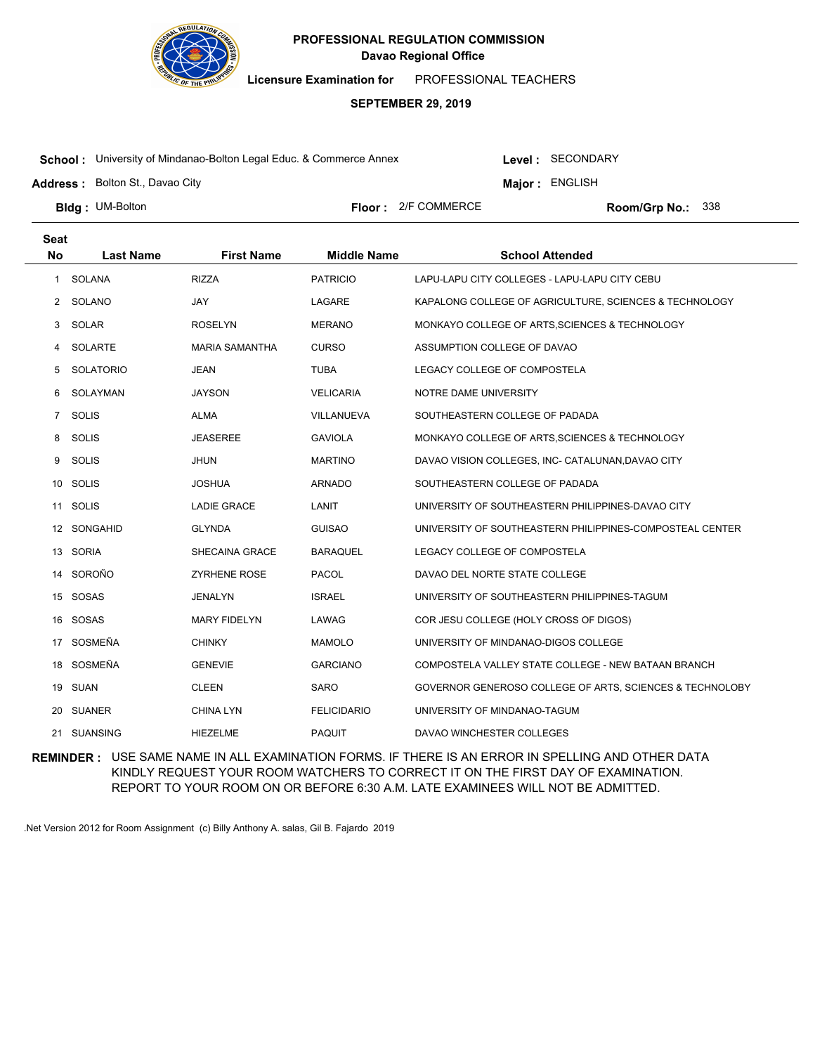

**Licensure Examination for**  PROFESSIONAL TEACHERS

# **SEPTEMBER 29, 2019**

**School :** University of Mindanao-Bolton Legal Educ. & Commerce Annex

Level : SECONDARY

**Major : ENGLISH** 

**Address :** Bolton St., Davao City

**Bldg: UM-Bolton** 

**Floor :** 2/F COMMERCE

Room/Grp No.: 338

| <b>Seat</b>  |                  |                       |                    |                                                          |
|--------------|------------------|-----------------------|--------------------|----------------------------------------------------------|
| <b>No</b>    | <b>Last Name</b> | <b>First Name</b>     | <b>Middle Name</b> | <b>School Attended</b>                                   |
| $\mathbf{1}$ | SOLANA           | <b>RIZZA</b>          | <b>PATRICIO</b>    | LAPU-LAPU CITY COLLEGES - LAPU-LAPU CITY CEBU            |
| 2            | SOLANO           | <b>JAY</b>            | LAGARE             | KAPALONG COLLEGE OF AGRICULTURE, SCIENCES & TECHNOLOGY   |
| 3            | SOLAR            | <b>ROSELYN</b>        | <b>MERANO</b>      | MONKAYO COLLEGE OF ARTS, SCIENCES & TECHNOLOGY           |
| 4            | SOLARTE          | <b>MARIA SAMANTHA</b> | <b>CURSO</b>       | ASSUMPTION COLLEGE OF DAVAO                              |
| 5            | <b>SOLATORIO</b> | <b>JEAN</b>           | <b>TUBA</b>        | LEGACY COLLEGE OF COMPOSTELA                             |
| 6            | SOLAYMAN         | <b>JAYSON</b>         | <b>VELICARIA</b>   | NOTRE DAME UNIVERSITY                                    |
| 7            | SOLIS            | <b>ALMA</b>           | <b>VILLANUEVA</b>  | SOUTHEASTERN COLLEGE OF PADADA                           |
| 8            | <b>SOLIS</b>     | <b>JEASEREE</b>       | <b>GAVIOLA</b>     | MONKAYO COLLEGE OF ARTS, SCIENCES & TECHNOLOGY           |
| 9            | <b>SOLIS</b>     | <b>JHUN</b>           | <b>MARTINO</b>     | DAVAO VISION COLLEGES, INC- CATALUNAN, DAVAO CITY        |
| 10           | <b>SOLIS</b>     | <b>JOSHUA</b>         | <b>ARNADO</b>      | SOUTHEASTERN COLLEGE OF PADADA                           |
|              | 11 SOLIS         | <b>LADIE GRACE</b>    | LANIT              | UNIVERSITY OF SOUTHEASTERN PHILIPPINES-DAVAO CITY        |
|              | 12 SONGAHID      | <b>GLYNDA</b>         | <b>GUISAO</b>      | UNIVERSITY OF SOUTHEASTERN PHILIPPINES-COMPOSTEAL CENTER |
| 13           | SORIA            | SHECAINA GRACE        | <b>BARAQUEL</b>    | LEGACY COLLEGE OF COMPOSTELA                             |
| 14           | SOROÑO           | <b>ZYRHENE ROSE</b>   | <b>PACOL</b>       | DAVAO DEL NORTE STATE COLLEGE                            |
| 15           | SOSAS            | <b>JENALYN</b>        | <b>ISRAEL</b>      | UNIVERSITY OF SOUTHEASTERN PHILIPPINES-TAGUM             |
| 16           | SOSAS            | <b>MARY FIDELYN</b>   | LAWAG              | COR JESU COLLEGE (HOLY CROSS OF DIGOS)                   |
| 17           | SOSMEÑA          | <b>CHINKY</b>         | <b>MAMOLO</b>      | UNIVERSITY OF MINDANAO-DIGOS COLLEGE                     |
| 18           | SOSMEÑA          | <b>GENEVIE</b>        | <b>GARCIANO</b>    | COMPOSTELA VALLEY STATE COLLEGE - NEW BATAAN BRANCH      |
| 19           | SUAN             | <b>CLEEN</b>          | <b>SARO</b>        | GOVERNOR GENEROSO COLLEGE OF ARTS, SCIENCES & TECHNOLOBY |
| 20           | SUANER           | <b>CHINA LYN</b>      | <b>FELICIDARIO</b> | UNIVERSITY OF MINDANAO-TAGUM                             |
|              | 21 SUANSING      | <b>HIEZELME</b>       | <b>PAQUIT</b>      | DAVAO WINCHESTER COLLEGES                                |

**REMINDER :** USE SAME NAME IN ALL EXAMINATION FORMS. IF THERE IS AN ERROR IN SPELLING AND OTHER DATA KINDLY REQUEST YOUR ROOM WATCHERS TO CORRECT IT ON THE FIRST DAY OF EXAMINATION. REPORT TO YOUR ROOM ON OR BEFORE 6:30 A.M. LATE EXAMINEES WILL NOT BE ADMITTED.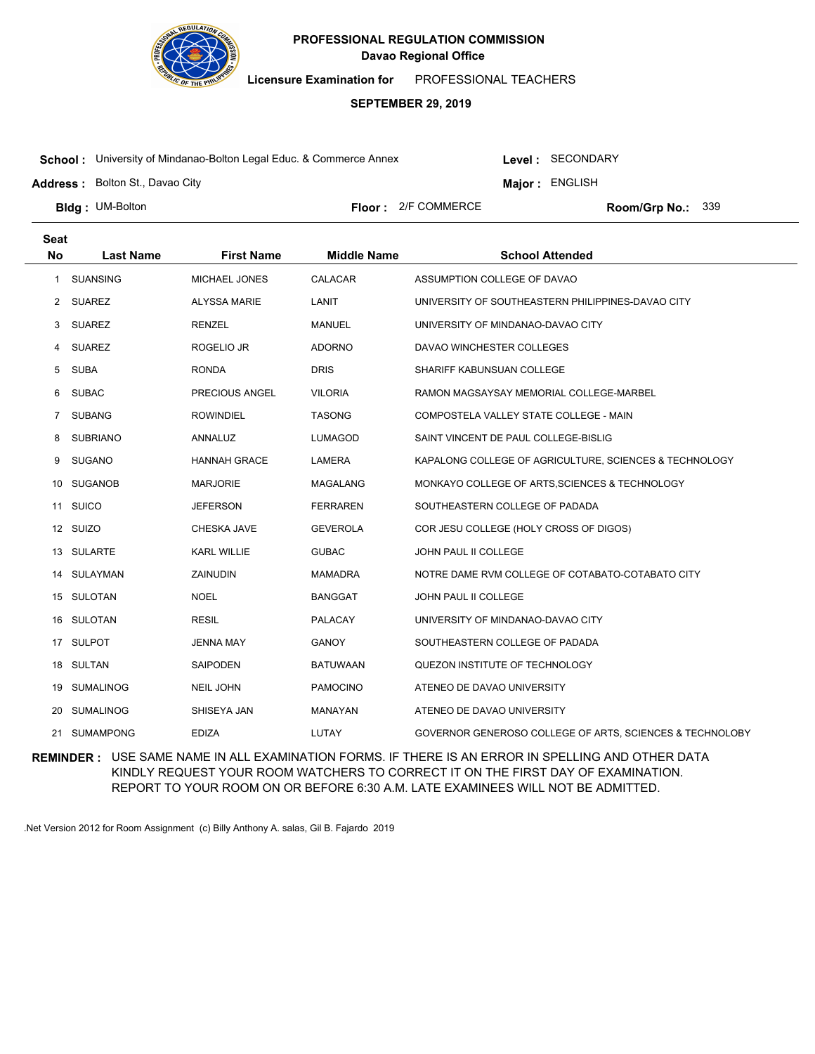

**Licensure Examination for**  PROFESSIONAL TEACHERS

### **SEPTEMBER 29, 2019**

**School :** University of Mindanao-Bolton Legal Educ. & Commerce Annex

Level : SECONDARY

**Major : ENGLISH** 

**Address :** Bolton St., Davao City

**Bldg: UM-Bolton** 

**Floor :** 2/F COMMERCE

Room/Grp No.: 339

| <b>Seat</b> |                  |                     |                    |                                                                     |
|-------------|------------------|---------------------|--------------------|---------------------------------------------------------------------|
| <b>No</b>   | <b>Last Name</b> | <b>First Name</b>   | <b>Middle Name</b> | <b>School Attended</b>                                              |
| -1          | <b>SUANSING</b>  | MICHAEL JONES       | CALACAR            | ASSUMPTION COLLEGE OF DAVAO                                         |
| 2           | <b>SUAREZ</b>    | <b>ALYSSA MARIE</b> | LANIT              | UNIVERSITY OF SOUTHEASTERN PHILIPPINES-DAVAO CITY                   |
| 3           | <b>SUAREZ</b>    | <b>RENZEL</b>       | MANUEL             | UNIVERSITY OF MINDANAO-DAVAO CITY                                   |
| 4           | <b>SUAREZ</b>    | ROGELIO JR          | <b>ADORNO</b>      | DAVAO WINCHESTER COLLEGES                                           |
| 5           | <b>SUBA</b>      | RONDA               | <b>DRIS</b>        | SHARIFF KABUNSUAN COLLEGE                                           |
| 6           | <b>SUBAC</b>     | PRECIOUS ANGEL      | <b>VILORIA</b>     | RAMON MAGSAYSAY MEMORIAL COLLEGE-MARBEL                             |
| 7           | <b>SUBANG</b>    | <b>ROWINDIEL</b>    | <b>TASONG</b>      | COMPOSTELA VALLEY STATE COLLEGE - MAIN                              |
| 8           | <b>SUBRIANO</b>  | ANNALUZ             | LUMAGOD            | SAINT VINCENT DE PAUL COLLEGE-BISLIG                                |
| 9           | <b>SUGANO</b>    | <b>HANNAH GRACE</b> | LAMERA             | KAPALONG COLLEGE OF AGRICULTURE, SCIENCES & TECHNOLOGY              |
| 10          | SUGANOB          | <b>MARJORIE</b>     | <b>MAGALANG</b>    | MONKAYO COLLEGE OF ARTS, SCIENCES & TECHNOLOGY                      |
| 11          | <b>SUICO</b>     | <b>JEFERSON</b>     | <b>FERRAREN</b>    | SOUTHEASTERN COLLEGE OF PADADA                                      |
|             | 12 SUIZO         | CHESKA JAVE         | <b>GEVEROLA</b>    | COR JESU COLLEGE (HOLY CROSS OF DIGOS)                              |
|             | 13 SULARTE       | <b>KARL WILLIE</b>  | <b>GUBAC</b>       | JOHN PAUL II COLLEGE                                                |
| 14          | SULAYMAN         | ZAINUDIN            | <b>MAMADRA</b>     | NOTRE DAME RVM COLLEGE OF COTABATO-COTABATO CITY                    |
|             | 15 SULOTAN       | <b>NOEL</b>         | <b>BANGGAT</b>     | JOHN PAUL II COLLEGE                                                |
|             | 16 SULOTAN       | <b>RESIL</b>        | PALACAY            | UNIVERSITY OF MINDANAO-DAVAO CITY                                   |
| 17          | SULPOT           | <b>JENNA MAY</b>    | <b>GANOY</b>       | SOUTHEASTERN COLLEGE OF PADADA                                      |
|             | 18 SULTAN        | <b>SAIPODEN</b>     | <b>BATUWAAN</b>    | QUEZON INSTITUTE OF TECHNOLOGY                                      |
| 19          | <b>SUMALINOG</b> | <b>NEIL JOHN</b>    | <b>PAMOCINO</b>    | ATENEO DE DAVAO UNIVERSITY                                          |
| 20          | <b>SUMALINOG</b> | SHISEYA JAN         | MANAYAN            | ATENEO DE DAVAO UNIVERSITY                                          |
| 21          | <b>SUMAMPONG</b> | <b>EDIZA</b>        | LUTAY              | <b>GOVERNOR GENEROSO COLLEGE OF ARTS, SCIENCES &amp; TECHNOLOBY</b> |

**REMINDER :** USE SAME NAME IN ALL EXAMINATION FORMS. IF THERE IS AN ERROR IN SPELLING AND OTHER DATA KINDLY REQUEST YOUR ROOM WATCHERS TO CORRECT IT ON THE FIRST DAY OF EXAMINATION. REPORT TO YOUR ROOM ON OR BEFORE 6:30 A.M. LATE EXAMINEES WILL NOT BE ADMITTED.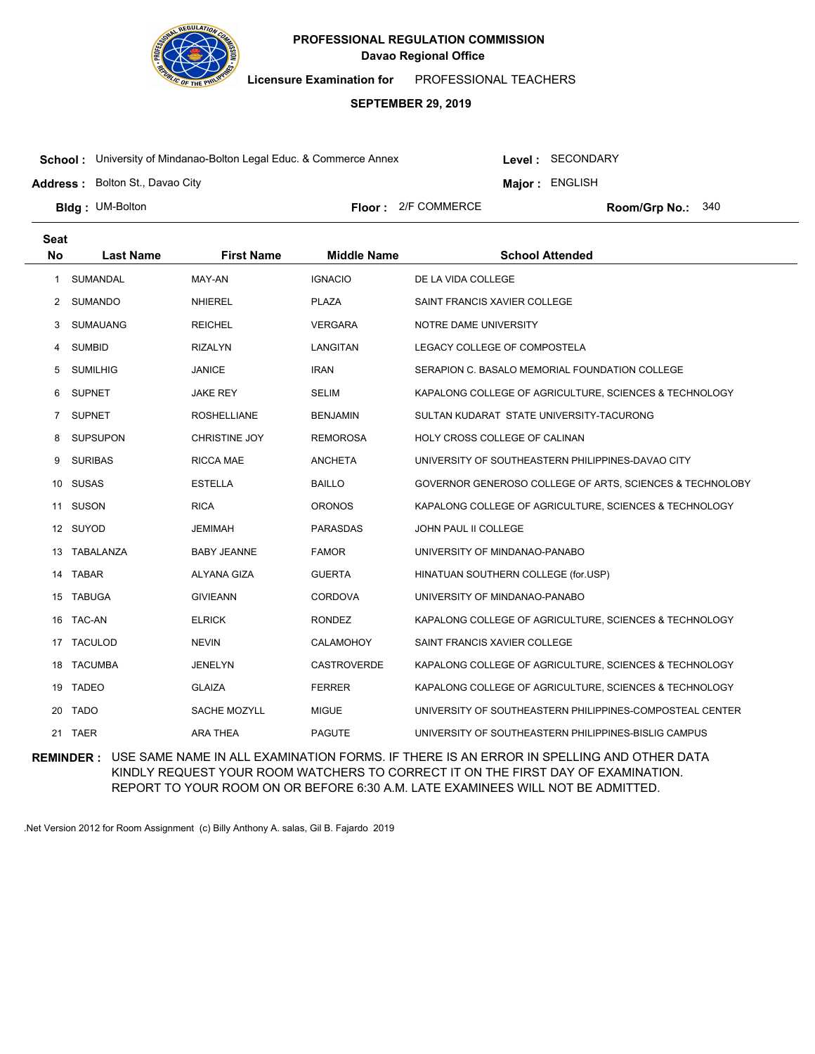

**Licensure Examination for**  PROFESSIONAL TEACHERS

### **SEPTEMBER 29, 2019**

**School :** University of Mindanao-Bolton Legal Educ. & Commerce Annex

**Address :** Bolton St., Davao City

Level : SECONDARY

**Major : ENGLISH** 

**Bldg: UM-Bolton** 

**Floor :** 2/F COMMERCE

Room/Grp No.: 340

| <b>Seat</b>    |                  |                      |                    |                                                          |
|----------------|------------------|----------------------|--------------------|----------------------------------------------------------|
| <b>No</b>      | <b>Last Name</b> | <b>First Name</b>    | <b>Middle Name</b> | <b>School Attended</b>                                   |
| 1              | <b>SUMANDAL</b>  | MAY-AN               | <b>IGNACIO</b>     | DE LA VIDA COLLEGE                                       |
| 2              | <b>SUMANDO</b>   | <b>NHIEREL</b>       | <b>PLAZA</b>       | SAINT FRANCIS XAVIER COLLEGE                             |
| 3              | <b>SUMAUANG</b>  | <b>REICHEL</b>       | <b>VERGARA</b>     | NOTRE DAME UNIVERSITY                                    |
| 4              | <b>SUMBID</b>    | <b>RIZALYN</b>       | <b>LANGITAN</b>    | LEGACY COLLEGE OF COMPOSTELA                             |
| 5              | <b>SUMILHIG</b>  | <b>JANICE</b>        | <b>IRAN</b>        | SERAPION C. BASALO MEMORIAL FOUNDATION COLLEGE           |
| 6              | <b>SUPNET</b>    | <b>JAKE REY</b>      | <b>SELIM</b>       | KAPALONG COLLEGE OF AGRICULTURE, SCIENCES & TECHNOLOGY   |
| $\overline{7}$ | <b>SUPNET</b>    | <b>ROSHELLIANE</b>   | <b>BENJAMIN</b>    | SULTAN KUDARAT STATE UNIVERSITY-TACURONG                 |
| 8              | <b>SUPSUPON</b>  | <b>CHRISTINE JOY</b> | <b>REMOROSA</b>    | HOLY CROSS COLLEGE OF CALINAN                            |
| 9              | <b>SURIBAS</b>   | <b>RICCA MAE</b>     | <b>ANCHETA</b>     | UNIVERSITY OF SOUTHEASTERN PHILIPPINES-DAVAO CITY        |
| 10             | SUSAS            | <b>ESTELLA</b>       | <b>BAILLO</b>      | GOVERNOR GENEROSO COLLEGE OF ARTS, SCIENCES & TECHNOLOBY |
| 11             | SUSON            | <b>RICA</b>          | <b>ORONOS</b>      | KAPALONG COLLEGE OF AGRICULTURE, SCIENCES & TECHNOLOGY   |
|                | 12 SUYOD         | <b>JEMIMAH</b>       | <b>PARASDAS</b>    | JOHN PAUL II COLLEGE                                     |
| 13             | TABALANZA        | <b>BABY JEANNE</b>   | <b>FAMOR</b>       | UNIVERSITY OF MINDANAO-PANABO                            |
| 14             | TABAR            | <b>ALYANA GIZA</b>   | <b>GUERTA</b>      | HINATUAN SOUTHERN COLLEGE (for.USP)                      |
|                | 15 TABUGA        | <b>GIVIEANN</b>      | <b>CORDOVA</b>     | UNIVERSITY OF MINDANAO-PANABO                            |
| 16             | TAC-AN           | <b>ELRICK</b>        | <b>RONDEZ</b>      | KAPALONG COLLEGE OF AGRICULTURE, SCIENCES & TECHNOLOGY   |
| 17             | <b>TACULOD</b>   | <b>NEVIN</b>         | <b>CALAMOHOY</b>   | SAINT FRANCIS XAVIER COLLEGE                             |
|                | 18 TACUMBA       | <b>JENELYN</b>       | <b>CASTROVERDE</b> | KAPALONG COLLEGE OF AGRICULTURE, SCIENCES & TECHNOLOGY   |
| 19             | <b>TADEO</b>     | <b>GLAIZA</b>        | <b>FERRER</b>      | KAPALONG COLLEGE OF AGRICULTURE, SCIENCES & TECHNOLOGY   |
| 20             | <b>TADO</b>      | SACHE MOZYLL         | <b>MIGUE</b>       | UNIVERSITY OF SOUTHEASTERN PHILIPPINES-COMPOSTEAL CENTER |
|                | 21 TAER          | <b>ARA THEA</b>      | <b>PAGUTE</b>      | UNIVERSITY OF SOUTHEASTERN PHILIPPINES-BISLIG CAMPUS     |

**REMINDER :** USE SAME NAME IN ALL EXAMINATION FORMS. IF THERE IS AN ERROR IN SPELLING AND OTHER DATA KINDLY REQUEST YOUR ROOM WATCHERS TO CORRECT IT ON THE FIRST DAY OF EXAMINATION. REPORT TO YOUR ROOM ON OR BEFORE 6:30 A.M. LATE EXAMINEES WILL NOT BE ADMITTED.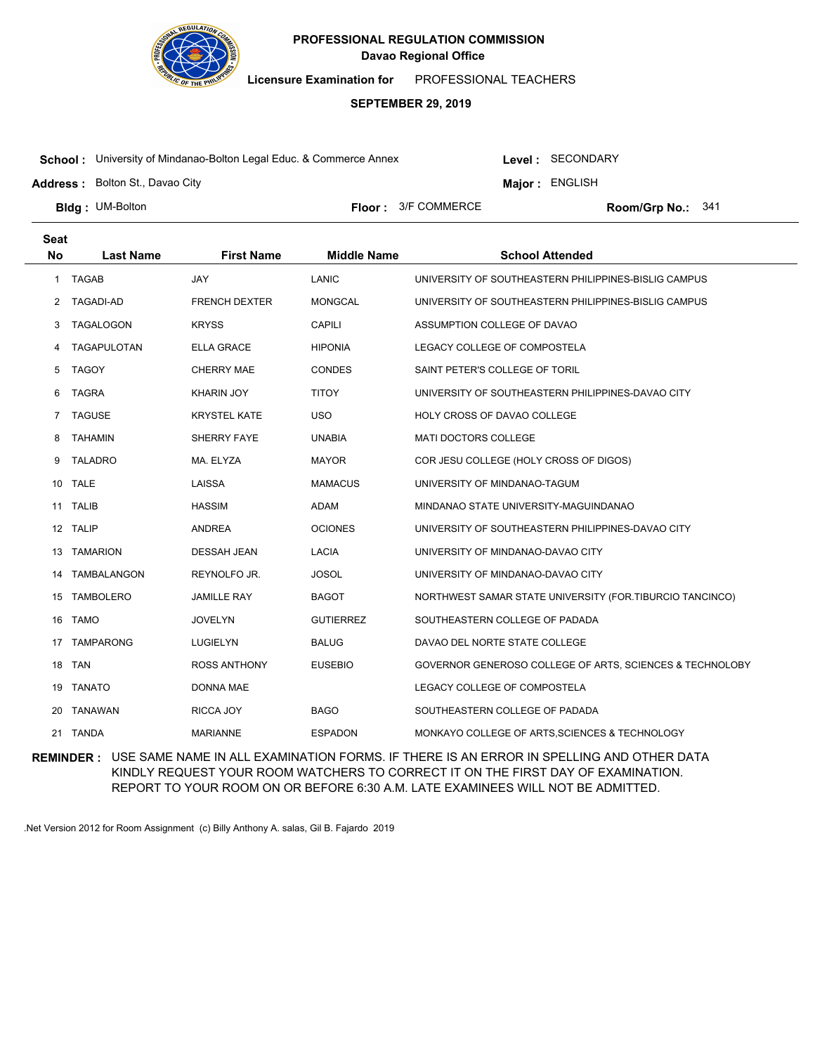

**Licensure Examination for**  PROFESSIONAL TEACHERS

# **SEPTEMBER 29, 2019**

**School :** University of Mindanao-Bolton Legal Educ. & Commerce Annex

Level : SECONDARY

**Major : ENGLISH** 

**Address :** Bolton St., Davao City

**Bldg: UM-Bolton** 

**Floor :**  $3/F$  COMMERCE

Room/Grp No.: 341

| <b>Seat</b> |                  |                      |                    |                                                          |
|-------------|------------------|----------------------|--------------------|----------------------------------------------------------|
| <b>No</b>   | <b>Last Name</b> | <b>First Name</b>    | <b>Middle Name</b> | <b>School Attended</b>                                   |
| 1           | <b>TAGAB</b>     | <b>JAY</b>           | LANIC              | UNIVERSITY OF SOUTHEASTERN PHILIPPINES-BISLIG CAMPUS     |
| 2           | <b>TAGADI-AD</b> | <b>FRENCH DEXTER</b> | <b>MONGCAL</b>     | UNIVERSITY OF SOUTHEASTERN PHILIPPINES-BISLIG CAMPUS     |
| 3           | <b>TAGALOGON</b> | <b>KRYSS</b>         | CAPILI             | ASSUMPTION COLLEGE OF DAVAO                              |
| 4           | TAGAPULOTAN      | <b>ELLA GRACE</b>    | <b>HIPONIA</b>     | LEGACY COLLEGE OF COMPOSTELA                             |
| 5           | <b>TAGOY</b>     | <b>CHERRY MAE</b>    | <b>CONDES</b>      | SAINT PETER'S COLLEGE OF TORIL                           |
| 6           | TAGRA            | <b>KHARIN JOY</b>    | <b>TITOY</b>       | UNIVERSITY OF SOUTHEASTERN PHILIPPINES-DAVAO CITY        |
| 7           | <b>TAGUSE</b>    | <b>KRYSTEL KATE</b>  | <b>USO</b>         | HOLY CROSS OF DAVAO COLLEGE                              |
| 8           | <b>TAHAMIN</b>   | SHERRY FAYE          | <b>UNABIA</b>      | MATI DOCTORS COLLEGE                                     |
| 9           | <b>TALADRO</b>   | MA. ELYZA            | <b>MAYOR</b>       | COR JESU COLLEGE (HOLY CROSS OF DIGOS)                   |
| 10.         | <b>TALE</b>      | LAISSA               | <b>MAMACUS</b>     | UNIVERSITY OF MINDANAO-TAGUM                             |
|             | 11 TALIB         | <b>HASSIM</b>        | ADAM               | MINDANAO STATE UNIVERSITY-MAGUINDANAO                    |
| 12          | <b>TALIP</b>     | <b>ANDREA</b>        | <b>OCIONES</b>     | UNIVERSITY OF SOUTHEASTERN PHILIPPINES-DAVAO CITY        |
| 13          | <b>TAMARION</b>  | <b>DESSAH JEAN</b>   | <b>LACIA</b>       | UNIVERSITY OF MINDANAO-DAVAO CITY                        |
| 14          | TAMBALANGON      | REYNOLFO JR.         | <b>JOSOL</b>       | UNIVERSITY OF MINDANAO-DAVAO CITY                        |
| 15          | <b>TAMBOLERO</b> | <b>JAMILLE RAY</b>   | <b>BAGOT</b>       | NORTHWEST SAMAR STATE UNIVERSITY (FOR.TIBURCIO TANCINCO) |
| 16          | <b>TAMO</b>      | <b>JOVELYN</b>       | <b>GUTIERREZ</b>   | SOUTHEASTERN COLLEGE OF PADADA                           |
| 17          | <b>TAMPARONG</b> | <b>LUGIELYN</b>      | <b>BALUG</b>       | DAVAO DEL NORTE STATE COLLEGE                            |
| 18          | <b>TAN</b>       | <b>ROSS ANTHONY</b>  | <b>EUSEBIO</b>     | GOVERNOR GENEROSO COLLEGE OF ARTS, SCIENCES & TECHNOLOBY |
| 19          | <b>TANATO</b>    | <b>DONNA MAE</b>     |                    | LEGACY COLLEGE OF COMPOSTELA                             |
| 20          | <b>TANAWAN</b>   | RICCA JOY            | <b>BAGO</b>        | SOUTHEASTERN COLLEGE OF PADADA                           |
| 21          | TANDA            | <b>MARIANNE</b>      | <b>ESPADON</b>     | MONKAYO COLLEGE OF ARTS. SCIENCES & TECHNOLOGY           |

**REMINDER :** USE SAME NAME IN ALL EXAMINATION FORMS. IF THERE IS AN ERROR IN SPELLING AND OTHER DATA KINDLY REQUEST YOUR ROOM WATCHERS TO CORRECT IT ON THE FIRST DAY OF EXAMINATION. REPORT TO YOUR ROOM ON OR BEFORE 6:30 A.M. LATE EXAMINEES WILL NOT BE ADMITTED.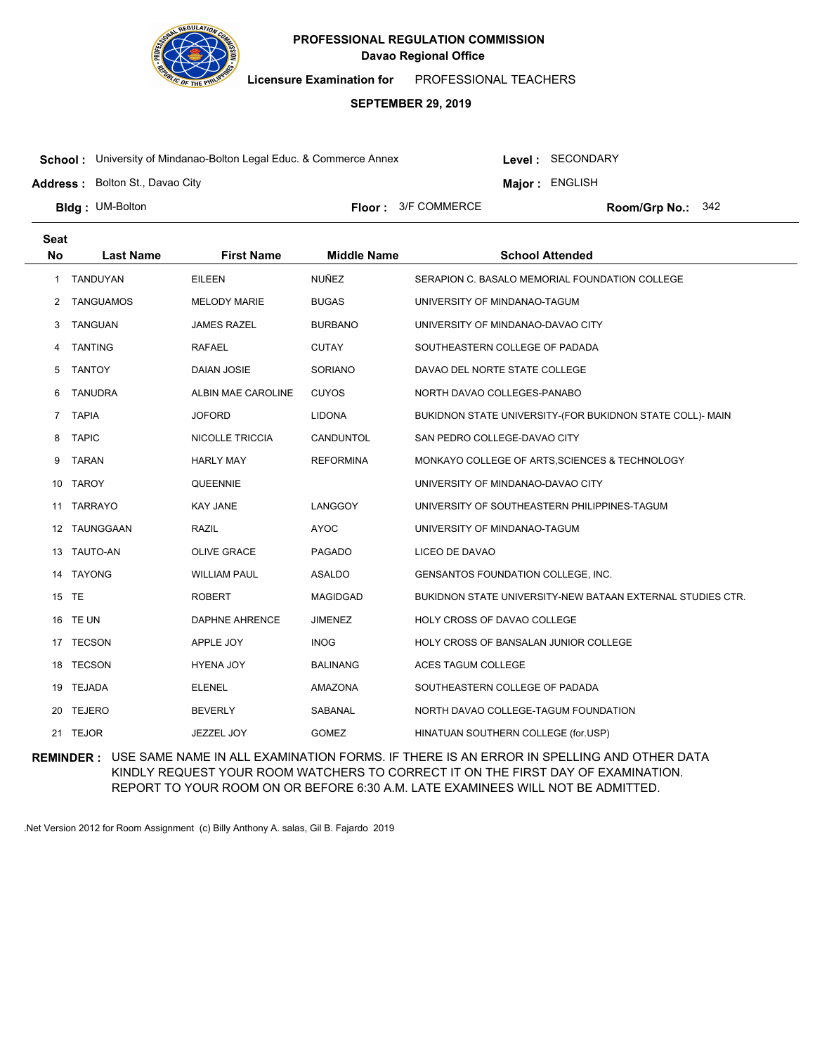

**Licensure Examination for**  PROFESSIONAL TEACHERS

### **SEPTEMBER 29, 2019**

**School :** University of Mindanao-Bolton Legal Educ. & Commerce Annex

Level : SECONDARY

**Major : ENGLISH** 

**Address :** Bolton St., Davao City

**Bldg: UM-Bolton** 

**Floor :**  $3/F$  COMMERCE

Room/Grp No.: 342

| <b>Seat</b>    |                  |                        |                    |                                                            |
|----------------|------------------|------------------------|--------------------|------------------------------------------------------------|
| <b>No</b>      | <b>Last Name</b> | <b>First Name</b>      | <b>Middle Name</b> | <b>School Attended</b>                                     |
| 1              | TANDUYAN         | <b>EILEEN</b>          | <b>NUÑEZ</b>       | SERAPION C. BASALO MEMORIAL FOUNDATION COLLEGE             |
| 2              | <b>TANGUAMOS</b> | <b>MELODY MARIE</b>    | <b>BUGAS</b>       | UNIVERSITY OF MINDANAO-TAGUM                               |
| 3              | <b>TANGUAN</b>   | <b>JAMES RAZEL</b>     | <b>BURBANO</b>     | UNIVERSITY OF MINDANAO-DAVAO CITY                          |
| 4              | <b>TANTING</b>   | <b>RAFAEL</b>          | <b>CUTAY</b>       | SOUTHEASTERN COLLEGE OF PADADA                             |
| 5              | <b>TANTOY</b>    | DAIAN JOSIE            | <b>SORIANO</b>     | DAVAO DEL NORTE STATE COLLEGE                              |
| 6              | <b>TANUDRA</b>   | ALBIN MAE CAROLINE     | <b>CUYOS</b>       | NORTH DAVAO COLLEGES-PANABO                                |
| $\overline{7}$ | <b>TAPIA</b>     | <b>JOFORD</b>          | <b>LIDONA</b>      | BUKIDNON STATE UNIVERSITY-(FOR BUKIDNON STATE COLL)- MAIN  |
| 8              | <b>TAPIC</b>     | <b>NICOLLE TRICCIA</b> | CANDUNTOL          | SAN PEDRO COLLEGE-DAVAO CITY                               |
| 9              | TARAN            | <b>HARLY MAY</b>       | <b>REFORMINA</b>   | MONKAYO COLLEGE OF ARTS, SCIENCES & TECHNOLOGY             |
| 10             | TAROY            | QUEENNIE               |                    | UNIVERSITY OF MINDANAO-DAVAO CITY                          |
| 11             | <b>TARRAYO</b>   | <b>KAY JANE</b>        | LANGGOY            | UNIVERSITY OF SOUTHEASTERN PHILIPPINES-TAGUM               |
|                | 12 TAUNGGAAN     | RAZIL                  | <b>AYOC</b>        | UNIVERSITY OF MINDANAO-TAGUM                               |
| 13             | TAUTO-AN         | <b>OLIVE GRACE</b>     | <b>PAGADO</b>      | LICEO DE DAVAO                                             |
| 14             | <b>TAYONG</b>    | <b>WILLIAM PAUL</b>    | <b>ASALDO</b>      | GENSANTOS FOUNDATION COLLEGE, INC.                         |
|                | 15 TE            | <b>ROBERT</b>          | <b>MAGIDGAD</b>    | BUKIDNON STATE UNIVERSITY-NEW BATAAN EXTERNAL STUDIES CTR. |
| 16             | TE UN            | <b>DAPHNE AHRENCE</b>  | <b>JIMENEZ</b>     | HOLY CROSS OF DAVAO COLLEGE                                |
|                | 17 TECSON        | APPLE JOY              | <b>INOG</b>        | HOLY CROSS OF BANSALAN JUNIOR COLLEGE                      |
| 18             | <b>TECSON</b>    | <b>HYENA JOY</b>       | <b>BALINANG</b>    | ACES TAGUM COLLEGE                                         |
| 19             | <b>TEJADA</b>    | <b>ELENEL</b>          | AMAZONA            | SOUTHEASTERN COLLEGE OF PADADA                             |
| 20             | <b>TEJERO</b>    | <b>BEVERLY</b>         | <b>SABANAL</b>     | NORTH DAVAO COLLEGE-TAGUM FOUNDATION                       |
|                | 21 TEJOR         | JEZZEL JOY             | <b>GOMEZ</b>       | HINATUAN SOUTHERN COLLEGE (for.USP)                        |

**REMINDER :** USE SAME NAME IN ALL EXAMINATION FORMS. IF THERE IS AN ERROR IN SPELLING AND OTHER DATA KINDLY REQUEST YOUR ROOM WATCHERS TO CORRECT IT ON THE FIRST DAY OF EXAMINATION. REPORT TO YOUR ROOM ON OR BEFORE 6:30 A.M. LATE EXAMINEES WILL NOT BE ADMITTED.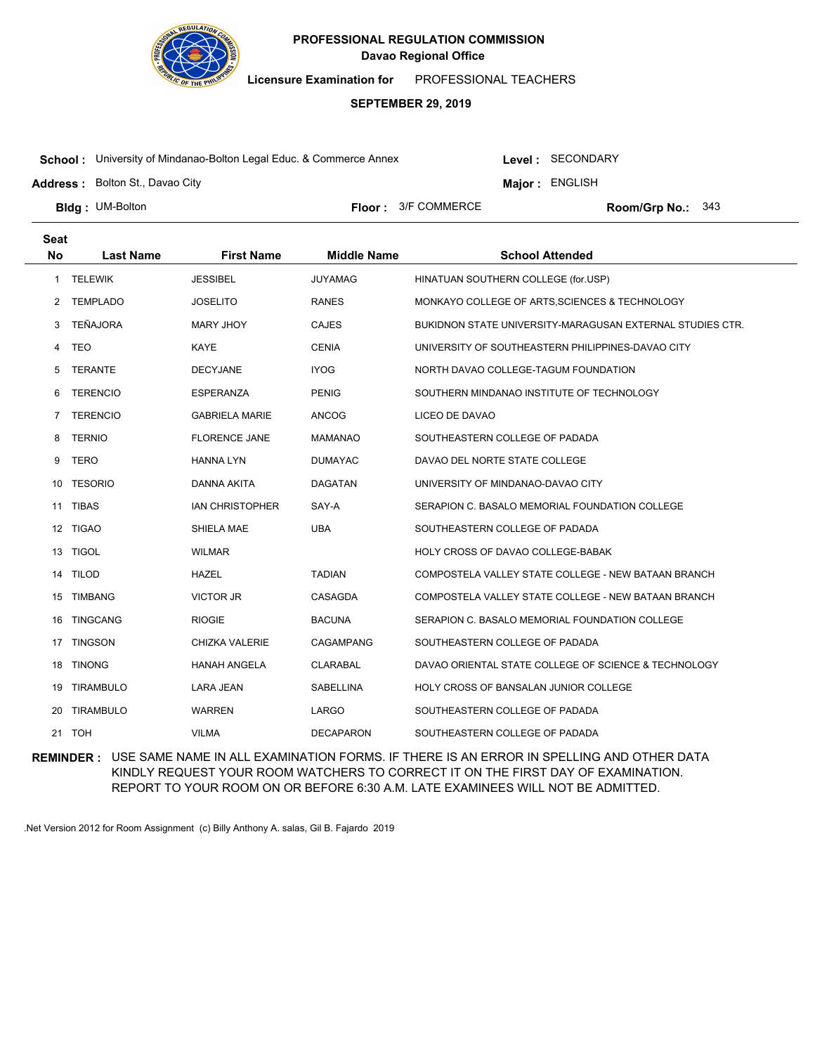

**Licensure Examination for**  PROFESSIONAL TEACHERS

### **SEPTEMBER 29, 2019**

**School :** University of Mindanao-Bolton Legal Educ. & Commerce Annex

Level : SECONDARY

**Major : ENGLISH** 

**Address :** Bolton St., Davao City

**Bldg: UM-Bolton** 

**Floor :**  $3/F$  COMMERCE

Room/Grp No.: 343

| Seat<br><b>No</b> |                  |                        |                    |                                                           |
|-------------------|------------------|------------------------|--------------------|-----------------------------------------------------------|
|                   | <b>Last Name</b> | <b>First Name</b>      | <b>Middle Name</b> | <b>School Attended</b>                                    |
| $\mathbf{1}$      | <b>TELEWIK</b>   | <b>JESSIBEL</b>        | <b>JUYAMAG</b>     | HINATUAN SOUTHERN COLLEGE (for.USP)                       |
| 2                 | <b>TEMPLADO</b>  | <b>JOSELITO</b>        | <b>RANES</b>       | MONKAYO COLLEGE OF ARTS, SCIENCES & TECHNOLOGY            |
| 3                 | <b>TEÑAJORA</b>  | MARY JHOY              | <b>CAJES</b>       | BUKIDNON STATE UNIVERSITY-MARAGUSAN EXTERNAL STUDIES CTR. |
| 4                 | TEO              | KAYE                   | <b>CENIA</b>       | UNIVERSITY OF SOUTHEASTERN PHILIPPINES-DAVAO CITY         |
| 5                 | TERANTE          | <b>DECYJANE</b>        | <b>IYOG</b>        | NORTH DAVAO COLLEGE-TAGUM FOUNDATION                      |
| 6                 | <b>TERENCIO</b>  | <b>ESPERANZA</b>       | <b>PENIG</b>       | SOUTHERN MINDANAO INSTITUTE OF TECHNOLOGY                 |
| 7                 | <b>TERENCIO</b>  | <b>GABRIELA MARIE</b>  | <b>ANCOG</b>       | LICEO DE DAVAO                                            |
| 8                 | <b>TERNIO</b>    | <b>FLORENCE JANE</b>   | <b>MAMANAO</b>     | SOUTHEASTERN COLLEGE OF PADADA                            |
| 9                 | <b>TERO</b>      | <b>HANNA LYN</b>       | <b>DUMAYAC</b>     | DAVAO DEL NORTE STATE COLLEGE                             |
| 10                | <b>TESORIO</b>   | DANNA AKITA            | <b>DAGATAN</b>     | UNIVERSITY OF MINDANAO-DAVAO CITY                         |
|                   | 11 TIBAS         | <b>IAN CHRISTOPHER</b> | SAY-A              | SERAPION C. BASALO MEMORIAL FOUNDATION COLLEGE            |
| 12                | <b>TIGAO</b>     | SHIELA MAE             | <b>UBA</b>         | SOUTHEASTERN COLLEGE OF PADADA                            |
|                   | 13 TIGOL         | <b>WILMAR</b>          |                    | HOLY CROSS OF DAVAO COLLEGE-BABAK                         |
| 14                | <b>TILOD</b>     | <b>HAZEL</b>           | <b>TADIAN</b>      | COMPOSTELA VALLEY STATE COLLEGE - NEW BATAAN BRANCH       |
| 15                | <b>TIMBANG</b>   | <b>VICTOR JR</b>       | CASAGDA            | COMPOSTELA VALLEY STATE COLLEGE - NEW BATAAN BRANCH       |
| 16                | <b>TINGCANG</b>  | <b>RIOGIE</b>          | <b>BACUNA</b>      | SERAPION C. BASALO MEMORIAL FOUNDATION COLLEGE            |
|                   | 17 TINGSON       | CHIZKA VALERIE         | CAGAMPANG          | SOUTHEASTERN COLLEGE OF PADADA                            |
| 18                | <b>TINONG</b>    | <b>HANAH ANGELA</b>    | <b>CLARABAL</b>    | DAVAO ORIENTAL STATE COLLEGE OF SCIENCE & TECHNOLOGY      |
| 19                | <b>TIRAMBULO</b> | <b>LARA JEAN</b>       | <b>SABELLINA</b>   | HOLY CROSS OF BANSALAN JUNIOR COLLEGE                     |
| 20                | <b>TIRAMBULO</b> | <b>WARREN</b>          | LARGO              | SOUTHEASTERN COLLEGE OF PADADA                            |
|                   | 21 TOH           | <b>VILMA</b>           | <b>DECAPARON</b>   | SOUTHEASTERN COLLEGE OF PADADA                            |

**REMINDER :** USE SAME NAME IN ALL EXAMINATION FORMS. IF THERE IS AN ERROR IN SPELLING AND OTHER DATA KINDLY REQUEST YOUR ROOM WATCHERS TO CORRECT IT ON THE FIRST DAY OF EXAMINATION. REPORT TO YOUR ROOM ON OR BEFORE 6:30 A.M. LATE EXAMINEES WILL NOT BE ADMITTED.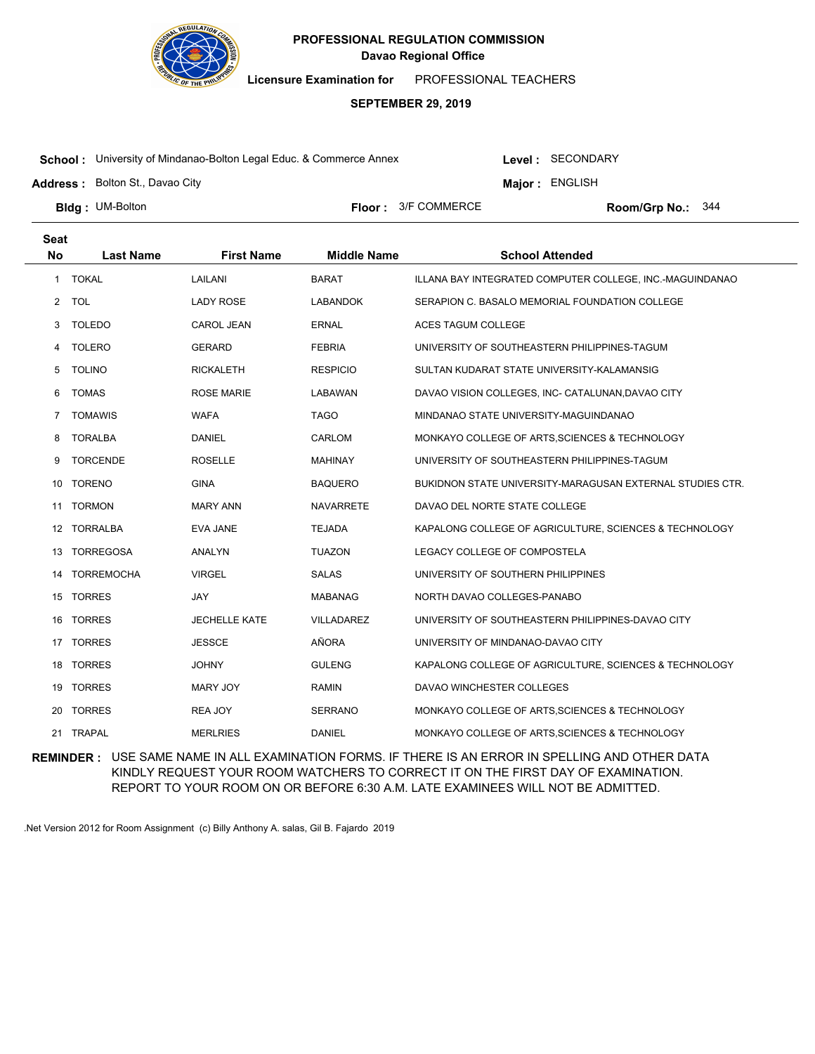

**Licensure Examination for**  PROFESSIONAL TEACHERS

### **SEPTEMBER 29, 2019**

**School :** University of Mindanao-Bolton Legal Educ. & Commerce Annex

Level : SECONDARY

**Major : ENGLISH** 

**Address :** Bolton St., Davao City

**Bldg: UM-Bolton** 

**Floor :**  $3/F$  COMMERCE

Room/Grp No.: 344

| <b>Seat</b>  |                   |                      |                    |                                                           |
|--------------|-------------------|----------------------|--------------------|-----------------------------------------------------------|
| <b>No</b>    | <b>Last Name</b>  | <b>First Name</b>    | <b>Middle Name</b> | <b>School Attended</b>                                    |
| $\mathbf{1}$ | <b>TOKAL</b>      | LAILANI              | <b>BARAT</b>       | ILLANA BAY INTEGRATED COMPUTER COLLEGE, INC.-MAGUINDANAO  |
| $\mathbf{2}$ | <b>TOL</b>        | <b>LADY ROSE</b>     | LABANDOK           | SERAPION C. BASALO MEMORIAL FOUNDATION COLLEGE            |
| 3            | <b>TOLEDO</b>     | CAROL JEAN           | <b>ERNAL</b>       | <b>ACES TAGUM COLLEGE</b>                                 |
| 4            | <b>TOLERO</b>     | <b>GERARD</b>        | <b>FEBRIA</b>      | UNIVERSITY OF SOUTHEASTERN PHILIPPINES-TAGUM              |
| 5            | <b>TOLINO</b>     | <b>RICKALETH</b>     | <b>RESPICIO</b>    | SULTAN KUDARAT STATE UNIVERSITY-KALAMANSIG                |
| 6            | <b>TOMAS</b>      | ROSE MARIE           | LABAWAN            | DAVAO VISION COLLEGES, INC- CATALUNAN, DAVAO CITY         |
| 7            | <b>TOMAWIS</b>    | <b>WAFA</b>          | <b>TAGO</b>        | MINDANAO STATE UNIVERSITY-MAGUINDANAO                     |
| 8            | <b>TORALBA</b>    | DANIEL               | CARLOM             | MONKAYO COLLEGE OF ARTS, SCIENCES & TECHNOLOGY            |
| 9            | <b>TORCENDE</b>   | <b>ROSELLE</b>       | <b>MAHINAY</b>     | UNIVERSITY OF SOUTHEASTERN PHILIPPINES-TAGUM              |
| 10           | <b>TORENO</b>     | <b>GINA</b>          | <b>BAQUERO</b>     | BUKIDNON STATE UNIVERSITY-MARAGUSAN EXTERNAL STUDIES CTR. |
| 11           | <b>TORMON</b>     | <b>MARY ANN</b>      | <b>NAVARRETE</b>   | DAVAO DEL NORTE STATE COLLEGE                             |
| 12           | <b>TORRALBA</b>   | EVA JANE             | <b>TEJADA</b>      | KAPALONG COLLEGE OF AGRICULTURE, SCIENCES & TECHNOLOGY    |
| 13           | <b>TORREGOSA</b>  | ANALYN               | <b>TUAZON</b>      | LEGACY COLLEGE OF COMPOSTELA                              |
| 14           | <b>TORREMOCHA</b> | <b>VIRGEL</b>        | <b>SALAS</b>       | UNIVERSITY OF SOUTHERN PHILIPPINES                        |
| 15           | <b>TORRES</b>     | JAY                  | <b>MABANAG</b>     | NORTH DAVAO COLLEGES-PANABO                               |
| 16           | <b>TORRES</b>     | <b>JECHELLE KATE</b> | VILLADAREZ         | UNIVERSITY OF SOUTHEASTERN PHILIPPINES-DAVAO CITY         |
|              | 17 TORRES         | <b>JESSCE</b>        | AÑORA              | UNIVERSITY OF MINDANAO-DAVAO CITY                         |
| 18           | <b>TORRES</b>     | <b>JOHNY</b>         | <b>GULENG</b>      | KAPALONG COLLEGE OF AGRICULTURE, SCIENCES & TECHNOLOGY    |
| 19           | <b>TORRES</b>     | <b>MARY JOY</b>      | RAMIN              | DAVAO WINCHESTER COLLEGES                                 |
| 20           | <b>TORRES</b>     | REA JOY              | <b>SERRANO</b>     | MONKAYO COLLEGE OF ARTS, SCIENCES & TECHNOLOGY            |
|              | 21 TRAPAL         | <b>MERLRIES</b>      | <b>DANIEL</b>      | MONKAYO COLLEGE OF ARTS. SCIENCES & TECHNOLOGY            |

**REMINDER :** USE SAME NAME IN ALL EXAMINATION FORMS. IF THERE IS AN ERROR IN SPELLING AND OTHER DATA KINDLY REQUEST YOUR ROOM WATCHERS TO CORRECT IT ON THE FIRST DAY OF EXAMINATION. REPORT TO YOUR ROOM ON OR BEFORE 6:30 A.M. LATE EXAMINEES WILL NOT BE ADMITTED.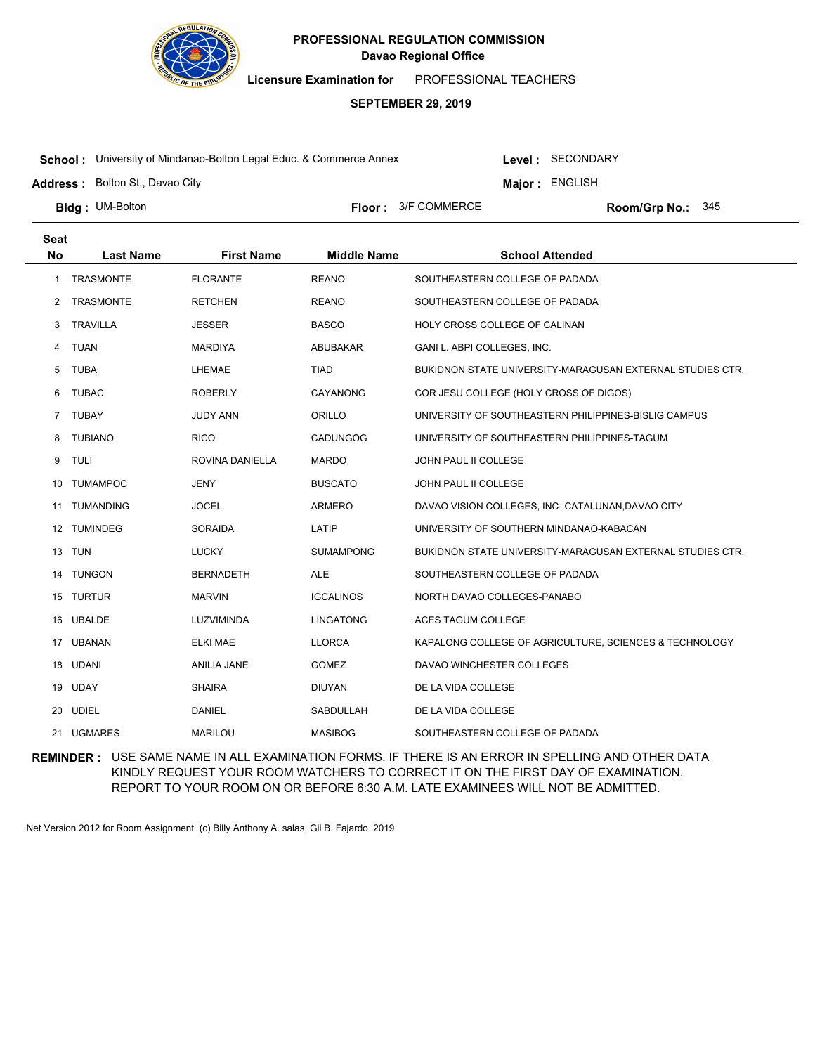

**Licensure Examination for**  PROFESSIONAL TEACHERS

### **SEPTEMBER 29, 2019**

**School :** University of Mindanao-Bolton Legal Educ. & Commerce Annex

Level : SECONDARY

**Major : ENGLISH** 

**Address :** Bolton St., Davao City

**Bldg: UM-Bolton** 

**Floor :**  $3/F$  COMMERCE

Room/Grp No.: 345

| <b>Seat</b> |                  |                    |                    |                                                           |
|-------------|------------------|--------------------|--------------------|-----------------------------------------------------------|
| <b>No</b>   | <b>Last Name</b> | <b>First Name</b>  | <b>Middle Name</b> | <b>School Attended</b>                                    |
| 1           | <b>TRASMONTE</b> | <b>FLORANTE</b>    | <b>REANO</b>       | SOUTHEASTERN COLLEGE OF PADADA                            |
| 2           | <b>TRASMONTE</b> | <b>RETCHEN</b>     | <b>REANO</b>       | SOUTHEASTERN COLLEGE OF PADADA                            |
| 3           | TRAVILLA         | <b>JESSER</b>      | <b>BASCO</b>       | HOLY CROSS COLLEGE OF CALINAN                             |
| 4           | <b>TUAN</b>      | <b>MARDIYA</b>     | ABUBAKAR           | GANI L. ABPI COLLEGES, INC.                               |
| 5           | <b>TUBA</b>      | LHEMAE             | <b>TIAD</b>        | BUKIDNON STATE UNIVERSITY-MARAGUSAN EXTERNAL STUDIES CTR. |
| 6           | TUBAC            | <b>ROBERLY</b>     | CAYANONG           | COR JESU COLLEGE (HOLY CROSS OF DIGOS)                    |
| 7           | <b>TUBAY</b>     | <b>JUDY ANN</b>    | ORILLO             | UNIVERSITY OF SOUTHEASTERN PHILIPPINES-BISLIG CAMPUS      |
| 8           | <b>TUBIANO</b>   | <b>RICO</b>        | <b>CADUNGOG</b>    | UNIVERSITY OF SOUTHEASTERN PHILIPPINES-TAGUM              |
| 9           | <b>TULI</b>      | ROVINA DANIELLA    | <b>MARDO</b>       | JOHN PAUL II COLLEGE                                      |
| 10          | <b>TUMAMPOC</b>  | <b>JENY</b>        | <b>BUSCATO</b>     | JOHN PAUL II COLLEGE                                      |
|             | 11 TUMANDING     | <b>JOCEL</b>       | ARMERO             | DAVAO VISION COLLEGES, INC- CATALUNAN, DAVAO CITY         |
| 12          | <b>TUMINDEG</b>  | SORAIDA            | LATIP              | UNIVERSITY OF SOUTHERN MINDANAO-KABACAN                   |
| 13          | TUN              | <b>LUCKY</b>       | <b>SUMAMPONG</b>   | BUKIDNON STATE UNIVERSITY-MARAGUSAN EXTERNAL STUDIES CTR. |
|             | 14 TUNGON        | <b>BERNADETH</b>   | <b>ALE</b>         | SOUTHEASTERN COLLEGE OF PADADA                            |
| 15          | <b>TURTUR</b>    | <b>MARVIN</b>      | <b>IGCALINOS</b>   | NORTH DAVAO COLLEGES-PANABO                               |
| 16          | <b>UBALDE</b>    | LUZVIMINDA         | <b>LINGATONG</b>   | ACES TAGUM COLLEGE                                        |
|             | 17 UBANAN        | <b>ELKI MAE</b>    | <b>LLORCA</b>      | KAPALONG COLLEGE OF AGRICULTURE, SCIENCES & TECHNOLOGY    |
| 18          | <b>UDANI</b>     | <b>ANILIA JANE</b> | <b>GOMEZ</b>       | DAVAO WINCHESTER COLLEGES                                 |
| 19          | <b>UDAY</b>      | <b>SHAIRA</b>      | <b>DIUYAN</b>      | DE LA VIDA COLLEGE                                        |
| 20          | <b>UDIEL</b>     | <b>DANIEL</b>      | SABDULLAH          | DE LA VIDA COLLEGE                                        |
| 21          | <b>UGMARES</b>   | <b>MARILOU</b>     | <b>MASIBOG</b>     | SOUTHEASTERN COLLEGE OF PADADA                            |

**REMINDER :** USE SAME NAME IN ALL EXAMINATION FORMS. IF THERE IS AN ERROR IN SPELLING AND OTHER DATA KINDLY REQUEST YOUR ROOM WATCHERS TO CORRECT IT ON THE FIRST DAY OF EXAMINATION. REPORT TO YOUR ROOM ON OR BEFORE 6:30 A.M. LATE EXAMINEES WILL NOT BE ADMITTED.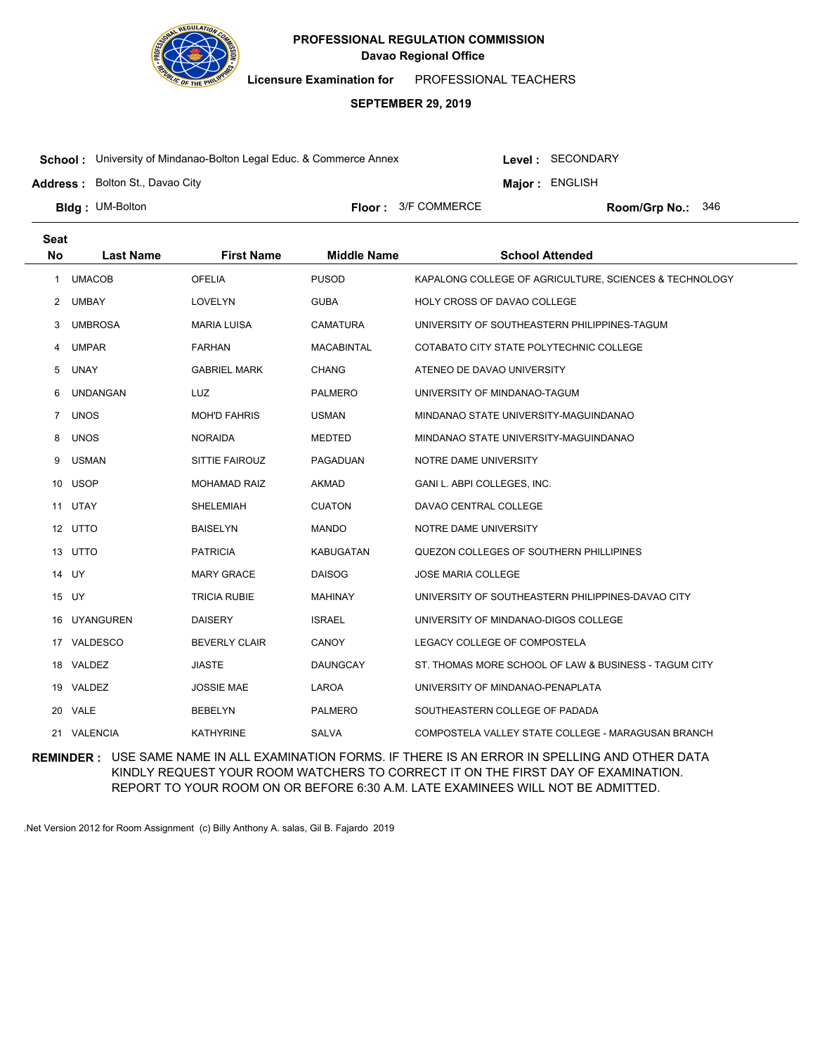

**Licensure Examination for**  PROFESSIONAL TEACHERS

# **SEPTEMBER 29, 2019**

**School :** University of Mindanao-Bolton Legal Educ. & Commerce Annex

Level : SECONDARY

**Major : ENGLISH** 

**Address :** Bolton St., Davao City

**Bldg: UM-Bolton** 

**Floor :**  $3/F$  COMMERCE

Room/Grp No.: 346

| <b>Seat</b>  |                  |                      |                    |                                                        |
|--------------|------------------|----------------------|--------------------|--------------------------------------------------------|
| <b>No</b>    | <b>Last Name</b> | <b>First Name</b>    | <b>Middle Name</b> | <b>School Attended</b>                                 |
| 1            | <b>UMACOB</b>    | <b>OFELIA</b>        | <b>PUSOD</b>       | KAPALONG COLLEGE OF AGRICULTURE, SCIENCES & TECHNOLOGY |
| 2            | UMBAY            | LOVELYN              | <b>GUBA</b>        | HOLY CROSS OF DAVAO COLLEGE                            |
| 3            | <b>UMBROSA</b>   | <b>MARIA LUISA</b>   | <b>CAMATURA</b>    | UNIVERSITY OF SOUTHEASTERN PHILIPPINES-TAGUM           |
| 4            | <b>UMPAR</b>     | <b>FARHAN</b>        | <b>MACABINTAL</b>  | COTABATO CITY STATE POLYTECHNIC COLLEGE                |
| 5            | <b>UNAY</b>      | <b>GABRIEL MARK</b>  | <b>CHANG</b>       | ATENEO DE DAVAO UNIVERSITY                             |
| 6            | <b>UNDANGAN</b>  | <b>LUZ</b>           | <b>PALMERO</b>     | UNIVERSITY OF MINDANAO-TAGUM                           |
| $\mathbf{7}$ | <b>UNOS</b>      | <b>MOH'D FAHRIS</b>  | <b>USMAN</b>       | MINDANAO STATE UNIVERSITY-MAGUINDANAO                  |
| 8            | <b>UNOS</b>      | <b>NORAIDA</b>       | <b>MEDTED</b>      | MINDANAO STATE UNIVERSITY-MAGUINDANAO                  |
| 9            | <b>USMAN</b>     | SITTIE FAIROUZ       | PAGADUAN           | NOTRE DAME UNIVERSITY                                  |
| 10           | <b>USOP</b>      | <b>MOHAMAD RAIZ</b>  | <b>AKMAD</b>       | GANI L. ABPI COLLEGES, INC.                            |
|              | 11 UTAY          | SHELEMIAH            | <b>CUATON</b>      | DAVAO CENTRAL COLLEGE                                  |
|              | 12 UTTO          | <b>BAISELYN</b>      | <b>MANDO</b>       | NOTRE DAME UNIVERSITY                                  |
|              | 13 UTTO          | <b>PATRICIA</b>      | KABUGATAN          | QUEZON COLLEGES OF SOUTHERN PHILLIPINES                |
|              | 14 UY            | <b>MARY GRACE</b>    | <b>DAISOG</b>      | JOSE MARIA COLLEGE                                     |
|              | 15 UY            | <b>TRICIA RUBIE</b>  | <b>MAHINAY</b>     | UNIVERSITY OF SOUTHEASTERN PHILIPPINES-DAVAO CITY      |
| 16           | <b>UYANGUREN</b> | <b>DAISERY</b>       | <b>ISRAEL</b>      | UNIVERSITY OF MINDANAO-DIGOS COLLEGE                   |
|              | 17 VALDESCO      | <b>BEVERLY CLAIR</b> | CANOY              | LEGACY COLLEGE OF COMPOSTELA                           |
| 18           | VALDEZ           | <b>JIASTE</b>        | <b>DAUNGCAY</b>    | ST. THOMAS MORE SCHOOL OF LAW & BUSINESS - TAGUM CITY  |
|              | 19 VALDEZ        | JOSSIE MAE           | LAROA              | UNIVERSITY OF MINDANAO-PENAPLATA                       |
|              | 20 VALE          | <b>BEBELYN</b>       | <b>PALMERO</b>     | SOUTHEASTERN COLLEGE OF PADADA                         |
|              | 21 VALENCIA      | <b>KATHYRINE</b>     | <b>SALVA</b>       | COMPOSTELA VALLEY STATE COLLEGE - MARAGUSAN BRANCH     |

**REMINDER :** USE SAME NAME IN ALL EXAMINATION FORMS. IF THERE IS AN ERROR IN SPELLING AND OTHER DATA KINDLY REQUEST YOUR ROOM WATCHERS TO CORRECT IT ON THE FIRST DAY OF EXAMINATION. REPORT TO YOUR ROOM ON OR BEFORE 6:30 A.M. LATE EXAMINEES WILL NOT BE ADMITTED.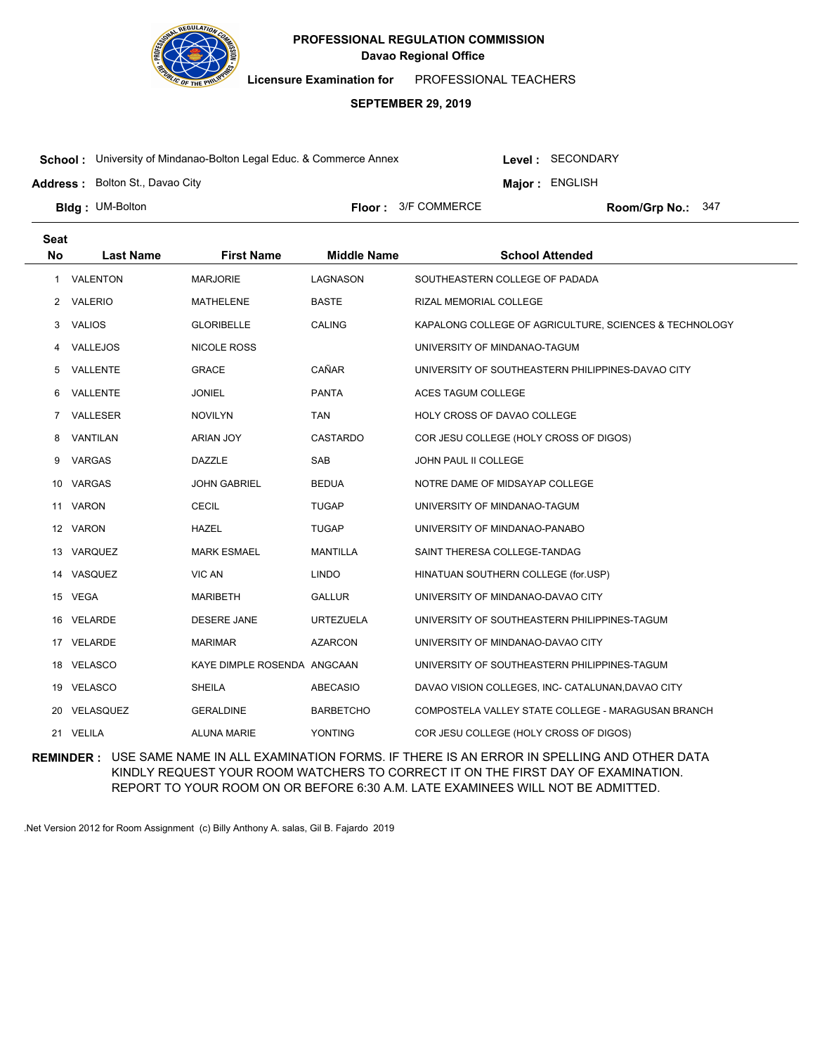

**Licensure Examination for**  PROFESSIONAL TEACHERS

### **SEPTEMBER 29, 2019**

**School :** University of Mindanao-Bolton Legal Educ. & Commerce Annex

Level : SECONDARY

**Major : ENGLISH** 

**Address :** Bolton St., Davao City

**Bldg: UM-Bolton** 

**Floor :**  $3/F$  COMMERCE

Room/Grp No.: 347

| <b>Seat</b>  |                  |                             |                    |                                                        |
|--------------|------------------|-----------------------------|--------------------|--------------------------------------------------------|
| <b>No</b>    | <b>Last Name</b> | <b>First Name</b>           | <b>Middle Name</b> | <b>School Attended</b>                                 |
| $\mathbf{1}$ | VALENTON         | <b>MARJORIE</b>             | <b>LAGNASON</b>    | SOUTHEASTERN COLLEGE OF PADADA                         |
| $\mathbf{2}$ | VALERIO          | MATHELENE                   | <b>BASTE</b>       | RIZAL MEMORIAL COLLEGE                                 |
| 3            | <b>VALIOS</b>    | <b>GLORIBELLE</b>           | <b>CALING</b>      | KAPALONG COLLEGE OF AGRICULTURE, SCIENCES & TECHNOLOGY |
| 4            | VALLEJOS         | <b>NICOLE ROSS</b>          |                    | UNIVERSITY OF MINDANAO-TAGUM                           |
| 5            | VALLENTE         | <b>GRACE</b>                | CAÑAR              | UNIVERSITY OF SOUTHEASTERN PHILIPPINES-DAVAO CITY      |
| 6            | VALLENTE         | <b>JONIEL</b>               | PANTA              | ACES TAGUM COLLEGE                                     |
| $7^{\circ}$  | VALLESER         | <b>NOVILYN</b>              | <b>TAN</b>         | HOLY CROSS OF DAVAO COLLEGE                            |
| 8            | VANTILAN         | ARIAN JOY                   | <b>CASTARDO</b>    | COR JESU COLLEGE (HOLY CROSS OF DIGOS)                 |
| 9            | VARGAS           | <b>DAZZLE</b>               | SAB                | JOHN PAUL II COLLEGE                                   |
| 10           | VARGAS           | <b>JOHN GABRIEL</b>         | <b>BEDUA</b>       | NOTRE DAME OF MIDSAYAP COLLEGE                         |
| 11           | VARON            | <b>CECIL</b>                | <b>TUGAP</b>       | UNIVERSITY OF MINDANAO-TAGUM                           |
|              | 12 VARON         | HAZEL                       | <b>TUGAP</b>       | UNIVERSITY OF MINDANAO-PANABO                          |
| 13           | VARQUEZ          | <b>MARK ESMAEL</b>          | <b>MANTILLA</b>    | SAINT THERESA COLLEGE-TANDAG                           |
| 14           | VASQUEZ          | VIC AN                      | <b>LINDO</b>       | HINATUAN SOUTHERN COLLEGE (for.USP)                    |
|              | 15 VEGA          | <b>MARIBETH</b>             | <b>GALLUR</b>      | UNIVERSITY OF MINDANAO-DAVAO CITY                      |
| 16           | VELARDE          | DESERE JANE                 | <b>URTEZUELA</b>   | UNIVERSITY OF SOUTHEASTERN PHILIPPINES-TAGUM           |
| 17           | VELARDE          | <b>MARIMAR</b>              | <b>AZARCON</b>     | UNIVERSITY OF MINDANAO-DAVAO CITY                      |
|              | 18 VELASCO       | KAYE DIMPLE ROSENDA ANGCAAN |                    | UNIVERSITY OF SOUTHEASTERN PHILIPPINES-TAGUM           |
| 19           | <b>VELASCO</b>   | <b>SHEILA</b>               | ABECASIO           | DAVAO VISION COLLEGES, INC- CATALUNAN, DAVAO CITY      |
| 20           | VELASQUEZ        | <b>GERALDINE</b>            | <b>BARBETCHO</b>   | COMPOSTELA VALLEY STATE COLLEGE - MARAGUSAN BRANCH     |
|              | 21 VELILA        | <b>ALUNA MARIE</b>          | YONTING            | COR JESU COLLEGE (HOLY CROSS OF DIGOS)                 |

**REMINDER :** USE SAME NAME IN ALL EXAMINATION FORMS. IF THERE IS AN ERROR IN SPELLING AND OTHER DATA KINDLY REQUEST YOUR ROOM WATCHERS TO CORRECT IT ON THE FIRST DAY OF EXAMINATION. REPORT TO YOUR ROOM ON OR BEFORE 6:30 A.M. LATE EXAMINEES WILL NOT BE ADMITTED.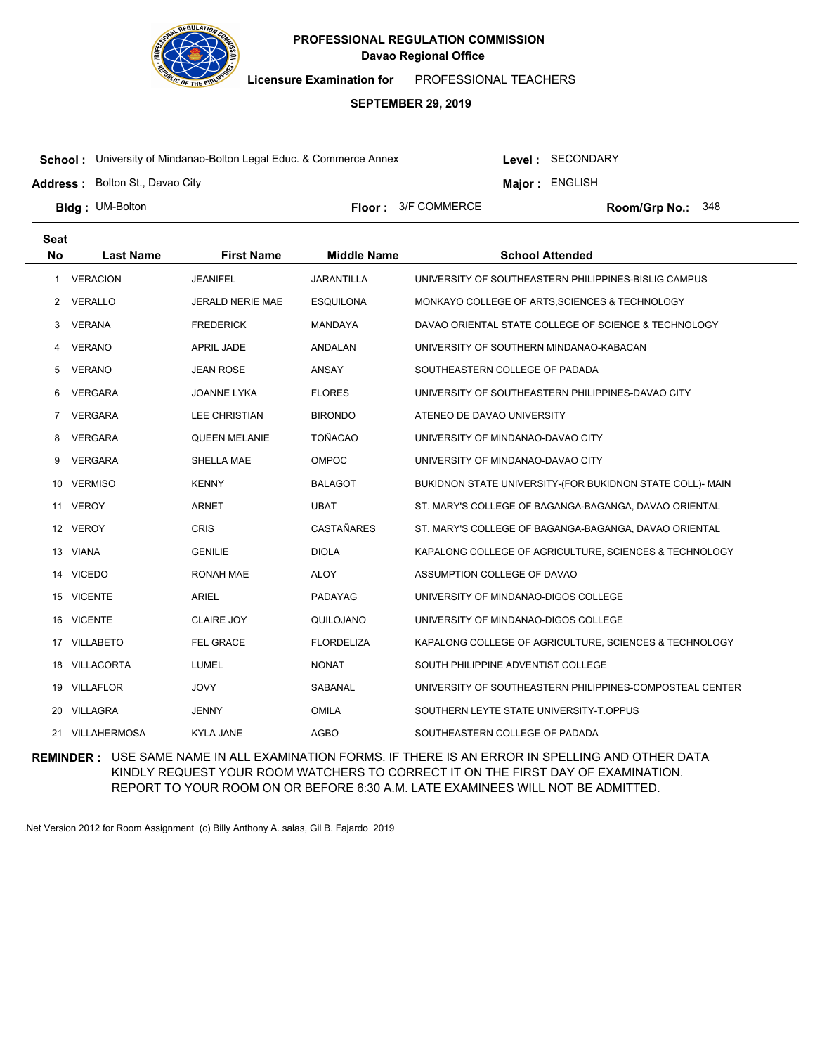

**Licensure Examination for**  PROFESSIONAL TEACHERS

# **SEPTEMBER 29, 2019**

**School :** University of Mindanao-Bolton Legal Educ. & Commerce Annex

Level : SECONDARY

**Major : ENGLISH** 

**Address :** Bolton St., Davao City

**Bldg: UM-Bolton** 

**Floor :**  $3/F$  COMMERCE

Room/Grp No.: 348

| <b>Seat</b> |                   |                         |                    |                                                           |
|-------------|-------------------|-------------------------|--------------------|-----------------------------------------------------------|
| <b>No</b>   | <b>Last Name</b>  | <b>First Name</b>       | <b>Middle Name</b> | <b>School Attended</b>                                    |
| 1.          | <b>VERACION</b>   | <b>JEANIFEL</b>         | <b>JARANTILLA</b>  | UNIVERSITY OF SOUTHEASTERN PHILIPPINES-BISLIG CAMPUS      |
| 2           | <b>VERALLO</b>    | <b>JERALD NERIE MAE</b> | <b>ESQUILONA</b>   | MONKAYO COLLEGE OF ARTS, SCIENCES & TECHNOLOGY            |
| 3           | <b>VERANA</b>     | <b>FREDERICK</b>        | <b>MANDAYA</b>     | DAVAO ORIENTAL STATE COLLEGE OF SCIENCE & TECHNOLOGY      |
| 4           | <b>VERANO</b>     | <b>APRIL JADE</b>       | ANDALAN            | UNIVERSITY OF SOUTHERN MINDANAO-KABACAN                   |
| 5           | <b>VERANO</b>     | <b>JEAN ROSE</b>        | ANSAY              | SOUTHEASTERN COLLEGE OF PADADA                            |
| 6           | <b>VERGARA</b>    | JOANNE LYKA             | <b>FLORES</b>      | UNIVERSITY OF SOUTHEASTERN PHILIPPINES-DAVAO CITY         |
| 7           | <b>VERGARA</b>    | <b>LEE CHRISTIAN</b>    | <b>BIRONDO</b>     | ATENEO DE DAVAO UNIVERSITY                                |
| 8           | <b>VERGARA</b>    | <b>QUEEN MELANIE</b>    | <b>TOÑACAO</b>     | UNIVERSITY OF MINDANAO-DAVAO CITY                         |
| 9           | <b>VERGARA</b>    | SHELLA MAE              | <b>OMPOC</b>       | UNIVERSITY OF MINDANAO-DAVAO CITY                         |
| 10          | <b>VERMISO</b>    | <b>KENNY</b>            | <b>BALAGOT</b>     | BUKIDNON STATE UNIVERSITY-(FOR BUKIDNON STATE COLL)- MAIN |
|             | 11 VEROY          | <b>ARNET</b>            | <b>UBAT</b>        | ST. MARY'S COLLEGE OF BAGANGA-BAGANGA, DAVAO ORIENTAL     |
| 12          | <b>VEROY</b>      | <b>CRIS</b>             | <b>CASTAÑARES</b>  | ST. MARY'S COLLEGE OF BAGANGA-BAGANGA, DAVAO ORIENTAL     |
|             | 13 VIANA          | <b>GENILIE</b>          | <b>DIOLA</b>       | KAPALONG COLLEGE OF AGRICULTURE, SCIENCES & TECHNOLOGY    |
|             | 14 VICEDO         | RONAH MAE               | <b>ALOY</b>        | ASSUMPTION COLLEGE OF DAVAO                               |
| 15          | <b>VICENTE</b>    | ARIEL                   | PADAYAG            | UNIVERSITY OF MINDANAO-DIGOS COLLEGE                      |
| 16          | <b>VICENTE</b>    | <b>CLAIRE JOY</b>       | QUILOJANO          | UNIVERSITY OF MINDANAO-DIGOS COLLEGE                      |
| 17          | <b>VILLABETO</b>  | FEL GRACE               | <b>FLORDELIZA</b>  | KAPALONG COLLEGE OF AGRICULTURE, SCIENCES & TECHNOLOGY    |
| 18          | <b>VILLACORTA</b> | <b>LUMEL</b>            | <b>NONAT</b>       | SOUTH PHILIPPINE ADVENTIST COLLEGE                        |
| 19          | <b>VILLAFLOR</b>  | <b>JOVY</b>             | SABANAL            | UNIVERSITY OF SOUTHEASTERN PHILIPPINES-COMPOSTEAL CENTER  |
| 20          | <b>VILLAGRA</b>   | <b>JENNY</b>            | <b>OMILA</b>       | SOUTHERN LEYTE STATE UNIVERSITY-T.OPPUS                   |
|             | 21 VILLAHERMOSA   | <b>KYLA JANE</b>        | <b>AGBO</b>        | SOUTHEASTERN COLLEGE OF PADADA                            |

**REMINDER :** USE SAME NAME IN ALL EXAMINATION FORMS. IF THERE IS AN ERROR IN SPELLING AND OTHER DATA KINDLY REQUEST YOUR ROOM WATCHERS TO CORRECT IT ON THE FIRST DAY OF EXAMINATION. REPORT TO YOUR ROOM ON OR BEFORE 6:30 A.M. LATE EXAMINEES WILL NOT BE ADMITTED.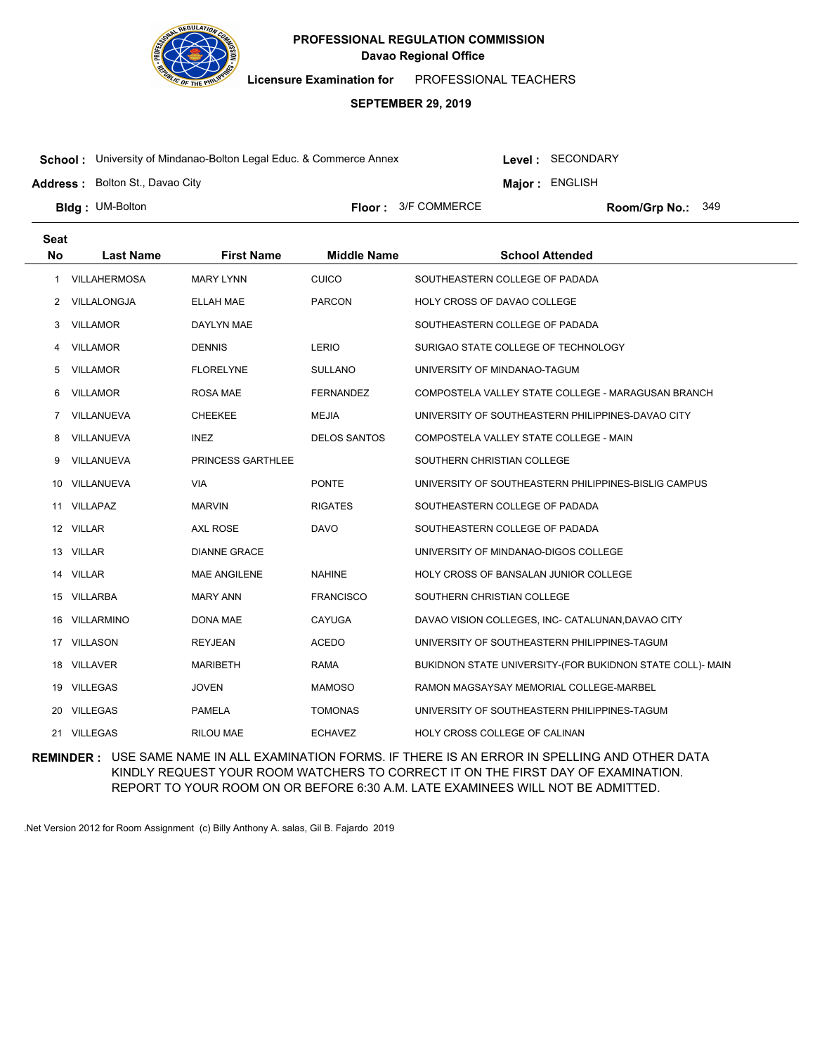

**Licensure Examination for**  PROFESSIONAL TEACHERS

### **SEPTEMBER 29, 2019**

**School :** University of Mindanao-Bolton Legal Educ. & Commerce Annex

Level : SECONDARY

**Major : ENGLISH** 

**Address :** Bolton St., Davao City

**Bldg: UM-Bolton** 

**Floor :**  $3/F$  COMMERCE

Room/Grp No.: 349

| <b>Seat</b> |                     |                     |                     |                                                           |
|-------------|---------------------|---------------------|---------------------|-----------------------------------------------------------|
| <b>No</b>   | <b>Last Name</b>    | <b>First Name</b>   | <b>Middle Name</b>  | <b>School Attended</b>                                    |
| 1           | <b>VILLAHERMOSA</b> | <b>MARY LYNN</b>    | <b>CUICO</b>        | SOUTHEASTERN COLLEGE OF PADADA                            |
| 2           | VILLALONGJA         | <b>ELLAH MAE</b>    | <b>PARCON</b>       | HOLY CROSS OF DAVAO COLLEGE                               |
| 3           | <b>VILLAMOR</b>     | DAYLYN MAE          |                     | SOUTHEASTERN COLLEGE OF PADADA                            |
| 4           | <b>VILLAMOR</b>     | <b>DENNIS</b>       | LERIO               | SURIGAO STATE COLLEGE OF TECHNOLOGY                       |
| 5           | <b>VILLAMOR</b>     | <b>FLORELYNE</b>    | <b>SULLANO</b>      | UNIVERSITY OF MINDANAO-TAGUM                              |
| 6           | <b>VILLAMOR</b>     | <b>ROSA MAE</b>     | <b>FERNANDEZ</b>    | COMPOSTELA VALLEY STATE COLLEGE - MARAGUSAN BRANCH        |
| 7           | VILLANUEVA          | <b>CHEEKEE</b>      | <b>MEJIA</b>        | UNIVERSITY OF SOUTHEASTERN PHILIPPINES-DAVAO CITY         |
| 8           | VILLANUEVA          | <b>INEZ</b>         | <b>DELOS SANTOS</b> | COMPOSTELA VALLEY STATE COLLEGE - MAIN                    |
| 9           | VILLANUEVA          | PRINCESS GARTHLEE   |                     | SOUTHERN CHRISTIAN COLLEGE                                |
| 10          | VILLANUEVA          | <b>VIA</b>          | <b>PONTE</b>        | UNIVERSITY OF SOUTHEASTERN PHILIPPINES-BISLIG CAMPUS      |
|             | 11 VILLAPAZ         | <b>MARVIN</b>       | <b>RIGATES</b>      | SOUTHEASTERN COLLEGE OF PADADA                            |
|             | 12 VILLAR           | <b>AXL ROSE</b>     | <b>DAVO</b>         | SOUTHEASTERN COLLEGE OF PADADA                            |
| 13          | VILLAR              | <b>DIANNE GRACE</b> |                     | UNIVERSITY OF MINDANAO-DIGOS COLLEGE                      |
|             | 14 VILLAR           | <b>MAE ANGILENE</b> | <b>NAHINE</b>       | HOLY CROSS OF BANSALAN JUNIOR COLLEGE                     |
|             | 15 VILLARBA         | <b>MARY ANN</b>     | <b>FRANCISCO</b>    | SOUTHERN CHRISTIAN COLLEGE                                |
| 16.         | VILLARMINO          | DONA MAE            | <b>CAYUGA</b>       | DAVAO VISION COLLEGES, INC- CATALUNAN, DAVAO CITY         |
|             | 17 VILLASON         | <b>REYJEAN</b>      | ACEDO               | UNIVERSITY OF SOUTHEASTERN PHILIPPINES-TAGUM              |
|             | 18 VILLAVER         | <b>MARIBETH</b>     | <b>RAMA</b>         | BUKIDNON STATE UNIVERSITY-(FOR BUKIDNON STATE COLL)- MAIN |
| 19          | <b>VILLEGAS</b>     | <b>JOVEN</b>        | <b>MAMOSO</b>       | RAMON MAGSAYSAY MEMORIAL COLLEGE-MARBEL                   |
|             | 20 VILLEGAS         | <b>PAMELA</b>       | <b>TOMONAS</b>      | UNIVERSITY OF SOUTHEASTERN PHILIPPINES-TAGUM              |
|             | 21 VILLEGAS         | <b>RILOU MAE</b>    | <b>ECHAVEZ</b>      | HOLY CROSS COLLEGE OF CALINAN                             |

**REMINDER :** USE SAME NAME IN ALL EXAMINATION FORMS. IF THERE IS AN ERROR IN SPELLING AND OTHER DATA KINDLY REQUEST YOUR ROOM WATCHERS TO CORRECT IT ON THE FIRST DAY OF EXAMINATION. REPORT TO YOUR ROOM ON OR BEFORE 6:30 A.M. LATE EXAMINEES WILL NOT BE ADMITTED.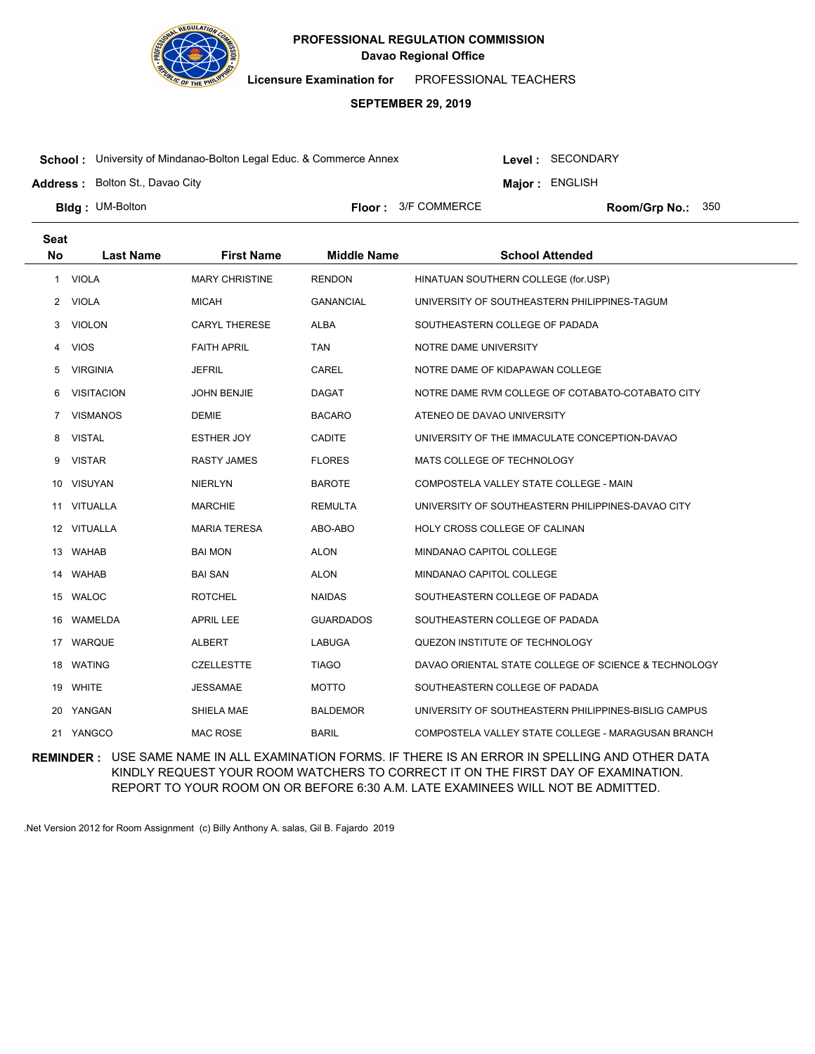

**Licensure Examination for**  PROFESSIONAL TEACHERS

### **SEPTEMBER 29, 2019**

**School :** University of Mindanao-Bolton Legal Educ. & Commerce Annex

Level : SECONDARY

**Major : ENGLISH** 

**Address :** Bolton St., Davao City

**Bldg: UM-Bolton** 

**Floor :**  $3/F$  COMMERCE

Room/Grp No.: 350

| <b>Seat</b><br><b>No</b> | <b>Last Name</b>  | <b>First Name</b>     | <b>Middle Name</b> | <b>School Attended</b>                               |
|--------------------------|-------------------|-----------------------|--------------------|------------------------------------------------------|
|                          |                   |                       |                    |                                                      |
|                          | 1 VIOLA           | <b>MARY CHRISTINE</b> | <b>RENDON</b>      | HINATUAN SOUTHERN COLLEGE (for.USP)                  |
| 2                        | <b>VIOLA</b>      | <b>MICAH</b>          | <b>GANANCIAL</b>   | UNIVERSITY OF SOUTHEASTERN PHILIPPINES-TAGUM         |
| 3                        | <b>VIOLON</b>     | <b>CARYL THERESE</b>  | <b>ALBA</b>        | SOUTHEASTERN COLLEGE OF PADADA                       |
| 4                        | <b>VIOS</b>       | <b>FAITH APRIL</b>    | <b>TAN</b>         | NOTRE DAME UNIVERSITY                                |
| 5                        | <b>VIRGINIA</b>   | <b>JEFRIL</b>         | CAREL              | NOTRE DAME OF KIDAPAWAN COLLEGE                      |
| 6                        | <b>VISITACION</b> | <b>JOHN BENJIE</b>    | <b>DAGAT</b>       | NOTRE DAME RVM COLLEGE OF COTABATO-COTABATO CITY     |
| $\overline{7}$           | <b>VISMANOS</b>   | <b>DEMIE</b>          | <b>BACARO</b>      | ATENEO DE DAVAO UNIVERSITY                           |
| 8                        | <b>VISTAL</b>     | ESTHER JOY            | <b>CADITE</b>      | UNIVERSITY OF THE IMMACULATE CONCEPTION-DAVAO        |
| 9                        | <b>VISTAR</b>     | <b>RASTY JAMES</b>    | <b>FLORES</b>      | MATS COLLEGE OF TECHNOLOGY                           |
|                          | 10 VISUYAN        | <b>NIERLYN</b>        | <b>BAROTE</b>      | COMPOSTELA VALLEY STATE COLLEGE - MAIN               |
| 11                       | <b>VITUALLA</b>   | MARCHIE               | <b>REMULTA</b>     | UNIVERSITY OF SOUTHEASTERN PHILIPPINES-DAVAO CITY    |
|                          | 12 VITUALLA       | <b>MARIA TERESA</b>   | ABO-ABO            | HOLY CROSS COLLEGE OF CALINAN                        |
|                          | 13 WAHAB          | <b>BAI MON</b>        | <b>ALON</b>        | MINDANAO CAPITOL COLLEGE                             |
|                          | 14 WAHAB          | <b>BAI SAN</b>        | <b>ALON</b>        | MINDANAO CAPITOL COLLEGE                             |
|                          | 15 WALOC          | <b>ROTCHEL</b>        | <b>NAIDAS</b>      | SOUTHEASTERN COLLEGE OF PADADA                       |
| 16                       | WAMELDA           | <b>APRIL LEE</b>      | <b>GUARDADOS</b>   | SOUTHEASTERN COLLEGE OF PADADA                       |
|                          | 17 WARQUE         | <b>ALBERT</b>         | <b>LABUGA</b>      | QUEZON INSTITUTE OF TECHNOLOGY                       |
|                          | 18 WATING         | <b>CZELLESTTE</b>     | <b>TIAGO</b>       | DAVAO ORIENTAL STATE COLLEGE OF SCIENCE & TECHNOLOGY |
|                          | 19 WHITE          | <b>JESSAMAE</b>       | <b>MOTTO</b>       | SOUTHEASTERN COLLEGE OF PADADA                       |
|                          | 20 YANGAN         | SHIELA MAE            | <b>BALDEMOR</b>    | UNIVERSITY OF SOUTHEASTERN PHILIPPINES-BISLIG CAMPUS |
|                          | 21 YANGCO         | <b>MAC ROSE</b>       | <b>BARIL</b>       | COMPOSTELA VALLEY STATE COLLEGE - MARAGUSAN BRANCH   |

**REMINDER :** USE SAME NAME IN ALL EXAMINATION FORMS. IF THERE IS AN ERROR IN SPELLING AND OTHER DATA KINDLY REQUEST YOUR ROOM WATCHERS TO CORRECT IT ON THE FIRST DAY OF EXAMINATION. REPORT TO YOUR ROOM ON OR BEFORE 6:30 A.M. LATE EXAMINEES WILL NOT BE ADMITTED.